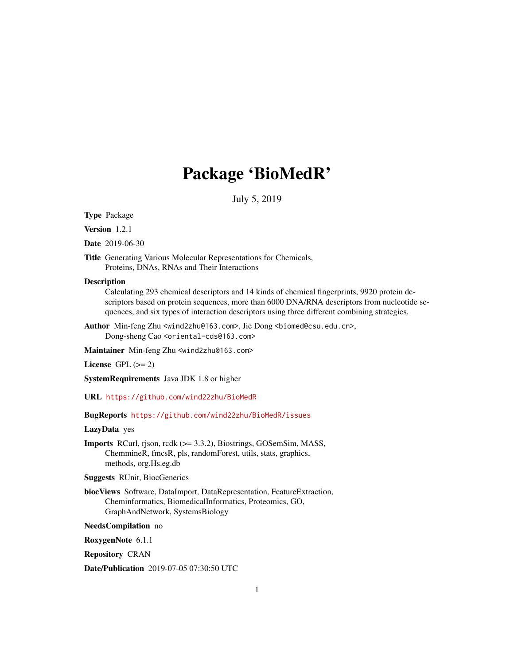# Package 'BioMedR'

July 5, 2019

Type Package

Version 1.2.1

Date 2019-06-30

Title Generating Various Molecular Representations for Chemicals, Proteins, DNAs, RNAs and Their Interactions

#### **Description**

Calculating 293 chemical descriptors and 14 kinds of chemical fingerprints, 9920 protein descriptors based on protein sequences, more than 6000 DNA/RNA descriptors from nucleotide sequences, and six types of interaction descriptors using three different combining strategies.

Author Min-feng Zhu <wind2zhu@163.com>, Jie Dong <biomed@csu.edu.cn>, Dong-sheng Cao <oriental-cds@163.com>

Maintainer Min-feng Zhu <wind2zhu@163.com>

License GPL  $(>= 2)$ 

SystemRequirements Java JDK 1.8 or higher

URL <https://github.com/wind22zhu/BioMedR>

BugReports <https://github.com/wind22zhu/BioMedR/issues>

# LazyData yes

Imports RCurl, rjson, rcdk (>= 3.3.2), Biostrings, GOSemSim, MASS, ChemmineR, fmcsR, pls, randomForest, utils, stats, graphics, methods, org.Hs.eg.db

Suggests RUnit, BiocGenerics

biocViews Software, DataImport, DataRepresentation, FeatureExtraction, Cheminformatics, BiomedicalInformatics, Proteomics, GO, GraphAndNetwork, SystemsBiology

NeedsCompilation no

RoxygenNote 6.1.1

Repository CRAN

Date/Publication 2019-07-05 07:30:50 UTC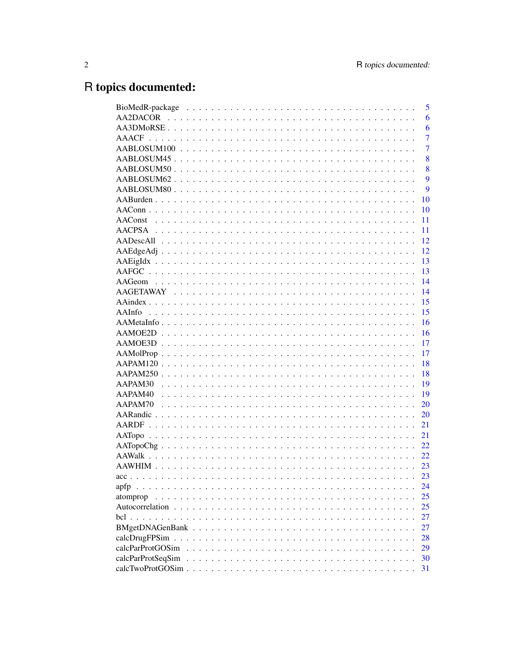# R topics documented:

|                            | 5              |
|----------------------------|----------------|
|                            | 6              |
|                            | 6              |
|                            | 7              |
|                            | $\overline{7}$ |
|                            | 8              |
|                            | 8              |
|                            | 9              |
|                            | 9              |
|                            | 10             |
|                            | 10             |
| <b>AAConst</b>             | 11             |
|                            | 11             |
|                            | 12             |
|                            | 12             |
|                            | 13             |
|                            | 13             |
|                            | 14             |
|                            | 14             |
|                            | 15             |
|                            | 15             |
|                            | 16             |
|                            | 16             |
|                            | 17             |
|                            | 17             |
|                            | 18             |
|                            | 18             |
| AAPAM30                    | 19             |
| AAPAM <sub>40</sub>        | 19             |
| AAPAM70                    | 20             |
|                            | 20             |
|                            | 21             |
|                            | 21             |
|                            | 22             |
|                            | 22             |
|                            | 23             |
|                            | 23             |
| apfp                       | 24             |
| atomprop<br>$\mathbf{r}$   | 25             |
| Autocorrelation.<br>$\sim$ | 25             |
| $\text{bcl}$               | 27             |
| BMgetDNAGenBank            | 27             |
| calcDrugFPSim              | 28             |
| calcParProtGOSim           | 29             |
| calcParProtSeqSim          | 30             |
|                            | 31             |
|                            |                |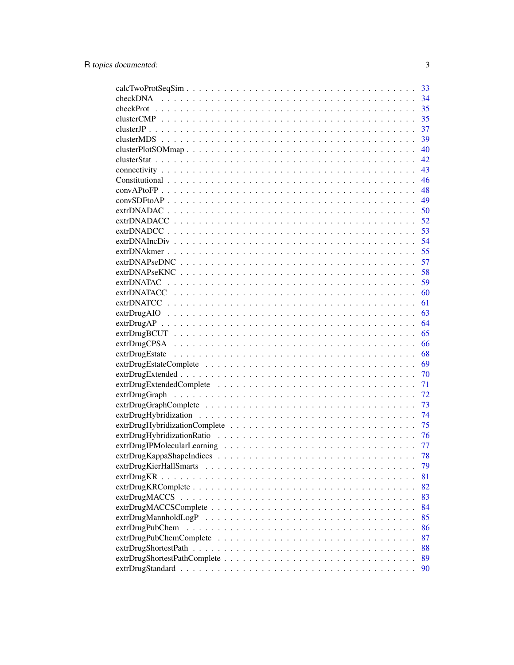| 33   |
|------|
| 34   |
| 35   |
| 35   |
| 37   |
| 39   |
| 40   |
| 42   |
|      |
| - 46 |
|      |
|      |
| 50   |
| 52   |
| 53   |
| 54   |
| 55   |
| 57   |
| 58   |
| 59   |
| 60   |
| 61   |
| 63   |
| 64   |
|      |
|      |
|      |
|      |
| 70   |
| 71   |
| 72   |
| 73   |
| 74   |
| 75   |
| 76   |
| 77   |
| 78   |
| 79   |
| 81   |
| 82   |
| 83   |
| 84   |
| 85   |
| 86   |
| 87   |
| 88   |
| 89   |
| 90   |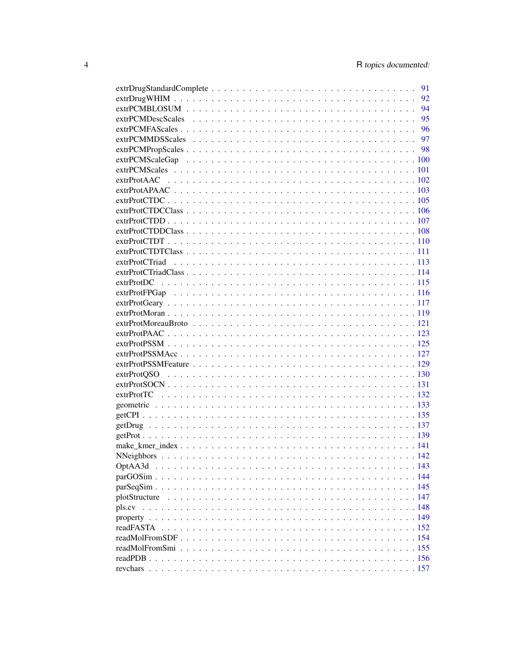|  |  |  |  |  |  |  |  |  |  | 91 |
|--|--|--|--|--|--|--|--|--|--|----|
|  |  |  |  |  |  |  |  |  |  |    |
|  |  |  |  |  |  |  |  |  |  |    |
|  |  |  |  |  |  |  |  |  |  |    |
|  |  |  |  |  |  |  |  |  |  |    |
|  |  |  |  |  |  |  |  |  |  |    |
|  |  |  |  |  |  |  |  |  |  |    |
|  |  |  |  |  |  |  |  |  |  |    |
|  |  |  |  |  |  |  |  |  |  |    |
|  |  |  |  |  |  |  |  |  |  |    |
|  |  |  |  |  |  |  |  |  |  |    |
|  |  |  |  |  |  |  |  |  |  |    |
|  |  |  |  |  |  |  |  |  |  |    |
|  |  |  |  |  |  |  |  |  |  |    |
|  |  |  |  |  |  |  |  |  |  |    |
|  |  |  |  |  |  |  |  |  |  |    |
|  |  |  |  |  |  |  |  |  |  |    |
|  |  |  |  |  |  |  |  |  |  |    |
|  |  |  |  |  |  |  |  |  |  |    |
|  |  |  |  |  |  |  |  |  |  |    |
|  |  |  |  |  |  |  |  |  |  |    |
|  |  |  |  |  |  |  |  |  |  |    |
|  |  |  |  |  |  |  |  |  |  |    |
|  |  |  |  |  |  |  |  |  |  |    |
|  |  |  |  |  |  |  |  |  |  |    |
|  |  |  |  |  |  |  |  |  |  |    |
|  |  |  |  |  |  |  |  |  |  |    |
|  |  |  |  |  |  |  |  |  |  |    |
|  |  |  |  |  |  |  |  |  |  |    |
|  |  |  |  |  |  |  |  |  |  |    |
|  |  |  |  |  |  |  |  |  |  |    |
|  |  |  |  |  |  |  |  |  |  |    |
|  |  |  |  |  |  |  |  |  |  |    |
|  |  |  |  |  |  |  |  |  |  |    |
|  |  |  |  |  |  |  |  |  |  |    |
|  |  |  |  |  |  |  |  |  |  |    |
|  |  |  |  |  |  |  |  |  |  |    |
|  |  |  |  |  |  |  |  |  |  |    |
|  |  |  |  |  |  |  |  |  |  |    |
|  |  |  |  |  |  |  |  |  |  |    |
|  |  |  |  |  |  |  |  |  |  |    |
|  |  |  |  |  |  |  |  |  |  |    |
|  |  |  |  |  |  |  |  |  |  |    |
|  |  |  |  |  |  |  |  |  |  |    |
|  |  |  |  |  |  |  |  |  |  |    |
|  |  |  |  |  |  |  |  |  |  |    |
|  |  |  |  |  |  |  |  |  |  |    |
|  |  |  |  |  |  |  |  |  |  |    |
|  |  |  |  |  |  |  |  |  |  |    |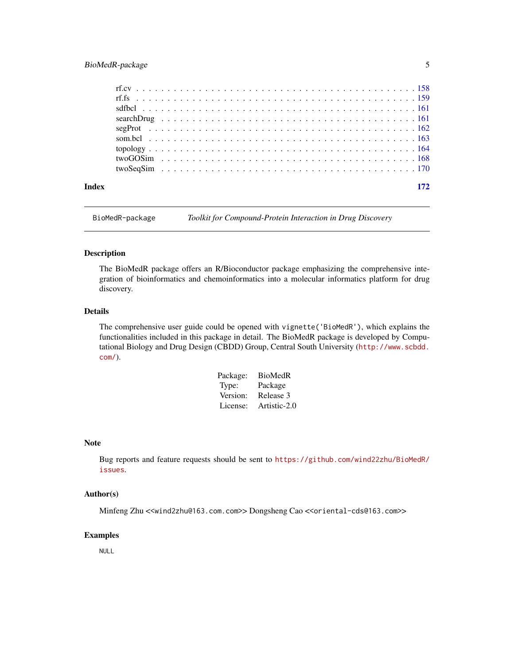# <span id="page-4-0"></span>BioMedR-package 5

| Index |  | 172 |
|-------|--|-----|
|       |  |     |
|       |  |     |
|       |  |     |
|       |  |     |
|       |  |     |
|       |  |     |
|       |  |     |
|       |  |     |
|       |  |     |

BioMedR-package *Toolkit for Compound-Protein Interaction in Drug Discovery*

#### Description

The BioMedR package offers an R/Bioconductor package emphasizing the comprehensive integration of bioinformatics and chemoinformatics into a molecular informatics platform for drug discovery.

#### Details

The comprehensive user guide could be opened with vignette('BioMedR'), which explains the functionalities included in this package in detail. The BioMedR package is developed by Computational Biology and Drug Design (CBDD) Group, Central South University ([http://www.scbdd.](http://www.scbdd.com/) [com/](http://www.scbdd.com/)).

| Package: | BioMedR      |
|----------|--------------|
| Type:    | Package      |
| Version: | Release 3    |
| License: | Artistic-2.0 |

#### Note

Bug reports and feature requests should be sent to [https://github.com/wind22zhu/BioMedR/](https://github.com/wind22zhu/BioMedR/issues) [issues](https://github.com/wind22zhu/BioMedR/issues).

#### Author(s)

Minfeng Zhu <<wind2zhu@163.com.com>> Dongsheng Cao <<oriental-cds@163.com>>

#### Examples

NULL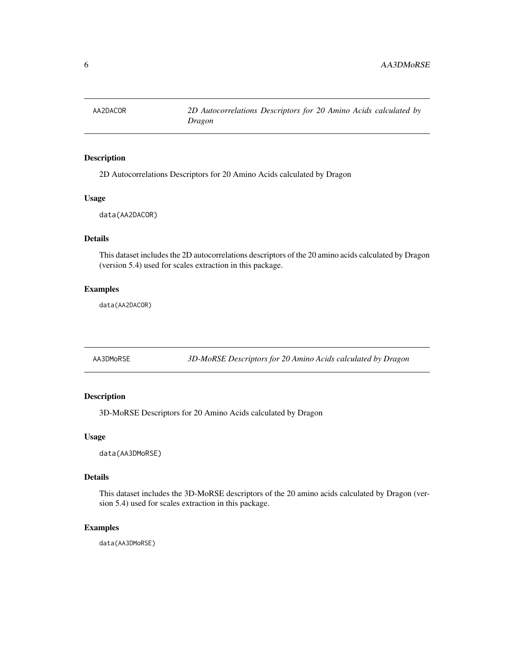<span id="page-5-0"></span>

2D Autocorrelations Descriptors for 20 Amino Acids calculated by Dragon

# Usage

data(AA2DACOR)

# Details

This dataset includes the 2D autocorrelations descriptors of the 20 amino acids calculated by Dragon (version 5.4) used for scales extraction in this package.

# Examples

data(AA2DACOR)

AA3DMoRSE *3D-MoRSE Descriptors for 20 Amino Acids calculated by Dragon*

# Description

3D-MoRSE Descriptors for 20 Amino Acids calculated by Dragon

#### Usage

data(AA3DMoRSE)

#### Details

This dataset includes the 3D-MoRSE descriptors of the 20 amino acids calculated by Dragon (version 5.4) used for scales extraction in this package.

#### Examples

data(AA3DMoRSE)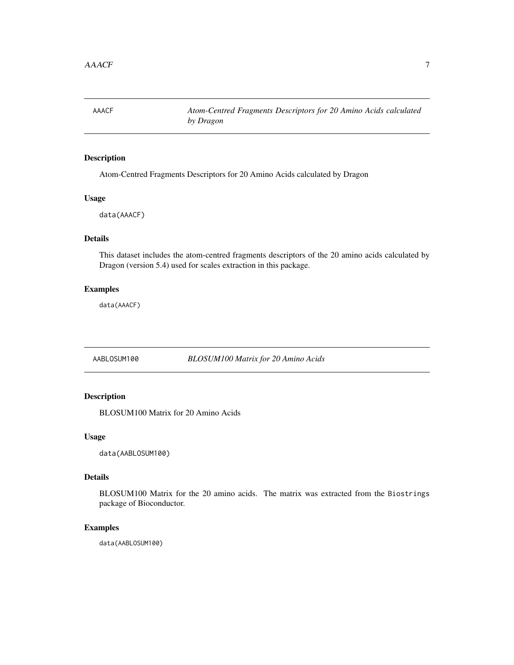<span id="page-6-0"></span>AAACF *Atom-Centred Fragments Descriptors for 20 Amino Acids calculated by Dragon*

# Description

Atom-Centred Fragments Descriptors for 20 Amino Acids calculated by Dragon

# Usage

data(AAACF)

# Details

This dataset includes the atom-centred fragments descriptors of the 20 amino acids calculated by Dragon (version 5.4) used for scales extraction in this package.

# Examples

data(AAACF)

AABLOSUM100 *BLOSUM100 Matrix for 20 Amino Acids*

# Description

BLOSUM100 Matrix for 20 Amino Acids

#### Usage

data(AABLOSUM100)

#### Details

BLOSUM100 Matrix for the 20 amino acids. The matrix was extracted from the Biostrings package of Bioconductor.

#### Examples

data(AABLOSUM100)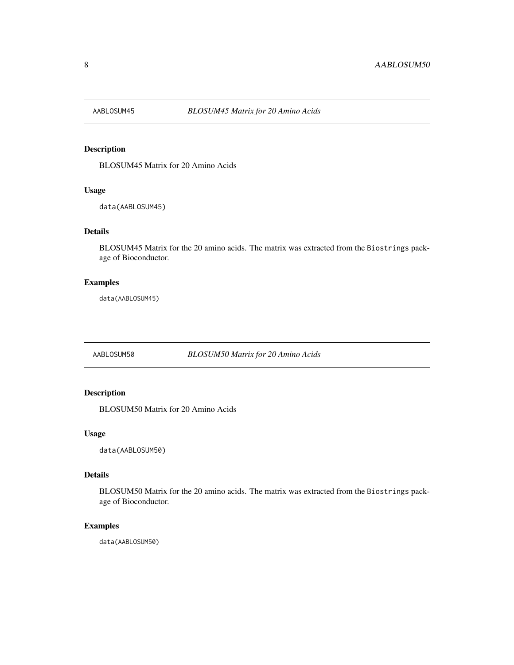<span id="page-7-0"></span>

BLOSUM45 Matrix for 20 Amino Acids

# Usage

data(AABLOSUM45)

# Details

BLOSUM45 Matrix for the 20 amino acids. The matrix was extracted from the Biostrings package of Bioconductor.

# Examples

data(AABLOSUM45)

AABLOSUM50 *BLOSUM50 Matrix for 20 Amino Acids*

# Description

BLOSUM50 Matrix for 20 Amino Acids

#### Usage

data(AABLOSUM50)

#### Details

BLOSUM50 Matrix for the 20 amino acids. The matrix was extracted from the Biostrings package of Bioconductor.

# Examples

data(AABLOSUM50)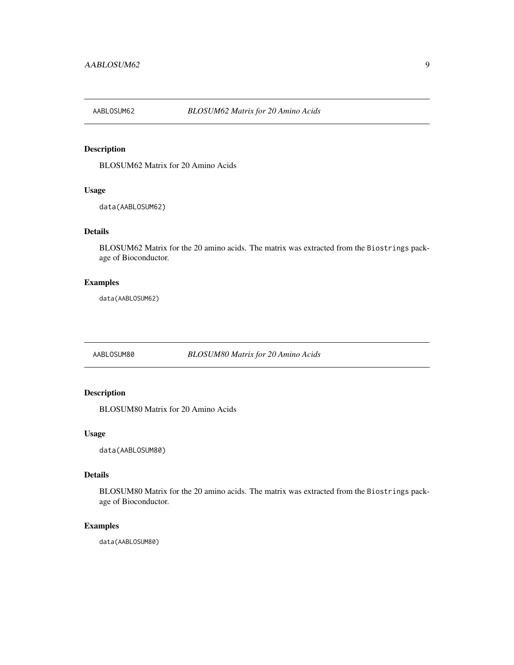<span id="page-8-0"></span>

BLOSUM62 Matrix for 20 Amino Acids

#### Usage

data(AABLOSUM62)

# Details

BLOSUM62 Matrix for the 20 amino acids. The matrix was extracted from the Biostrings package of Bioconductor.

# Examples

data(AABLOSUM62)

AABLOSUM80 *BLOSUM80 Matrix for 20 Amino Acids*

# Description

BLOSUM80 Matrix for 20 Amino Acids

#### Usage

data(AABLOSUM80)

#### Details

BLOSUM80 Matrix for the 20 amino acids. The matrix was extracted from the Biostrings package of Bioconductor.

# Examples

data(AABLOSUM80)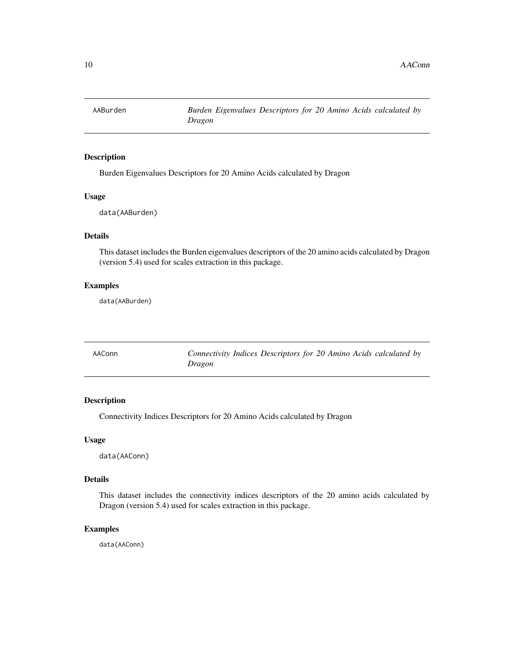<span id="page-9-0"></span>

Burden Eigenvalues Descriptors for 20 Amino Acids calculated by Dragon

#### Usage

data(AABurden)

# Details

This dataset includes the Burden eigenvalues descriptors of the 20 amino acids calculated by Dragon (version 5.4) used for scales extraction in this package.

# Examples

data(AABurden)

| AAConn | Connectivity Indices Descriptors for 20 Amino Acids calculated by |  |  |  |  |
|--------|-------------------------------------------------------------------|--|--|--|--|
|        | Dragon                                                            |  |  |  |  |

# Description

Connectivity Indices Descriptors for 20 Amino Acids calculated by Dragon

#### Usage

data(AAConn)

#### Details

This dataset includes the connectivity indices descriptors of the 20 amino acids calculated by Dragon (version 5.4) used for scales extraction in this package.

# Examples

data(AAConn)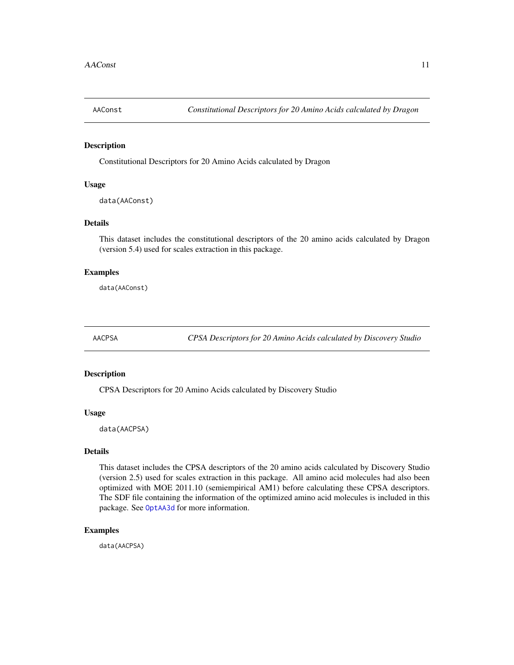<span id="page-10-0"></span>

Constitutional Descriptors for 20 Amino Acids calculated by Dragon

# Usage

data(AAConst)

#### Details

This dataset includes the constitutional descriptors of the 20 amino acids calculated by Dragon (version 5.4) used for scales extraction in this package.

#### Examples

data(AAConst)

AACPSA *CPSA Descriptors for 20 Amino Acids calculated by Discovery Studio*

#### Description

CPSA Descriptors for 20 Amino Acids calculated by Discovery Studio

#### Usage

data(AACPSA)

#### Details

This dataset includes the CPSA descriptors of the 20 amino acids calculated by Discovery Studio (version 2.5) used for scales extraction in this package. All amino acid molecules had also been optimized with MOE 2011.10 (semiempirical AM1) before calculating these CPSA descriptors. The SDF file containing the information of the optimized amino acid molecules is included in this package. See [OptAA3d](#page-142-1) for more information.

# Examples

data(AACPSA)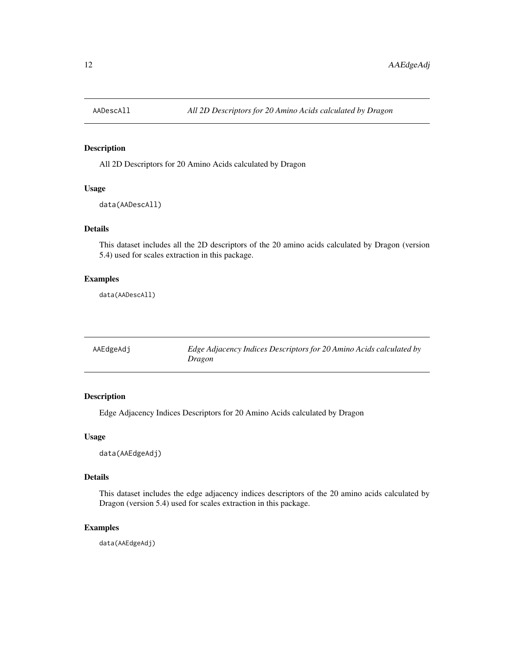<span id="page-11-0"></span>

All 2D Descriptors for 20 Amino Acids calculated by Dragon

# Usage

```
data(AADescAll)
```
# Details

This dataset includes all the 2D descriptors of the 20 amino acids calculated by Dragon (version 5.4) used for scales extraction in this package.

#### Examples

data(AADescAll)

| AAEdgeAdj | Edge Adjacency Indices Descriptors for 20 Amino Acids calculated by |
|-----------|---------------------------------------------------------------------|
|           | Dragon                                                              |

# Description

Edge Adjacency Indices Descriptors for 20 Amino Acids calculated by Dragon

#### Usage

data(AAEdgeAdj)

#### Details

This dataset includes the edge adjacency indices descriptors of the 20 amino acids calculated by Dragon (version 5.4) used for scales extraction in this package.

#### Examples

data(AAEdgeAdj)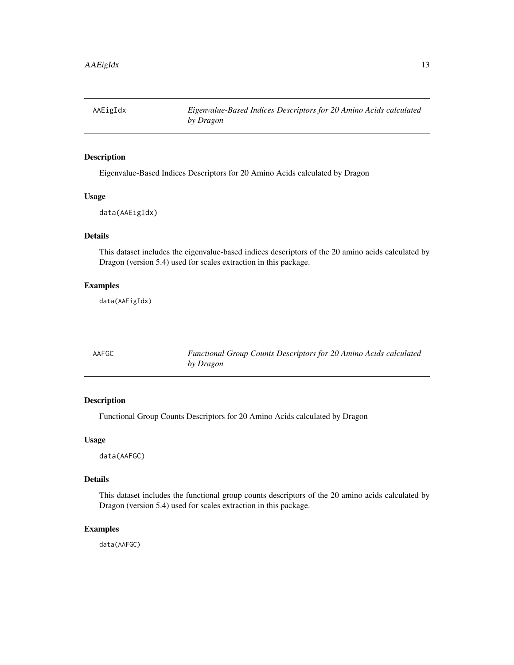<span id="page-12-0"></span>

Eigenvalue-Based Indices Descriptors for 20 Amino Acids calculated by Dragon

#### Usage

data(AAEigIdx)

# Details

This dataset includes the eigenvalue-based indices descriptors of the 20 amino acids calculated by Dragon (version 5.4) used for scales extraction in this package.

# Examples

data(AAEigIdx)

| AAFGC | Functional Group Counts Descriptors for 20 Amino Acids calculated |
|-------|-------------------------------------------------------------------|
|       | by Dragon                                                         |

# Description

Functional Group Counts Descriptors for 20 Amino Acids calculated by Dragon

#### Usage

data(AAFGC)

#### Details

This dataset includes the functional group counts descriptors of the 20 amino acids calculated by Dragon (version 5.4) used for scales extraction in this package.

# Examples

data(AAFGC)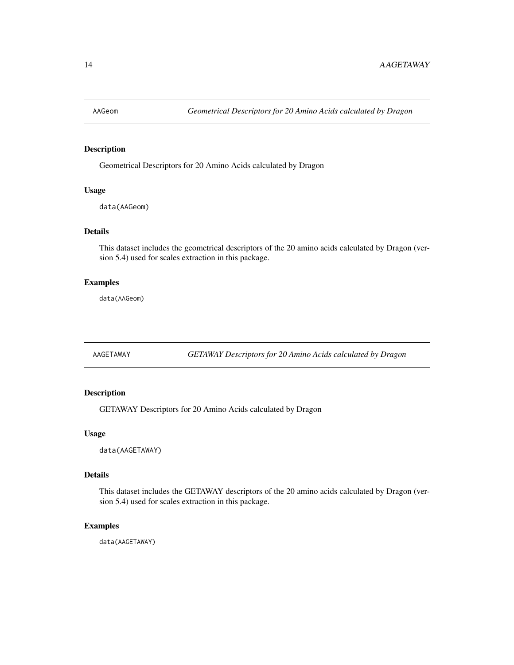<span id="page-13-0"></span>

Geometrical Descriptors for 20 Amino Acids calculated by Dragon

#### Usage

data(AAGeom)

# Details

This dataset includes the geometrical descriptors of the 20 amino acids calculated by Dragon (version 5.4) used for scales extraction in this package.

# Examples

data(AAGeom)

AAGETAWAY *GETAWAY Descriptors for 20 Amino Acids calculated by Dragon*

#### Description

GETAWAY Descriptors for 20 Amino Acids calculated by Dragon

#### Usage

data(AAGETAWAY)

#### Details

This dataset includes the GETAWAY descriptors of the 20 amino acids calculated by Dragon (version 5.4) used for scales extraction in this package.

# Examples

data(AAGETAWAY)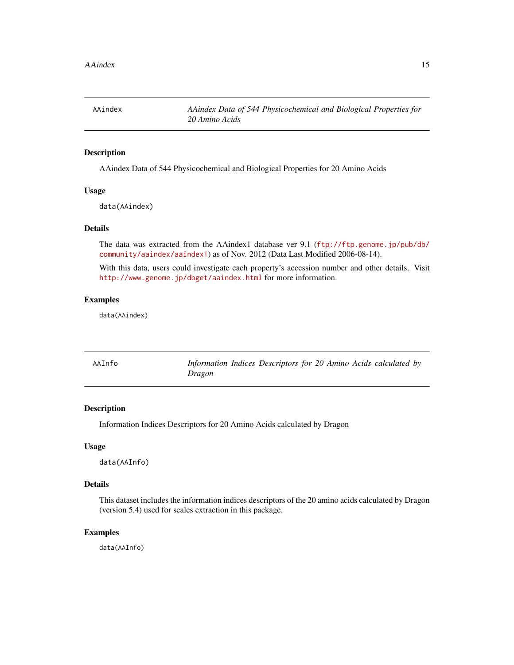<span id="page-14-0"></span>AAindex *AAindex Data of 544 Physicochemical and Biological Properties for 20 Amino Acids*

# Description

AAindex Data of 544 Physicochemical and Biological Properties for 20 Amino Acids

#### Usage

data(AAindex)

# Details

The data was extracted from the AAindex1 database ver 9.1 ([ftp://ftp.genome.jp/pub/db/](ftp://ftp.genome.jp/pub/db/community/aaindex/aaindex1) [community/aaindex/aaindex1](ftp://ftp.genome.jp/pub/db/community/aaindex/aaindex1)) as of Nov. 2012 (Data Last Modified 2006-08-14).

With this data, users could investigate each property's accession number and other details. Visit <http://www.genome.jp/dbget/aaindex.html> for more information.

# Examples

data(AAindex)

| AAInfo | Information Indices Descriptors for 20 Amino Acids calculated by |  |  |  |  |
|--------|------------------------------------------------------------------|--|--|--|--|
|        | Dragon                                                           |  |  |  |  |

# Description

Information Indices Descriptors for 20 Amino Acids calculated by Dragon

#### Usage

data(AAInfo)

# Details

This dataset includes the information indices descriptors of the 20 amino acids calculated by Dragon (version 5.4) used for scales extraction in this package.

# Examples

data(AAInfo)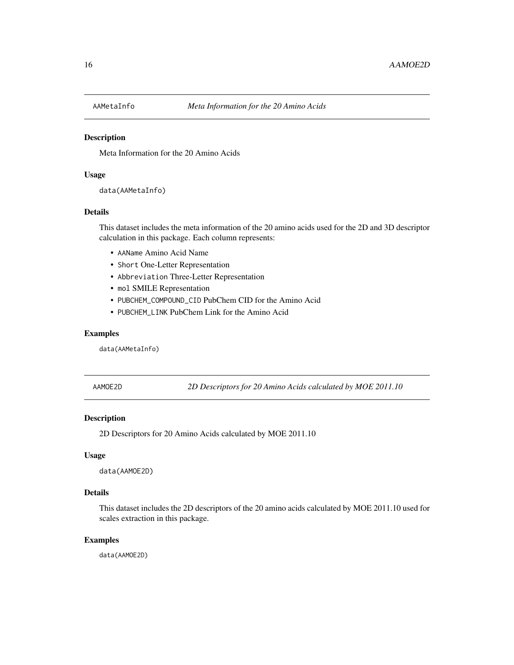<span id="page-15-0"></span>

Meta Information for the 20 Amino Acids

#### Usage

```
data(AAMetaInfo)
```
# Details

This dataset includes the meta information of the 20 amino acids used for the 2D and 3D descriptor calculation in this package. Each column represents:

- AAName Amino Acid Name
- Short One-Letter Representation
- Abbreviation Three-Letter Representation
- mol SMILE Representation
- PUBCHEM\_COMPOUND\_CID PubChem CID for the Amino Acid
- PUBCHEM\_LINK PubChem Link for the Amino Acid

# Examples

data(AAMetaInfo)

AAMOE2D *2D Descriptors for 20 Amino Acids calculated by MOE 2011.10*

#### Description

2D Descriptors for 20 Amino Acids calculated by MOE 2011.10

#### Usage

data(AAMOE2D)

#### Details

This dataset includes the 2D descriptors of the 20 amino acids calculated by MOE 2011.10 used for scales extraction in this package.

#### Examples

data(AAMOE2D)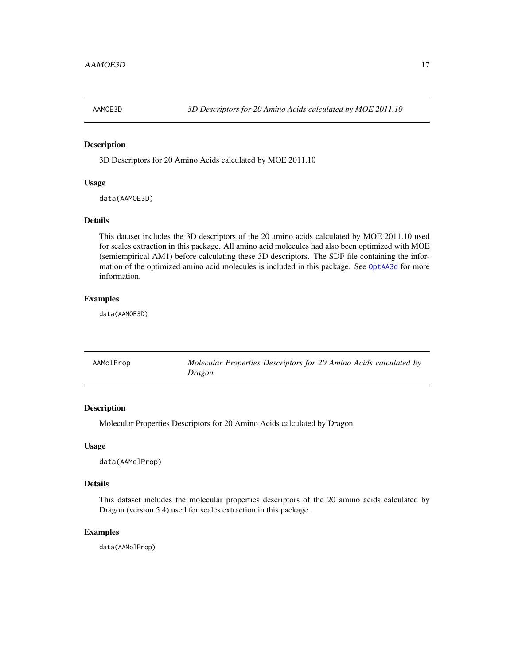<span id="page-16-0"></span>

3D Descriptors for 20 Amino Acids calculated by MOE 2011.10

#### Usage

data(AAMOE3D)

#### Details

This dataset includes the 3D descriptors of the 20 amino acids calculated by MOE 2011.10 used for scales extraction in this package. All amino acid molecules had also been optimized with MOE (semiempirical AM1) before calculating these 3D descriptors. The SDF file containing the information of the optimized amino acid molecules is included in this package. See [OptAA3d](#page-142-1) for more information.

#### Examples

data(AAMOE3D)

| AAMolProp | Molecular Properties Descriptors for 20 Amino Acids calculated by |
|-----------|-------------------------------------------------------------------|
|           | Dragon                                                            |

#### Description

Molecular Properties Descriptors for 20 Amino Acids calculated by Dragon

#### Usage

data(AAMolProp)

#### Details

This dataset includes the molecular properties descriptors of the 20 amino acids calculated by Dragon (version 5.4) used for scales extraction in this package.

# Examples

data(AAMolProp)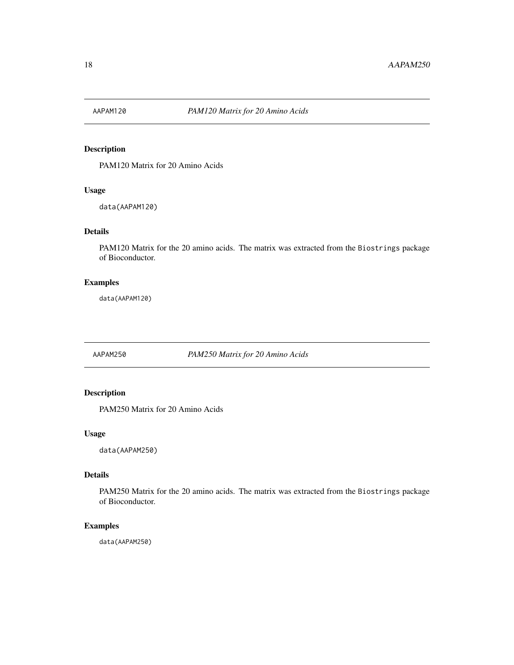<span id="page-17-0"></span>

PAM120 Matrix for 20 Amino Acids

#### Usage

data(AAPAM120)

# Details

PAM120 Matrix for the 20 amino acids. The matrix was extracted from the Biostrings package of Bioconductor.

# Examples

data(AAPAM120)

AAPAM250 *PAM250 Matrix for 20 Amino Acids*

# Description

PAM250 Matrix for 20 Amino Acids

#### Usage

data(AAPAM250)

#### Details

PAM250 Matrix for the 20 amino acids. The matrix was extracted from the Biostrings package of Bioconductor.

# Examples

data(AAPAM250)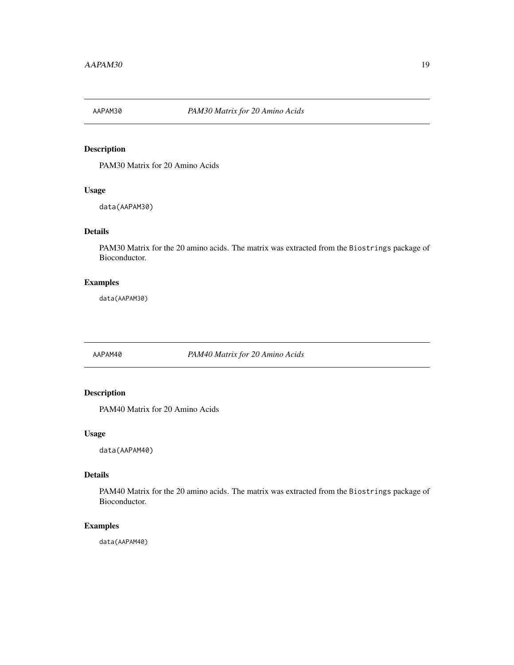<span id="page-18-0"></span>

PAM30 Matrix for 20 Amino Acids

#### Usage

data(AAPAM30)

# Details

PAM30 Matrix for the 20 amino acids. The matrix was extracted from the Biostrings package of Bioconductor.

# Examples

data(AAPAM30)

AAPAM40 *PAM40 Matrix for 20 Amino Acids*

# Description

PAM40 Matrix for 20 Amino Acids

#### Usage

data(AAPAM40)

#### Details

PAM40 Matrix for the 20 amino acids. The matrix was extracted from the Biostrings package of Bioconductor.

# Examples

data(AAPAM40)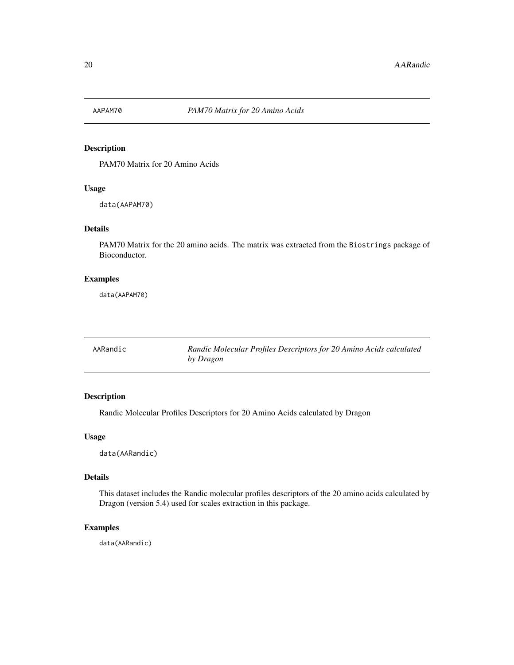<span id="page-19-0"></span>

PAM70 Matrix for 20 Amino Acids

# Usage

data(AAPAM70)

# Details

PAM70 Matrix for the 20 amino acids. The matrix was extracted from the Biostrings package of Bioconductor.

#### Examples

data(AAPAM70)

| AARandic | Randic Molecular Profiles Descriptors for 20 Amino Acids calculated |
|----------|---------------------------------------------------------------------|
|          | by Dragon                                                           |

# Description

Randic Molecular Profiles Descriptors for 20 Amino Acids calculated by Dragon

#### Usage

data(AARandic)

# Details

This dataset includes the Randic molecular profiles descriptors of the 20 amino acids calculated by Dragon (version 5.4) used for scales extraction in this package.

#### Examples

data(AARandic)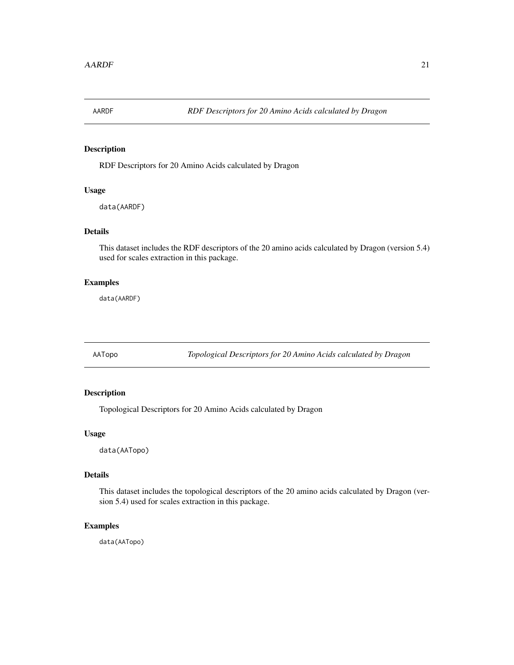<span id="page-20-0"></span>

RDF Descriptors for 20 Amino Acids calculated by Dragon

#### Usage

data(AARDF)

# Details

This dataset includes the RDF descriptors of the 20 amino acids calculated by Dragon (version 5.4) used for scales extraction in this package.

# Examples

data(AARDF)

AATopo *Topological Descriptors for 20 Amino Acids calculated by Dragon*

# Description

Topological Descriptors for 20 Amino Acids calculated by Dragon

#### Usage

data(AATopo)

#### Details

This dataset includes the topological descriptors of the 20 amino acids calculated by Dragon (version 5.4) used for scales extraction in this package.

# Examples

data(AATopo)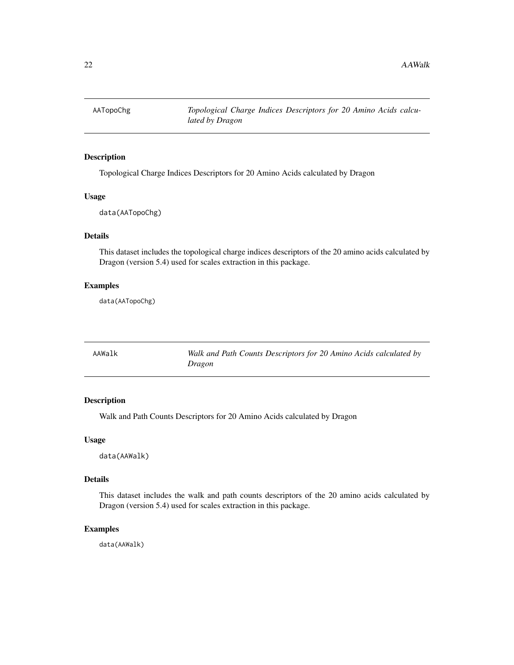<span id="page-21-0"></span>

Topological Charge Indices Descriptors for 20 Amino Acids calculated by Dragon

#### Usage

data(AATopoChg)

# Details

This dataset includes the topological charge indices descriptors of the 20 amino acids calculated by Dragon (version 5.4) used for scales extraction in this package.

# Examples

data(AATopoChg)

| AAWalk | Walk and Path Counts Descriptors for 20 Amino Acids calculated by |
|--------|-------------------------------------------------------------------|
|        | Dragon                                                            |

# Description

Walk and Path Counts Descriptors for 20 Amino Acids calculated by Dragon

#### Usage

data(AAWalk)

#### Details

This dataset includes the walk and path counts descriptors of the 20 amino acids calculated by Dragon (version 5.4) used for scales extraction in this package.

#### Examples

data(AAWalk)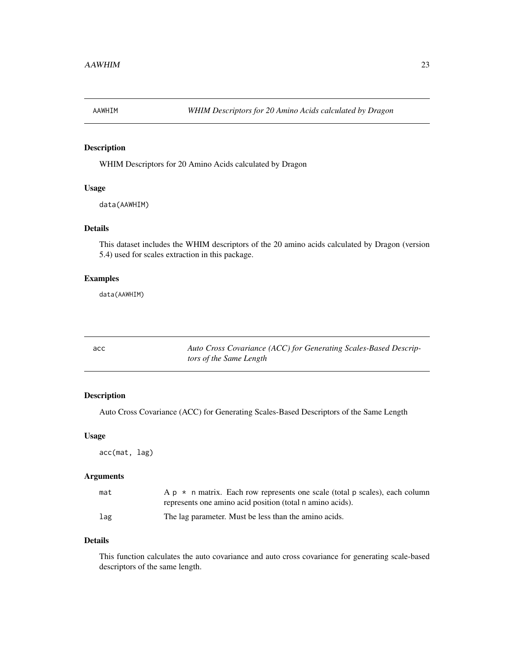<span id="page-22-0"></span>

WHIM Descriptors for 20 Amino Acids calculated by Dragon

#### Usage

data(AAWHIM)

# Details

This dataset includes the WHIM descriptors of the 20 amino acids calculated by Dragon (version 5.4) used for scales extraction in this package.

#### Examples

data(AAWHIM)

| acc | Auto Cross Covariance (ACC) for Generating Scales-Based Descrip- |
|-----|------------------------------------------------------------------|
|     | tors of the Same Length                                          |

# Description

Auto Cross Covariance (ACC) for Generating Scales-Based Descriptors of the Same Length

#### Usage

acc(mat, lag)

#### Arguments

| mat | A $p \star n$ matrix. Each row represents one scale (total p scales), each column |
|-----|-----------------------------------------------------------------------------------|
|     | represents one amino acid position (total n amino acids).                         |
| lag | The lag parameter. Must be less than the amino acids.                             |

# Details

This function calculates the auto covariance and auto cross covariance for generating scale-based descriptors of the same length.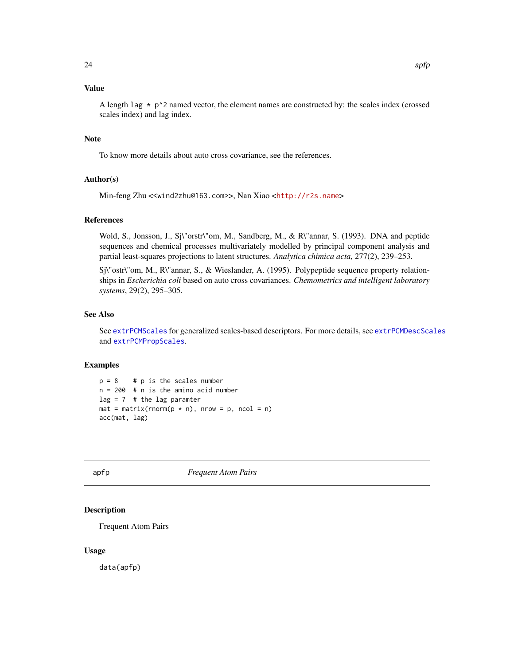# <span id="page-23-0"></span>Value

A length lag  $\star$  p^2 named vector, the element names are constructed by: the scales index (crossed scales index) and lag index.

#### Note

To know more details about auto cross covariance, see the references.

#### Author(s)

Min-feng Zhu <<wind2zhu@163.com>>, Nan Xiao <<http://r2s.name>>

#### References

Wold, S., Jonsson, J., Sj\"orstr\"om, M., Sandberg, M., & R\"annar, S. (1993). DNA and peptide sequences and chemical processes multivariately modelled by principal component analysis and partial least-squares projections to latent structures. *Analytica chimica acta*, 277(2), 239–253.

Sj\"ostr\"om, M., R\"annar, S., & Wieslander, A. (1995). Polypeptide sequence property relationships in *Escherichia coli* based on auto cross covariances. *Chemometrics and intelligent laboratory systems*, 29(2), 295–305.

#### See Also

See [extrPCMScales](#page-100-1) for generalized scales-based descriptors. For more details, see [extrPCMDescScales](#page-94-1) and [extrPCMPropScales](#page-97-1).

# Examples

```
p = 8 # p is the scales number
n = 200 # n is the amino acid number
lag = 7 # the lag paramter
mat = matrix(rnorm(p * n), nrow = p, ncol = n)acc(mat, lag)
```
apfp *Frequent Atom Pairs*

#### Description

Frequent Atom Pairs

#### Usage

data(apfp)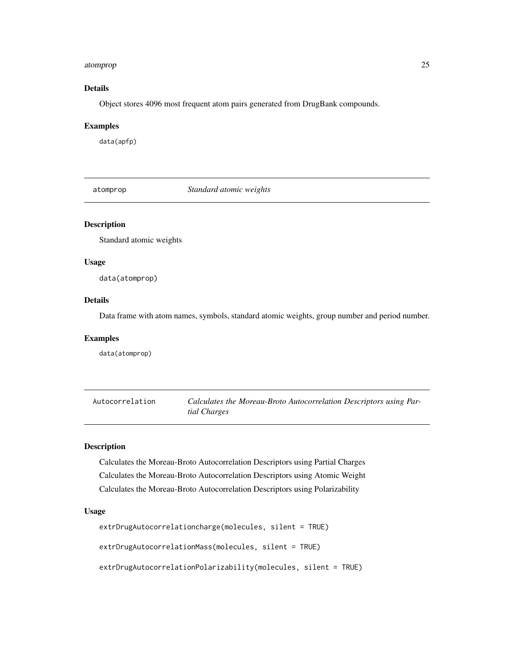#### <span id="page-24-0"></span>atomprop 25

# Details

Object stores 4096 most frequent atom pairs generated from DrugBank compounds.

#### Examples

data(apfp)

atomprop *Standard atomic weights*

#### Description

Standard atomic weights

# Usage

data(atomprop)

#### Details

Data frame with atom names, symbols, standard atomic weights, group number and period number.

#### Examples

data(atomprop)

Autocorrelation *Calculates the Moreau-Broto Autocorrelation Descriptors using Partial Charges*

# Description

Calculates the Moreau-Broto Autocorrelation Descriptors using Partial Charges Calculates the Moreau-Broto Autocorrelation Descriptors using Atomic Weight Calculates the Moreau-Broto Autocorrelation Descriptors using Polarizability

#### Usage

```
extrDrugAutocorrelationcharge(molecules, silent = TRUE)
extrDrugAutocorrelationMass(molecules, silent = TRUE)
extrDrugAutocorrelationPolarizability(molecules, silent = TRUE)
```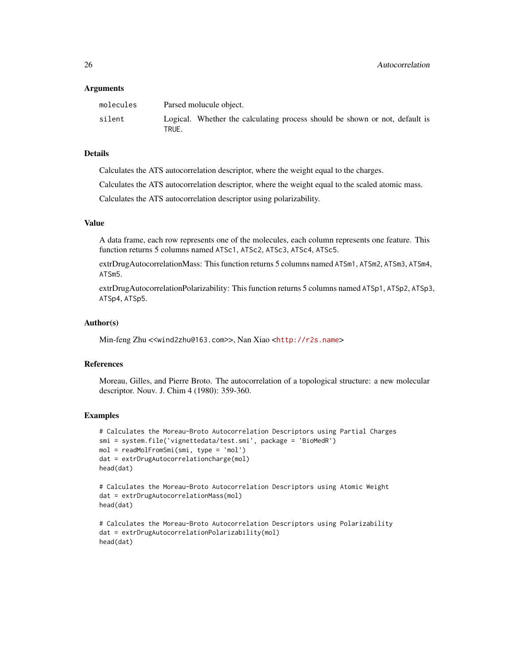#### Arguments

| molecules | Parsed molucule object.                                                              |
|-----------|--------------------------------------------------------------------------------------|
| silent    | Logical. Whether the calculating process should be shown or not, default is<br>TRUE. |

#### Details

Calculates the ATS autocorrelation descriptor, where the weight equal to the charges.

Calculates the ATS autocorrelation descriptor, where the weight equal to the scaled atomic mass.

Calculates the ATS autocorrelation descriptor using polarizability.

#### Value

A data frame, each row represents one of the molecules, each column represents one feature. This function returns 5 columns named ATSc1, ATSc2, ATSc3, ATSc4, ATSc5.

extrDrugAutocorrelationMass: This function returns 5 columns named ATSm1, ATSm2, ATSm3, ATSm4, ATSm5.

extrDrugAutocorrelationPolarizability: This function returns 5 columns named ATSp1, ATSp2, ATSp3, ATSp4, ATSp5.

#### Author(s)

Min-feng Zhu <<wind2zhu@163.com>>, Nan Xiao <<http://r2s.name>>

# References

Moreau, Gilles, and Pierre Broto. The autocorrelation of a topological structure: a new molecular descriptor. Nouv. J. Chim 4 (1980): 359-360.

# Examples

```
# Calculates the Moreau-Broto Autocorrelation Descriptors using Partial Charges
smi = system.file('vignettedata/test.smi', package = 'BioMedR')
mol = readMolFromSmi(smi, type = 'mol')
dat = extrDrugAutocorrelationcharge(mol)
head(dat)
```

```
# Calculates the Moreau-Broto Autocorrelation Descriptors using Atomic Weight
dat = extrDrugAutocorrelationMass(mol)
head(dat)
```

```
# Calculates the Moreau-Broto Autocorrelation Descriptors using Polarizability
dat = extrDrugAutocorrelationPolarizability(mol)
head(dat)
```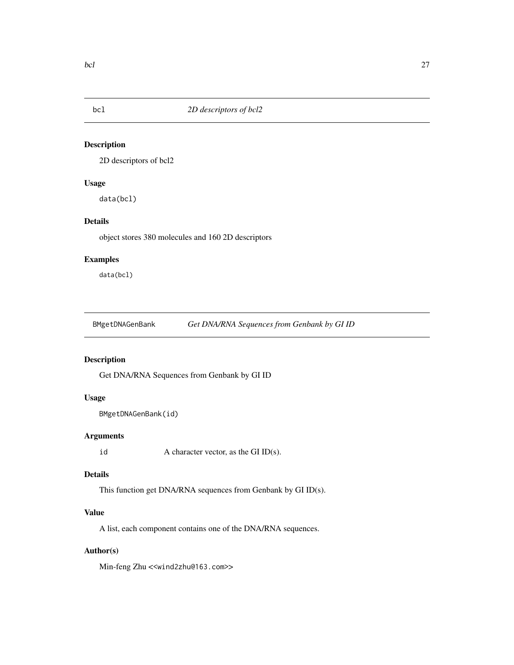<span id="page-26-0"></span>

2D descriptors of bcl2

#### Usage

data(bcl)

# Details

object stores 380 molecules and 160 2D descriptors

# Examples

data(bcl)

BMgetDNAGenBank *Get DNA/RNA Sequences from Genbank by GI ID*

# Description

Get DNA/RNA Sequences from Genbank by GI ID

# Usage

```
BMgetDNAGenBank(id)
```
# Arguments

id  $A$  character vector, as the GI ID(s).

#### Details

This function get DNA/RNA sequences from Genbank by GI ID(s).

# Value

A list, each component contains one of the DNA/RNA sequences.

#### Author(s)

Min-feng Zhu <<wind2zhu@163.com>>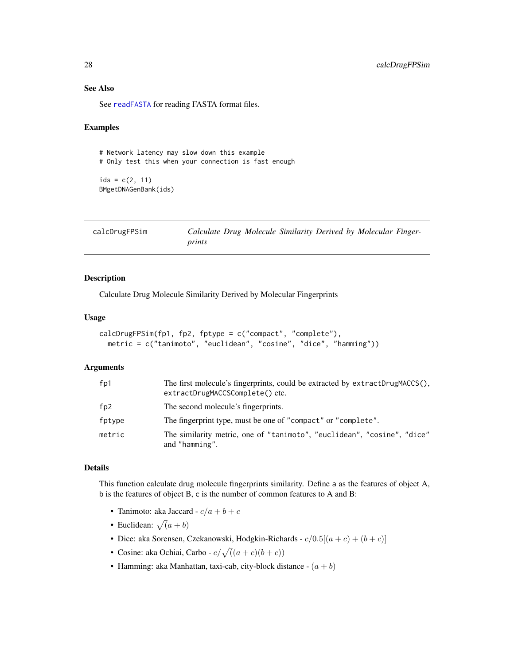# See Also

See [readFASTA](#page-151-1) for reading FASTA format files.

#### Examples

# Network latency may slow down this example # Only test this when your connection is fast enough  $ids = c(2, 11)$ BMgetDNAGenBank(ids)

| calcDrugFPSim |        |  |  | Calculate Drug Molecule Similarity Derived by Molecular Finger- |  |
|---------------|--------|--|--|-----------------------------------------------------------------|--|
|               | prints |  |  |                                                                 |  |

# Description

Calculate Drug Molecule Similarity Derived by Molecular Fingerprints

# Usage

```
calcDrugFPSim(fp1, fp2, fptype = c("compact", "complete"),
 metric = c("tanimoto", "euclidean", "cosine", "dice", "hamming"))
```
#### Arguments

| fp1    | The first molecule's fingerprints, could be extracted by extractDrugMACCS(),<br>extractDrugMACCSComplete() etc. |
|--------|-----------------------------------------------------------------------------------------------------------------|
| fp2    | The second molecule's fingerprints.                                                                             |
| fptype | The fingerprint type, must be one of "compact" or "complete".                                                   |
| metric | The similarity metric, one of "tanimoto", "euclidean", "cosine", "dice"<br>and "hamming".                       |

#### Details

This function calculate drug molecule fingerprints similarity. Define a as the features of object A, b is the features of object B, c is the number of common features to A and B:

- Tanimoto: aka Jaccard  $c/a + b + c$
- Euclidean:  $\sqrt{a} + b$ )
- Dice: aka Sorensen, Czekanowski, Hodgkin-Richards  $c/0.5[(a + c) + (b + c)]$
- Cosine: aka Ochiai, Carbo  $c/\sqrt((a+c)(b+c))$
- Hamming: aka Manhattan, taxi-cab, city-block distance  $(a + b)$

<span id="page-27-0"></span>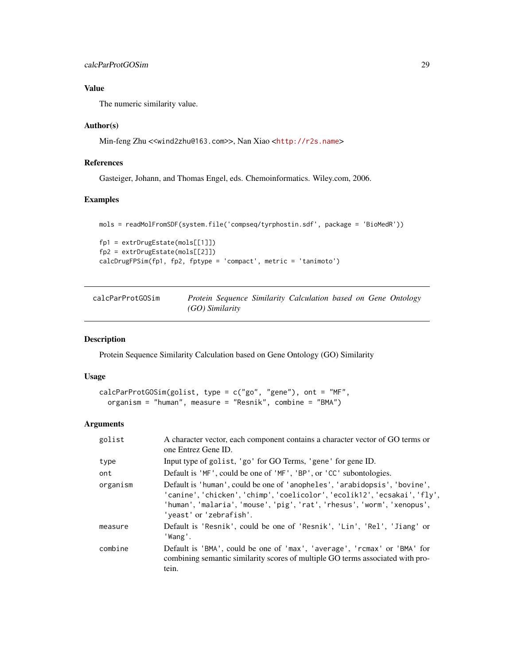# <span id="page-28-0"></span>calcParProtGOSim 29

# Value

The numeric similarity value.

#### Author(s)

Min-feng Zhu <<wind2zhu@163.com>>, Nan Xiao <<http://r2s.name>>

# References

Gasteiger, Johann, and Thomas Engel, eds. Chemoinformatics. Wiley.com, 2006.

# Examples

```
mols = readMolFromSDF(system.file('compseq/tyrphostin.sdf', package = 'BioMedR'))
fp1 = extrDrugEstate(mols[[1]])
fp2 = extrDrugEstate(mols[[2]])
calcDrugFPSim(fp1, fp2, fptype = 'compact', metric = 'tanimoto')
```
<span id="page-28-1"></span>

| calcParProtGOSim | Protein Sequence Similarity Calculation based on Gene Ontology |  |  |  |
|------------------|----------------------------------------------------------------|--|--|--|
|                  | (GO) Similarity                                                |  |  |  |

#### Description

Protein Sequence Similarity Calculation based on Gene Ontology (GO) Similarity

#### Usage

```
calcParProtGOSim(golist, type = c("go", "gene"), ont = "MF",
 organism = "human", measure = "Resnik", combine = "BMA")
```
#### Arguments

| golist   | A character vector, each component contains a character vector of GO terms or<br>one Entrez Gene ID.                                                                                                                                                         |
|----------|--------------------------------------------------------------------------------------------------------------------------------------------------------------------------------------------------------------------------------------------------------------|
| type     | Input type of golist, 'go' for GO Terms, 'gene' for gene ID.                                                                                                                                                                                                 |
| ont      | Default is 'MF', could be one of 'MF', 'BP', or 'CC' subontologies.                                                                                                                                                                                          |
| organism | Default is 'human', could be one of 'anopheles', 'arabidopsis', 'bovine',<br>'canine', 'chicken', 'chimp', 'coelicolor', 'ecolik12', 'ecsakai', 'fly',<br>'human', 'malaria', 'mouse', 'pig', 'rat', 'rhesus', 'worm', 'xenopus',<br>'yeast' or 'zebrafish'. |
| measure  | Default is 'Resnik', could be one of 'Resnik', 'Lin', 'Rel', 'Jiang' or<br>'Wang'.                                                                                                                                                                           |
| combine  | Default is 'BMA', could be one of 'max', 'average', 'rcmax' or 'BMA' for<br>combining semantic similarity scores of multiple GO terms associated with pro-<br>tein.                                                                                          |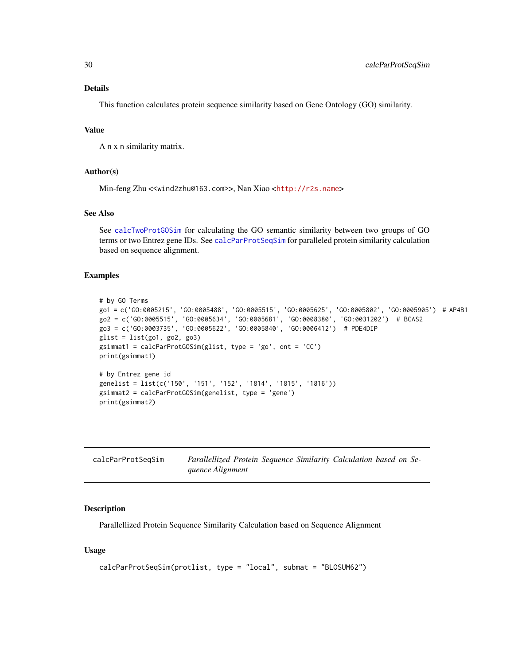#### <span id="page-29-0"></span>Details

This function calculates protein sequence similarity based on Gene Ontology (GO) similarity.

#### Value

A n x n similarity matrix.

#### Author(s)

Min-feng Zhu <<wind2zhu@163.com>>, Nan Xiao <<http://r2s.name>>

# See Also

See [calcTwoProtGOSim](#page-30-1) for calculating the GO semantic similarity between two groups of GO terms or two Entrez gene IDs. See [calcParProtSeqSim](#page-29-1) for paralleled protein similarity calculation based on sequence alignment.

#### Examples

```
# by GO Terms
go1 = c('GO:0005215', 'GO:0005488', 'GO:0005515', 'GO:0005625', 'GO:0005802', 'GO:0005905') # AP4B1
go2 = c('GO:0005515', 'GO:0005634', 'GO:0005681', 'GO:0008380', 'GO:0031202') # BCAS2
go3 = c('GO:0003735', 'GO:0005622', 'GO:0005840', 'GO:0006412') # PDE4DIP
glist = list(gol, go2, go3)gsimmat1 = calcParProtGOSim(glist, type = 'go', ont = 'CC')
print(gsimmat1)
# by Entrez gene id
genelist = list(c('150', '151', '152', '1814', '1815', '1816'))
gsimmat2 = calcParProtGOSim(genelist, type = 'gene')
print(gsimmat2)
```
<span id="page-29-1"></span>

| calcParProtSegSim | Parallellized Protein Sequence Similarity Calculation based on Se- |
|-------------------|--------------------------------------------------------------------|
|                   | quence Alignment                                                   |

#### Description

Parallellized Protein Sequence Similarity Calculation based on Sequence Alignment

#### Usage

```
calcParProtSeqSim(protlist, type = "local", submat = "BLOSUM62")
```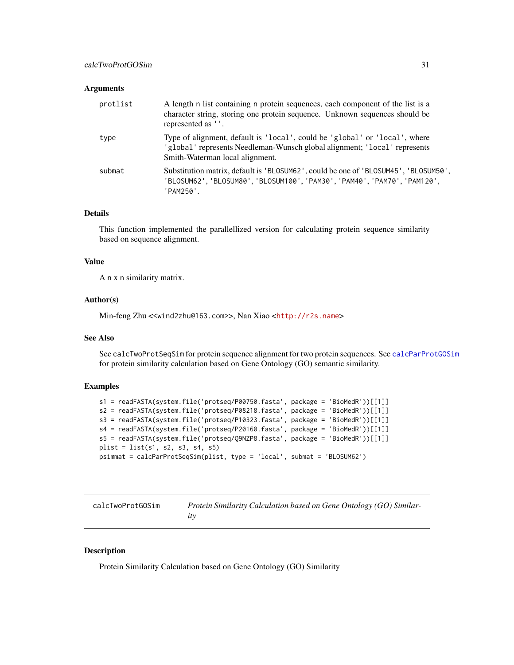#### <span id="page-30-0"></span>Arguments

| protlist | A length n list containing n protein sequences, each component of the list is a<br>character string, storing one protein sequence. Unknown sequences should be<br>represented as ''.       |
|----------|--------------------------------------------------------------------------------------------------------------------------------------------------------------------------------------------|
| type     | Type of alignment, default is 'local', could be 'global' or 'local', where<br>'global' represents Needleman-Wunsch global alignment; 'local' represents<br>Smith-Waterman local alignment. |
| submat   | Substitution matrix, default is 'BLOSUM62', could be one of 'BLOSUM45', 'BLOSUM50',<br>'BLOSUM62', 'BLOSUM80', 'BLOSUM100', 'PAM30', 'PAM40', 'PAM70', 'PAM120',<br>'PAM250'.              |

# Details

This function implemented the parallellized version for calculating protein sequence similarity based on sequence alignment.

#### Value

A n x n similarity matrix.

#### Author(s)

Min-feng Zhu <<wind2zhu@163.com>>, Nan Xiao <<http://r2s.name>>

# See Also

See calcTwoProtSeqSim for protein sequence alignment for two protein sequences. See [calcParProtGOSim](#page-28-1) for protein similarity calculation based on Gene Ontology (GO) semantic similarity.

#### Examples

```
s1 = readFASTA(system.file('protseq/P00750.fasta', package = 'BioMedR'))[[1]]
s2 = readFASTA(system.file('protseq/P08218.fasta', package = 'BioMedR'))[[1]]
s3 = readFASTA(system.file('protseq/P10323.fasta', package = 'BioMedR'))[[1]]
s4 = readFASTA(system.file('protseq/P20160.fasta', package = 'BioMedR'))[[1]]
s5 = readFASTA(system.file('protseq/Q9NZP8.fasta', package = 'BioMedR'))[[1]]
plist = list(s1, s2, s3, s4, s5)psimmat = calcParProtSeqSim(plist, type = 'local', submat = 'BLOSUM62')
```
<span id="page-30-1"></span>

| calcTwoProtGOSim | Protein Similarity Calculation based on Gene Ontology (GO) Similar- |
|------------------|---------------------------------------------------------------------|
|                  |                                                                     |

# Description

Protein Similarity Calculation based on Gene Ontology (GO) Similarity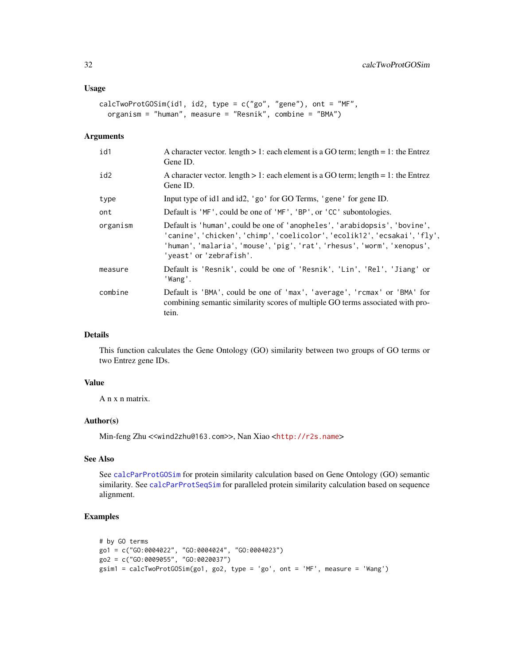#### Usage

```
calcTwoProtGOSim(id1, id2, type = c("go", "gene"), ont = "MF",
 organism = "human", measure = "Resnik", combine = "BMA")
```
#### Arguments

| id1      | A character vector. length $> 1$ : each element is a GO term; length = 1: the Entrez<br>Gene ID.                                                                                                                                                             |
|----------|--------------------------------------------------------------------------------------------------------------------------------------------------------------------------------------------------------------------------------------------------------------|
| id2      | A character vector. length $> 1$ : each element is a GO term; length = 1: the Entrez<br>Gene ID.                                                                                                                                                             |
| type     | Input type of id1 and id2, 'go' for GO Terms, 'gene' for gene ID.                                                                                                                                                                                            |
| ont      | Default is 'MF', could be one of 'MF', 'BP', or 'CC' subontologies.                                                                                                                                                                                          |
| organism | Default is 'human', could be one of 'anopheles', 'arabidopsis', 'bovine',<br>'canine', 'chicken', 'chimp', 'coelicolor', 'ecolik12', 'ecsakai', 'fly',<br>'human', 'malaria', 'mouse', 'pig', 'rat', 'rhesus', 'worm', 'xenopus',<br>'yeast' or 'zebrafish'. |
| measure  | Default is 'Resnik', could be one of 'Resnik', 'Lin', 'Rel', 'Jiang' or<br>'Wang'.                                                                                                                                                                           |
| combine  | Default is 'BMA', could be one of 'max', 'average', 'rcmax' or 'BMA' for<br>combining semantic similarity scores of multiple GO terms associated with pro-<br>tein.                                                                                          |

#### Details

This function calculates the Gene Ontology (GO) similarity between two groups of GO terms or two Entrez gene IDs.

#### Value

A n x n matrix.

#### Author(s)

Min-feng Zhu <<wind2zhu@163.com>>, Nan Xiao <<http://r2s.name>>

# See Also

See [calcParProtGOSim](#page-28-1) for protein similarity calculation based on Gene Ontology (GO) semantic similarity. See [calcParProtSeqSim](#page-29-1) for paralleled protein similarity calculation based on sequence alignment.

# Examples

```
# by GO terms
go1 = c("GO:0004022", "GO:0004024", "GO:0004023")
go2 = c("GO:0009055", "GO:0020037")
gsim1 = calcTwoProtGOSim(go1, go2, type = 'go', ont = 'MF', measure = 'Wang')
```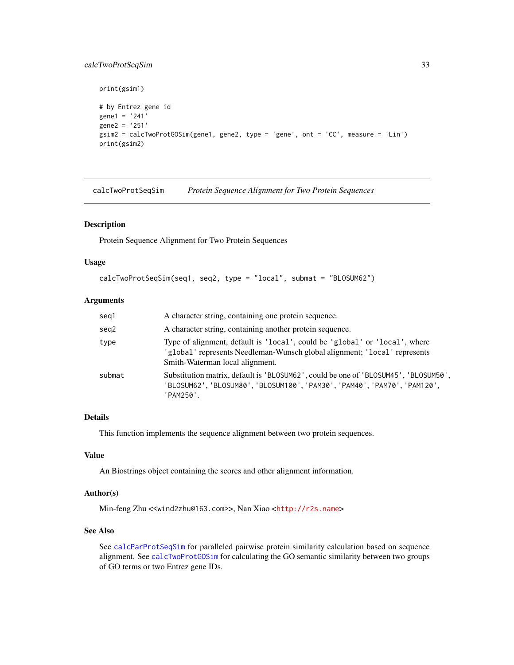# <span id="page-32-0"></span>calcTwoProtSeqSim 33

```
print(gsim1)
# by Entrez gene id
gene1 = '241'
gene2 = '251'
gsim2 = calcTwoProtGOSim(gene1, gene2, type = 'gene', ont = 'CC', measure = 'Lin')
print(gsim2)
```
calcTwoProtSeqSim *Protein Sequence Alignment for Two Protein Sequences*

#### Description

Protein Sequence Alignment for Two Protein Sequences

#### Usage

```
calcTwoProtSeqSim(seq1, seq2, type = "local", submat = "BLOSUM62")
```
# Arguments

| seg1   | A character string, containing one protein sequence.                                                                                                                                       |
|--------|--------------------------------------------------------------------------------------------------------------------------------------------------------------------------------------------|
| seg2   | A character string, containing another protein sequence.                                                                                                                                   |
| type   | Type of alignment, default is 'local', could be 'global' or 'local', where<br>'global' represents Needleman-Wunsch global alignment; 'local' represents<br>Smith-Waterman local alignment. |
| submat | Substitution matrix, default is 'BLOSUM62', could be one of 'BLOSUM45', 'BLOSUM50',<br>'BLOSUM62', 'BLOSUM80', 'BLOSUM100', 'PAM30', 'PAM40', 'PAM70', 'PAM120',<br>'PAM250'.              |

# Details

This function implements the sequence alignment between two protein sequences.

#### Value

An Biostrings object containing the scores and other alignment information.

#### Author(s)

Min-feng Zhu <<wind2zhu@163.com>>, Nan Xiao <<http://r2s.name>>

# See Also

See [calcParProtSeqSim](#page-29-1) for paralleled pairwise protein similarity calculation based on sequence alignment. See [calcTwoProtGOSim](#page-30-1) for calculating the GO semantic similarity between two groups of GO terms or two Entrez gene IDs.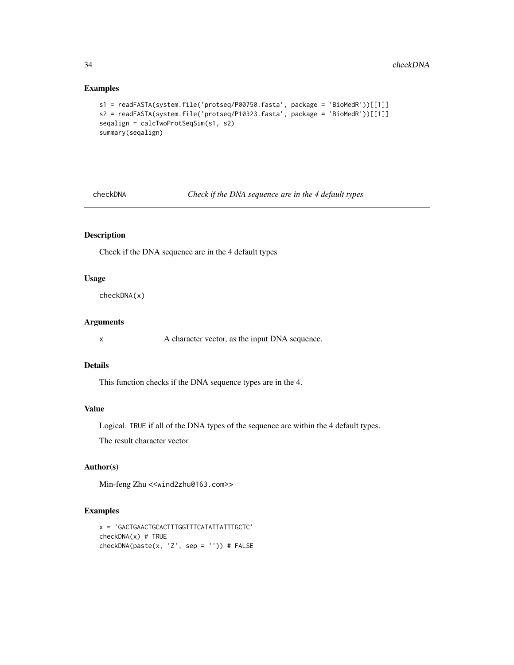# Examples

```
s1 = readFASTA(system.file('protseq/P00750.fasta', package = 'BioMedR'))[[1]]
s2 = readFASTA(system.file('protseq/P10323.fasta', package = 'BioMedR'))[[1]]
seqalign = calcTwoProtSeqSim(s1, s2)
summary(seqalign)
```
checkDNA *Check if the DNA sequence are in the 4 default types*

# Description

Check if the DNA sequence are in the 4 default types

# Usage

checkDNA(x)

#### Arguments

x A character vector, as the input DNA sequence.

#### Details

This function checks if the DNA sequence types are in the 4.

# Value

Logical. TRUE if all of the DNA types of the sequence are within the 4 default types.

The result character vector

# Author(s)

Min-feng Zhu <<wind2zhu@163.com>>

# Examples

```
x = 'GACTGAACTGCACTTTGGTTTCATATTATTTGCTC'
checkDNA(x) # TRUE
checkDNA(paste(x, 'Z', sep = '')) # FALSE
```
<span id="page-33-0"></span>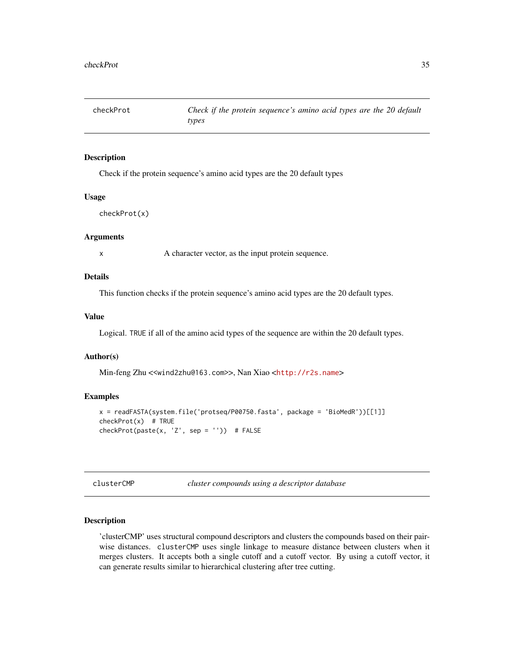<span id="page-34-0"></span>

Check if the protein sequence's amino acid types are the 20 default types

#### Usage

checkProt(x)

#### Arguments

x A character vector, as the input protein sequence.

#### Details

This function checks if the protein sequence's amino acid types are the 20 default types.

#### Value

Logical. TRUE if all of the amino acid types of the sequence are within the 20 default types.

#### Author(s)

Min-feng Zhu <<wind2zhu@163.com>>, Nan Xiao <<http://r2s.name>>

#### Examples

```
x = readFASTA(system.file('protseq/P00750.fasta', package = 'BioMedR'))[[1]]
checkProt(x) # TRUE
checkProt(paste(x, 'Z', sep = '')) # FALSE
```
clusterCMP *cluster compounds using a descriptor database*

#### Description

'clusterCMP' uses structural compound descriptors and clusters the compounds based on their pairwise distances. clusterCMP uses single linkage to measure distance between clusters when it merges clusters. It accepts both a single cutoff and a cutoff vector. By using a cutoff vector, it can generate results similar to hierarchical clustering after tree cutting.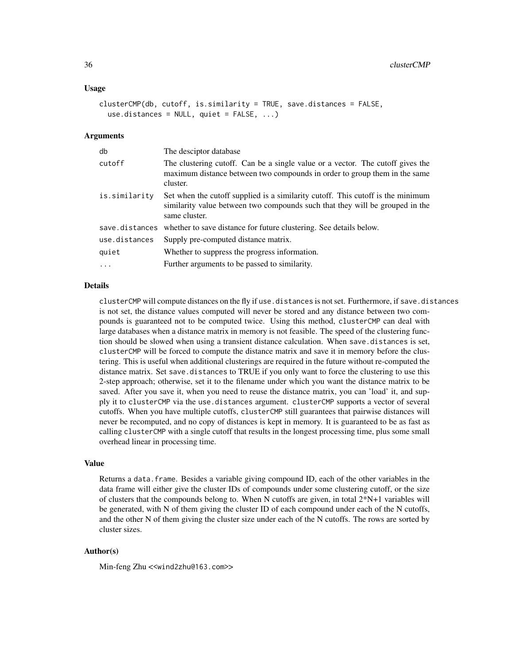#### Usage

```
clusterCMP(db, cutoff, is.similarity = TRUE, save.distances = FALSE,
  use.distances = NULL, quiet = FALSE, ...)
```
#### Arguments

| db            | The desciptor database                                                                                                                                                           |
|---------------|----------------------------------------------------------------------------------------------------------------------------------------------------------------------------------|
| cutoff        | The clustering cutoff. Can be a single value or a vector. The cutoff gives the<br>maximum distance between two compounds in order to group them in the same<br>cluster.          |
| is.similarity | Set when the cutoff supplied is a similarity cutoff. This cutoff is the minimum<br>similarity value between two compounds such that they will be grouped in the<br>same cluster. |
|               | save.distances whether to save distance for future clustering. See details below.                                                                                                |
| use.distances | Supply pre-computed distance matrix.                                                                                                                                             |
| quiet         | Whether to suppress the progress information.                                                                                                                                    |
| $\ddots$ .    | Further arguments to be passed to similarity.                                                                                                                                    |

#### Details

clusterCMP will compute distances on the fly if use.distances is not set. Furthermore, if save.distances is not set, the distance values computed will never be stored and any distance between two compounds is guaranteed not to be computed twice. Using this method, clusterCMP can deal with large databases when a distance matrix in memory is not feasible. The speed of the clustering function should be slowed when using a transient distance calculation. When save.distances is set, clusterCMP will be forced to compute the distance matrix and save it in memory before the clustering. This is useful when additional clusterings are required in the future without re-computed the distance matrix. Set save.distances to TRUE if you only want to force the clustering to use this 2-step approach; otherwise, set it to the filename under which you want the distance matrix to be saved. After you save it, when you need to reuse the distance matrix, you can 'load' it, and supply it to clusterCMP via the use.distances argument. clusterCMP supports a vector of several cutoffs. When you have multiple cutoffs, clusterCMP still guarantees that pairwise distances will never be recomputed, and no copy of distances is kept in memory. It is guaranteed to be as fast as calling clusterCMP with a single cutoff that results in the longest processing time, plus some small overhead linear in processing time.

#### Value

Returns a data.frame. Besides a variable giving compound ID, each of the other variables in the data frame will either give the cluster IDs of compounds under some clustering cutoff, or the size of clusters that the compounds belong to. When N cutoffs are given, in total 2\*N+1 variables will be generated, with N of them giving the cluster ID of each compound under each of the N cutoffs, and the other N of them giving the cluster size under each of the N cutoffs. The rows are sorted by cluster sizes.

#### Author(s)

Min-feng Zhu <<wind2zhu@163.com>>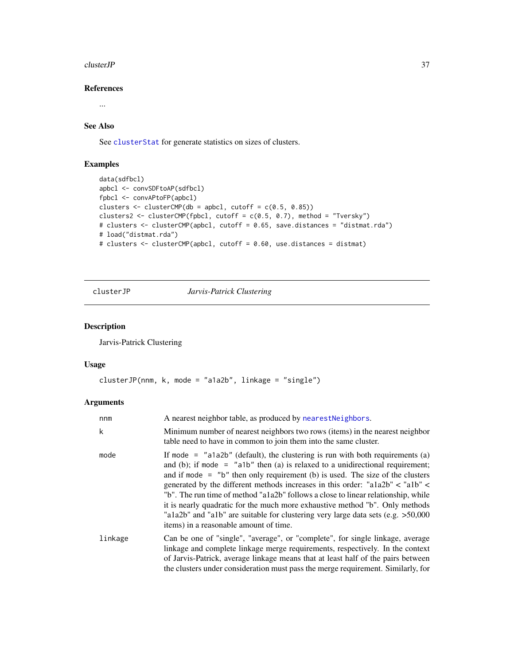#### $clusterJP$  37

# References

...

# See Also

See [clusterStat](#page-41-0) for generate statistics on sizes of clusters.

# Examples

```
data(sdfbcl)
apbcl <- convSDFtoAP(sdfbcl)
fpbcl <- convAPtoFP(apbcl)
clusters \leq clusterCMP(db = apbcl, cutoff = c(0.5, 0.85))
clusters2 <- clusterCMP(fpbcl, cutoff = c(0.5, 0.7), method = "Tversky")
# clusters <- clusterCMP(apbcl, cutoff = 0.65, save.distances = "distmat.rda")
# load("distmat.rda")
# clusters <- clusterCMP(apbcl, cutoff = 0.60, use.distances = distmat)
```
clusterJP *Jarvis-Patrick Clustering*

# Description

Jarvis-Patrick Clustering

# Usage

```
clusterJP(nnm, k, mode = "a1a2b", linkage = "single")
```
# Arguments

| nnm     | A nearest neighbor table, as produced by nearest Neighbors.                                                                                                                                                                                                                                                                                                                                                                                                                                                                                                                                                                                 |
|---------|---------------------------------------------------------------------------------------------------------------------------------------------------------------------------------------------------------------------------------------------------------------------------------------------------------------------------------------------------------------------------------------------------------------------------------------------------------------------------------------------------------------------------------------------------------------------------------------------------------------------------------------------|
| k       | Minimum number of nearest neighbors two rows (items) in the nearest neighbor<br>table need to have in common to join them into the same cluster.                                                                                                                                                                                                                                                                                                                                                                                                                                                                                            |
| mode    | If mode = $"a1a2b"$ (default), the clustering is run with both requirements (a)<br>and (b); if mode = $"a1b"$ then (a) is relaxed to a unidirectional requirement;<br>and if mode $=$ "b" then only requirement (b) is used. The size of the clusters<br>generated by the different methods increases in this order: "a1a2b" < "a1b" <<br>"b". The run time of method "a1a2b" follows a close to linear relationship, while<br>it is nearly quadratic for the much more exhaustive method "b". Only methods<br>"a1a2b" and "a1b" are suitable for clustering very large data sets (e.g. $>50,000$<br>items) in a reasonable amount of time. |
| linkage | Can be one of "single", "average", or "complete", for single linkage, average<br>linkage and complete linkage merge requirements, respectively. In the context<br>of Jarvis-Patrick, average linkage means that at least half of the pairs between<br>the clusters under consideration must pass the merge requirement. Similarly, for                                                                                                                                                                                                                                                                                                      |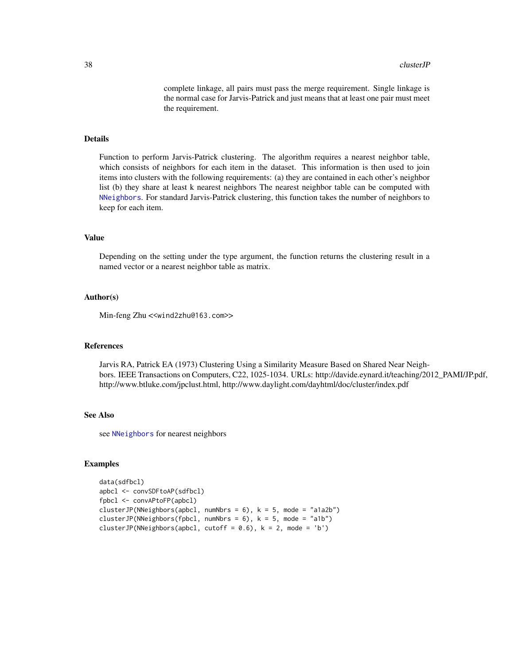complete linkage, all pairs must pass the merge requirement. Single linkage is the normal case for Jarvis-Patrick and just means that at least one pair must meet the requirement.

## Details

Function to perform Jarvis-Patrick clustering. The algorithm requires a nearest neighbor table, which consists of neighbors for each item in the dataset. This information is then used to join items into clusters with the following requirements: (a) they are contained in each other's neighbor list (b) they share at least k nearest neighbors The nearest neighbor table can be computed with [NNeighbors](#page-141-0). For standard Jarvis-Patrick clustering, this function takes the number of neighbors to keep for each item.

## Value

Depending on the setting under the type argument, the function returns the clustering result in a named vector or a nearest neighbor table as matrix.

#### Author(s)

Min-feng Zhu <<wind2zhu@163.com>>

#### References

Jarvis RA, Patrick EA (1973) Clustering Using a Similarity Measure Based on Shared Near Neighbors. IEEE Transactions on Computers, C22, 1025-1034. URLs: http://davide.eynard.it/teaching/2012\_PAMI/JP.pdf, http://www.btluke.com/jpclust.html, http://www.daylight.com/dayhtml/doc/cluster/index.pdf

# See Also

see [NNeighbors](#page-141-0) for nearest neighbors

```
data(sdfbcl)
apbcl <- convSDFtoAP(sdfbcl)
fpbcl <- convAPtoFP(apbcl)
clusterJP(NNeighbors(apbcl, numNbrs = 6), k = 5, mode = "a1a2b")
clusterJP(NNeighbors(fpbcl, numNbrs = 6), k = 5, mode = "a1b")
clusterJP(NNeighbors(apbcl, cutoff = 0.6), k = 2, mode = 'b')
```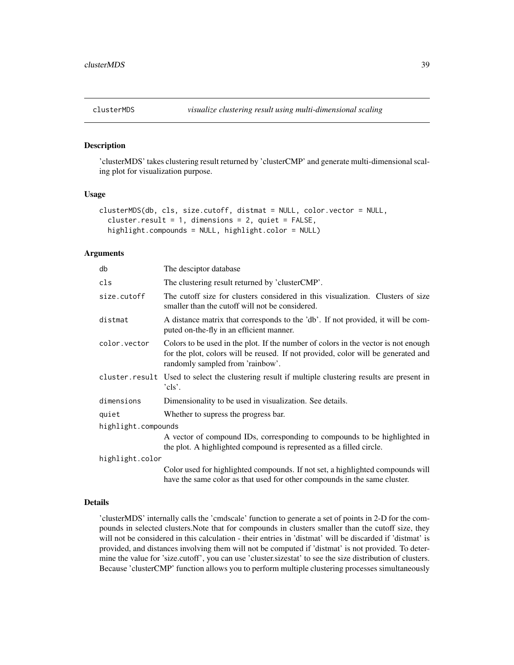'clusterMDS' takes clustering result returned by 'clusterCMP' and generate multi-dimensional scaling plot for visualization purpose.

### Usage

```
clusterMDS(db, cls, size.cutoff, distmat = NULL, color.vector = NULL,
  cluster.result = 1, dimensions = 2, quiet = FALSE,
  highlight.compounds = NULL, highlight.color = NULL)
```
### Arguments

| db                  | The desciptor database                                                                                                                                                                                      |  |
|---------------------|-------------------------------------------------------------------------------------------------------------------------------------------------------------------------------------------------------------|--|
| cls                 | The clustering result returned by 'clusterCMP'.                                                                                                                                                             |  |
| size.cutoff         | The cutoff size for clusters considered in this visualization. Clusters of size<br>smaller than the cutoff will not be considered.                                                                          |  |
| distmat             | A distance matrix that corresponds to the 'db'. If not provided, it will be com-<br>puted on-the-fly in an efficient manner.                                                                                |  |
| color.vector        | Colors to be used in the plot. If the number of colors in the vector is not enough<br>for the plot, colors will be reused. If not provided, color will be generated and<br>randomly sampled from 'rainbow'. |  |
| cluster.result      | Used to select the clustering result if multiple clustering results are present in<br>'cls'.                                                                                                                |  |
| dimensions          | Dimensionality to be used in visualization. See details.                                                                                                                                                    |  |
| quiet               | Whether to supress the progress bar.                                                                                                                                                                        |  |
| highlight.compounds |                                                                                                                                                                                                             |  |
|                     | A vector of compound IDs, corresponding to compounds to be highlighted in<br>the plot. A highlighted compound is represented as a filled circle.                                                            |  |
| highlight.color     |                                                                                                                                                                                                             |  |
|                     | Color used for highlighted compounds. If not set, a highlighted compounds will<br>have the same color as that used for other compounds in the same cluster.                                                 |  |

## Details

'clusterMDS' internally calls the 'cmdscale' function to generate a set of points in 2-D for the compounds in selected clusters.Note that for compounds in clusters smaller than the cutoff size, they will not be considered in this calculation - their entries in 'distmat' will be discarded if 'distmat' is provided, and distances involving them will not be computed if 'distmat' is not provided. To determine the value for 'size.cutoff', you can use 'cluster.sizestat' to see the size distribution of clusters. Because 'clusterCMP' function allows you to perform multiple clustering processes simultaneously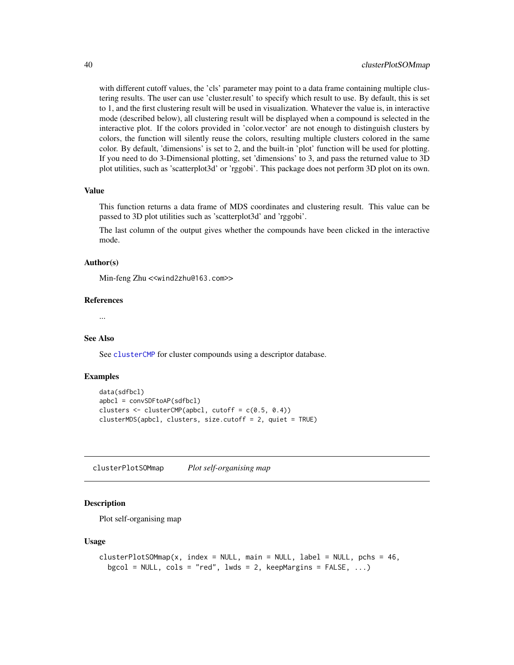with different cutoff values, the 'cls' parameter may point to a data frame containing multiple clustering results. The user can use 'cluster.result' to specify which result to use. By default, this is set to 1, and the first clustering result will be used in visualization. Whatever the value is, in interactive mode (described below), all clustering result will be displayed when a compound is selected in the interactive plot. If the colors provided in 'color.vector' are not enough to distinguish clusters by colors, the function will silently reuse the colors, resulting multiple clusters colored in the same color. By default, 'dimensions' is set to 2, and the built-in 'plot' function will be used for plotting. If you need to do 3-Dimensional plotting, set 'dimensions' to 3, and pass the returned value to 3D plot utilities, such as 'scatterplot3d' or 'rggobi'. This package does not perform 3D plot on its own.

#### Value

This function returns a data frame of MDS coordinates and clustering result. This value can be passed to 3D plot utilities such as 'scatterplot3d' and 'rggobi'.

The last column of the output gives whether the compounds have been clicked in the interactive mode.

# Author(s)

Min-feng Zhu <<wind2zhu@163.com>>

#### References

...

#### See Also

See [clusterCMP](#page-34-0) for cluster compounds using a descriptor database.

#### Examples

```
data(sdfbcl)
apbcl = convSDFtoAP(sdfbcl)
clusters \leq clusterCMP(apbcl, cutoff = c(0.5, 0.4))
clusterMDS(apbcl, clusters, size.cutoff = 2, quiet = TRUE)
```
clusterPlotSOMmap *Plot self-organising map*

### Description

Plot self-organising map

#### Usage

```
clusterPlotSOMmap(x, index = NULL, main = NULL, label = NULL, pchs = 46,bgcol = NULL, cols = "red", lwds = 2, keepMargins = FALSE, \ldots)
```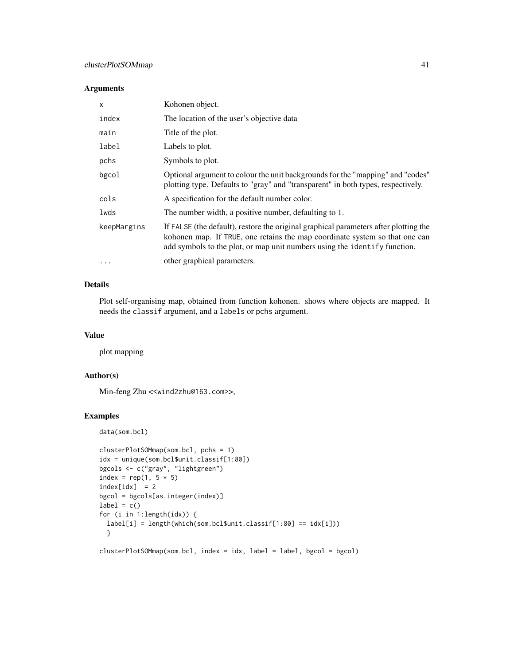# clusterPlotSOMmap 41

## Arguments

| X           | Kohonen object.                                                                                                                                                                                                                                  |
|-------------|--------------------------------------------------------------------------------------------------------------------------------------------------------------------------------------------------------------------------------------------------|
| index       | The location of the user's objective data                                                                                                                                                                                                        |
| main        | Title of the plot.                                                                                                                                                                                                                               |
| label       | Labels to plot.                                                                                                                                                                                                                                  |
| pchs        | Symbols to plot.                                                                                                                                                                                                                                 |
| bgcol       | Optional argument to colour the unit backgrounds for the "mapping" and "codes"<br>plotting type. Defaults to "gray" and "transparent" in both types, respectively.                                                                               |
| cols        | A specification for the default number color.                                                                                                                                                                                                    |
| lwds        | The number width, a positive number, defaulting to 1.                                                                                                                                                                                            |
| keepMargins | If FALSE (the default), restore the original graphical parameters after plotting the<br>kohonen map. If TRUE, one retains the map coordinate system so that one can<br>add symbols to the plot, or map unit numbers using the identify function. |
| $\ddots$    | other graphical parameters.                                                                                                                                                                                                                      |

# Details

Plot self-organising map, obtained from function kohonen. shows where objects are mapped. It needs the classif argument, and a labels or pchs argument.

## Value

plot mapping

# Author(s)

Min-feng Zhu <<wind2zhu@163.com>>,

### Examples

```
data(som.bcl)
```

```
clusterPlotSOMmap(som.bcl, pchs = 1)
idx = unique(som.bcl$unit.classif[1:80])
bgcols <- c("gray", "lightgreen")
index = rep(1, 5 * 5)index[idx] = 2bgcol = bgcols[as.integer(index)]
label = c()for (i in 1:length(idx)) {
  label[i] = length(which(som.bcl$unit.classif[1:80] == idx[i]))
  }
```
clusterPlotSOMmap(som.bcl, index = idx, label = label, bgcol = bgcol)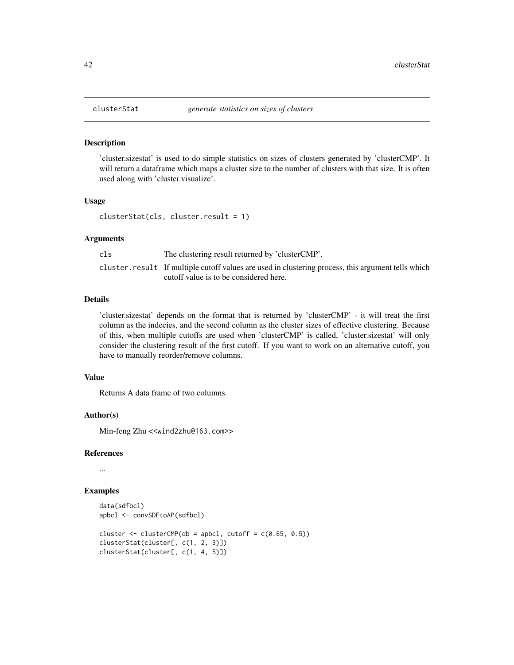'cluster.sizestat' is used to do simple statistics on sizes of clusters generated by 'clusterCMP'. It will return a dataframe which maps a cluster size to the number of clusters with that size. It is often used along with 'cluster.visualize'.

#### Usage

```
clusterStat(cls, cluster.result = 1)
```
#### Arguments

| cls | The clustering result returned by 'clusterCMP'.                                                     |
|-----|-----------------------------------------------------------------------------------------------------|
|     | cluster. result If multiple cutoff values are used in clustering process, this argument tells which |
|     | cutoff value is to be considered here.                                                              |

## Details

'cluster.sizestat' depends on the format that is returned by 'clusterCMP' - it will treat the first column as the indecies, and the second column as the cluster sizes of effective clustering. Because of this, when multiple cutoffs are used when 'clusterCMP' is called, 'cluster.sizestat' will only consider the clustering result of the first cutoff. If you want to work on an alternative cutoff, you have to manually reorder/remove columns.

## Value

Returns A data frame of two columns.

# Author(s)

Min-feng Zhu <<wind2zhu@163.com>>

### References

...

```
data(sdfbcl)
apbcl <- convSDFtoAP(sdfbcl)
cluster \le clusterCMP(db = apbcl, cutoff = c(0.65, 0.5))
clusterStat(cluster[, c(1, 2, 3)])
clusterStat(cluster[, c(1, 4, 5)])
```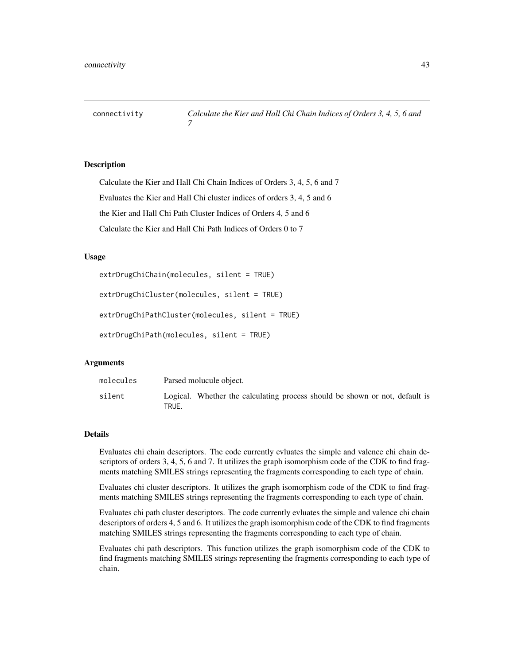Calculate the Kier and Hall Chi Chain Indices of Orders 3, 4, 5, 6 and 7 Evaluates the Kier and Hall Chi cluster indices of orders 3, 4, 5 and 6 the Kier and Hall Chi Path Cluster Indices of Orders 4, 5 and 6 Calculate the Kier and Hall Chi Path Indices of Orders 0 to 7

### Usage

```
extrDrugChiChain(molecules, silent = TRUE)
```

```
extrDrugChiCluster(molecules, silent = TRUE)
```

```
extrDrugChiPathCluster(molecules, silent = TRUE)
```

```
extrDrugChiPath(molecules, silent = TRUE)
```
### Arguments

| molecules | Parsed molucule object.                                                              |
|-----------|--------------------------------------------------------------------------------------|
| silent    | Logical. Whether the calculating process should be shown or not, default is<br>TRUE. |

#### Details

Evaluates chi chain descriptors. The code currently evluates the simple and valence chi chain descriptors of orders 3, 4, 5, 6 and 7. It utilizes the graph isomorphism code of the CDK to find fragments matching SMILES strings representing the fragments corresponding to each type of chain.

Evaluates chi cluster descriptors. It utilizes the graph isomorphism code of the CDK to find fragments matching SMILES strings representing the fragments corresponding to each type of chain.

Evaluates chi path cluster descriptors. The code currently evluates the simple and valence chi chain descriptors of orders 4, 5 and 6. It utilizes the graph isomorphism code of the CDK to find fragments matching SMILES strings representing the fragments corresponding to each type of chain.

Evaluates chi path descriptors. This function utilizes the graph isomorphism code of the CDK to find fragments matching SMILES strings representing the fragments corresponding to each type of chain.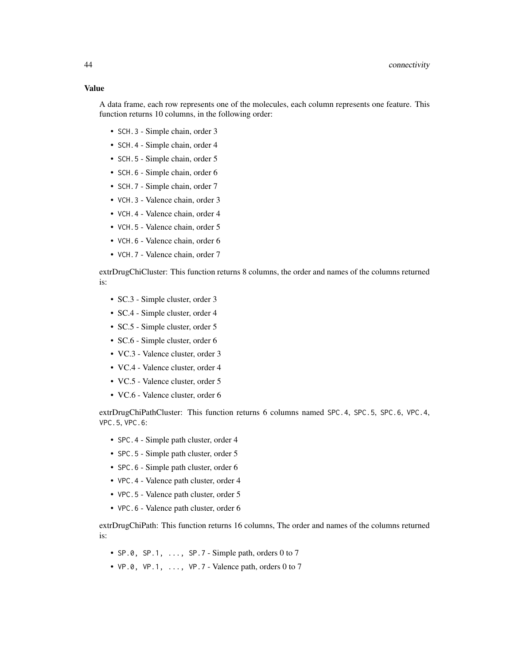#### Value

A data frame, each row represents one of the molecules, each column represents one feature. This function returns 10 columns, in the following order:

- SCH.3 Simple chain, order 3
- SCH.4 Simple chain, order 4
- SCH. 5 Simple chain, order 5
- SCH. 6 Simple chain, order 6
- SCH.7 Simple chain, order 7
- VCH.3 Valence chain, order 3
- VCH.4 Valence chain, order 4
- VCH.5 Valence chain, order 5
- VCH.6 Valence chain, order 6
- VCH.7 Valence chain, order 7

extrDrugChiCluster: This function returns 8 columns, the order and names of the columns returned is:

- SC.3 Simple cluster, order 3
- SC.4 Simple cluster, order 4
- SC.5 Simple cluster, order 5
- SC.6 Simple cluster, order 6
- VC.3 Valence cluster, order 3
- VC.4 Valence cluster, order 4
- VC.5 Valence cluster, order 5
- VC.6 Valence cluster, order 6

extrDrugChiPathCluster: This function returns 6 columns named SPC.4, SPC.5, SPC.6, VPC.4, VPC.5, VPC.6:

- SPC.4 Simple path cluster, order 4
- SPC. 5 Simple path cluster, order 5
- SPC.6 Simple path cluster, order 6
- VPC.4 Valence path cluster, order 4
- VPC.5 Valence path cluster, order 5
- VPC.6 Valence path cluster, order 6

extrDrugChiPath: This function returns 16 columns, The order and names of the columns returned is:

- SP.0, SP.1,  $\dots$ , SP.7 Simple path, orders 0 to 7
- $VP.0$ ,  $VP.1$ ,  $\ldots$ ,  $VP.7$  Valence path, orders 0 to 7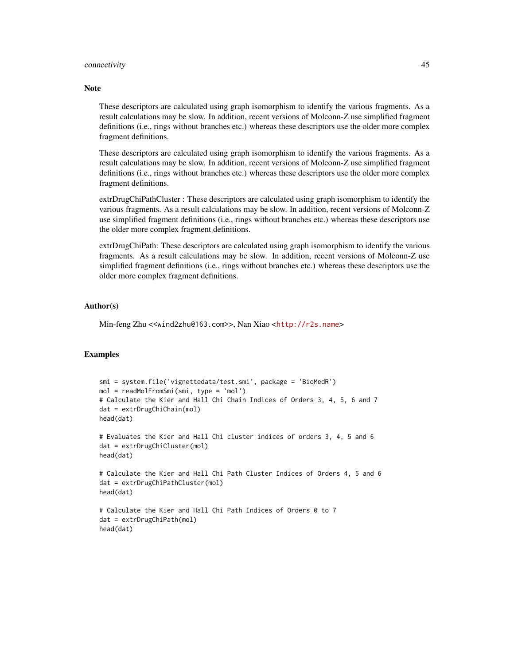## connectivity **45**

#### **Note**

These descriptors are calculated using graph isomorphism to identify the various fragments. As a result calculations may be slow. In addition, recent versions of Molconn-Z use simplified fragment definitions (i.e., rings without branches etc.) whereas these descriptors use the older more complex fragment definitions.

These descriptors are calculated using graph isomorphism to identify the various fragments. As a result calculations may be slow. In addition, recent versions of Molconn-Z use simplified fragment definitions (i.e., rings without branches etc.) whereas these descriptors use the older more complex fragment definitions.

extrDrugChiPathCluster : These descriptors are calculated using graph isomorphism to identify the various fragments. As a result calculations may be slow. In addition, recent versions of Molconn-Z use simplified fragment definitions (i.e., rings without branches etc.) whereas these descriptors use the older more complex fragment definitions.

extrDrugChiPath: These descriptors are calculated using graph isomorphism to identify the various fragments. As a result calculations may be slow. In addition, recent versions of Molconn-Z use simplified fragment definitions (i.e., rings without branches etc.) whereas these descriptors use the older more complex fragment definitions.

#### Author(s)

Min-feng Zhu <<wind2zhu@163.com>>, Nan Xiao <<http://r2s.name>>

```
smi = system.file('vignettedata/test.smi', package = 'BioMedR')
mol = readMolFromSmi(smi, type = 'mol')
# Calculate the Kier and Hall Chi Chain Indices of Orders 3, 4, 5, 6 and 7
dat = extrDrugChiChain(mol)
head(dat)
# Evaluates the Kier and Hall Chi cluster indices of orders 3, 4, 5 and 6
dat = extrDrugChiCluster(mol)
head(dat)
# Calculate the Kier and Hall Chi Path Cluster Indices of Orders 4, 5 and 6
dat = extrDrugChiPathCluster(mol)
head(dat)
# Calculate the Kier and Hall Chi Path Indices of Orders 0 to 7
dat = extrDrugChiPath(mol)
head(dat)
```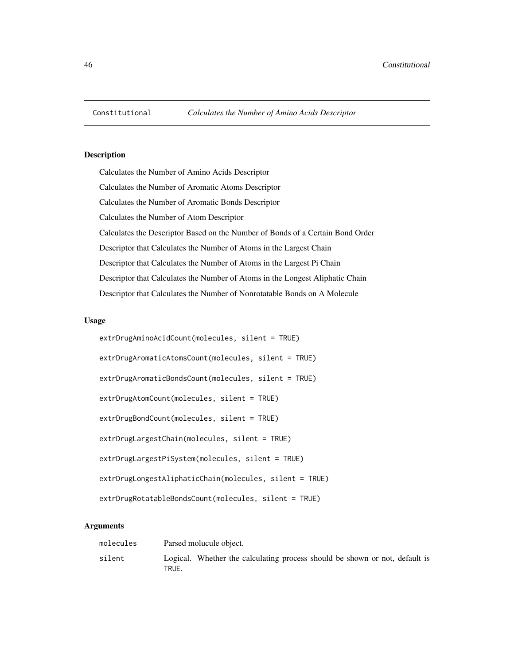Calculates the Number of Amino Acids Descriptor Calculates the Number of Aromatic Atoms Descriptor Calculates the Number of Aromatic Bonds Descriptor Calculates the Number of Atom Descriptor Calculates the Descriptor Based on the Number of Bonds of a Certain Bond Order Descriptor that Calculates the Number of Atoms in the Largest Chain Descriptor that Calculates the Number of Atoms in the Largest Pi Chain Descriptor that Calculates the Number of Atoms in the Longest Aliphatic Chain Descriptor that Calculates the Number of Nonrotatable Bonds on A Molecule

# Usage

| extrDrugAminoAcidCount(molecules, silent = TRUE)          |
|-----------------------------------------------------------|
| extrDrugAromaticAtomsCount(molecules, silent = TRUE)      |
| extrDrugAromaticBondsCount(molecules, silent = TRUE)      |
| extrDrugAtomCount(molecules, silent = TRUE)               |
| extrDrugBondCount(molecules, silent = TRUE)               |
| extrDrugLargestChain(molecules, silent = TRUE)            |
| extrDrugLargestPiSystem(molecules, silent = TRUE)         |
| $extrDrugLongestAliphaticChain(molecules, silent = TRUE)$ |
| extrDrugRotatableBondsCount(molecules, silent = TRUE)     |

# Arguments

| molecules | Parsed molucule object.                                                              |
|-----------|--------------------------------------------------------------------------------------|
| silent    | Logical. Whether the calculating process should be shown or not, default is<br>TRUE. |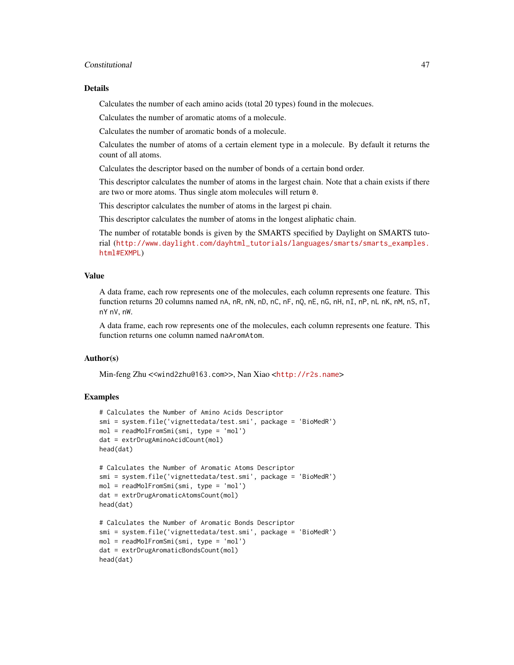## Constitutional 47

### Details

Calculates the number of each amino acids (total 20 types) found in the molecues.

Calculates the number of aromatic atoms of a molecule.

Calculates the number of aromatic bonds of a molecule.

Calculates the number of atoms of a certain element type in a molecule. By default it returns the count of all atoms.

Calculates the descriptor based on the number of bonds of a certain bond order.

This descriptor calculates the number of atoms in the largest chain. Note that a chain exists if there are two or more atoms. Thus single atom molecules will return 0.

This descriptor calculates the number of atoms in the largest pi chain.

This descriptor calculates the number of atoms in the longest aliphatic chain.

The number of rotatable bonds is given by the SMARTS specified by Daylight on SMARTS tutorial ([http://www.daylight.com/dayhtml\\_tutorials/languages/smarts/smarts\\_examples.](http://www.daylight.com/dayhtml_tutorials/languages/smarts/smarts_examples.html#EXMPL) [html#EXMPL](http://www.daylight.com/dayhtml_tutorials/languages/smarts/smarts_examples.html#EXMPL))

### Value

A data frame, each row represents one of the molecules, each column represents one feature. This function returns 20 columns named nA, nR, nN, nD, nC, nF, nQ, nE, nG, nH, nI, nP, nL nK, nM, nS, nT, nY nV, nW.

A data frame, each row represents one of the molecules, each column represents one feature. This function returns one column named naAromAtom.

### Author(s)

Min-feng Zhu <<wind2zhu@163.com>>, Nan Xiao <<http://r2s.name>>

```
# Calculates the Number of Amino Acids Descriptor
smi = system.file('vignettedata/test.smi', package = 'BioMedR')
mol = readMolFromSmi(smi, type = 'mol')
dat = extrDrugAminoAcidCount(mol)
head(dat)
# Calculates the Number of Aromatic Atoms Descriptor
smi = system.file('vignettedata/test.smi', package = 'BioMedR')
mol = readMolFromSmi(smi, type = 'mol')
dat = extrDrugAromaticAtomsCount(mol)
head(dat)
# Calculates the Number of Aromatic Bonds Descriptor
smi = system.file('vignettedata/test.smi', package = 'BioMedR')
mol = readMolFromSmi(smi, type = 'mol')
dat = extrDrugAromaticBondsCount(mol)
head(dat)
```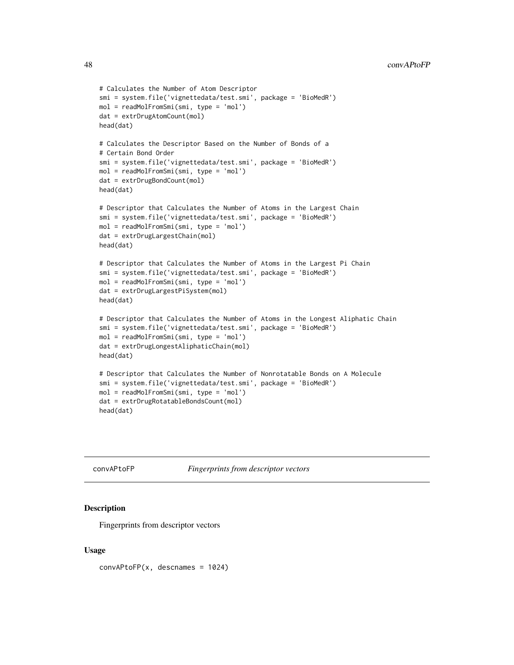```
# Calculates the Number of Atom Descriptor
smi = system.file('vignettedata/test.smi', package = 'BioMedR')
mol = readMolFromSmi(smi, type = 'mol')
dat = extrDrugAtomCount(mol)
head(dat)
# Calculates the Descriptor Based on the Number of Bonds of a
# Certain Bond Order
smi = system.file('vignettedata/test.smi', package = 'BioMedR')
mol = readMolFromSmi(smi, type = 'mol')
dat = extrDrugBondCount(mol)
head(dat)
# Descriptor that Calculates the Number of Atoms in the Largest Chain
smi = system.file('vignettedata/test.smi', package = 'BioMedR')
mol = readMolFromSmi(smi, type = 'mol')
dat = extrDrugLargestChain(mol)
head(dat)
# Descriptor that Calculates the Number of Atoms in the Largest Pi Chain
smi = system.file('vignettedata/test.smi', package = 'BioMedR')
mol = readMolFromSmi(smi, type = 'mol')
dat = extrDrugLargestPiSystem(mol)
head(dat)
# Descriptor that Calculates the Number of Atoms in the Longest Aliphatic Chain
smi = system.file('vignettedata/test.smi', package = 'BioMedR')
mol = readMolFromSmi(smi, type = 'mol')
dat = extrDrugLongestAliphaticChain(mol)
head(dat)
# Descriptor that Calculates the Number of Nonrotatable Bonds on A Molecule
smi = system.file('vignettedata/test.smi', package = 'BioMedR')
mol = readMolFromSmi(smi, type = 'mol')
dat = extrDrugRotatableBondsCount(mol)
head(dat)
```
convAPtoFP *Fingerprints from descriptor vectors*

#### Description

Fingerprints from descriptor vectors

#### Usage

 $convAPtoFP(x, descnames = 1024)$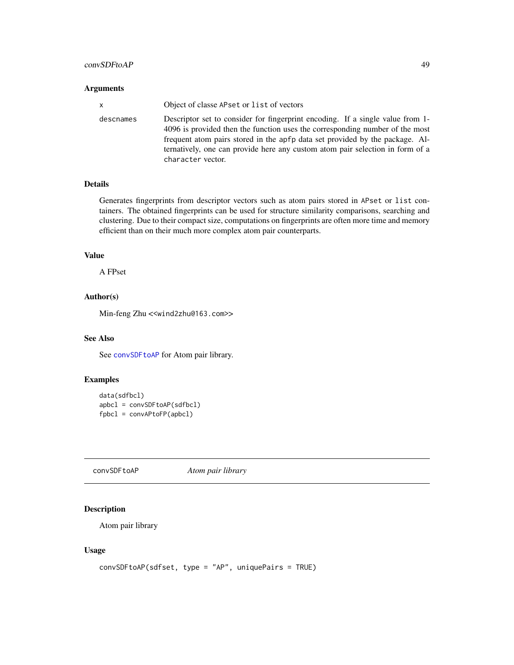# convSDFtoAP 49

## Arguments

| X         | Object of classe APset or list of vectors                                                                                                                                                                                                                                                                                                            |
|-----------|------------------------------------------------------------------------------------------------------------------------------------------------------------------------------------------------------------------------------------------------------------------------------------------------------------------------------------------------------|
| descnames | Descriptor set to consider for fingerprint encoding. If a single value from 1-<br>4096 is provided then the function uses the corresponding number of the most<br>frequent atom pairs stored in the apfp data set provided by the package. Al-<br>ternatively, one can provide here any custom atom pair selection in form of a<br>character vector. |

# Details

Generates fingerprints from descriptor vectors such as atom pairs stored in APset or list containers. The obtained fingerprints can be used for structure similarity comparisons, searching and clustering. Due to their compact size, computations on fingerprints are often more time and memory efficient than on their much more complex atom pair counterparts.

## Value

A FPset

# Author(s)

Min-feng Zhu <<wind2zhu@163.com>>

# See Also

See convSDF toAP for Atom pair library.

# Examples

```
data(sdfbcl)
apbcl = convSDFtoAP(sdfbcl)
fpbcl = convAPtoFP(apbcl)
```
<span id="page-48-0"></span>convSDFtoAP *Atom pair library*

### Description

Atom pair library

### Usage

```
convSDFtoAP(sdfset, type = "AP", uniquePairs = TRUE)
```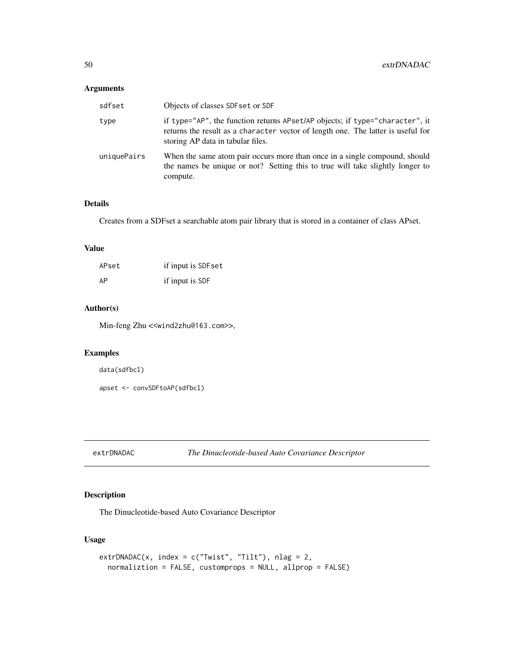# Arguments

| sdfset      | Objects of classes SDF set or SDF                                                                                                                                                                     |
|-------------|-------------------------------------------------------------------------------------------------------------------------------------------------------------------------------------------------------|
| type        | if type="AP", the function returns APset/AP objects; if type="character", it<br>returns the result as a character vector of length one. The latter is useful for<br>storing AP data in tabular files. |
| uniquePairs | When the same atom pair occurs more than once in a single compound, should<br>the names be unique or not? Setting this to true will take slightly longer to<br>compute.                               |

# Details

Creates from a SDFset a searchable atom pair library that is stored in a container of class APset.

#### Value

| APset | if input is SDF set |
|-------|---------------------|
| AP    | if input is SDF     |

# Author(s)

Min-feng Zhu <<wind2zhu@163.com>>,

# Examples

data(sdfbcl)

apset <- convSDFtoAP(sdfbcl)

<span id="page-49-0"></span>extrDNADAC *The Dinucleotide-based Auto Covariance Descriptor*

# Description

The Dinucleotide-based Auto Covariance Descriptor

# Usage

```
extrDNADAC(x, index = c("Twist", "Tilt"), nlag = 2,normaliztion = FALSE, customprops = NULL, allprop = FALSE)
```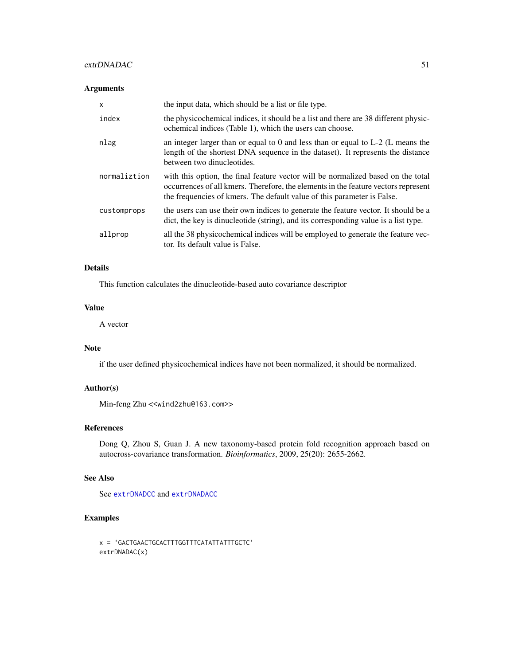### extrDNADAC 51

## Arguments

| $\mathsf{x}$ | the input data, which should be a list or file type.                                                                                                                                                                                              |
|--------------|---------------------------------------------------------------------------------------------------------------------------------------------------------------------------------------------------------------------------------------------------|
| index        | the physicochemical indices, it should be a list and there are 38 different physic-<br>ochemical indices (Table 1), which the users can choose.                                                                                                   |
| nlag         | an integer larger than or equal to 0 and less than or equal to $L-2$ (L means the<br>length of the shortest DNA sequence in the dataset). It represents the distance<br>between two dinucleotides.                                                |
| normaliztion | with this option, the final feature vector will be normalized based on the total<br>occurrences of all kmers. Therefore, the elements in the feature vectors represent<br>the frequencies of kmers. The default value of this parameter is False. |
| customprops  | the users can use their own indices to generate the feature vector. It should be a<br>dict, the key is dinucleotide (string), and its corresponding value is a list type.                                                                         |
| allprop      | all the 38 physicochemical indices will be employed to generate the feature vec-<br>tor. Its default value is False.                                                                                                                              |

# Details

This function calculates the dinucleotide-based auto covariance descriptor

### Value

A vector

### Note

if the user defined physicochemical indices have not been normalized, it should be normalized.

## Author(s)

Min-feng Zhu <<wind2zhu@163.com>>

# References

Dong Q, Zhou S, Guan J. A new taxonomy-based protein fold recognition approach based on autocross-covariance transformation. *Bioinformatics*, 2009, 25(20): 2655-2662.

# See Also

See [extrDNADCC](#page-52-0) and [extrDNADACC](#page-51-0)

```
x = 'GACTGAACTGCACTTTGGTTTCATATTATTTGCTC'
extrDNADAC(x)
```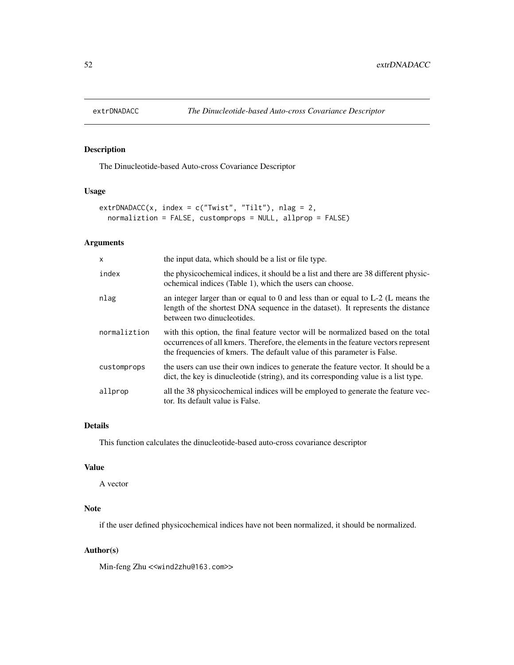<span id="page-51-0"></span>

The Dinucleotide-based Auto-cross Covariance Descriptor

# Usage

```
extrDNADACC(x, index = c("Twist", "Tilt"), nlag = 2,
  normaliztion = FALSE, customprops = NULL, allprop = FALSE)
```
# Arguments

| X            | the input data, which should be a list or file type.                                                                                                                                                                                              |
|--------------|---------------------------------------------------------------------------------------------------------------------------------------------------------------------------------------------------------------------------------------------------|
| index        | the physicochemical indices, it should be a list and there are 38 different physic-<br>ochemical indices (Table 1), which the users can choose.                                                                                                   |
| nlag         | an integer larger than or equal to 0 and less than or equal to $L-2$ (L means the<br>length of the shortest DNA sequence in the dataset). It represents the distance<br>between two dinucleotides.                                                |
| normaliztion | with this option, the final feature vector will be normalized based on the total<br>occurrences of all kmers. Therefore, the elements in the feature vectors represent<br>the frequencies of kmers. The default value of this parameter is False. |
| customprops  | the users can use their own indices to generate the feature vector. It should be a<br>dict, the key is dinucleotide (string), and its corresponding value is a list type.                                                                         |
| allprop      | all the 38 physicochemical indices will be employed to generate the feature vec-<br>tor. Its default value is False.                                                                                                                              |

# Details

This function calculates the dinucleotide-based auto-cross covariance descriptor

# Value

A vector

# Note

if the user defined physicochemical indices have not been normalized, it should be normalized.

# Author(s)

Min-feng Zhu <<wind2zhu@163.com>>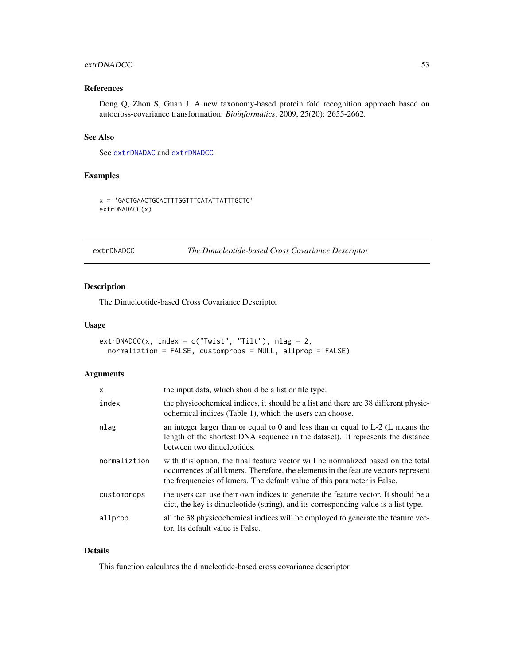### extrDNADCC 53

# References

Dong Q, Zhou S, Guan J. A new taxonomy-based protein fold recognition approach based on autocross-covariance transformation. *Bioinformatics*, 2009, 25(20): 2655-2662.

#### See Also

See [extrDNADAC](#page-49-0) and [extrDNADCC](#page-52-0)

# Examples

x = 'GACTGAACTGCACTTTGGTTTCATATTATTTGCTC' extrDNADACC(x)

# <span id="page-52-0"></span>extrDNADCC *The Dinucleotide-based Cross Covariance Descriptor*

# Description

The Dinucleotide-based Cross Covariance Descriptor

### Usage

```
extrDNADCC(x, index = c("Twist", "Tilt"), nlag = 2,normaliztion = FALSE, customprops = NULL, allprop = FALSE)
```
# Arguments

| $\mathsf{x}$ | the input data, which should be a list or file type.                                                                                                                                                                                              |
|--------------|---------------------------------------------------------------------------------------------------------------------------------------------------------------------------------------------------------------------------------------------------|
| index        | the physicochemical indices, it should be a list and there are 38 different physic-<br>ochemical indices (Table 1), which the users can choose.                                                                                                   |
| nlag         | an integer larger than or equal to 0 and less than or equal to $L-2$ (L means the<br>length of the shortest DNA sequence in the dataset). It represents the distance<br>between two dinucleotides.                                                |
| normaliztion | with this option, the final feature vector will be normalized based on the total<br>occurrences of all kmers. Therefore, the elements in the feature vectors represent<br>the frequencies of kmers. The default value of this parameter is False. |
| customprops  | the users can use their own indices to generate the feature vector. It should be a<br>dict, the key is dinucleotide (string), and its corresponding value is a list type.                                                                         |
| allprop      | all the 38 physicochemical indices will be employed to generate the feature vec-<br>tor. Its default value is False.                                                                                                                              |

# Details

This function calculates the dinucleotide-based cross covariance descriptor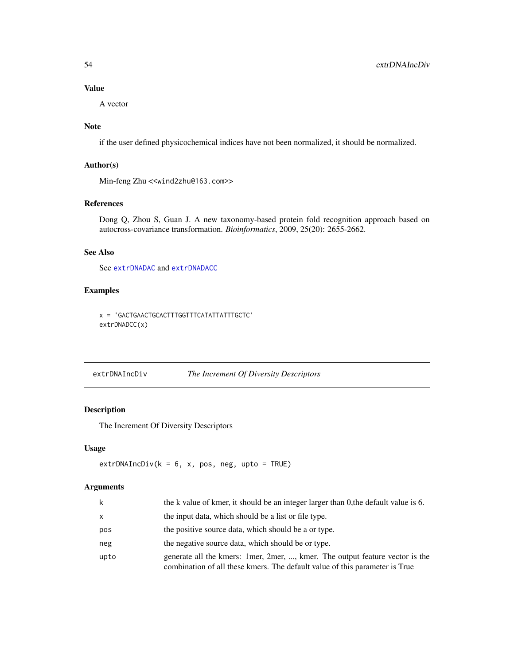### Value

A vector

# Note

if the user defined physicochemical indices have not been normalized, it should be normalized.

# Author(s)

Min-feng Zhu <<wind2zhu@163.com>>

# References

Dong Q, Zhou S, Guan J. A new taxonomy-based protein fold recognition approach based on autocross-covariance transformation. *Bioinformatics*, 2009, 25(20): 2655-2662.

#### See Also

See [extrDNADAC](#page-49-0) and [extrDNADACC](#page-51-0)

# Examples

x = 'GACTGAACTGCACTTTGGTTTCATATTATTTGCTC' extrDNADCC(x)

# extrDNAIncDiv *The Increment Of Diversity Descriptors*

### Description

The Increment Of Diversity Descriptors

## Usage

 $extrDNAINcDiv(k = 6, x, pos, neg, upto = TRUE)$ 

### Arguments

| k            | the k value of kmer, it should be an integer larger than 0, the default value is 6.                                                                           |
|--------------|---------------------------------------------------------------------------------------------------------------------------------------------------------------|
| $\mathsf{x}$ | the input data, which should be a list or file type.                                                                                                          |
| pos          | the positive source data, which should be a or type.                                                                                                          |
| neg          | the negative source data, which should be or type.                                                                                                            |
| upto         | generate all the kmers: 1 mer, 2 mer, , kmer. The output feature vector is the<br>combination of all these kmers. The default value of this parameter is True |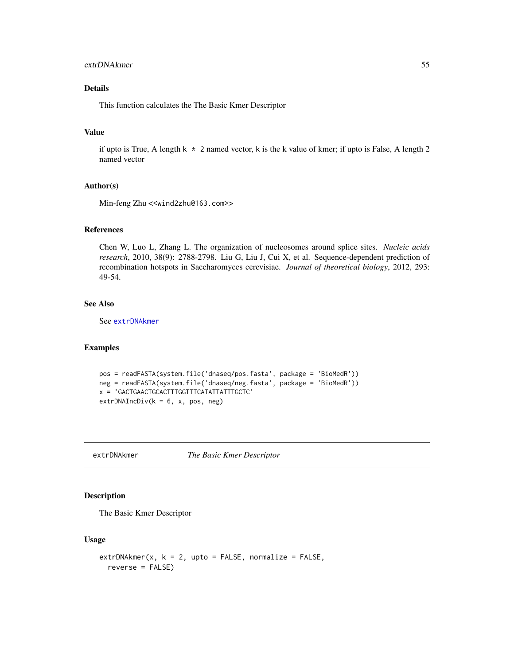# extrDNAkmer 55

# Details

This function calculates the The Basic Kmer Descriptor

# Value

if upto is True, A length  $k \times 2$  named vector, k is the k value of kmer; if upto is False, A length 2 named vector

#### Author(s)

Min-feng Zhu <<wind2zhu@163.com>>

#### References

Chen W, Luo L, Zhang L. The organization of nucleosomes around splice sites. *Nucleic acids research*, 2010, 38(9): 2788-2798. Liu G, Liu J, Cui X, et al. Sequence-dependent prediction of recombination hotspots in Saccharomyces cerevisiae. *Journal of theoretical biology*, 2012, 293: 49-54.

# See Also

See [extrDNAkmer](#page-54-0)

#### Examples

```
pos = readFASTA(system.file('dnaseq/pos.fasta', package = 'BioMedR'))
neg = readFASTA(system.file('dnaseq/neg.fasta', package = 'BioMedR'))
x = 'GACTGAACTGCACTTTGGTTTCATATTATTTGCTC'
extrDNAIncDiv(k = 6, x, pos, neg)
```
<span id="page-54-0"></span>extrDNAkmer *The Basic Kmer Descriptor*

#### Description

The Basic Kmer Descriptor

#### Usage

```
extrDNAkmer(x, k = 2, upto = FALSE, normalize = FALSE,reverse = FALSE)
```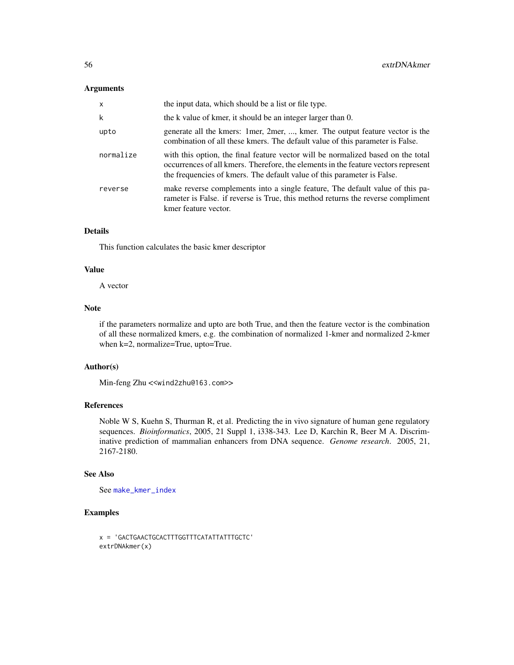## Arguments

| $\mathsf{x}$ | the input data, which should be a list or file type.                                                                                                                                                                                              |
|--------------|---------------------------------------------------------------------------------------------------------------------------------------------------------------------------------------------------------------------------------------------------|
| k            | the k value of kmer, it should be an integer larger than 0.                                                                                                                                                                                       |
| upto         | generate all the kmers: 1 mer, 2 mer, , kmer. The output feature vector is the<br>combination of all these kmers. The default value of this parameter is False.                                                                                   |
| normalize    | with this option, the final feature vector will be normalized based on the total<br>occurrences of all kmers. Therefore, the elements in the feature vectors represent<br>the frequencies of kmers. The default value of this parameter is False. |
| reverse      | make reverse complements into a single feature. The default value of this pa-<br>rameter is False. if reverse is True, this method returns the reverse compliment<br>kmer feature vector.                                                         |

# Details

This function calculates the basic kmer descriptor

#### Value

A vector

## Note

if the parameters normalize and upto are both True, and then the feature vector is the combination of all these normalized kmers, e.g. the combination of normalized 1-kmer and normalized 2-kmer when k=2, normalize=True, upto=True.

### Author(s)

Min-feng Zhu <<wind2zhu@163.com>>

#### References

Noble W S, Kuehn S, Thurman R, et al. Predicting the in vivo signature of human gene regulatory sequences. *Bioinformatics*, 2005, 21 Suppl 1, i338-343. Lee D, Karchin R, Beer M A. Discriminative prediction of mammalian enhancers from DNA sequence. *Genome research*. 2005, 21, 2167-2180.

#### See Also

See [make\\_kmer\\_index](#page-140-0)

```
x = 'GACTGAACTGCACTTTGGTTTCATATTATTTGCTC'
extrDNAkmer(x)
```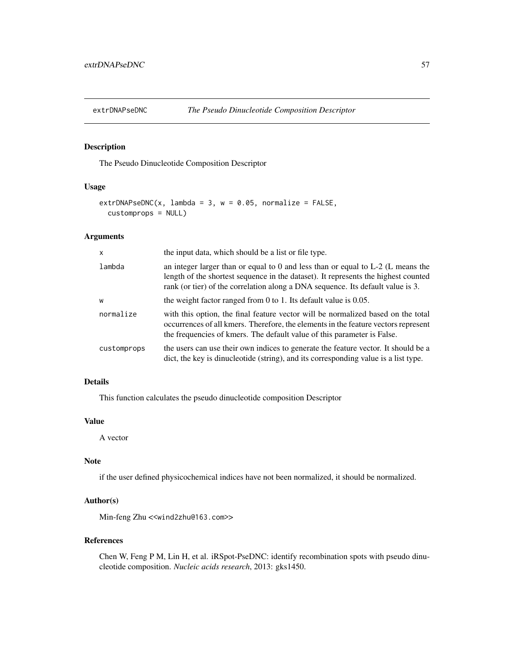<span id="page-56-0"></span>

The Pseudo Dinucleotide Composition Descriptor

# Usage

```
extrDNAPseDNC(x, lambda = 3, w = 0.05, normalize = FALSE,
  customprops = NULL)
```
### Arguments

| $\times$    | the input data, which should be a list or file type.                                                                                                                                                                                                       |  |
|-------------|------------------------------------------------------------------------------------------------------------------------------------------------------------------------------------------------------------------------------------------------------------|--|
| lambda      | an integer larger than or equal to 0 and less than or equal to $L-2$ (L means the<br>length of the shortest sequence in the dataset). It represents the highest counted<br>rank (or tier) of the correlation along a DNA sequence. Its default value is 3. |  |
| W           | the weight factor ranged from 0 to 1. Its default value is $0.05$ .                                                                                                                                                                                        |  |
| normalize   | with this option, the final feature vector will be normalized based on the total<br>occurrences of all kmers. Therefore, the elements in the feature vectors represent<br>the frequencies of kmers. The default value of this parameter is False.          |  |
| customprops | the users can use their own indices to generate the feature vector. It should be a<br>dict, the key is dinucleotide (string), and its corresponding value is a list type.                                                                                  |  |

### Details

This function calculates the pseudo dinucleotide composition Descriptor

### Value

A vector

## Note

if the user defined physicochemical indices have not been normalized, it should be normalized.

#### Author(s)

Min-feng Zhu <<wind2zhu@163.com>>

### References

Chen W, Feng P M, Lin H, et al. iRSpot-PseDNC: identify recombination spots with pseudo dinucleotide composition. *Nucleic acids research*, 2013: gks1450.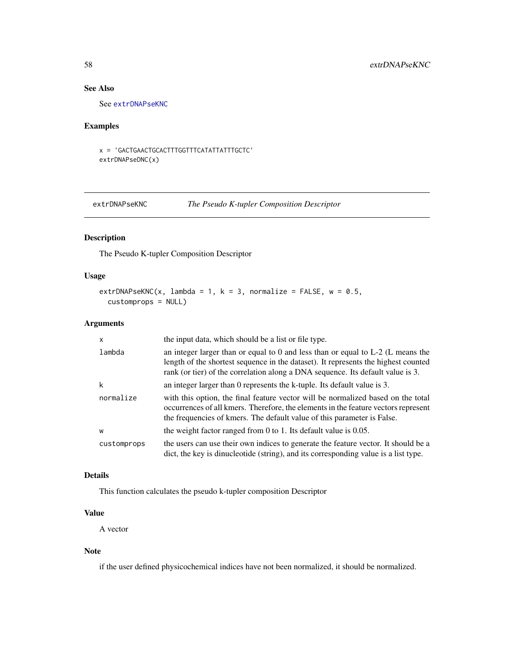# See Also

See [extrDNAPseKNC](#page-57-0)

# Examples

x = 'GACTGAACTGCACTTTGGTTTCATATTATTTGCTC' extrDNAPseDNC(x)

<span id="page-57-0"></span>extrDNAPseKNC *The Pseudo K-tupler Composition Descriptor*

# Description

The Pseudo K-tupler Composition Descriptor

# Usage

```
extrDNAPseKNC(x, lambda = 1, k = 3, normalize = FALSE, w = 0.5,
 customprops = NULL)
```
# Arguments

| $\mathsf{x}$ | the input data, which should be a list or file type.                                                                                                                                                                                                       |  |  |
|--------------|------------------------------------------------------------------------------------------------------------------------------------------------------------------------------------------------------------------------------------------------------------|--|--|
| lambda       | an integer larger than or equal to 0 and less than or equal to $L-2$ (L means the<br>length of the shortest sequence in the dataset). It represents the highest counted<br>rank (or tier) of the correlation along a DNA sequence. Its default value is 3. |  |  |
| k            | an integer larger than 0 represents the k-tuple. Its default value is 3.                                                                                                                                                                                   |  |  |
| normalize    | with this option, the final feature vector will be normalized based on the total<br>occurrences of all kmers. Therefore, the elements in the feature vectors represent<br>the frequencies of kmers. The default value of this parameter is False.          |  |  |
| W            | the weight factor ranged from 0 to 1. Its default value is $0.05$ .                                                                                                                                                                                        |  |  |
| customprops  | the users can use their own indices to generate the feature vector. It should be a<br>dict, the key is dinucleotide (string), and its corresponding value is a list type.                                                                                  |  |  |

# Details

This function calculates the pseudo k-tupler composition Descriptor

# Value

A vector

### Note

if the user defined physicochemical indices have not been normalized, it should be normalized.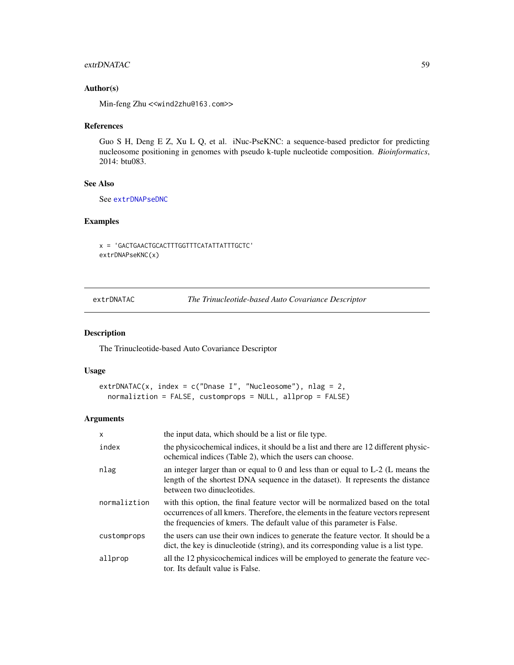## extrDNATAC 59

# Author(s)

Min-feng Zhu <<wind2zhu@163.com>>

## References

Guo S H, Deng E Z, Xu L Q, et al. iNuc-PseKNC: a sequence-based predictor for predicting nucleosome positioning in genomes with pseudo k-tuple nucleotide composition. *Bioinformatics*, 2014: btu083.

# See Also

See [extrDNAPseDNC](#page-56-0)

# Examples

x = 'GACTGAACTGCACTTTGGTTTCATATTATTTGCTC' extrDNAPseKNC(x)

<span id="page-58-0"></span>extrDNATAC *The Trinucleotide-based Auto Covariance Descriptor*

### Description

The Trinucleotide-based Auto Covariance Descriptor

# Usage

```
extrDNATAC(x, index = c("Dnase I", "Nucleosome"), nlag = 2,
  normaliztion = FALSE, customprops = NULL, allprop = FALSE)
```
#### Arguments

| $\mathsf{x}$ | the input data, which should be a list or file type.                                                                                                                                                                                              |
|--------------|---------------------------------------------------------------------------------------------------------------------------------------------------------------------------------------------------------------------------------------------------|
| index        | the physicochemical indices, it should be a list and there are 12 different physic-<br>ochemical indices (Table 2), which the users can choose.                                                                                                   |
| nlag         | an integer larger than or equal to 0 and less than or equal to $L-2$ (L means the<br>length of the shortest DNA sequence in the dataset). It represents the distance<br>between two dinucleotides.                                                |
| normaliztion | with this option, the final feature vector will be normalized based on the total<br>occurrences of all kmers. Therefore, the elements in the feature vectors represent<br>the frequencies of kmers. The default value of this parameter is False. |
| customprops  | the users can use their own indices to generate the feature vector. It should be a<br>dict, the key is dinucleotide (string), and its corresponding value is a list type.                                                                         |
| allprop      | all the 12 physicochemical indices will be employed to generate the feature vec-<br>tor. Its default value is False.                                                                                                                              |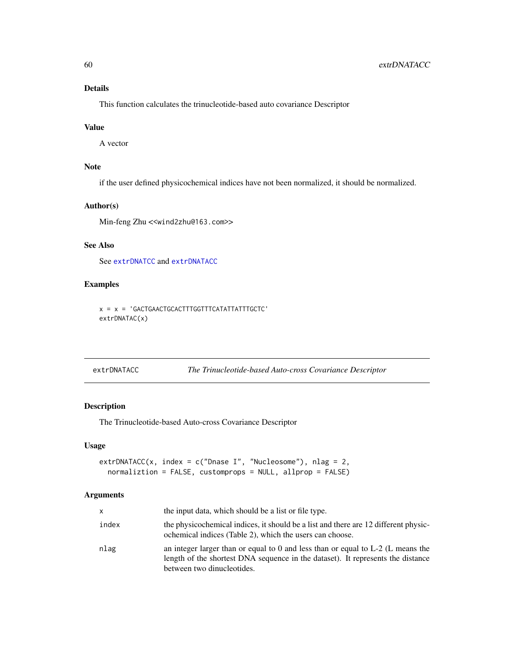# Details

This function calculates the trinucleotide-based auto covariance Descriptor

## Value

A vector

# Note

if the user defined physicochemical indices have not been normalized, it should be normalized.

### Author(s)

Min-feng Zhu <<wind2zhu@163.com>>

# See Also

See [extrDNATCC](#page-60-0) and [extrDNATACC](#page-59-0)

# Examples

```
x = x = 'GACTGAACTGCACTTTGGTTTCATATTATTTGCTC'
extrDNATAC(x)
```
<span id="page-59-0"></span>extrDNATACC *The Trinucleotide-based Auto-cross Covariance Descriptor*

# Description

The Trinucleotide-based Auto-cross Covariance Descriptor

#### Usage

```
extrDNATACC(x, index = c("Dnase I", "Nucleosome"), nlag = 2,
 normaliztion = FALSE, customprops = NULL, allprop = FALSE)
```
# Arguments

| x.    | the input data, which should be a list or file type.                                                                                                                                               |
|-------|----------------------------------------------------------------------------------------------------------------------------------------------------------------------------------------------------|
| index | the physicochemical indices, it should be a list and there are 12 different physic-<br>ochemical indices (Table 2), which the users can choose.                                                    |
| nlag  | an integer larger than or equal to 0 and less than or equal to $L-2$ (L means the<br>length of the shortest DNA sequence in the dataset). It represents the distance<br>between two dinucleotides. |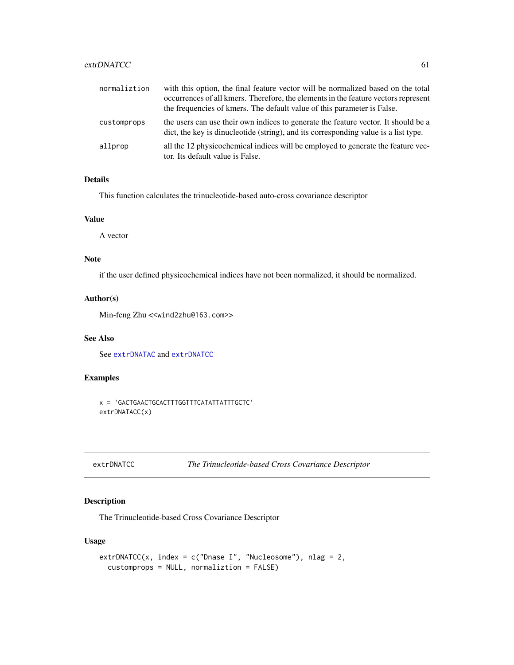# extrDNATCC 61

| normaliztion | with this option, the final feature vector will be normalized based on the total<br>occurrences of all kmers. Therefore, the elements in the feature vectors represent<br>the frequencies of kmers. The default value of this parameter is False. |
|--------------|---------------------------------------------------------------------------------------------------------------------------------------------------------------------------------------------------------------------------------------------------|
| customprops  | the users can use their own indices to generate the feature vector. It should be a<br>dict, the key is dinucleotide (string), and its corresponding value is a list type.                                                                         |
| allprop      | all the 12 physicochemical indices will be employed to generate the feature vec-<br>tor. Its default value is False.                                                                                                                              |

## Details

This function calculates the trinucleotide-based auto-cross covariance descriptor

## Value

A vector

# Note

if the user defined physicochemical indices have not been normalized, it should be normalized.

## Author(s)

Min-feng Zhu <<wind2zhu@163.com>>

# See Also

See [extrDNATAC](#page-58-0) and [extrDNATCC](#page-60-0)

# Examples

```
x = 'GACTGAACTGCACTTTGGTTTCATATTATTTGCTC'
extrDNATACC(x)
```

```
extrDNATCC The Trinucleotide-based Cross Covariance Descriptor
```
# Description

The Trinucleotide-based Cross Covariance Descriptor

# Usage

```
extrDNATCC(x, index = c("Dnase I", "Nucleosome"), nlag = 2,
  customprops = NULL, normaliztion = FALSE)
```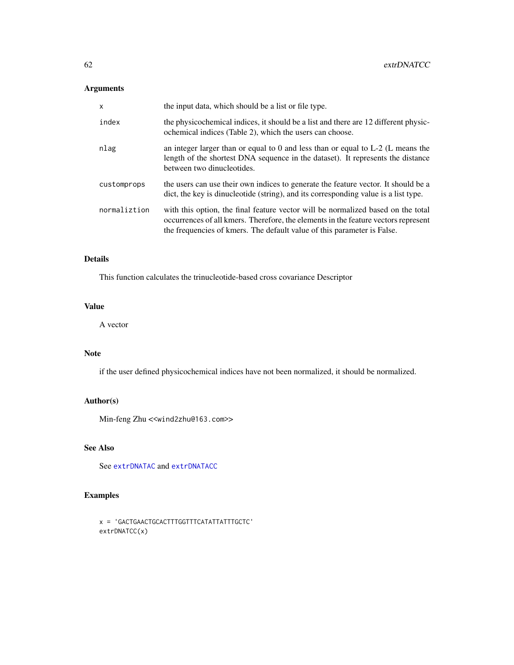# Arguments

| $\mathsf{x}$ | the input data, which should be a list or file type.                                                                                                                                                                                              |
|--------------|---------------------------------------------------------------------------------------------------------------------------------------------------------------------------------------------------------------------------------------------------|
| index        | the physicochemical indices, it should be a list and there are 12 different physic-<br>ochemical indices (Table 2), which the users can choose.                                                                                                   |
| nlag         | an integer larger than or equal to 0 and less than or equal to $L-2$ (L means the<br>length of the shortest DNA sequence in the dataset). It represents the distance<br>between two dinucleotides.                                                |
| customprops  | the users can use their own indices to generate the feature vector. It should be a<br>dict, the key is dinucleotide (string), and its corresponding value is a list type.                                                                         |
| normaliztion | with this option, the final feature vector will be normalized based on the total<br>occurrences of all kmers. Therefore, the elements in the feature vectors represent<br>the frequencies of kmers. The default value of this parameter is False. |

# Details

This function calculates the trinucleotide-based cross covariance Descriptor

# Value

A vector

# Note

if the user defined physicochemical indices have not been normalized, it should be normalized.

# Author(s)

Min-feng Zhu <<wind2zhu@163.com>>

# See Also

See [extrDNATAC](#page-58-0) and [extrDNATACC](#page-59-0)

```
x = 'GACTGAACTGCACTTTGGTTTCATATTATTTGCTC'
extrDNATCC(x)
```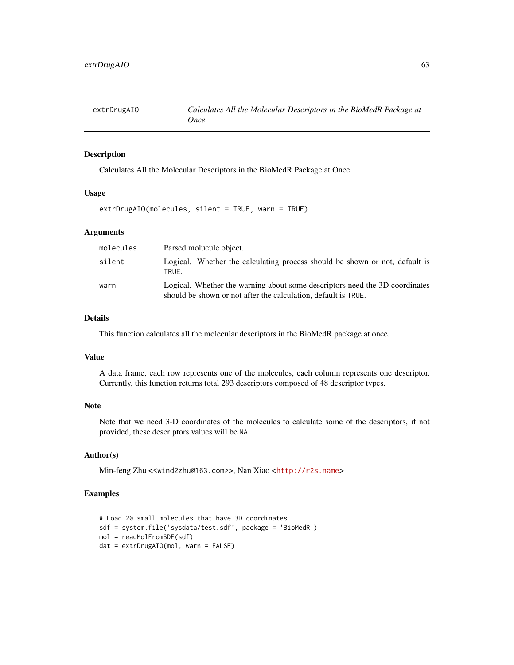Calculates All the Molecular Descriptors in the BioMedR Package at Once

### Usage

extrDrugAIO(molecules, silent = TRUE, warn = TRUE)

#### Arguments

| molecules | Parsed molucule object.                                                                                                                       |  |  |  |  |
|-----------|-----------------------------------------------------------------------------------------------------------------------------------------------|--|--|--|--|
| silent    | Logical. Whether the calculating process should be shown or not, default is<br>TRUE.                                                          |  |  |  |  |
| warn      | Logical. Whether the warning about some descriptors need the 3D coordinates<br>should be shown or not after the calculation, default is TRUE. |  |  |  |  |

# Details

This function calculates all the molecular descriptors in the BioMedR package at once.

### Value

A data frame, each row represents one of the molecules, each column represents one descriptor. Currently, this function returns total 293 descriptors composed of 48 descriptor types.

# Note

Note that we need 3-D coordinates of the molecules to calculate some of the descriptors, if not provided, these descriptors values will be NA.

### Author(s)

Min-feng Zhu <<wind2zhu@163.com>>, Nan Xiao <<http://r2s.name>>

```
# Load 20 small molecules that have 3D coordinates
sdf = system.file('sysdata/test.sdf', package = 'BioMedR')
mol = readMolFromSDF(sdf)
dat = extrDrugAIO(mol, warn = FALSE)
```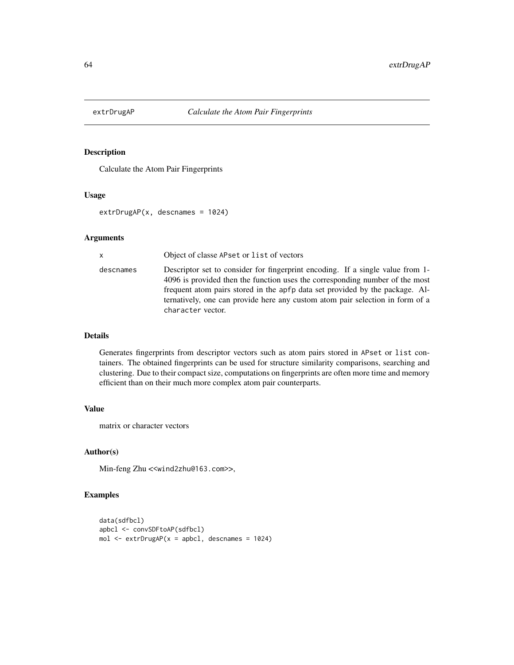Calculate the Atom Pair Fingerprints

#### Usage

extrDrugAP(x, descnames = 1024)

#### Arguments

x Object of classe APset or list of vectors descnames Descriptor set to consider for fingerprint encoding. If a single value from 1- 4096 is provided then the function uses the corresponding number of the most frequent atom pairs stored in the apfp data set provided by the package. Alternatively, one can provide here any custom atom pair selection in form of a character vector.

## Details

Generates fingerprints from descriptor vectors such as atom pairs stored in APset or list containers. The obtained fingerprints can be used for structure similarity comparisons, searching and clustering. Due to their compact size, computations on fingerprints are often more time and memory efficient than on their much more complex atom pair counterparts.

# Value

matrix or character vectors

### Author(s)

Min-feng Zhu <<wind2zhu@163.com>>,

```
data(sdfbcl)
apbcl <- convSDFtoAP(sdfbcl)
mol \le extrDrugAP(x =apbcl, descnames = 1024)
```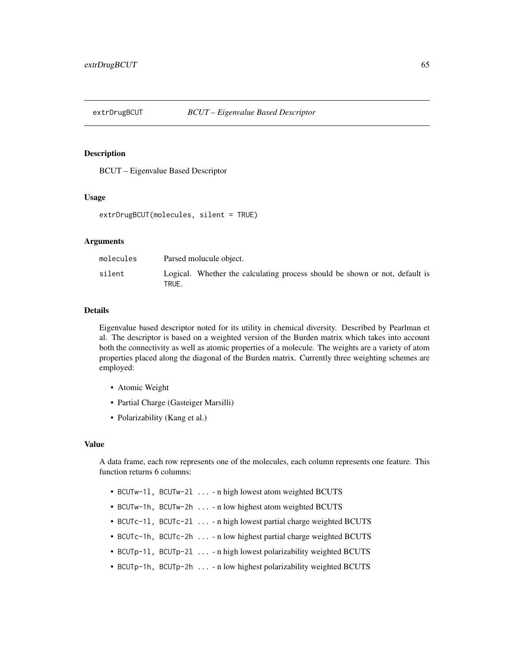BCUT – Eigenvalue Based Descriptor

### Usage

extrDrugBCUT(molecules, silent = TRUE)

#### Arguments

| molecules | Parsed molucule object.                                                              |  |  |  |  |
|-----------|--------------------------------------------------------------------------------------|--|--|--|--|
| silent    | Logical. Whether the calculating process should be shown or not, default is<br>TRUE. |  |  |  |  |

#### Details

Eigenvalue based descriptor noted for its utility in chemical diversity. Described by Pearlman et al. The descriptor is based on a weighted version of the Burden matrix which takes into account both the connectivity as well as atomic properties of a molecule. The weights are a variety of atom properties placed along the diagonal of the Burden matrix. Currently three weighting schemes are employed:

- Atomic Weight
- Partial Charge (Gasteiger Marsilli)
- Polarizability (Kang et al.)

#### Value

A data frame, each row represents one of the molecules, each column represents one feature. This function returns 6 columns:

- BCUTw-1l, BCUTw-2l ... n high lowest atom weighted BCUTS
- BCUTw-1h, BCUTw-2h ... n low highest atom weighted BCUTS
- BCUTc-1l, BCUTc-2l ... n high lowest partial charge weighted BCUTS
- BCUTc-1h, BCUTc-2h ... n low highest partial charge weighted BCUTS
- BCUTp-1l, BCUTp-2l ... n high lowest polarizability weighted BCUTS
- BCUTp-1h, BCUTp-2h ... n low highest polarizability weighted BCUTS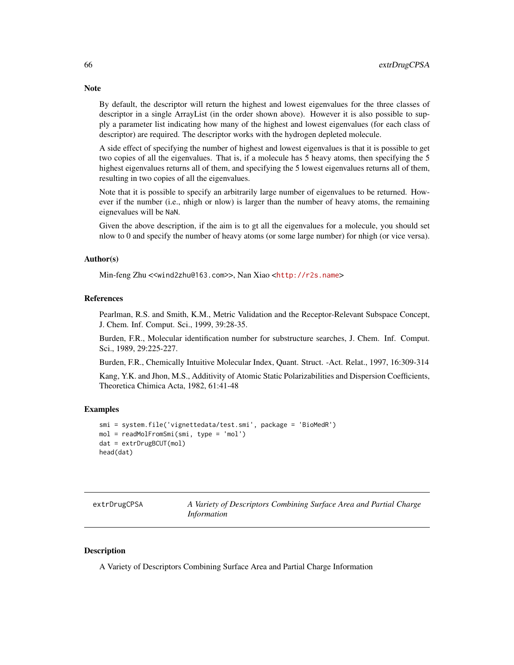By default, the descriptor will return the highest and lowest eigenvalues for the three classes of descriptor in a single ArrayList (in the order shown above). However it is also possible to supply a parameter list indicating how many of the highest and lowest eigenvalues (for each class of descriptor) are required. The descriptor works with the hydrogen depleted molecule.

A side effect of specifying the number of highest and lowest eigenvalues is that it is possible to get two copies of all the eigenvalues. That is, if a molecule has 5 heavy atoms, then specifying the 5 highest eigenvalues returns all of them, and specifying the 5 lowest eigenvalues returns all of them, resulting in two copies of all the eigenvalues.

Note that it is possible to specify an arbitrarily large number of eigenvalues to be returned. However if the number (i.e., nhigh or nlow) is larger than the number of heavy atoms, the remaining eignevalues will be NaN.

Given the above description, if the aim is to gt all the eigenvalues for a molecule, you should set nlow to 0 and specify the number of heavy atoms (or some large number) for nhigh (or vice versa).

### Author(s)

Min-feng Zhu <<wind2zhu@163.com>>, Nan Xiao <<http://r2s.name>>

#### References

Pearlman, R.S. and Smith, K.M., Metric Validation and the Receptor-Relevant Subspace Concept, J. Chem. Inf. Comput. Sci., 1999, 39:28-35.

Burden, F.R., Molecular identification number for substructure searches, J. Chem. Inf. Comput. Sci., 1989, 29:225-227.

Burden, F.R., Chemically Intuitive Molecular Index, Quant. Struct. -Act. Relat., 1997, 16:309-314

Kang, Y.K. and Jhon, M.S., Additivity of Atomic Static Polarizabilities and Dispersion Coefficients, Theoretica Chimica Acta, 1982, 61:41-48

#### Examples

```
smi = system.file('vignettedata/test.smi', package = 'BioMedR')
mol = readMolFromSmi(smi, type = 'mol')
dat = extrDrugBCUT(mol)
head(dat)
```

| extrDrugCPSA | A Variety of Descriptors Combining Surface Area and Partial Charge |  |  |  |
|--------------|--------------------------------------------------------------------|--|--|--|
|              | Information                                                        |  |  |  |

#### Description

A Variety of Descriptors Combining Surface Area and Partial Charge Information

# **Note**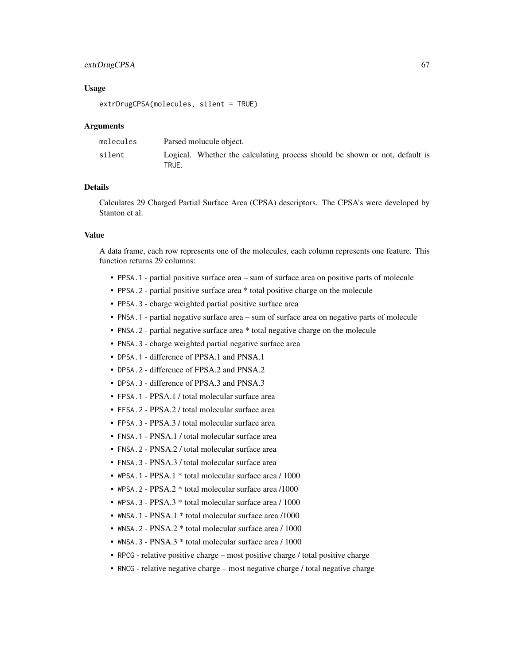# extrDrugCPSA 67

### Usage

extrDrugCPSA(molecules, silent = TRUE)

### Arguments

| molecules | Parsed molucule object.                                                              |
|-----------|--------------------------------------------------------------------------------------|
| silent    | Logical. Whether the calculating process should be shown or not, default is<br>TRUE. |

# Details

Calculates 29 Charged Partial Surface Area (CPSA) descriptors. The CPSA's were developed by Stanton et al.

# Value

A data frame, each row represents one of the molecules, each column represents one feature. This function returns 29 columns:

- PPSA.1 partial positive surface area sum of surface area on positive parts of molecule
- PPSA.2 partial positive surface area \* total positive charge on the molecule
- PPSA.3 charge weighted partial positive surface area
- PNSA.1 partial negative surface area sum of surface area on negative parts of molecule
- PNSA. 2 partial negative surface area \* total negative charge on the molecule
- PNSA. 3 charge weighted partial negative surface area
- DPSA.1 difference of PPSA.1 and PNSA.1
- DPSA.2 difference of FPSA.2 and PNSA.2
- DPSA. 3 difference of PPSA. 3 and PNSA. 3
- FPSA.1 PPSA.1 / total molecular surface area
- FFSA.2 PPSA.2 / total molecular surface area
- FPSA.3 PPSA.3 / total molecular surface area
- FNSA.1 PNSA.1 / total molecular surface area
- FNSA. 2 PNSA. 2 / total molecular surface area
- FNSA.3 PNSA.3 / total molecular surface area
- WPSA.1 PPSA.1 \* total molecular surface area / 1000
- WPSA.2 PPSA.2 \* total molecular surface area /1000
- WPSA.3 PPSA.3 \* total molecular surface area / 1000
- WNSA.1 PNSA.1 \* total molecular surface area /1000
- WNSA. 2 PNSA. 2 \* total molecular surface area / 1000
- WNSA.3 PNSA.3 \* total molecular surface area / 1000
- RPCG relative positive charge most positive charge / total positive charge
- RNCG relative negative charge most negative charge / total negative charge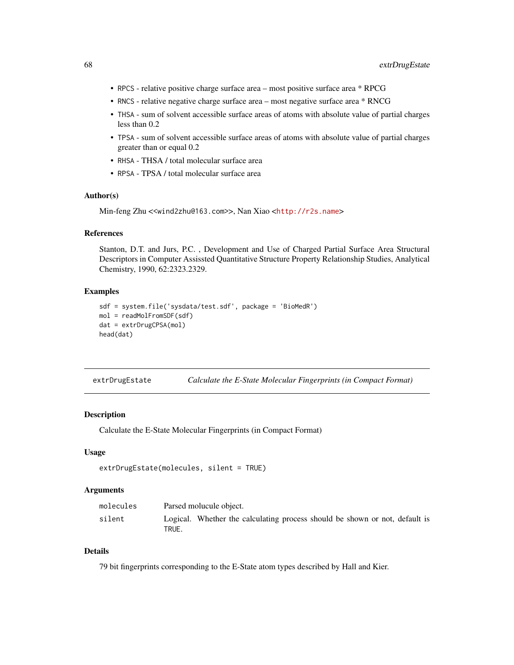- RPCS relative positive charge surface area most positive surface area \* RPCG
- RNCS relative negative charge surface area most negative surface area \* RNCG
- THSA sum of solvent accessible surface areas of atoms with absolute value of partial charges less than 0.2
- TPSA sum of solvent accessible surface areas of atoms with absolute value of partial charges greater than or equal 0.2
- RHSA THSA / total molecular surface area
- RPSA TPSA / total molecular surface area

Min-feng Zhu <<wind2zhu@163.com>>, Nan Xiao <<http://r2s.name>>

### References

Stanton, D.T. and Jurs, P.C. , Development and Use of Charged Partial Surface Area Structural Descriptors in Computer Assissted Quantitative Structure Property Relationship Studies, Analytical Chemistry, 1990, 62:2323.2329.

# Examples

```
sdf = system.file('sysdata/test.sdf', package = 'BioMedR')
mol = readMolFromSDF(sdf)
dat = extrDrugCPSA(mol)
head(dat)
```
<span id="page-67-0"></span>extrDrugEstate *Calculate the E-State Molecular Fingerprints (in Compact Format)*

### Description

Calculate the E-State Molecular Fingerprints (in Compact Format)

### Usage

```
extrDrugEstate(molecules, silent = TRUE)
```
#### Arguments

| molecules | Parsed molucule object.                                                              |
|-----------|--------------------------------------------------------------------------------------|
| silent    | Logical. Whether the calculating process should be shown or not, default is<br>TRUE. |

# Details

79 bit fingerprints corresponding to the E-State atom types described by Hall and Kier.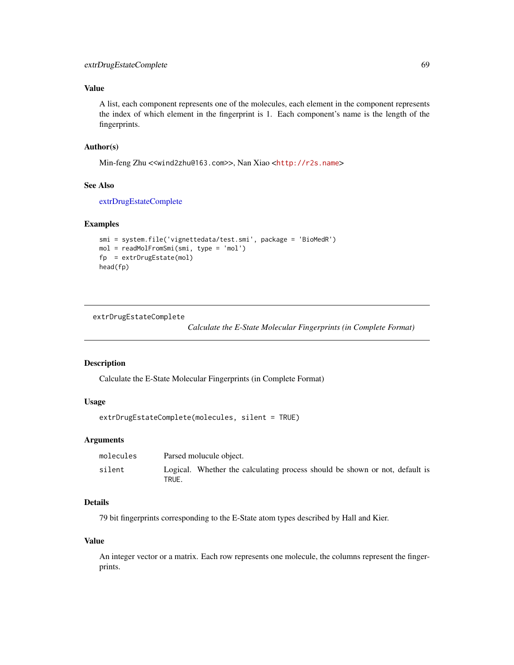# Value

A list, each component represents one of the molecules, each element in the component represents the index of which element in the fingerprint is 1. Each component's name is the length of the fingerprints.

# Author(s)

Min-feng Zhu <<wind2zhu@163.com>>, Nan Xiao <<http://r2s.name>>

# See Also

[extrDrugEstateComplete](#page-68-0)

#### Examples

```
smi = system.file('vignettedata/test.smi', package = 'BioMedR')
mol = readMolFromSmi(smi, type = 'mol')
fp = extrDrugEstate(mol)
head(fp)
```
<span id="page-68-0"></span>extrDrugEstateComplete

*Calculate the E-State Molecular Fingerprints (in Complete Format)*

#### Description

Calculate the E-State Molecular Fingerprints (in Complete Format)

# Usage

```
extrDrugEstateComplete(molecules, silent = TRUE)
```
### Arguments

| molecules | Parsed molucule object.                                                              |
|-----------|--------------------------------------------------------------------------------------|
| silent    | Logical. Whether the calculating process should be shown or not, default is<br>TRUE. |

# Details

79 bit fingerprints corresponding to the E-State atom types described by Hall and Kier.

#### Value

An integer vector or a matrix. Each row represents one molecule, the columns represent the fingerprints.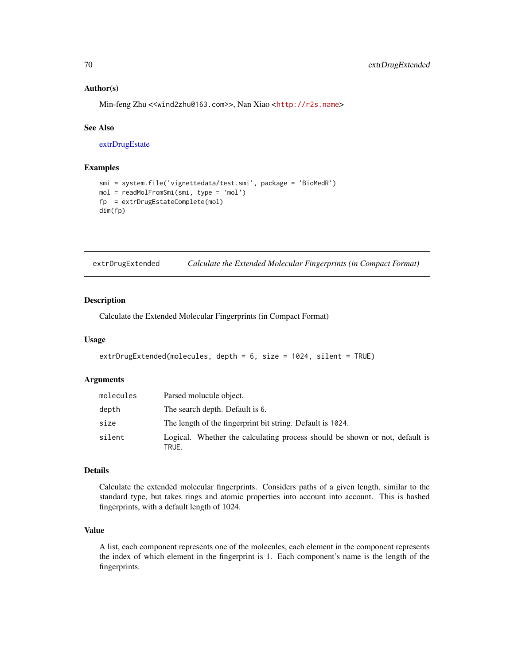Min-feng Zhu <<wind2zhu@163.com>>, Nan Xiao <<http://r2s.name>>

#### See Also

[extrDrugEstate](#page-67-0)

# Examples

```
smi = system.file('vignettedata/test.smi', package = 'BioMedR')
mol = readMolFromSmi(smi, type = 'mol')
fp = extrDrugEstateComplete(mol)
dim(fp)
```
<span id="page-69-0"></span>

|  | extrDrugExtended |  | Calculate the Extended Molecular Fingerprints (in Compact Format) |  |  |  |
|--|------------------|--|-------------------------------------------------------------------|--|--|--|
|--|------------------|--|-------------------------------------------------------------------|--|--|--|

# Description

Calculate the Extended Molecular Fingerprints (in Compact Format)

#### Usage

```
extrDrugExtended(molecules, depth = 6, size = 1024, silent = TRUE)
```
# Arguments

| molecules | Parsed molucule object.                                                              |
|-----------|--------------------------------------------------------------------------------------|
| depth     | The search depth. Default is 6.                                                      |
| size      | The length of the fingerprint bit string. Default is 1024.                           |
| silent    | Logical. Whether the calculating process should be shown or not, default is<br>TRUE. |

#### Details

Calculate the extended molecular fingerprints. Considers paths of a given length, similar to the standard type, but takes rings and atomic properties into account into account. This is hashed fingerprints, with a default length of 1024.

### Value

A list, each component represents one of the molecules, each element in the component represents the index of which element in the fingerprint is 1. Each component's name is the length of the fingerprints.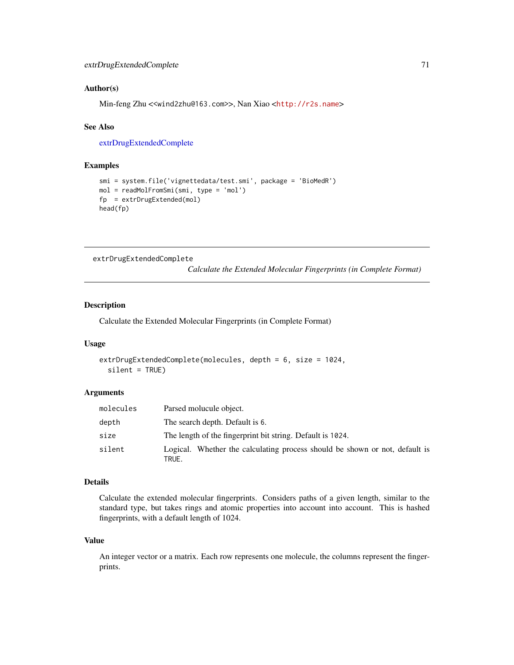Min-feng Zhu <<wind2zhu@163.com>>, Nan Xiao <<http://r2s.name>>

#### See Also

[extrDrugExtendedComplete](#page-70-0)

# Examples

```
smi = system.file('vignettedata/test.smi', package = 'BioMedR')
mol = readMolFromSmi(smi, type = 'mol')
fp = extrDrugExtended(mol)
head(fp)
```
<span id="page-70-0"></span>extrDrugExtendedComplete

*Calculate the Extended Molecular Fingerprints (in Complete Format)*

# Description

Calculate the Extended Molecular Fingerprints (in Complete Format)

#### Usage

```
extrDrugExtendedComplete(molecules, depth = 6, size = 1024,
  silent = TRUE)
```
# Arguments

| molecules | Parsed molucule object.                                                              |
|-----------|--------------------------------------------------------------------------------------|
| depth     | The search depth. Default is 6.                                                      |
| size      | The length of the fingerprint bit string. Default is 1024.                           |
| silent    | Logical. Whether the calculating process should be shown or not, default is<br>TRUE. |

### Details

Calculate the extended molecular fingerprints. Considers paths of a given length, similar to the standard type, but takes rings and atomic properties into account into account. This is hashed fingerprints, with a default length of 1024.

# Value

An integer vector or a matrix. Each row represents one molecule, the columns represent the fingerprints.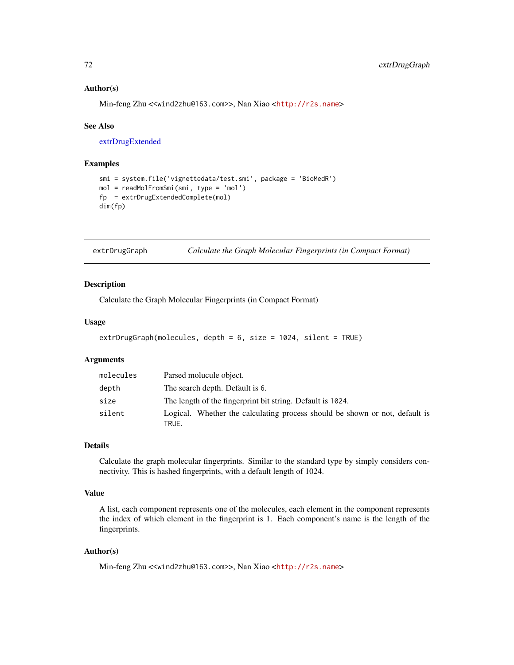Min-feng Zhu <<wind2zhu@163.com>>, Nan Xiao <<http://r2s.name>>

#### See Also

[extrDrugExtended](#page-69-0)

#### Examples

```
smi = system.file('vignettedata/test.smi', package = 'BioMedR')
mol = readMolFromSmi(smi, type = 'mol')
fp = extrDrugExtendedComplete(mol)
dim(fp)
```
extrDrugGraph *Calculate the Graph Molecular Fingerprints (in Compact Format)*

### Description

Calculate the Graph Molecular Fingerprints (in Compact Format)

### Usage

```
extrDrugGraph(molecules, depth = 6, size = 1024, silent = TRUE)
```
### Arguments

| molecules | Parsed molucule object.                                                              |
|-----------|--------------------------------------------------------------------------------------|
| depth     | The search depth. Default is 6.                                                      |
| size      | The length of the fingerprint bit string. Default is 1024.                           |
| silent    | Logical. Whether the calculating process should be shown or not, default is<br>TRUE. |

#### Details

Calculate the graph molecular fingerprints. Similar to the standard type by simply considers connectivity. This is hashed fingerprints, with a default length of 1024.

# Value

A list, each component represents one of the molecules, each element in the component represents the index of which element in the fingerprint is 1. Each component's name is the length of the fingerprints.

#### Author(s)

Min-feng Zhu <<wind2zhu@163.com>>, Nan Xiao <<http://r2s.name>>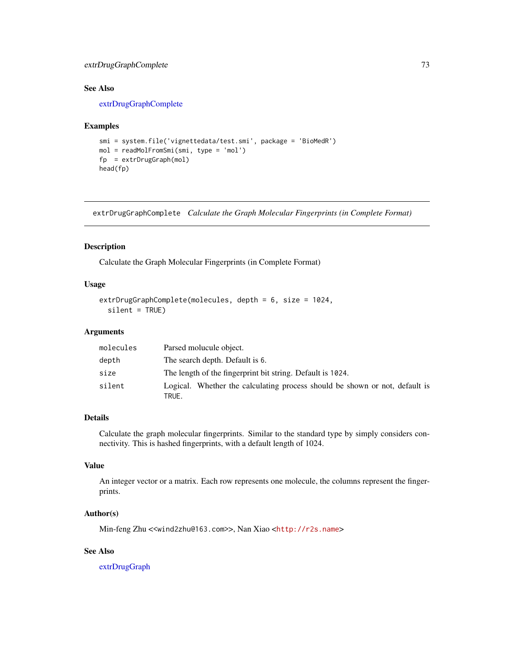# extrDrugGraphComplete 73

# See Also

[extrDrugGraphComplete](#page-72-0)

#### Examples

```
smi = system.file('vignettedata/test.smi', package = 'BioMedR')
mol = readMolFromSmi(smi, type = 'mol')
fp = extrDrugGraph(mol)
head(fp)
```
<span id="page-72-0"></span>extrDrugGraphComplete *Calculate the Graph Molecular Fingerprints (in Complete Format)*

## Description

Calculate the Graph Molecular Fingerprints (in Complete Format)

## Usage

```
extrDrugGraphComplete(molecules, depth = 6, size = 1024,
  silent = TRUE)
```
## Arguments

| molecules | Parsed molucule object.                                                              |
|-----------|--------------------------------------------------------------------------------------|
| depth     | The search depth. Default is 6.                                                      |
| size      | The length of the fingerprint bit string. Default is 1024.                           |
| silent    | Logical. Whether the calculating process should be shown or not, default is<br>TRUE. |

#### Details

Calculate the graph molecular fingerprints. Similar to the standard type by simply considers connectivity. This is hashed fingerprints, with a default length of 1024.

# Value

An integer vector or a matrix. Each row represents one molecule, the columns represent the fingerprints.

## Author(s)

Min-feng Zhu <<wind2zhu@163.com>>, Nan Xiao <<http://r2s.name>>

# See Also

[extrDrugGraph](#page-71-0)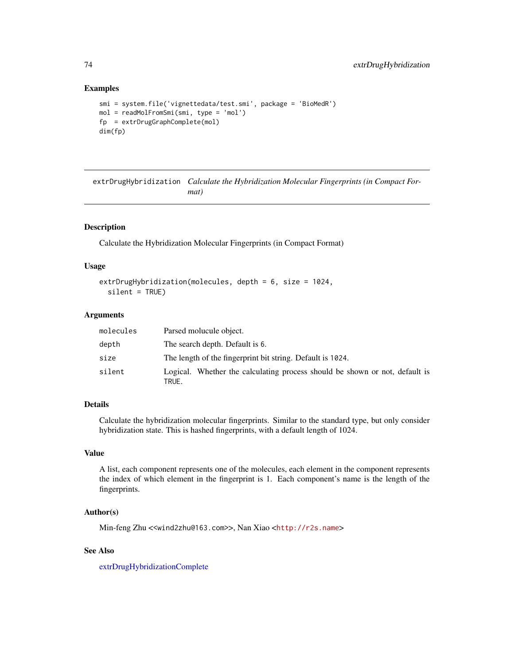```
smi = system.file('vignettedata/test.smi', package = 'BioMedR')
mol = readMolFromSmi(smi, type = 'mol')
fp = extrDrugGraphComplete(mol)
dim(fp)
```
<span id="page-73-0"></span>extrDrugHybridization *Calculate the Hybridization Molecular Fingerprints (in Compact Format)*

## Description

Calculate the Hybridization Molecular Fingerprints (in Compact Format)

## Usage

```
extrDrugHybridization(molecules, depth = 6, size = 1024,
  silent = TRUE)
```
#### Arguments

| molecules | Parsed molucule object.                                                              |
|-----------|--------------------------------------------------------------------------------------|
| depth     | The search depth. Default is 6.                                                      |
| size      | The length of the fingerprint bit string. Default is 1024.                           |
| silent    | Logical. Whether the calculating process should be shown or not, default is<br>TRUE. |

## Details

Calculate the hybridization molecular fingerprints. Similar to the standard type, but only consider hybridization state. This is hashed fingerprints, with a default length of 1024.

# Value

A list, each component represents one of the molecules, each element in the component represents the index of which element in the fingerprint is 1. Each component's name is the length of the fingerprints.

# Author(s)

Min-feng Zhu <<wind2zhu@163.com>>, Nan Xiao <<http://r2s.name>>

# See Also

[extrDrugHybridizationComplete](#page-74-0)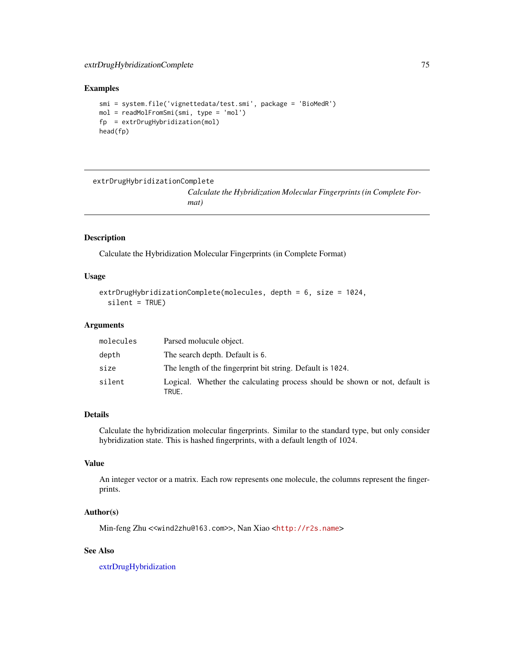```
smi = system.file('vignettedata/test.smi', package = 'BioMedR')
mol = readMolFromSmi(smi, type = 'mol')
fp = extrDrugHybridization(mol)
head(fp)
```
<span id="page-74-0"></span>extrDrugHybridizationComplete

*Calculate the Hybridization Molecular Fingerprints (in Complete Format)*

# Description

Calculate the Hybridization Molecular Fingerprints (in Complete Format)

# Usage

```
extrDrugHybridizationComplete(molecules, depth = 6, size = 1024,
  silent = TRUE)
```
### Arguments

| molecules | Parsed molucule object.                                                              |  |
|-----------|--------------------------------------------------------------------------------------|--|
| depth     | The search depth. Default is 6.                                                      |  |
| size      | The length of the fingerprint bit string. Default is 1024.                           |  |
| silent    | Logical. Whether the calculating process should be shown or not, default is<br>TRUE. |  |

# Details

Calculate the hybridization molecular fingerprints. Similar to the standard type, but only consider hybridization state. This is hashed fingerprints, with a default length of 1024.

#### Value

An integer vector or a matrix. Each row represents one molecule, the columns represent the fingerprints.

## Author(s)

Min-feng Zhu <<wind2zhu@163.com>>, Nan Xiao <<http://r2s.name>>

# See Also

[extrDrugHybridization](#page-73-0)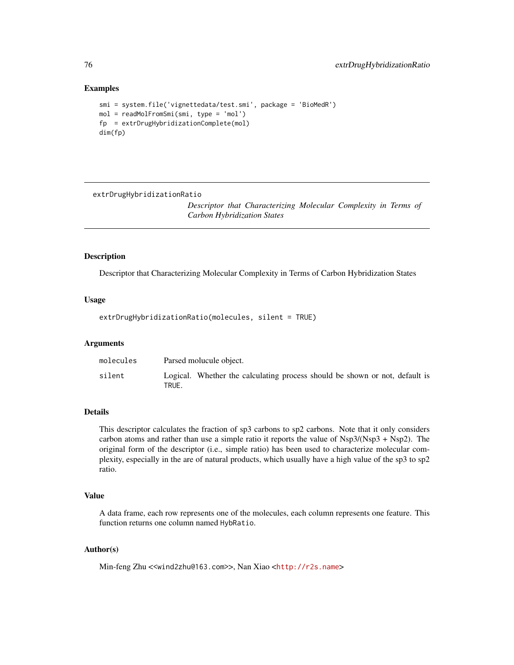```
smi = system.file('vignettedata/test.smi', package = 'BioMedR')
mol = readMolFromSmi(smi, type = 'mol')
fp = extrDrugHybridizationComplete(mol)
dim(fp)
```
extrDrugHybridizationRatio

*Descriptor that Characterizing Molecular Complexity in Terms of Carbon Hybridization States*

# Description

Descriptor that Characterizing Molecular Complexity in Terms of Carbon Hybridization States

#### Usage

extrDrugHybridizationRatio(molecules, silent = TRUE)

#### Arguments

| molecules | Parsed molucule object.                                                              |
|-----------|--------------------------------------------------------------------------------------|
| silent    | Logical. Whether the calculating process should be shown or not, default is<br>TRUE. |

#### Details

This descriptor calculates the fraction of sp3 carbons to sp2 carbons. Note that it only considers carbon atoms and rather than use a simple ratio it reports the value of Nsp3/(Nsp3 + Nsp2). The original form of the descriptor (i.e., simple ratio) has been used to characterize molecular complexity, especially in the are of natural products, which usually have a high value of the sp3 to sp2 ratio.

#### Value

A data frame, each row represents one of the molecules, each column represents one feature. This function returns one column named HybRatio.

# Author(s)

Min-feng Zhu <<wind2zhu@163.com>>, Nan Xiao <<http://r2s.name>>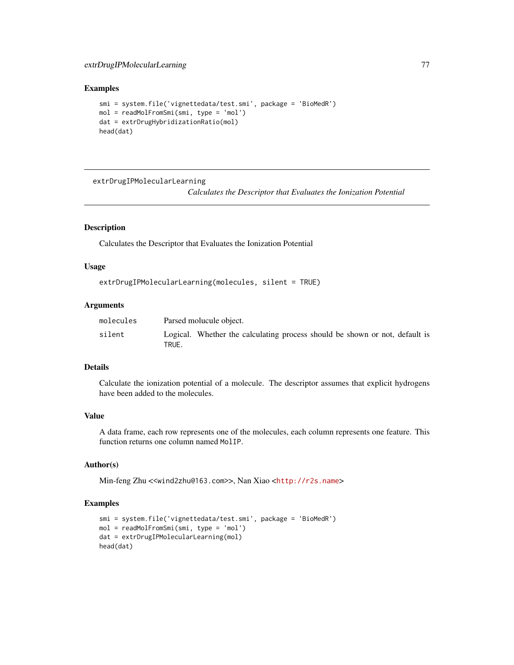# extrDrugIPMolecularLearning 77

# Examples

```
smi = system.file('vignettedata/test.smi', package = 'BioMedR')
mol = readMolFromSmi(smi, type = 'mol')
dat = extrDrugHybridizationRatio(mol)
head(dat)
```
extrDrugIPMolecularLearning

*Calculates the Descriptor that Evaluates the Ionization Potential*

## Description

Calculates the Descriptor that Evaluates the Ionization Potential

## Usage

```
extrDrugIPMolecularLearning(molecules, silent = TRUE)
```
## Arguments

| molecules | Parsed molucule object.                                                              |
|-----------|--------------------------------------------------------------------------------------|
| silent    | Logical. Whether the calculating process should be shown or not, default is<br>TRUE. |

## Details

Calculate the ionization potential of a molecule. The descriptor assumes that explicit hydrogens have been added to the molecules.

# Value

A data frame, each row represents one of the molecules, each column represents one feature. This function returns one column named MolIP.

# Author(s)

Min-feng Zhu <<wind2zhu@163.com>>, Nan Xiao <<http://r2s.name>>

# Examples

```
smi = system.file('vignettedata/test.smi', package = 'BioMedR')
mol = readMolFromSmi(smi, type = 'mol')
dat = extrDrugIPMolecularLearning(mol)
head(dat)
```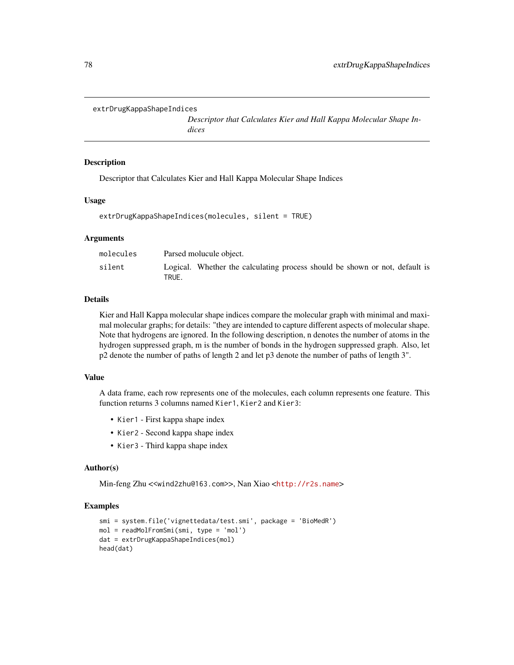```
extrDrugKappaShapeIndices
```
*Descriptor that Calculates Kier and Hall Kappa Molecular Shape Indices*

## Description

Descriptor that Calculates Kier and Hall Kappa Molecular Shape Indices

#### Usage

```
extrDrugKappaShapeIndices(molecules, silent = TRUE)
```
#### Arguments

| molecules | Parsed molucule object.                                                              |
|-----------|--------------------------------------------------------------------------------------|
| silent    | Logical. Whether the calculating process should be shown or not, default is<br>TRUE. |

## Details

Kier and Hall Kappa molecular shape indices compare the molecular graph with minimal and maximal molecular graphs; for details: "they are intended to capture different aspects of molecular shape. Note that hydrogens are ignored. In the following description, n denotes the number of atoms in the hydrogen suppressed graph, m is the number of bonds in the hydrogen suppressed graph. Also, let p2 denote the number of paths of length 2 and let p3 denote the number of paths of length 3".

#### Value

A data frame, each row represents one of the molecules, each column represents one feature. This function returns 3 columns named Kier1, Kier2 and Kier3:

- Kier1 First kappa shape index
- Kier2 Second kappa shape index
- Kier3 Third kappa shape index

#### Author(s)

Min-feng Zhu <<wind2zhu@163.com>>, Nan Xiao <<http://r2s.name>>

## Examples

```
smi = system.file('vignettedata/test.smi', package = 'BioMedR')
mol = readMolFromSmi(smi, type = 'mol')
dat = extrDrugKappaShapeIndices(mol)
head(dat)
```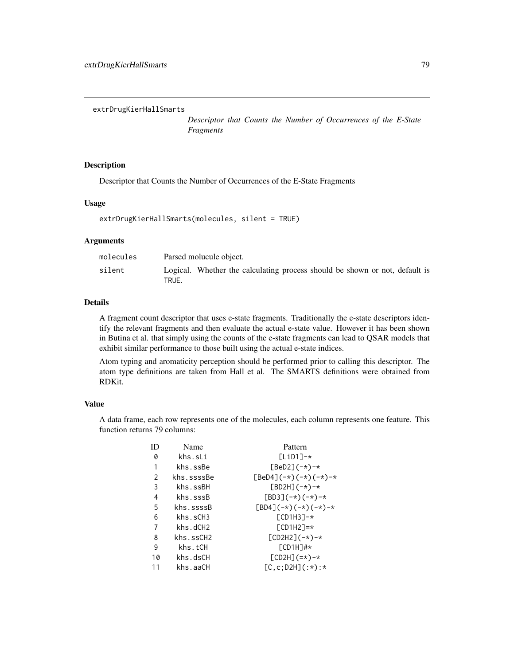extrDrugKierHallSmarts

*Descriptor that Counts the Number of Occurrences of the E-State Fragments*

# Description

Descriptor that Counts the Number of Occurrences of the E-State Fragments

# Usage

extrDrugKierHallSmarts(molecules, silent = TRUE)

#### Arguments

| molecules | Parsed molucule object.                                                              |
|-----------|--------------------------------------------------------------------------------------|
| silent    | Logical. Whether the calculating process should be shown or not, default is<br>TRUE. |

## Details

A fragment count descriptor that uses e-state fragments. Traditionally the e-state descriptors identify the relevant fragments and then evaluate the actual e-state value. However it has been shown in Butina et al. that simply using the counts of the e-state fragments can lead to QSAR models that exhibit similar performance to those built using the actual e-state indices.

Atom typing and aromaticity perception should be performed prior to calling this descriptor. The atom type definitions are taken from Hall et al. The SMARTS definitions were obtained from RDKit.

# Value

A data frame, each row represents one of the molecules, each column represents one feature. This function returns 79 columns:

| ID            | Name       | Pattern                                  |
|---------------|------------|------------------------------------------|
| 0             | khs.sLi    | $Lip11-x$                                |
| 1             | khs.ssBe   | $[BeD2]$ (-*)-*                          |
| $\mathcal{P}$ | khs.ssssBe | $[BeD4]$ (-*) (-*) (-*)-*                |
| 3             | khs.ssBH   | $[BD2H]$ $(-*)$ -*                       |
| 4             | khs.sssB   | $[BD3]$ $(-*)$ $(-*)$ $-*)$              |
| 5             | khs.ssssB  | $[BD4]$ $(-*)$ $(-*)$ $(-*)$ $(-*)$ $-*$ |
| 6             | khs.sCH3   | $[CD1H3]$ -*                             |
| 7             | khs.dCH2   | $\Gamma$ CD1H2]=*                        |
| 8             | khs.ssCH2  | $[CD2H2]$ $(-*)$ -*                      |
| 9             | khs.tCH    | $[CD1H]$ #*                              |
| 10            | khs.dsCH   | $[CD2H] (=*)-*$                          |
| 11            | khs.aaCH   | $[C, c; D2H](:*)$ :*                     |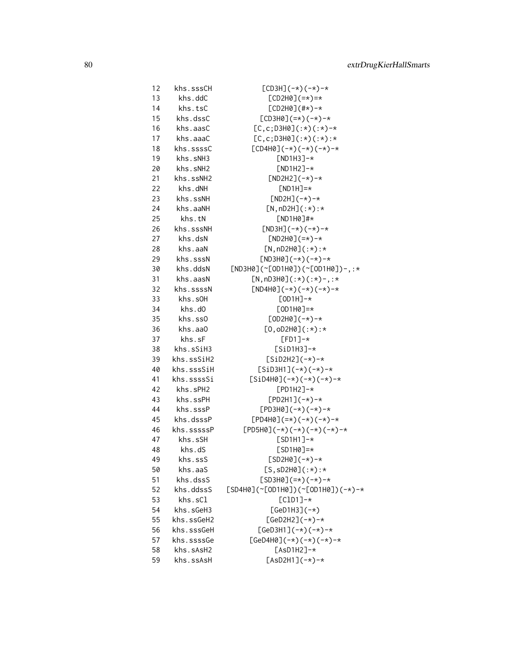| 12 | khs.sssCH  | $[CD3H]$ $(-*)$ $(-*)$ $-*)$                      |
|----|------------|---------------------------------------------------|
| 13 | khs.ddC    | $[CD2H0]$ $(=\star)=\star$                        |
| 14 | khs.tsC    | $[CD2H0](#*) - *$                                 |
| 15 | khs.dssC   | $[CD3H0]$ $(=\star)$ $(-\star)$ $-\star$          |
| 16 | khs.aasC   | $[C, c; D3H0](:*)$ $(*)$ $-*$                     |
| 17 | khs.aaaC   | $[C, c; D3H0](:*)$ $(:*)$ :*                      |
| 18 | khs.ssssC  | $[CD4H0]$ $(-*)$ $(-*)$ $(-*)$ $(-*)$ $-*$        |
| 19 | khs.sNH3   | $[ND1H3]-*$                                       |
| 20 | khs.sNH2   | $[ND1H2]-*$                                       |
| 21 | khs.ssNH2  | $[ND2H2]$ $(-*)$ -*                               |
| 22 | khs.dNH    | $[ND1H]=*$                                        |
| 23 | khs.ssNH   | $[ND2H]$ $(-*)$ -*                                |
| 24 | khs.aaNH   | $[N, nD2H]$ $(:*)$ :*                             |
| 25 | khs.tN     | $[ND1H0]$ #*                                      |
| 26 | khs.sssNH  | $[ND3H]$ $(-*)$ $(-*)$ $-*)$                      |
| 27 | khs.dsN    | $[ND2H0]$ $(=\star) - \star$                      |
|    |            |                                                   |
| 28 | khs.aaN    | $[N, nD2H0](:*)$ :*                               |
| 29 | khs.sssN   | $[ND3H0]$ $(-*)$ $(-*)$ $-*)$                     |
| 30 | khs.ddsN   | $[ND3H0]$ (~[OD1H0])(~[OD1H0])-,:*                |
| 31 | khs.aasN   | $[N, nD3H0](:*)$ $(:*)$ $(*)$ -,:*                |
| 32 | khs.ssssN  | $[ND4H0]$ $(-*)$ $(-*)$ $(-*)$ $(-*)$ $-*$        |
| 33 | khs.s0H    | $[OD1H]-*$                                        |
| 34 | khs.d0     | $[OD1H0]=*$                                       |
| 35 | khs.ss0    | $[OD2H0]$ (-*)-*                                  |
| 36 | khs.aa0    | $[0, 0D2H0](:*) : *$                              |
| 37 | khs.sF     | $[FD1]$ -*                                        |
| 38 | khs.sSiH3  | $[SiD1H3]-*$                                      |
| 39 | khs.ssSiH2 | $[SiD2H2]$ (-*)-*                                 |
| 40 | khs.sssSiH | $[SiD3H1]$ (-*)(-*)-*                             |
| 41 | khs.ssssSi | $[SiD4H0]$ (-*) (-*) (-*)-*                       |
| 42 | khs.sPH2   | $[PD1H2]-*$                                       |
| 43 | khs.ssPH   | $[PD2H1]$ (-*)-*                                  |
| 44 | khs.sssP   | $[PD3H0]$ (-*)(-*)-*                              |
| 45 | khs.dsssP  | $[PD4H0](=\*)$ $(-*)$ $(-*)$ $-\*$                |
| 46 | khs.sssssP | $[PD5H0]$ $(-*)$ $(-*)$ $(-*)$ $(-*)$ $(-*)$ $-*$ |
| 47 | khs.sSH    | $[SD1H1]$ -*                                      |
| 48 | khs.dS     | $[SD1H0]=*$                                       |
| 49 | khs.ssS    | $[SD2H0]$ (-*)-*                                  |
| 50 | khs.aaS    | $[S, SD2H0](:*)$ :*                               |
| 51 | khs.dssS   | $[SD3H0] (=*) (-*) - *$                           |
| 52 | khs.ddssS  | $[SD4H0]$ (~[OD1H0])(~[OD1H0])(-*)-*              |
| 53 | khs.sCl    | $[CD1]$ -*                                        |
| 54 | khs.sGeH3  | $[GeD1H3]$ $(-*)$                                 |
| 55 | khs.ssGeH2 | $[GeD2H2]$ (-*)-*                                 |
| 56 | khs.sssGeH | $[GeD3H1]$ (-*)(-*)-*                             |
| 57 | khs.ssssGe | $[GeD4H0]$ (-*) (-*) (-*)-*                       |
| 58 | khs.sAsH2  | $[ASD1H2]-*$                                      |
| 59 | khs.ssAsH  | $[AsD2H1]$ $(-*)$ -*                              |
|    |            |                                                   |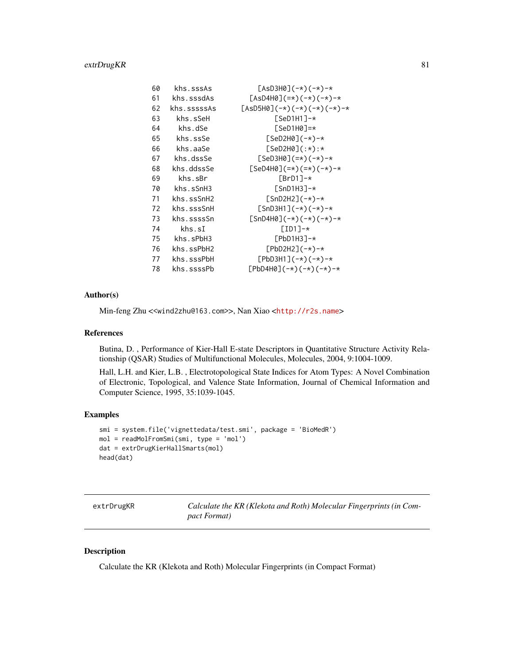# extrDrugKR 81

| 60 | khs.sssAs   | $[ASD3H0]$ $(-*)$ $(-*)$ $-*)$              |
|----|-------------|---------------------------------------------|
| 61 | khs.sssdAs  | $[AsD4H0] (=*) (-*) (-*) -*$                |
| 62 | khs.sssssAs | $[AsD5H0]$ (-*)(-*)(-*)(-*)-*               |
| 63 | khs.sSeH    | $[SeD1H1]$ -*                               |
| 64 | khs.dSe     | ГSeD1H0]=*                                  |
| 65 | khs.ssSe    | $[SeD2H0]$ (-*)-*                           |
| 66 | khs.aaSe    | $[SeD2H0]$ $($ :*):*                        |
| 67 | khs.dssSe   | $[SeD3H0] (=*) (-*) -*$                     |
| 68 | khs.ddssSe  | $[SeD4H0] (=*) (=*) (-*) - *$               |
| 69 | khs.sBr     | $FBrD17-x$                                  |
| 70 | khs.sSMH3   | $[SmD1H3]-*$                                |
| 71 | khs.ssSnH2  | $[SnD2H2]$ (-*)-*                           |
| 72 | khs.sssSnH  | $[SnD3H1]$ $(-*)$ $(-*)$ $-*)$              |
| 73 | khs.ssssSn  | $[SnD4H0]$ (-*) (-*) (-*)-*                 |
| 74 | khs.sI      | $[ID1]-*$                                   |
| 75 | khs.sPbH3   | $[PbD1H3]-*$                                |
| 76 | khs.ssPbH2  | $[PbD2H2]$ (-*)-*                           |
| 77 | khs.sssPbH  | $[PbD3H1]$ $(-*)$ $(-*)$ $-*$               |
| 78 | khs.ssssPb  | $[PbD4H0]$ $(-*)$ $(-*)$ $(-*)$ $(-*)$ $-*$ |

# Author(s)

Min-feng Zhu <<wind2zhu@163.com>>, Nan Xiao <<http://r2s.name>>

# References

Butina, D. , Performance of Kier-Hall E-state Descriptors in Quantitative Structure Activity Relationship (QSAR) Studies of Multifunctional Molecules, Molecules, 2004, 9:1004-1009.

Hall, L.H. and Kier, L.B. , Electrotopological State Indices for Atom Types: A Novel Combination of Electronic, Topological, and Valence State Information, Journal of Chemical Information and Computer Science, 1995, 35:1039-1045.

# Examples

```
smi = system.file('vignettedata/test.smi', package = 'BioMedR')
mol = readMolFromSmi(smi, type = 'mol')
dat = extrDrugKierHallSmarts(mol)
head(dat)
```

| extrDrugKR |
|------------|
|------------|

<span id="page-80-0"></span>extrDrugKR *Calculate the KR (Klekota and Roth) Molecular Fingerprints (in Compact Format)*

# Description

Calculate the KR (Klekota and Roth) Molecular Fingerprints (in Compact Format)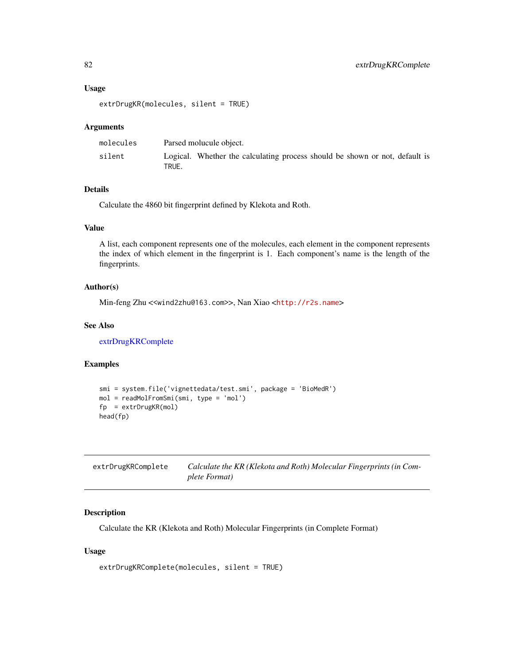#### Usage

```
extrDrugKR(molecules, silent = TRUE)
```
# Arguments

| molecules | Parsed molucule object.                                                              |
|-----------|--------------------------------------------------------------------------------------|
| silent    | Logical. Whether the calculating process should be shown or not, default is<br>TRUE. |

# Details

Calculate the 4860 bit fingerprint defined by Klekota and Roth.

# Value

A list, each component represents one of the molecules, each element in the component represents the index of which element in the fingerprint is 1. Each component's name is the length of the fingerprints.

# Author(s)

Min-feng Zhu <<wind2zhu@163.com>>, Nan Xiao <<http://r2s.name>>

## See Also

[extrDrugKRComplete](#page-81-0)

# Examples

```
smi = system.file('vignettedata/test.smi', package = 'BioMedR')
mol = readMolFromSmi(smi, type = 'mol')
fp = extrDrugKR(mol)
head(fp)
```
<span id="page-81-0"></span>

| extrDrugKRComplete | Calculate the KR (Klekota and Roth) Molecular Fingerprints (in Com- |
|--------------------|---------------------------------------------------------------------|
|                    | plete Format)                                                       |

# Description

Calculate the KR (Klekota and Roth) Molecular Fingerprints (in Complete Format)

#### Usage

```
extrDrugKRComplete(molecules, silent = TRUE)
```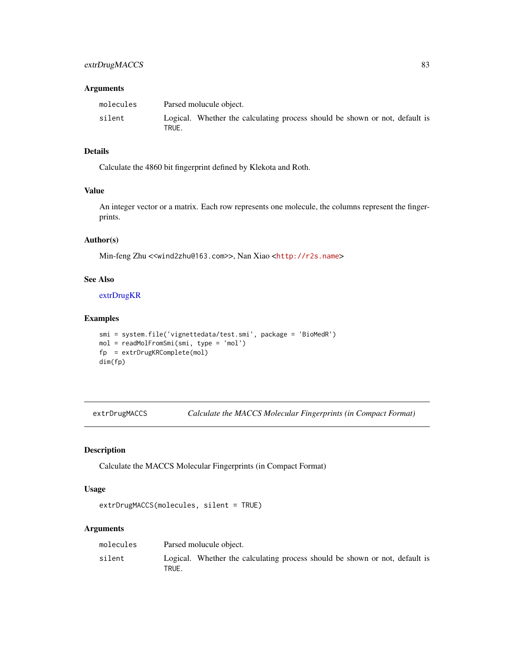# extrDrugMACCS 83

## Arguments

| molecules | Parsed molucule object.                                                              |
|-----------|--------------------------------------------------------------------------------------|
| silent    | Logical. Whether the calculating process should be shown or not, default is<br>TRUE. |

## Details

Calculate the 4860 bit fingerprint defined by Klekota and Roth.

# Value

An integer vector or a matrix. Each row represents one molecule, the columns represent the fingerprints.

# Author(s)

Min-feng Zhu <<wind2zhu@163.com>>, Nan Xiao <<http://r2s.name>>

#### See Also

[extrDrugKR](#page-80-0)

# Examples

```
smi = system.file('vignettedata/test.smi', package = 'BioMedR')
mol = readMolFromSmi(smi, type = 'mol')
fp = extrDrugKRComplete(mol)
dim(fp)
```
<span id="page-82-0"></span>extrDrugMACCS *Calculate the MACCS Molecular Fingerprints (in Compact Format)*

# Description

Calculate the MACCS Molecular Fingerprints (in Compact Format)

## Usage

```
extrDrugMACCS(molecules, silent = TRUE)
```
# Arguments

| molecules | Parsed molucule object.                                                              |
|-----------|--------------------------------------------------------------------------------------|
| silent    | Logical. Whether the calculating process should be shown or not, default is<br>TRUE. |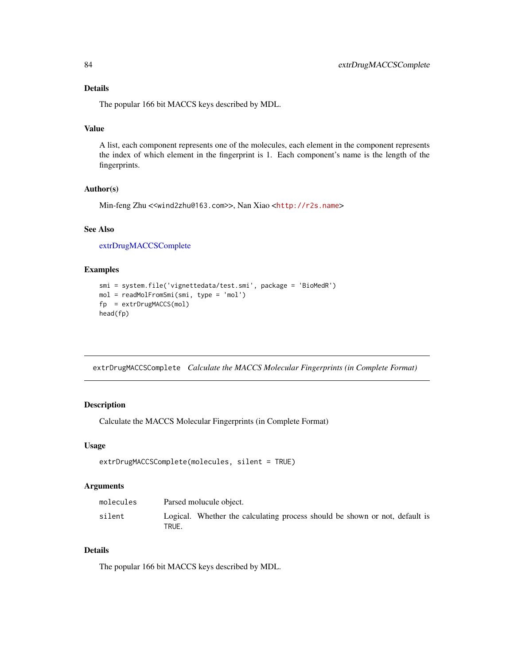# Details

The popular 166 bit MACCS keys described by MDL.

# Value

A list, each component represents one of the molecules, each element in the component represents the index of which element in the fingerprint is 1. Each component's name is the length of the fingerprints.

# Author(s)

Min-feng Zhu <<wind2zhu@163.com>>, Nan Xiao <<http://r2s.name>>

## See Also

[extrDrugMACCSComplete](#page-83-0)

## Examples

```
smi = system.file('vignettedata/test.smi', package = 'BioMedR')
mol = readMolFromSmi(smi, type = 'mol')
fp = extrDrugMACCS(mol)
head(fp)
```
<span id="page-83-0"></span>extrDrugMACCSComplete *Calculate the MACCS Molecular Fingerprints (in Complete Format)*

## Description

Calculate the MACCS Molecular Fingerprints (in Complete Format)

#### Usage

```
extrDrugMACCSComplete(molecules, silent = TRUE)
```
# Arguments

| molecules | Parsed molucule object.                                                              |
|-----------|--------------------------------------------------------------------------------------|
| silent    | Logical. Whether the calculating process should be shown or not, default is<br>TRUE. |

# Details

The popular 166 bit MACCS keys described by MDL.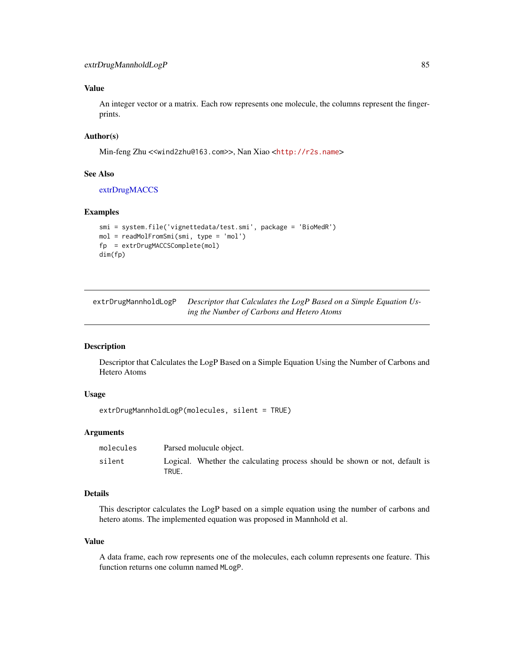## Value

An integer vector or a matrix. Each row represents one molecule, the columns represent the fingerprints.

## Author(s)

Min-feng Zhu <<wind2zhu@163.com>>, Nan Xiao <<http://r2s.name>>

#### See Also

[extrDrugMACCS](#page-82-0)

## Examples

```
smi = system.file('vignettedata/test.smi', package = 'BioMedR')
mol = readMolFromSmi(smi, type = 'mol')
fp = extrDrugMACCSComplete(mol)
dim(fp)
```
extrDrugMannholdLogP *Descriptor that Calculates the LogP Based on a Simple Equation Using the Number of Carbons and Hetero Atoms*

## Description

Descriptor that Calculates the LogP Based on a Simple Equation Using the Number of Carbons and Hetero Atoms

#### Usage

extrDrugMannholdLogP(molecules, silent = TRUE)

## Arguments

| molecules | Parsed molucule object.                                                              |
|-----------|--------------------------------------------------------------------------------------|
| silent    | Logical. Whether the calculating process should be shown or not, default is<br>TRUE. |

# Details

This descriptor calculates the LogP based on a simple equation using the number of carbons and hetero atoms. The implemented equation was proposed in Mannhold et al.

## Value

A data frame, each row represents one of the molecules, each column represents one feature. This function returns one column named MLogP.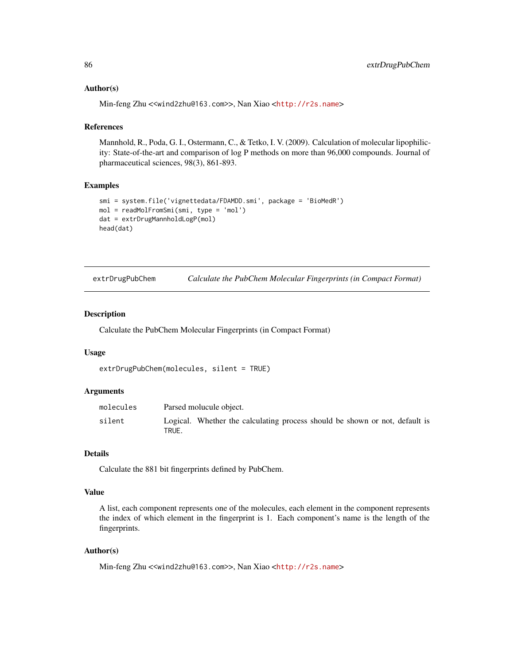## Author(s)

Min-feng Zhu <<wind2zhu@163.com>>, Nan Xiao <<http://r2s.name>>

#### References

Mannhold, R., Poda, G. I., Ostermann, C., & Tetko, I. V. (2009). Calculation of molecular lipophilicity: State-of-the-art and comparison of log P methods on more than 96,000 compounds. Journal of pharmaceutical sciences, 98(3), 861-893.

# Examples

```
smi = system.file('vignettedata/FDAMDD.smi', package = 'BioMedR')
mol = readMolFromSmi(smi, type = 'mol')
dat = extrDrugMannholdLogP(mol)
head(dat)
```
<span id="page-85-0"></span>

| extrDrugPubChem |  | Calculate the PubChem Molecular Fingerprints (in Compact Format) |  |  |
|-----------------|--|------------------------------------------------------------------|--|--|
|-----------------|--|------------------------------------------------------------------|--|--|

# Description

Calculate the PubChem Molecular Fingerprints (in Compact Format)

#### Usage

```
extrDrugPubChem(molecules, silent = TRUE)
```
## Arguments

| molecules |       | Parsed molucule object.                                                     |  |
|-----------|-------|-----------------------------------------------------------------------------|--|
| silent    | TRUE. | Logical. Whether the calculating process should be shown or not, default is |  |

#### Details

Calculate the 881 bit fingerprints defined by PubChem.

#### Value

A list, each component represents one of the molecules, each element in the component represents the index of which element in the fingerprint is 1. Each component's name is the length of the fingerprints.

#### Author(s)

Min-feng Zhu <<wind2zhu@163.com>>, Nan Xiao <<http://r2s.name>>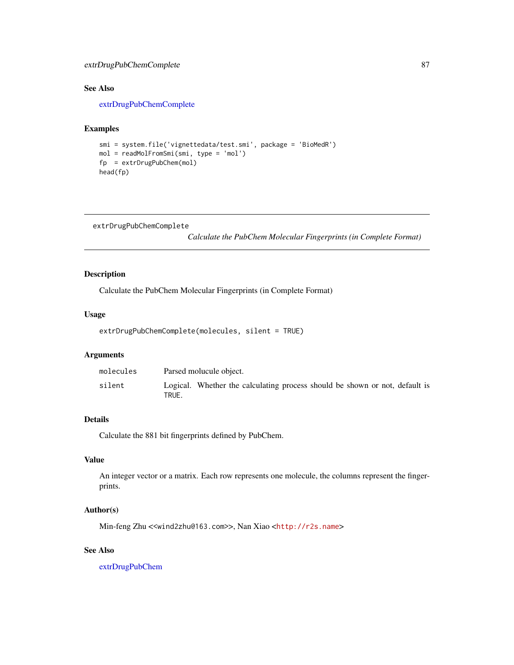# extrDrugPubChemComplete 87

# See Also

[extrDrugPubChemComplete](#page-86-0)

#### Examples

```
smi = system.file('vignettedata/test.smi', package = 'BioMedR')
mol = readMolFromSmi(smi, type = 'mol')
fp = extrDrugPubChem(mol)
head(fp)
```

```
extrDrugPubChemComplete
```
*Calculate the PubChem Molecular Fingerprints (in Complete Format)*

# Description

Calculate the PubChem Molecular Fingerprints (in Complete Format)

#### Usage

```
extrDrugPubChemComplete(molecules, silent = TRUE)
```
# Arguments

| molecules | Parsed molucule object.                                                              |
|-----------|--------------------------------------------------------------------------------------|
| silent    | Logical. Whether the calculating process should be shown or not, default is<br>TRUE. |

#### Details

Calculate the 881 bit fingerprints defined by PubChem.

# Value

An integer vector or a matrix. Each row represents one molecule, the columns represent the fingerprints.

#### Author(s)

Min-feng Zhu <<wind2zhu@163.com>>, Nan Xiao <<http://r2s.name>>

# See Also

[extrDrugPubChem](#page-85-0)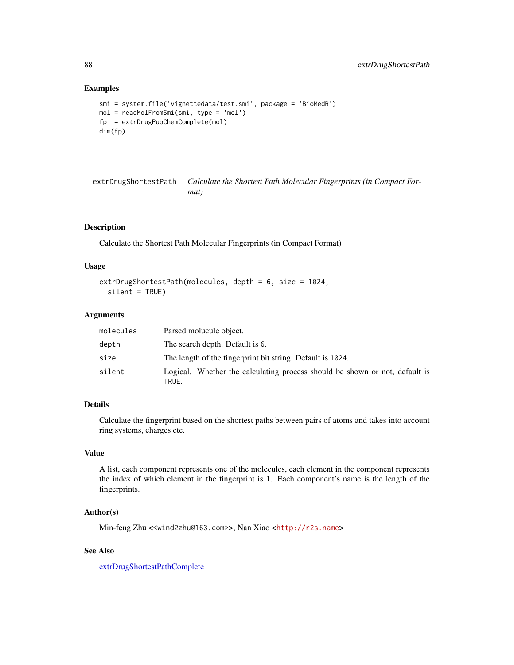```
smi = system.file('vignettedata/test.smi', package = 'BioMedR')
mol = readMolFromSmi(smi, type = 'mol')
fp = extrDrugPubChemComplete(mol)
dim(fp)
```
<span id="page-87-0"></span>extrDrugShortestPath *Calculate the Shortest Path Molecular Fingerprints (in Compact Format)*

# Description

Calculate the Shortest Path Molecular Fingerprints (in Compact Format)

## Usage

```
extrDrugShortestPath(molecules, depth = 6, size = 1024,
  silent = TRUE)
```
#### Arguments

| molecules | Parsed molucule object.                                                              |
|-----------|--------------------------------------------------------------------------------------|
| depth     | The search depth. Default is 6.                                                      |
| size      | The length of the fingerprint bit string. Default is 1024.                           |
| silent    | Logical. Whether the calculating process should be shown or not, default is<br>TRUE. |

# Details

Calculate the fingerprint based on the shortest paths between pairs of atoms and takes into account ring systems, charges etc.

# Value

A list, each component represents one of the molecules, each element in the component represents the index of which element in the fingerprint is 1. Each component's name is the length of the fingerprints.

# Author(s)

Min-feng Zhu <<wind2zhu@163.com>>, Nan Xiao <<http://r2s.name>>

# See Also

[extrDrugShortestPathComplete](#page-88-0)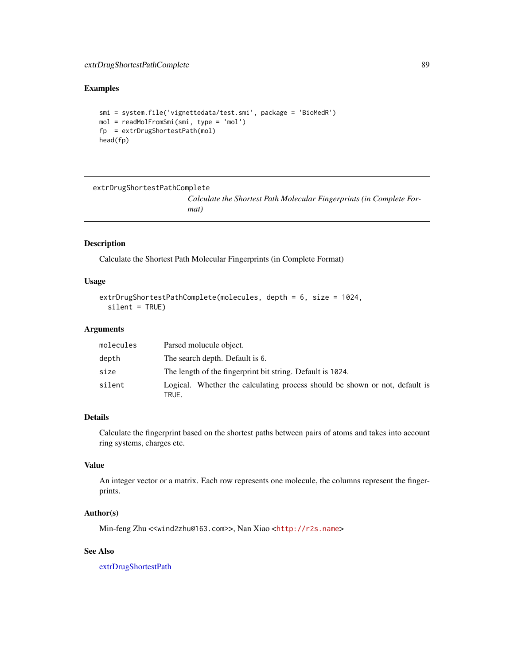```
smi = system.file('vignettedata/test.smi', package = 'BioMedR')
mol = readMolFromSmi(smi, type = 'mol')
fp = extrDrugShortestPath(mol)
head(fp)
```

```
extrDrugShortestPathComplete
```
*Calculate the Shortest Path Molecular Fingerprints (in Complete Format)*

## Description

Calculate the Shortest Path Molecular Fingerprints (in Complete Format)

## Usage

```
extrDrugShortestPathComplete(molecules, depth = 6, size = 1024,
  silent = TRUE)
```
#### Arguments

| molecules | Parsed molucule object.                                                              |
|-----------|--------------------------------------------------------------------------------------|
| depth     | The search depth. Default is 6.                                                      |
| size      | The length of the fingerprint bit string. Default is 1024.                           |
| silent    | Logical. Whether the calculating process should be shown or not, default is<br>TRUE. |

# Details

Calculate the fingerprint based on the shortest paths between pairs of atoms and takes into account ring systems, charges etc.

## Value

An integer vector or a matrix. Each row represents one molecule, the columns represent the fingerprints.

# Author(s)

Min-feng Zhu <<wind2zhu@163.com>>, Nan Xiao <<http://r2s.name>>

# See Also

[extrDrugShortestPath](#page-87-0)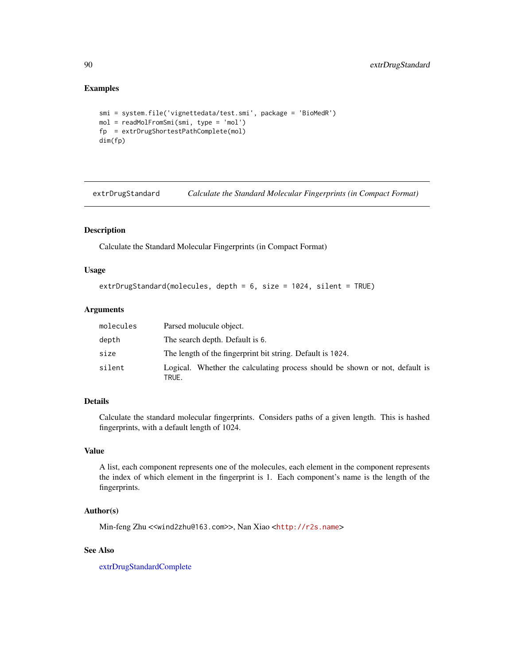```
smi = system.file('vignettedata/test.smi', package = 'BioMedR')
mol = readMolFromSmi(smi, type = 'mol')
fp = extrDrugShortestPathComplete(mol)
dim(fp)
```
<span id="page-89-0"></span>extrDrugStandard *Calculate the Standard Molecular Fingerprints (in Compact Format)*

# Description

Calculate the Standard Molecular Fingerprints (in Compact Format)

#### Usage

```
extrDrugStandard(molecules, depth = 6, size = 1024, silent = TRUE)
```
# Arguments

| molecules | Parsed molucule object.                                                              |
|-----------|--------------------------------------------------------------------------------------|
| depth     | The search depth. Default is 6.                                                      |
| size      | The length of the fingerprint bit string. Default is 1024.                           |
| silent    | Logical. Whether the calculating process should be shown or not, default is<br>TRUE. |

# Details

Calculate the standard molecular fingerprints. Considers paths of a given length. This is hashed fingerprints, with a default length of 1024.

# Value

A list, each component represents one of the molecules, each element in the component represents the index of which element in the fingerprint is 1. Each component's name is the length of the fingerprints.

## Author(s)

Min-feng Zhu <<wind2zhu@163.com>>, Nan Xiao <<http://r2s.name>>

# See Also

[extrDrugStandardComplete](#page-90-0)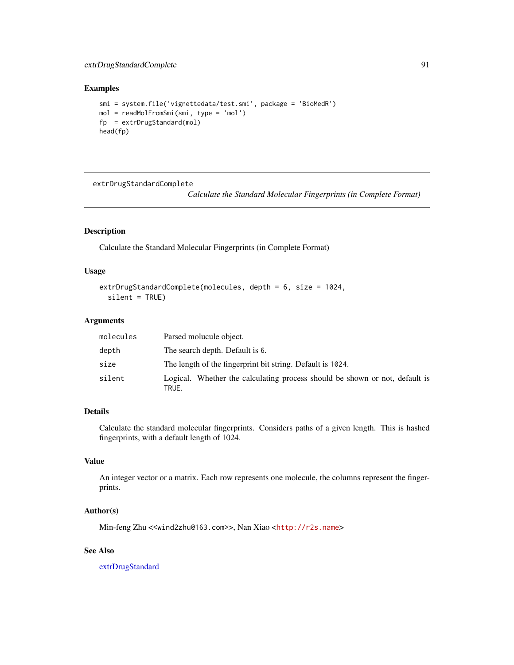# extrDrugStandardComplete 91

# Examples

```
smi = system.file('vignettedata/test.smi', package = 'BioMedR')
mol = readMolFromSmi(smi, type = 'mol')
fp = extrDrugStandard(mol)
head(fp)
```
<span id="page-90-0"></span>extrDrugStandardComplete

*Calculate the Standard Molecular Fingerprints (in Complete Format)*

# Description

Calculate the Standard Molecular Fingerprints (in Complete Format)

#### Usage

```
extrDrugStandardComplete(molecules, depth = 6, size = 1024,
  silent = TRUE)
```
### Arguments

| molecules | Parsed molucule object.                                                              |
|-----------|--------------------------------------------------------------------------------------|
| depth     | The search depth. Default is 6.                                                      |
| size      | The length of the fingerprint bit string. Default is 1024.                           |
| silent    | Logical. Whether the calculating process should be shown or not, default is<br>TRUE. |

# Details

Calculate the standard molecular fingerprints. Considers paths of a given length. This is hashed fingerprints, with a default length of 1024.

## Value

An integer vector or a matrix. Each row represents one molecule, the columns represent the fingerprints.

#### Author(s)

Min-feng Zhu <<wind2zhu@163.com>>, Nan Xiao <<http://r2s.name>>

# See Also

[extrDrugStandard](#page-89-0)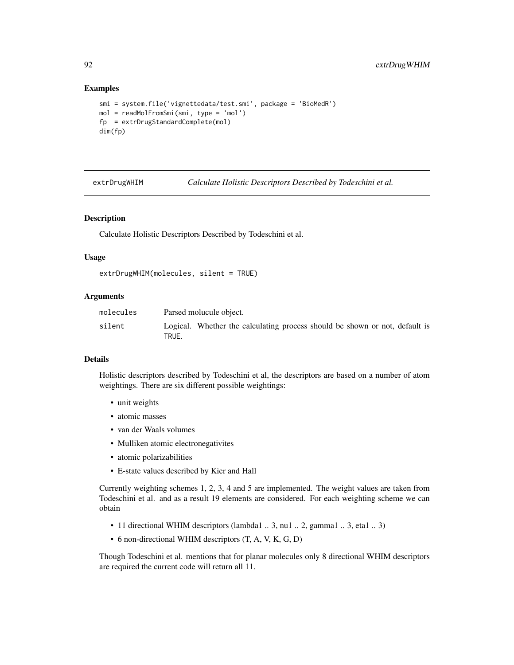```
smi = system.file('vignettedata/test.smi', package = 'BioMedR')
mol = readMolFromSmi(smi, type = 'mol')
fp = extrDrugStandardComplete(mol)
dim(fp)
```
extrDrugWHIM *Calculate Holistic Descriptors Described by Todeschini et al.*

# **Description**

Calculate Holistic Descriptors Described by Todeschini et al.

## Usage

```
extrDrugWHIM(molecules, silent = TRUE)
```
## Arguments

| molecules | Parsed molucule object.                                                              |
|-----------|--------------------------------------------------------------------------------------|
| silent    | Logical. Whether the calculating process should be shown or not, default is<br>TRUE. |

## Details

Holistic descriptors described by Todeschini et al, the descriptors are based on a number of atom weightings. There are six different possible weightings:

- unit weights
- atomic masses
- van der Waals volumes
- Mulliken atomic electronegativites
- atomic polarizabilities
- E-state values described by Kier and Hall

Currently weighting schemes 1, 2, 3, 4 and 5 are implemented. The weight values are taken from Todeschini et al. and as a result 19 elements are considered. For each weighting scheme we can obtain

- 11 directional WHIM descriptors (lambda1 .. 3, nu1 .. 2, gamma1 .. 3, eta1 .. 3)
- 6 non-directional WHIM descriptors (T, A, V, K, G, D)

Though Todeschini et al. mentions that for planar molecules only 8 directional WHIM descriptors are required the current code will return all 11.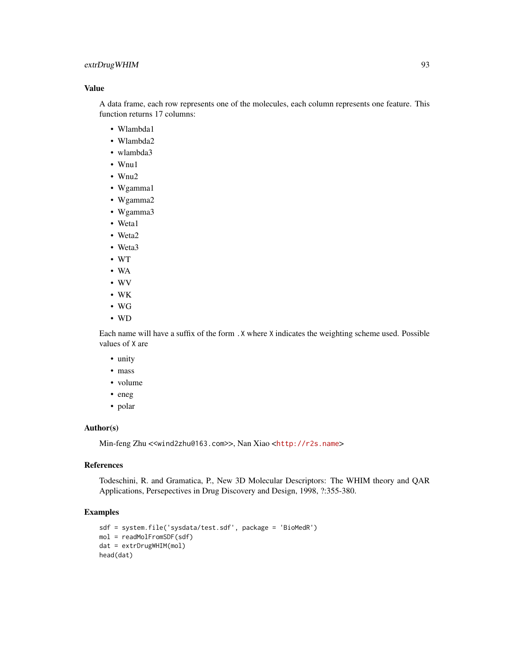# extrDrugWHIM 93

## Value

A data frame, each row represents one of the molecules, each column represents one feature. This function returns 17 columns:

- Wlambda1
- Wlambda2
- wlambda3
- Wnu1
- Wnu2
- Wgamma1
- Wgamma2
- Wgamma3
- Weta1
- Weta2
- Weta3
- WT
- WA
- WV
- WK
- WG
- WD

Each name will have a suffix of the form .X where X indicates the weighting scheme used. Possible values of X are

- unity
- mass
- volume
- eneg
- polar

## Author(s)

Min-feng Zhu <<wind2zhu@163.com>>, Nan Xiao <<http://r2s.name>>

## References

Todeschini, R. and Gramatica, P., New 3D Molecular Descriptors: The WHIM theory and QAR Applications, Persepectives in Drug Discovery and Design, 1998, ?:355-380.

# Examples

```
sdf = system.file('sysdata/test.sdf', package = 'BioMedR')
mol = readMolFromSDF(sdf)
dat = extrDrugWHIM(mol)
head(dat)
```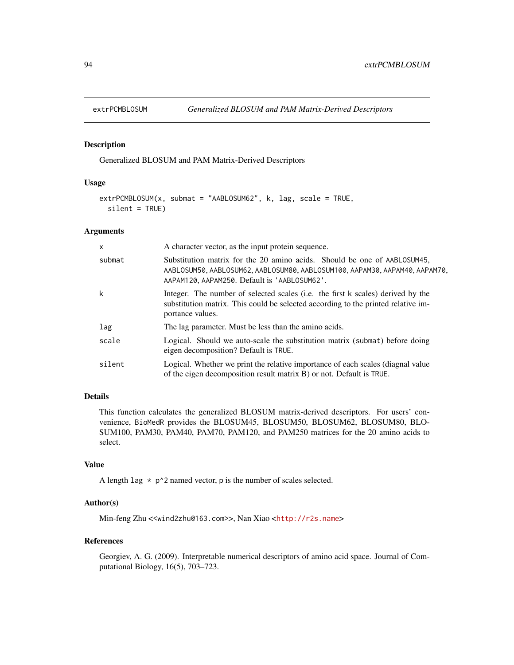# Description

Generalized BLOSUM and PAM Matrix-Derived Descriptors

# Usage

```
extrPCMBLOSUM(x, submat = "AABLOSUM62", k, lag, scale = TRUE,
  silent = TRUE)
```
## Arguments

| $\mathsf{x}$ | A character vector, as the input protein sequence.                                                                                                                                                      |  |  |
|--------------|---------------------------------------------------------------------------------------------------------------------------------------------------------------------------------------------------------|--|--|
| submat       | Substitution matrix for the 20 amino acids. Should be one of AABLOSUM45,<br>AABLOSUM50, AABLOSUM62, AABLOSUM80, AABLOSUM100, AAPAM30, AAPAM40, AAPAM70,<br>AAPAM120, AAPAM250. Default is 'AABLOSUM62'. |  |  |
| k            | Integer. The number of selected scales (i.e. the first k scales) derived by the<br>substitution matrix. This could be selected according to the printed relative im-<br>portance values.                |  |  |
| lag          | The lag parameter. Must be less than the amino acids.                                                                                                                                                   |  |  |
| scale        | Logical. Should we auto-scale the substitution matrix (submat) before doing<br>eigen decomposition? Default is TRUE.                                                                                    |  |  |
| silent       | Logical. Whether we print the relative importance of each scales (diagnal value<br>of the eigen decomposition result matrix B) or not. Default is TRUE.                                                 |  |  |

# Details

This function calculates the generalized BLOSUM matrix-derived descriptors. For users' convenience, BioMedR provides the BLOSUM45, BLOSUM50, BLOSUM62, BLOSUM80, BLO-SUM100, PAM30, PAM40, PAM70, PAM120, and PAM250 matrices for the 20 amino acids to select.

# Value

A length  $\text{lag } * \text{ p'}2$  named vector, p is the number of scales selected.

# Author(s)

Min-feng Zhu <<wind2zhu@163.com>>, Nan Xiao <<http://r2s.name>>

## References

Georgiev, A. G. (2009). Interpretable numerical descriptors of amino acid space. Journal of Computational Biology, 16(5), 703–723.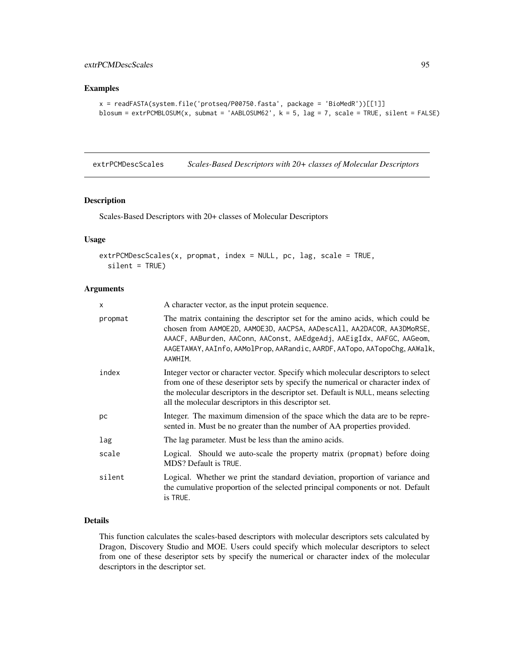# extrPCMDescScales 95

## Examples

```
x = readFASTA(system.file('protseq/P00750.fasta', package = 'BioMedR'))[[1]]
blosum = extrPCMBLOSUM(x, submat = 'AABLOSUM62', k = 5, lag = 7, scale = TRUE, silent = FALSE)
```
<span id="page-94-0"></span>extrPCMDescScales *Scales-Based Descriptors with 20+ classes of Molecular Descriptors*

## Description

Scales-Based Descriptors with 20+ classes of Molecular Descriptors

# Usage

```
extrPCMDescScales(x, propmat, index = NULL, pc, lag, scale = TRUE,
  silent = TRUE)
```
## Arguments

| X       | A character vector, as the input protein sequence.                                                                                                                                                                                                                                                                     |  |  |  |  |
|---------|------------------------------------------------------------------------------------------------------------------------------------------------------------------------------------------------------------------------------------------------------------------------------------------------------------------------|--|--|--|--|
| propmat | The matrix containing the descriptor set for the amino acids, which could be<br>chosen from AAMOE2D, AAMOE3D, AACPSA, AADescAll, AA2DACOR, AA3DMoRSE,<br>AAACF, AABurden, AAConn, AAConst, AAEdgeAdj, AAEigIdx, AAFGC, AAGeom,<br>AAGETAWAY, AAInfo, AAMolProp, AARandic, AARDF, AATopo, AATopoChg, AAWalk,<br>AAWHIM. |  |  |  |  |
| index   | Integer vector or character vector. Specify which molecular descriptors to select<br>from one of these deseriptor sets by specify the numerical or character index of<br>the molecular descriptors in the descriptor set. Default is NULL, means selecting<br>all the molecular descriptors in this descriptor set.    |  |  |  |  |
| pc      | Integer. The maximum dimension of the space which the data are to be repre-<br>sented in. Must be no greater than the number of AA properties provided.                                                                                                                                                                |  |  |  |  |
| lag     | The lag parameter. Must be less than the amino acids.                                                                                                                                                                                                                                                                  |  |  |  |  |
| scale   | Logical. Should we auto-scale the property matrix (propmat) before doing<br>MDS? Default is TRUE.                                                                                                                                                                                                                      |  |  |  |  |
| silent  | Logical. Whether we print the standard deviation, proportion of variance and<br>the cumulative proportion of the selected principal components or not. Default<br>is TRUE.                                                                                                                                             |  |  |  |  |

#### Details

This function calculates the scales-based descriptors with molecular descriptors sets calculated by Dragon, Discovery Studio and MOE. Users could specify which molecular descriptors to select from one of these deseriptor sets by specify the numerical or character index of the molecular descriptors in the descriptor set.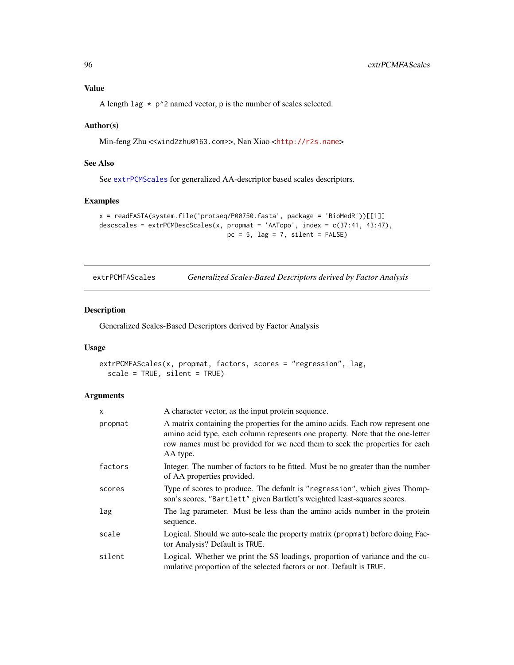# Value

A length lag  $\star$  p<sup> $\circ$ </sup>2 named vector, p is the number of scales selected.

## Author(s)

Min-feng Zhu <<wind2zhu@163.com>>, Nan Xiao <<http://r2s.name>>

# See Also

See [extrPCMScales](#page-100-0) for generalized AA-descriptor based scales descriptors.

# Examples

```
x = readFASTA(system.file('protseq/P00750.fasta', package = 'BioMedR'))[[1]]
descscales = extrPCMDescScales(x, propmat = 'AATopo', index = c(37:41, 43:47),
                                  pc = 5, lag = 7, silent = FALSE)
```
extrPCMFAScales *Generalized Scales-Based Descriptors derived by Factor Analysis*

# Description

Generalized Scales-Based Descriptors derived by Factor Analysis

#### Usage

```
extrPCMFAScales(x, propmat, factors, scores = "regression", lag,
  scale = TRUE, silent = TRUE)
```
# Arguments

| $\mathsf{x}$ | A character vector, as the input protein sequence.                                                                                                                                                                                                          |
|--------------|-------------------------------------------------------------------------------------------------------------------------------------------------------------------------------------------------------------------------------------------------------------|
| propmat      | A matrix containing the properties for the amino acids. Each row represent one<br>amino acid type, each column represents one property. Note that the one-letter<br>row names must be provided for we need them to seek the properties for each<br>AA type. |
| factors      | Integer. The number of factors to be fitted. Must be no greater than the number<br>of AA properties provided.                                                                                                                                               |
| scores       | Type of scores to produce. The default is "regression", which gives Thomp-<br>son's scores, "Bartlett" given Bartlett's weighted least-squares scores.                                                                                                      |
| lag          | The lag parameter. Must be less than the amino acids number in the protein<br>sequence.                                                                                                                                                                     |
| scale        | Logical. Should we auto-scale the property matrix (propmat) before doing Fac-<br>tor Analysis? Default is TRUE.                                                                                                                                             |
| silent       | Logical. Whether we print the SS loadings, proportion of variance and the cu-<br>mulative proportion of the selected factors or not. Default is TRUE.                                                                                                       |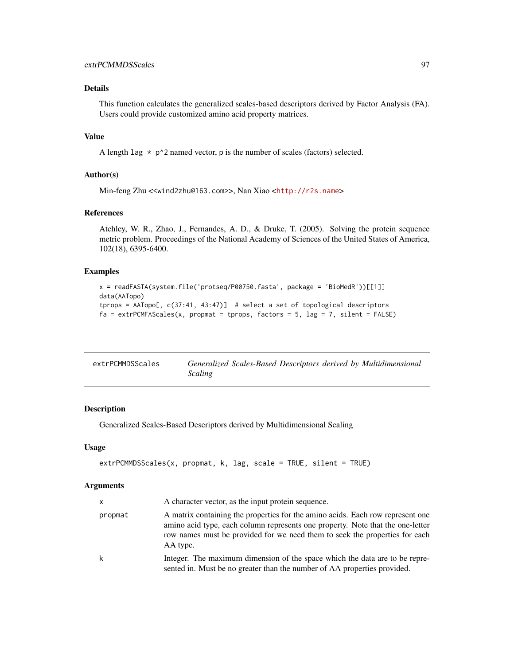# Details

This function calculates the generalized scales-based descriptors derived by Factor Analysis (FA). Users could provide customized amino acid property matrices.

# Value

A length lag  $*$  p^2 named vector, p is the number of scales (factors) selected.

## Author(s)

Min-feng Zhu <<wind2zhu@163.com>>, Nan Xiao <<http://r2s.name>>

# References

Atchley, W. R., Zhao, J., Fernandes, A. D., & Druke, T. (2005). Solving the protein sequence metric problem. Proceedings of the National Academy of Sciences of the United States of America, 102(18), 6395-6400.

# Examples

```
x = readFASTA(system.file('protseq/P00750.fasta', package = 'BioMedR'))[[1]]
data(AATopo)
tprops = AATopo[, c(37:41, 43:47)] # select a set of topological descriptors
fa = \text{extrPCMFAScales}(x, \text{prompt} = \text{tprops}, \text{ factors} = 5, \text{lag} = 7, \text{ silent} = \text{FALSE})
```

| extrPCMMDSScales | Generalized Scales-Based Descriptors derived by Multidimensional |
|------------------|------------------------------------------------------------------|
|                  | <i>Scaling</i>                                                   |

## Description

Generalized Scales-Based Descriptors derived by Multidimensional Scaling

## Usage

```
extrPCMMDSScales(x, propmat, k, lag, scale = TRUE, silent = TRUE)
```
#### Arguments

| <b>X</b> | A character vector, as the input protein sequence.                                                                                                                                                                                                          |
|----------|-------------------------------------------------------------------------------------------------------------------------------------------------------------------------------------------------------------------------------------------------------------|
| propmat  | A matrix containing the properties for the amino acids. Each row represent one<br>amino acid type, each column represents one property. Note that the one-letter<br>row names must be provided for we need them to seek the properties for each<br>AA type. |
| k        | Integer. The maximum dimension of the space which the data are to be repre-<br>sented in. Must be no greater than the number of AA properties provided.                                                                                                     |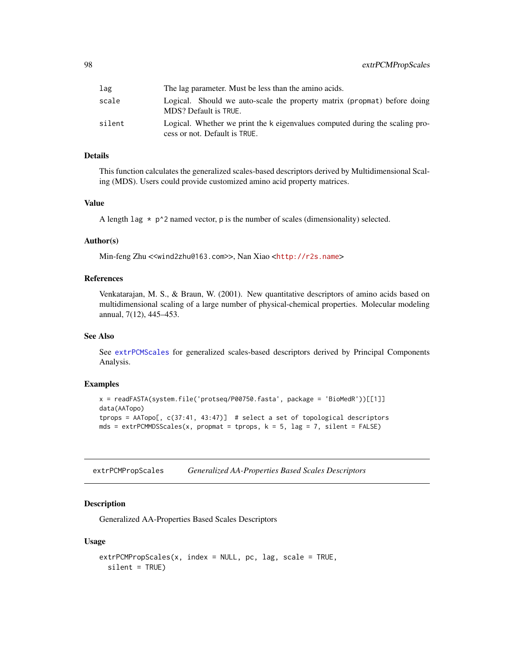| lag    | The lag parameter. Must be less than the amino acids.                                                         |  |  |  |
|--------|---------------------------------------------------------------------------------------------------------------|--|--|--|
| scale  | Logical. Should we auto-scale the property matrix (propmat) before doing<br>MDS? Default is TRUE.             |  |  |  |
| silent | Logical. Whether we print the k eigenvalues computed during the scaling pro-<br>cess or not. Default is TRUE. |  |  |  |

## Details

This function calculates the generalized scales-based descriptors derived by Multidimensional Scaling (MDS). Users could provide customized amino acid property matrices.

# Value

A length lag  $*$  p<sup> $\lambda$ </sup> named vector, p is the number of scales (dimensionality) selected.

## Author(s)

Min-feng Zhu <<wind2zhu@163.com>>, Nan Xiao <<http://r2s.name>>

## References

Venkatarajan, M. S., & Braun, W. (2001). New quantitative descriptors of amino acids based on multidimensional scaling of a large number of physical-chemical properties. Molecular modeling annual, 7(12), 445–453.

### See Also

See [extrPCMScales](#page-100-0) for generalized scales-based descriptors derived by Principal Components Analysis.

## Examples

```
x = readFASTA(system.file('protseq/P00750.fasta', package = 'BioMedR'))[[1]]
data(AATopo)
tprops = AATopo[, c(37:41, 43:47)] # select a set of topological descriptors
mds = ext{PCMMDSScales(x, prompt = trprops, k = 5, lag = 7, silent = FALSE)}
```
<span id="page-97-0"></span>extrPCMPropScales *Generalized AA-Properties Based Scales Descriptors*

# Description

Generalized AA-Properties Based Scales Descriptors

#### Usage

```
extrPCMPropScales(x, index = NULL, pc, lag, scale = TRUE,
  silent = TRUE)
```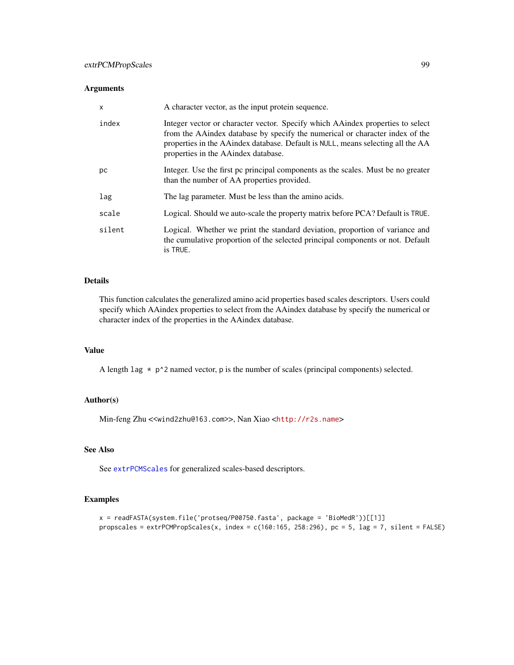# Arguments

| $\mathsf{x}$ | A character vector, as the input protein sequence.                                                                                                                                                                                                                                          |  |  |  |
|--------------|---------------------------------------------------------------------------------------------------------------------------------------------------------------------------------------------------------------------------------------------------------------------------------------------|--|--|--|
| index        | Integer vector or character vector. Specify which AA index properties to select<br>from the AA index database by specify the numerical or character index of the<br>properties in the AAindex database. Default is NULL, means selecting all the AA<br>properties in the AA index database. |  |  |  |
| pc           | Integer. Use the first pc principal components as the scales. Must be no greater<br>than the number of AA properties provided.                                                                                                                                                              |  |  |  |
| lag          | The lag parameter. Must be less than the amino acids.                                                                                                                                                                                                                                       |  |  |  |
| scale        | Logical. Should we auto-scale the property matrix before PCA? Default is TRUE.                                                                                                                                                                                                              |  |  |  |
| silent       | Logical. Whether we print the standard deviation, proportion of variance and<br>the cumulative proportion of the selected principal components or not. Default<br>is TRUE.                                                                                                                  |  |  |  |

# Details

This function calculates the generalized amino acid properties based scales descriptors. Users could specify which AAindex properties to select from the AAindex database by specify the numerical or character index of the properties in the AAindex database.

# Value

A length  $\text{lag } \star \text{ p'}$ 2 named vector, p is the number of scales (principal components) selected.

## Author(s)

Min-feng Zhu <<wind2zhu@163.com>>, Nan Xiao <<http://r2s.name>>

# See Also

See [extrPCMScales](#page-100-0) for generalized scales-based descriptors.

# Examples

```
x = readFASTA(system.file('protseq/P00750.fasta', package = 'BioMedR'))[[1]]
propscales = extrPCMPropScales(x, index = c(160:165, 258:296), pc = 5, lag = 7, silent = FALSE)
```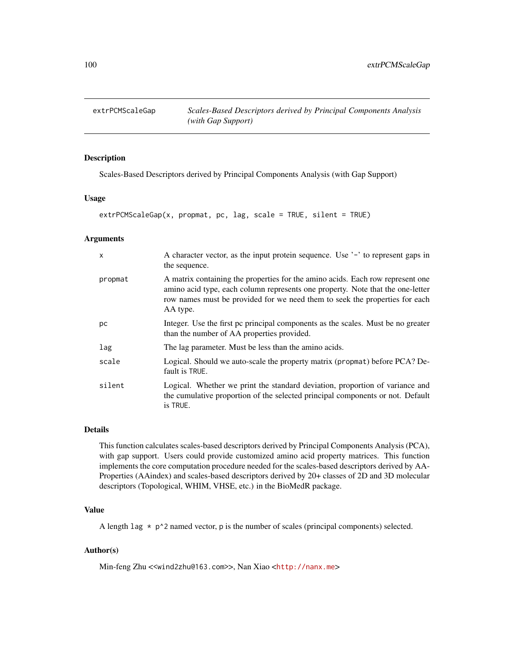# Description

Scales-Based Descriptors derived by Principal Components Analysis (with Gap Support)

# Usage

```
extrPCMScaleGap(x, prompt, pc, lag, scale = TRUE, silent = TRUE)
```
#### Arguments

| $\mathsf{x}$ | A character vector, as the input protein sequence. Use '-' to represent gaps in<br>the sequence.                                                                                                                                                            |
|--------------|-------------------------------------------------------------------------------------------------------------------------------------------------------------------------------------------------------------------------------------------------------------|
| propmat      | A matrix containing the properties for the amino acids. Each row represent one<br>amino acid type, each column represents one property. Note that the one-letter<br>row names must be provided for we need them to seek the properties for each<br>AA type. |
| рc           | Integer. Use the first pc principal components as the scales. Must be no greater<br>than the number of AA properties provided.                                                                                                                              |
| lag          | The lag parameter. Must be less than the amino acids.                                                                                                                                                                                                       |
| scale        | Logical. Should we auto-scale the property matrix (propmat) before PCA? De-<br>fault is TRUE.                                                                                                                                                               |
| silent       | Logical. Whether we print the standard deviation, proportion of variance and<br>the cumulative proportion of the selected principal components or not. Default<br>is TRUE.                                                                                  |

# Details

This function calculates scales-based descriptors derived by Principal Components Analysis (PCA), with gap support. Users could provide customized amino acid property matrices. This function implements the core computation procedure needed for the scales-based descriptors derived by AA-Properties (AAindex) and scales-based descriptors derived by 20+ classes of 2D and 3D molecular descriptors (Topological, WHIM, VHSE, etc.) in the BioMedR package.

#### Value

A length lag  $*$  p^2 named vector, p is the number of scales (principal components) selected.

# Author(s)

Min-feng Zhu <<wind2zhu@163.com>>, Nan Xiao <<http://nanx.me>>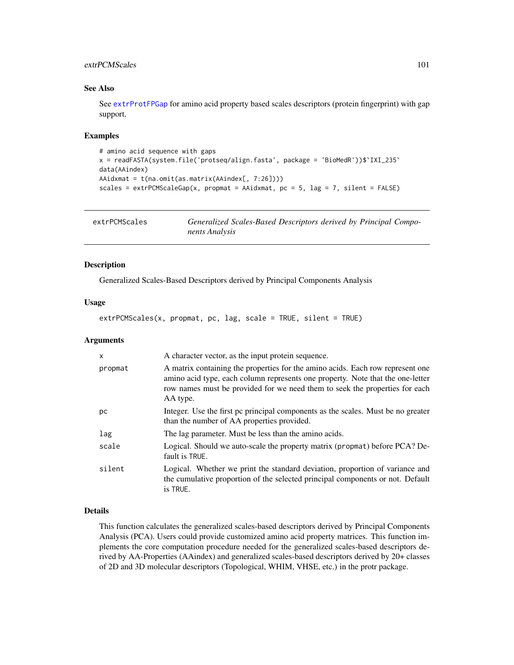# extrPCMScales 101

# See Also

See [extrProtFPGap](#page-115-0) for amino acid property based scales descriptors (protein fingerprint) with gap support.

#### Examples

```
# amino acid sequence with gaps
x = readFASTA(system.file('protseq/align.fasta', package = 'BioMedR'))$`IXI_235`
data(AAindex)
AAidxmat = t(na.omit(as.matrix(AAindex[, 7:26])))
scales = extrPCMScaleGap(x, propmat = AAidxmat, pc = 5, lag = 7, silent = FALSE)
```
<span id="page-100-0"></span>extrPCMScales *Generalized Scales-Based Descriptors derived by Principal Components Analysis*

#### Description

Generalized Scales-Based Descriptors derived by Principal Components Analysis

#### Usage

extrPCMScales(x, propmat, pc, lag, scale = TRUE, silent = TRUE)

#### **Arguments**

| X       | A character vector, as the input protein sequence.                                                                                                                                                                                                          |
|---------|-------------------------------------------------------------------------------------------------------------------------------------------------------------------------------------------------------------------------------------------------------------|
| propmat | A matrix containing the properties for the amino acids. Each row represent one<br>amino acid type, each column represents one property. Note that the one-letter<br>row names must be provided for we need them to seek the properties for each<br>AA type. |
| рc      | Integer. Use the first pc principal components as the scales. Must be no greater<br>than the number of AA properties provided.                                                                                                                              |
| lag     | The lag parameter. Must be less than the amino acids.                                                                                                                                                                                                       |
| scale   | Logical. Should we auto-scale the property matrix (propmat) before PCA? De-<br>fault is TRUE.                                                                                                                                                               |
| silent  | Logical. Whether we print the standard deviation, proportion of variance and<br>the cumulative proportion of the selected principal components or not. Default<br>is TRUE.                                                                                  |

#### Details

This function calculates the generalized scales-based descriptors derived by Principal Components Analysis (PCA). Users could provide customized amino acid property matrices. This function implements the core computation procedure needed for the generalized scales-based descriptors derived by AA-Properties (AAindex) and generalized scales-based descriptors derived by 20+ classes of 2D and 3D molecular descriptors (Topological, WHIM, VHSE, etc.) in the protr package.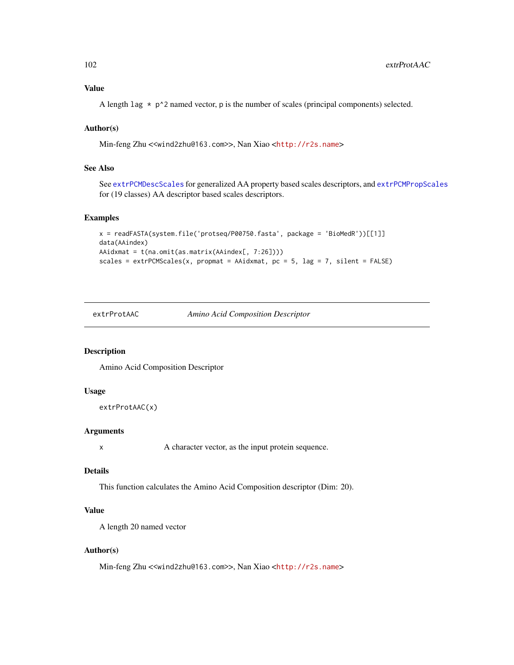Value

A length lag  $\star$  p^2 named vector, p is the number of scales (principal components) selected.

# Author(s)

Min-feng Zhu <<wind2zhu@163.com>>, Nan Xiao <<http://r2s.name>>

# See Also

See [extrPCMDescScales](#page-94-0) for generalized AA property based scales descriptors, and [extrPCMPropScales](#page-97-0) for (19 classes) AA descriptor based scales descriptors.

# Examples

```
x = readFASTA(system.file('protseq/P00750.fasta', package = 'BioMedR'))[[1]]
data(AAindex)
AAidxmat = t(na.omit(as.matrix(AAindex[, 7:26])))
scales = ext{PCMScales(x, prompt = AAidxmat, pc = 5, lag = 7, silent = FALSE)}
```
extrProtAAC *Amino Acid Composition Descriptor*

# Description

Amino Acid Composition Descriptor

## Usage

```
extrProtAAC(x)
```
#### Arguments

x A character vector, as the input protein sequence.

## Details

This function calculates the Amino Acid Composition descriptor (Dim: 20).

# Value

A length 20 named vector

## Author(s)

Min-feng Zhu <<wind2zhu@163.com>>, Nan Xiao <<http://r2s.name>>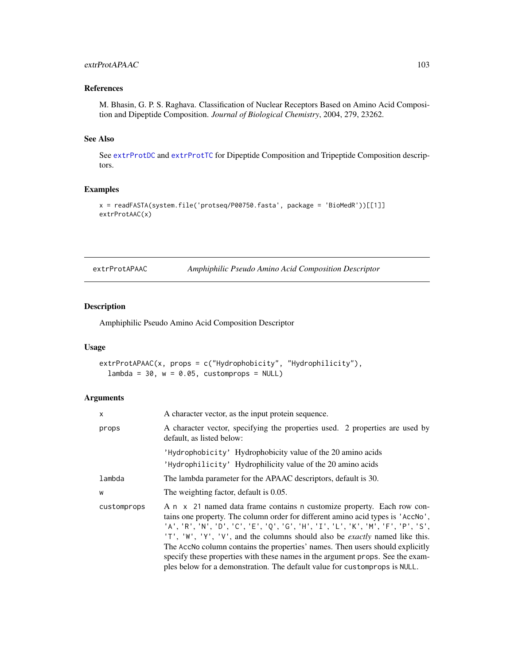# extrProtAPAAC 103

# References

M. Bhasin, G. P. S. Raghava. Classification of Nuclear Receptors Based on Amino Acid Composition and Dipeptide Composition. *Journal of Biological Chemistry*, 2004, 279, 23262.

## See Also

See [extrProtDC](#page-114-0) and [extrProtTC](#page-131-0) for Dipeptide Composition and Tripeptide Composition descriptors.

# Examples

```
x = readFASTA(system.file('protseq/P00750.fasta', package = 'BioMedR'))[[1]]
extrProtAAC(x)
```
extrProtAPAAC *Amphiphilic Pseudo Amino Acid Composition Descriptor*

# Description

Amphiphilic Pseudo Amino Acid Composition Descriptor

#### Usage

```
extrProtAPAAC(x, props = c("Hydrophobicity", "Hydrophilicity"),
  lambda = 30, w = 0.05, customprops = NULL)
```
# Arguments

| X           | A character vector, as the input protein sequence.                                                                                                                                                                                                                                                                                                                                                                                                                                                                                                                                  |  |  |  |
|-------------|-------------------------------------------------------------------------------------------------------------------------------------------------------------------------------------------------------------------------------------------------------------------------------------------------------------------------------------------------------------------------------------------------------------------------------------------------------------------------------------------------------------------------------------------------------------------------------------|--|--|--|
| props       | A character vector, specifying the properties used. 2 properties are used by<br>default, as listed below:                                                                                                                                                                                                                                                                                                                                                                                                                                                                           |  |  |  |
|             | 'Hydrophobicity' Hydrophobicity value of the 20 amino acids<br>'Hydrophilicity' Hydrophilicity value of the 20 amino acids                                                                                                                                                                                                                                                                                                                                                                                                                                                          |  |  |  |
| lambda      | The lambda parameter for the APAAC descriptors, default is 30.                                                                                                                                                                                                                                                                                                                                                                                                                                                                                                                      |  |  |  |
| W           | The weighting factor, default is 0.05.                                                                                                                                                                                                                                                                                                                                                                                                                                                                                                                                              |  |  |  |
| customprops | A n x 21 named data frame contains n customize property. Each row con-<br>tains one property. The column order for different amino acid types is 'AccNo',<br>'A', 'R', 'N', 'D', 'C', 'E', 'Q', 'G', 'H', 'I', 'L', 'K', 'M', 'F', 'P', 'S',<br>'T', 'W', 'Y', 'V', and the columns should also be <i>exactly</i> named like this.<br>The AccNo column contains the properties' names. Then users should explicitly<br>specify these properties with these names in the argument props. See the exam-<br>ples below for a demonstration. The default value for customprops is NULL. |  |  |  |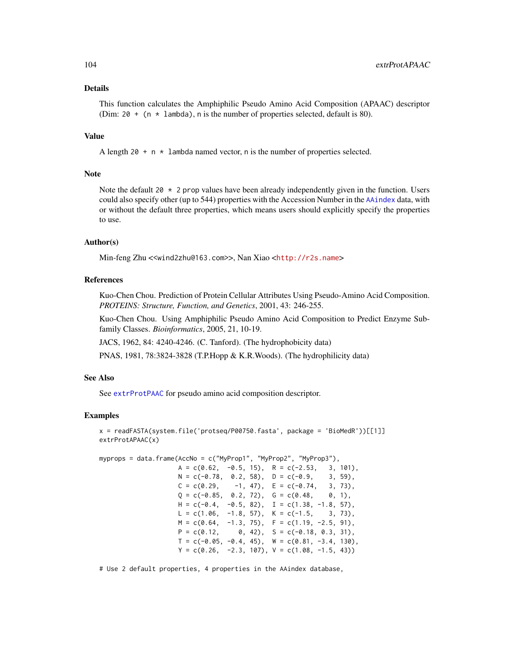## Details

This function calculates the Amphiphilic Pseudo Amino Acid Composition (APAAC) descriptor (Dim: 20 + (n  $\star$  lambda), n is the number of properties selected, default is 80).

## Value

A length  $20 + n \times 1$  ambda named vector, n is the number of properties selected.

#### Note

Note the default 20  $\star$  2 prop values have been already independently given in the function. Users could also specify other (up to 544) properties with the Accession Number in the [AAindex](#page-14-0) data, with or without the default three properties, which means users should explicitly specify the properties to use.

### Author(s)

Min-feng Zhu <<wind2zhu@163.com>>, Nan Xiao <<http://r2s.name>>

## References

Kuo-Chen Chou. Prediction of Protein Cellular Attributes Using Pseudo-Amino Acid Composition. *PROTEINS: Structure, Function, and Genetics*, 2001, 43: 246-255.

Kuo-Chen Chou. Using Amphiphilic Pseudo Amino Acid Composition to Predict Enzyme Subfamily Classes. *Bioinformatics*, 2005, 21, 10-19.

JACS, 1962, 84: 4240-4246. (C. Tanford). (The hydrophobicity data)

PNAS, 1981, 78:3824-3828 (T.P.Hopp & K.R.Woods). (The hydrophilicity data)

### See Also

See [extrProtPAAC](#page-122-0) for pseudo amino acid composition descriptor.

# Examples

```
x = readFASTA(system.file('protseq/P00750.fasta', package = 'BioMedR'))[[1]]
extrProtAPAAC(x)
```
myprops = data.frame(AccNo = c("MyProp1", "MyProp2", "MyProp3"),

| $A = C(0.62,$                       | $-0.5$ , 15), R = c(-2.53,                        | 3, 101),  |
|-------------------------------------|---------------------------------------------------|-----------|
|                                     | $N = c(-0.78, 0.2, 58), D = c(-0.9,$              | $3, 59$ , |
| $C = c(0.29, -1, 47), E = c(-0.74,$ |                                                   | $3, 73$ , |
|                                     | $Q = c(-0.85, 0.2, 72), G = c(0.48,$              | 0, 1),    |
| $H = c(-0.4,$                       | $-0.5, 82$ , I = c(1.38, -1.8, 57),               |           |
|                                     | $L = c(1.06, -1.8, 57), K = c(-1.5, 3, 73),$      |           |
|                                     | $M = c(0.64, -1.3, 75), F = c(1.19, -2.5, 91),$   |           |
|                                     | $P = c(0.12, 0, 42), S = c(-0.18, 0.3, 31),$      |           |
|                                     | $T = c(-0.05, -0.4, 45), W = c(0.81, -3.4, 130),$ |           |
|                                     | $Y = c(0.26, -2.3, 107), V = c(1.08, -1.5, 43))$  |           |

# Use 2 default properties, 4 properties in the AAindex database,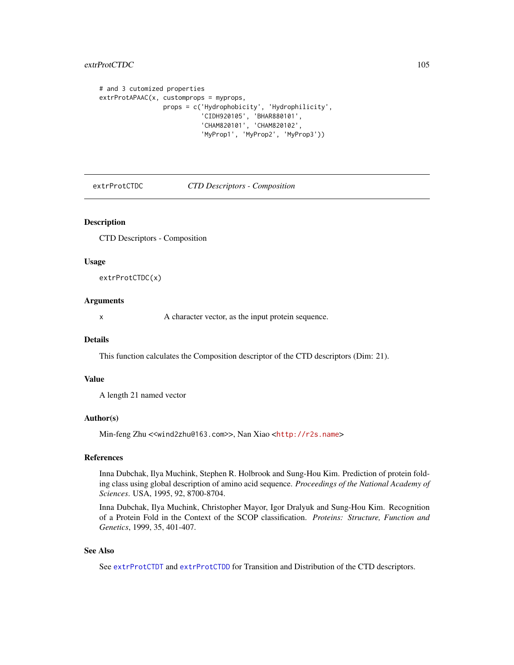# extrProtCTDC 105

```
# and 3 cutomized properties
extrProtAPAAC(x, customprops = myprops,
                 props = c('Hydrophobicity', 'Hydrophilicity',
                            'CIDH920105', 'BHAR880101',
                            'CHAM820101', 'CHAM820102',
                           'MyProp1', 'MyProp2', 'MyProp3'))
```
<span id="page-104-0"></span>extrProtCTDC *CTD Descriptors - Composition*

# Description

CTD Descriptors - Composition

#### Usage

extrProtCTDC(x)

#### Arguments

x A character vector, as the input protein sequence.

# **Details**

This function calculates the Composition descriptor of the CTD descriptors (Dim: 21).

# Value

A length 21 named vector

#### Author(s)

Min-feng Zhu <<wind2zhu@163.com>>, Nan Xiao <<http://r2s.name>>

# References

Inna Dubchak, Ilya Muchink, Stephen R. Holbrook and Sung-Hou Kim. Prediction of protein folding class using global description of amino acid sequence. *Proceedings of the National Academy of Sciences*. USA, 1995, 92, 8700-8704.

Inna Dubchak, Ilya Muchink, Christopher Mayor, Igor Dralyuk and Sung-Hou Kim. Recognition of a Protein Fold in the Context of the SCOP classification. *Proteins: Structure, Function and Genetics*, 1999, 35, 401-407.

# See Also

See [extrProtCTDT](#page-109-0) and [extrProtCTDD](#page-106-0) for Transition and Distribution of the CTD descriptors.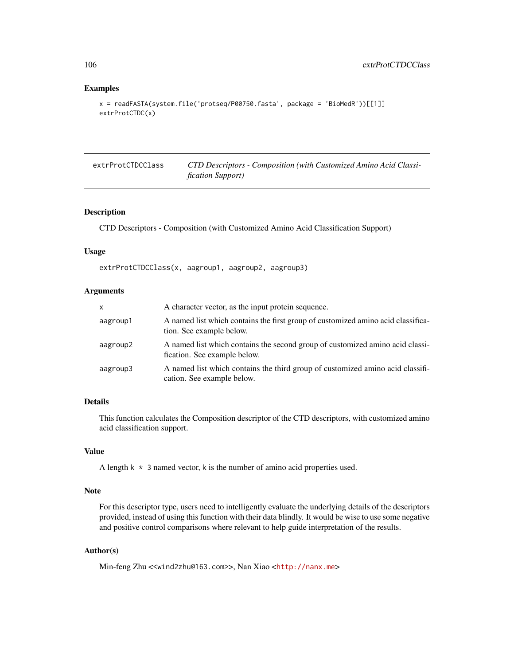```
x = readFASTA(system.file('protseq/P00750.fasta', package = 'BioMedR'))[[1]]
extrProtCTDC(x)
```
extrProtCTDCClass *CTD Descriptors - Composition (with Customized Amino Acid Classification Support)*

# Description

CTD Descriptors - Composition (with Customized Amino Acid Classification Support)

## Usage

extrProtCTDCClass(x, aagroup1, aagroup2, aagroup3)

# Arguments

| $\mathsf{x}$ | A character vector, as the input protein sequence.                                                            |
|--------------|---------------------------------------------------------------------------------------------------------------|
| aagroup1     | A named list which contains the first group of customized amino acid classifica-<br>tion. See example below.  |
| aagroup2     | A named list which contains the second group of customized amino acid classi-<br>fication. See example below. |
| aagroup3     | A named list which contains the third group of customized amino acid classifi-<br>cation. See example below.  |

# Details

This function calculates the Composition descriptor of the CTD descriptors, with customized amino acid classification support.

## Value

A length  $k \times 3$  named vector, k is the number of amino acid properties used.

#### Note

For this descriptor type, users need to intelligently evaluate the underlying details of the descriptors provided, instead of using this function with their data blindly. It would be wise to use some negative and positive control comparisons where relevant to help guide interpretation of the results.

# Author(s)

Min-feng Zhu <<wind2zhu@163.com>>, Nan Xiao <<http://nanx.me>>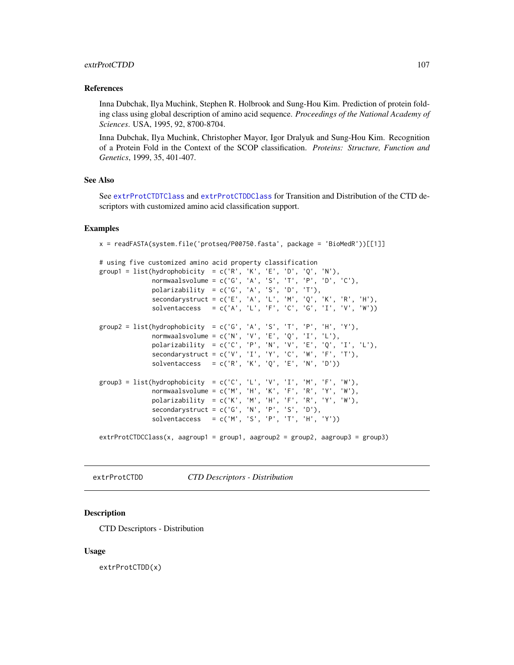## extrProtCTDD 107

#### References

Inna Dubchak, Ilya Muchink, Stephen R. Holbrook and Sung-Hou Kim. Prediction of protein folding class using global description of amino acid sequence. *Proceedings of the National Academy of Sciences*. USA, 1995, 92, 8700-8704.

Inna Dubchak, Ilya Muchink, Christopher Mayor, Igor Dralyuk and Sung-Hou Kim. Recognition of a Protein Fold in the Context of the SCOP classification. *Proteins: Structure, Function and Genetics*, 1999, 35, 401-407.

# See Also

See [extrProtCTDTClass](#page-110-0) and [extrProtCTDDClass](#page-107-0) for Transition and Distribution of the CTD descriptors with customized amino acid classification support.

## Examples

```
x = readFASTA(system.file('protseq/P00750.fasta', package = 'BiOMedR'))[[1]]
```

```
# using five customized amino acid property classification
group1 = list(hydrophobicity = c('R', 'K', 'E', 'D', 'Q', 'N'),normwaalsvolume = c('G', 'A', 'S', 'T', 'P', 'D', 'C'),
             polarizability = c('G', 'A', 'S', 'D', 'T'),secondarystruct = c('E', 'A', 'L', 'M', 'Q', 'K', 'R', 'H'),
             solventaccess = c('A', 'L', 'F', 'C', 'G', 'I', 'V', 'W'))group2 = list(hydrophobicity = c('G', 'A', 'S', 'T', 'P', 'H', 'Y'),
              normwaalsvolume = c('N', 'V', 'E', 'Q', 'I', 'L'),polarizability = c('C', 'P', 'N', 'V', 'E', 'Q', 'I', 'L'),
              secondarystruct = c('V', 'I', 'Y', 'C', 'W', 'F', 'T'),
              solventaccess = c('R', 'K', 'Q', 'E', 'N', 'D'))group3 = list(hydrophobicity = c('C', 'L', 'V', 'I', 'M', 'F', 'W'),normwaalsvolume = c('M', 'H', 'K', 'F', 'R', 'Y', 'W'),
             polarizability = c('K', 'M', 'H', 'F', 'R', 'Y', 'W'),
             secondarystruct = c('G', 'N', 'P', 'S', 'D'),solventaccess = c('M', 'S', 'P', 'T', 'H', 'Y'))extrProtCTDCClass(x, aagroup1 = group1, aagroup2 = group2, aagroup3 = group3)
```
<span id="page-106-0"></span>extrProtCTDD *CTD Descriptors - Distribution*

## **Description**

CTD Descriptors - Distribution

#### Usage

extrProtCTDD(x)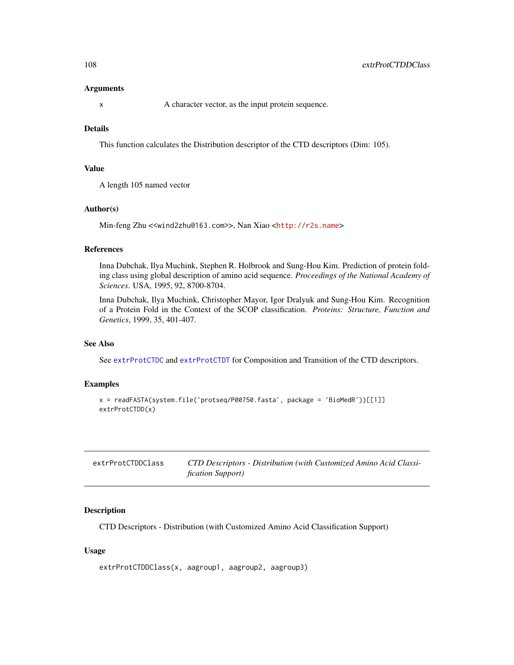#### Arguments

x A character vector, as the input protein sequence.

## Details

This function calculates the Distribution descriptor of the CTD descriptors (Dim: 105).

## Value

A length 105 named vector

#### Author(s)

Min-feng Zhu <<wind2zhu@163.com>>, Nan Xiao <<http://r2s.name>>

## References

Inna Dubchak, Ilya Muchink, Stephen R. Holbrook and Sung-Hou Kim. Prediction of protein folding class using global description of amino acid sequence. *Proceedings of the National Academy of Sciences*. USA, 1995, 92, 8700-8704.

Inna Dubchak, Ilya Muchink, Christopher Mayor, Igor Dralyuk and Sung-Hou Kim. Recognition of a Protein Fold in the Context of the SCOP classification. *Proteins: Structure, Function and Genetics*, 1999, 35, 401-407.

#### See Also

See [extrProtCTDC](#page-104-0) and [extrProtCTDT](#page-109-0) for Composition and Transition of the CTD descriptors.

# Examples

```
x = readFASTA(system.file('protseq/P00750.fasta', package = 'BioMedR'))[[1]]
extrProtCTDD(x)
```
<span id="page-107-0"></span>

| extrProtCTDDClass | CTD Descriptors - Distribution (with Customized Amino Acid Classi- |
|-------------------|--------------------------------------------------------------------|
|                   | <i>fication Support)</i>                                           |

#### Description

CTD Descriptors - Distribution (with Customized Amino Acid Classification Support)

## Usage

```
extrProtCTDDClass(x, aagroup1, aagroup2, aagroup3)
```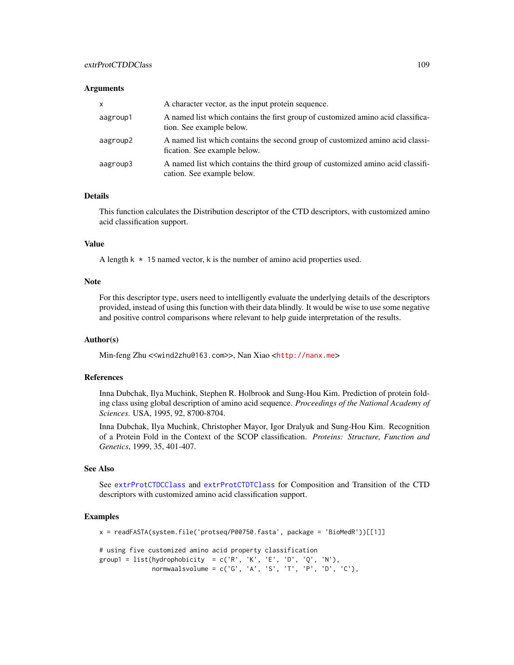#### **Arguments**

| $\mathsf{x}$ | A character vector, as the input protein sequence.                                                            |
|--------------|---------------------------------------------------------------------------------------------------------------|
| aagroup1     | A named list which contains the first group of customized amino acid classifica-<br>tion. See example below.  |
| aagroup2     | A named list which contains the second group of customized amino acid classi-<br>fication. See example below. |
| aagroup3     | A named list which contains the third group of customized amino acid classifi-<br>cation. See example below.  |

## Details

This function calculates the Distribution descriptor of the CTD descriptors, with customized amino acid classification support.

# Value

A length  $k \times 15$  named vector, k is the number of amino acid properties used.

# Note

For this descriptor type, users need to intelligently evaluate the underlying details of the descriptors provided, instead of using this function with their data blindly. It would be wise to use some negative and positive control comparisons where relevant to help guide interpretation of the results.

#### Author(s)

Min-feng Zhu <<wind2zhu@163.com>>, Nan Xiao <<http://nanx.me>>

#### References

Inna Dubchak, Ilya Muchink, Stephen R. Holbrook and Sung-Hou Kim. Prediction of protein folding class using global description of amino acid sequence. *Proceedings of the National Academy of Sciences*. USA, 1995, 92, 8700-8704.

Inna Dubchak, Ilya Muchink, Christopher Mayor, Igor Dralyuk and Sung-Hou Kim. Recognition of a Protein Fold in the Context of the SCOP classification. *Proteins: Structure, Function and Genetics*, 1999, 35, 401-407.

# See Also

See [extrProtCTDCClass](#page-105-0) and [extrProtCTDTClass](#page-110-0) for Composition and Transition of the CTD descriptors with customized amino acid classification support.

## Examples

```
x = readFASTA(system.file('protseq/P00750.fasta', package = 'BioMedR'))[[1]]
# using five customized amino acid property classification
group1 = list(hydrophobicity = c('R', 'K', 'E', 'D', 'Q', 'N'),normwaalsvolume = c('G', 'A', 'S', 'T', 'P', 'D', 'C'),
```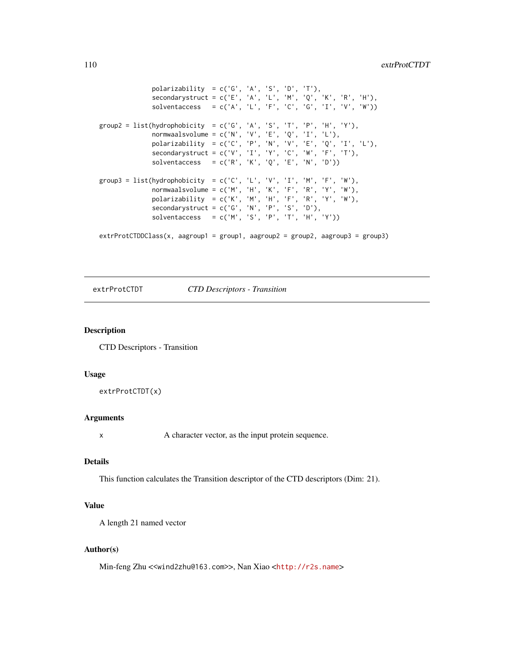```
polarizability = c('G', 'A', 'S', 'D', 'T'),secondarystruct = c('E', 'A', 'L', 'M', 'Q', 'K', 'R', 'H'),
              solventaccess = c('A', 'L', 'F', 'C', 'G', 'I', 'V', 'W'))group2 = list(hydrophobicity = c('G', 'A', 'S', 'T', 'P', 'H', 'Y'),normwaalsvolume = c('N', 'V', 'E', 'Q', 'I', 'L'),
             polarizability = c('C', 'P', 'N', 'V', 'E', 'Q', 'I', 'L'),
             secondarystruct = c('V', 'I', 'Y', 'C', 'W', 'F', 'T'),solventaccess = c('R', 'K', 'Q', 'E', 'N', 'D'))group3 = list(hydrophobicity = c('C', 'L', 'V', 'I', 'M', 'F', 'W'),normwaalsvolume = c('M', 'H', 'K', 'F', 'R', 'Y', 'W'),polarizability = c('K', 'M', 'H', 'F', 'R', 'Y', 'W'),
              secondarystruct = c('G', 'N', 'P', 'S', 'D'),solventaccess = c('M', 'S', 'P', 'T', 'H', 'Y'))extrProtCTDDClass(x, aagroup1 = group1, aagroup2 = group2, aagroup3 = group3)
```
extrProtCTDT *CTD Descriptors - Transition*

#### Description

CTD Descriptors - Transition

## Usage

extrProtCTDT(x)

#### Arguments

x A character vector, as the input protein sequence.

# Details

This function calculates the Transition descriptor of the CTD descriptors (Dim: 21).

## Value

A length 21 named vector

## Author(s)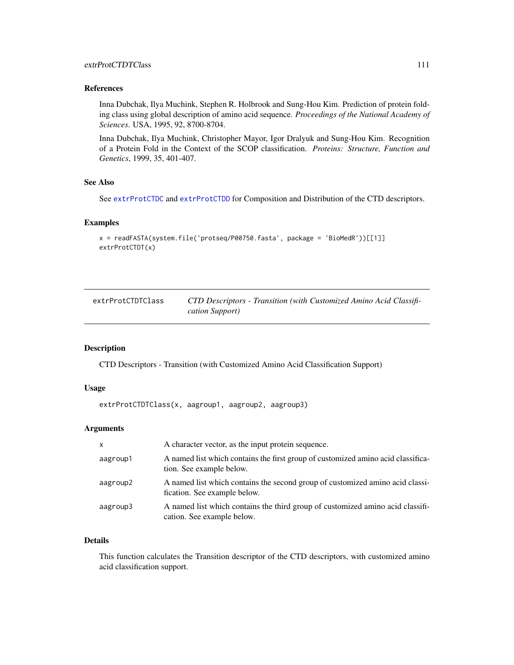## References

Inna Dubchak, Ilya Muchink, Stephen R. Holbrook and Sung-Hou Kim. Prediction of protein folding class using global description of amino acid sequence. *Proceedings of the National Academy of Sciences*. USA, 1995, 92, 8700-8704.

Inna Dubchak, Ilya Muchink, Christopher Mayor, Igor Dralyuk and Sung-Hou Kim. Recognition of a Protein Fold in the Context of the SCOP classification. *Proteins: Structure, Function and Genetics*, 1999, 35, 401-407.

# See Also

See [extrProtCTDC](#page-104-0) and [extrProtCTDD](#page-106-0) for Composition and Distribution of the CTD descriptors.

## Examples

```
x = readFASTA(system.file('protseq/P00750.fasta', package = 'BioMedR'))[[1]]
extrProtCTDT(x)
```
<span id="page-110-0"></span>

| extrProtCTDTClass | CTD Descriptors - Transition (with Customized Amino Acid Classifi- |
|-------------------|--------------------------------------------------------------------|
|                   | cation Support)                                                    |

#### Description

CTD Descriptors - Transition (with Customized Amino Acid Classification Support)

## Usage

extrProtCTDTClass(x, aagroup1, aagroup2, aagroup3)

# Arguments

| $\mathsf{x}$ | A character vector, as the input protein sequence.                                                            |
|--------------|---------------------------------------------------------------------------------------------------------------|
| aagroup1     | A named list which contains the first group of customized amino acid classifica-<br>tion. See example below.  |
| aagroup2     | A named list which contains the second group of customized amino acid classi-<br>fication. See example below. |
| aagroup3     | A named list which contains the third group of customized amino acid classifi-<br>cation. See example below.  |

# Details

This function calculates the Transition descriptor of the CTD descriptors, with customized amino acid classification support.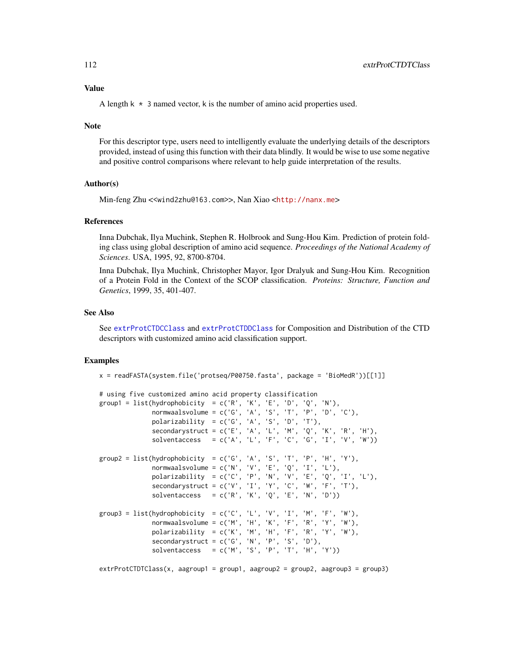## Value

A length  $k \times 3$  named vector, k is the number of amino acid properties used.

#### Note

For this descriptor type, users need to intelligently evaluate the underlying details of the descriptors provided, instead of using this function with their data blindly. It would be wise to use some negative and positive control comparisons where relevant to help guide interpretation of the results.

## Author(s)

Min-feng Zhu <<wind2zhu@163.com>>, Nan Xiao <<http://nanx.me>>

## References

Inna Dubchak, Ilya Muchink, Stephen R. Holbrook and Sung-Hou Kim. Prediction of protein folding class using global description of amino acid sequence. *Proceedings of the National Academy of Sciences*. USA, 1995, 92, 8700-8704.

Inna Dubchak, Ilya Muchink, Christopher Mayor, Igor Dralyuk and Sung-Hou Kim. Recognition of a Protein Fold in the Context of the SCOP classification. *Proteins: Structure, Function and Genetics*, 1999, 35, 401-407.

## See Also

See [extrProtCTDCClass](#page-105-0) and [extrProtCTDDClass](#page-107-0) for Composition and Distribution of the CTD descriptors with customized amino acid classification support.

## Examples

```
x = readFASTA(system.file('protseq/P00750.fasta', package = 'BiOMedR'))[[1]]
```

```
# using five customized amino acid property classification
group1 = list(hydrophobicity = c('R', 'K', 'E', 'D', 'Q', 'N'),normwaalsvolume = c('G', 'A', 'S', 'T', 'P', 'D', 'C'),
             polarizability = c('G', 'A', 'S', 'D', 'T'),secondarystruct = c('E', 'A', 'L', 'M', 'Q', 'K', 'R', 'H'),
             solventaccess = c('A', 'L', 'F', 'C', 'G', 'I', 'V', 'W'))group2 = list(hydrophobicity = c('G', 'A', 'S', 'T', 'P', 'H', 'Y'),normwaalsvolume = c('N', 'V', 'E', 'Q', 'I', 'L'),polarizability = c('C', 'P', 'N', 'V', 'E', 'Q', 'I', 'L'),
             secondarystruct = c('V', 'I', 'Y', 'C', 'W', 'F', 'T'),solventaccess = c('R', 'K', 'Q', 'E', 'N', 'D'))group3 = list(hydrophobicity = c('C', 'L', 'V', 'I', 'M', 'F', 'W'),normwaalsvolume = c('M', 'H', 'K', 'F', 'R', 'Y', 'W'),
             polarizability = c('K', 'M', 'H', 'F', 'R', 'Y', 'W'),
             secondarystruct = c('G', 'N', 'P', 'S', 'D'),solventaccess = c('M', 'S', 'P', 'T', 'H', 'Y'))
```
extrProtCTDTClass(x, aagroup1 = group1, aagroup2 = group2, aagroup3 = group3)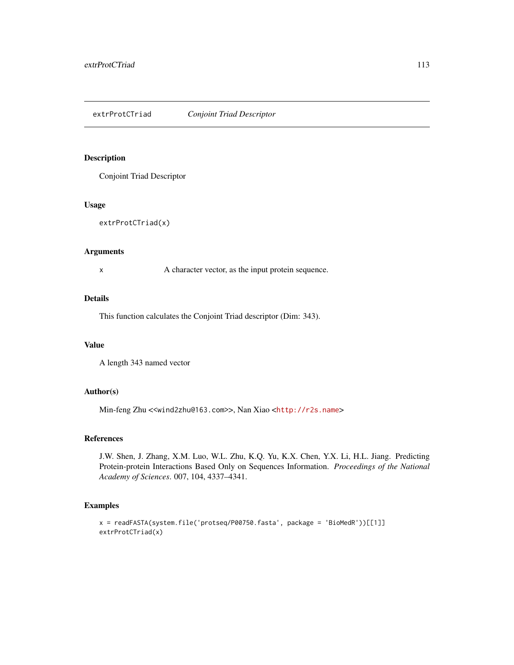## Description

Conjoint Triad Descriptor

## Usage

extrProtCTriad(x)

#### Arguments

x A character vector, as the input protein sequence.

## Details

This function calculates the Conjoint Triad descriptor (Dim: 343).

## Value

A length 343 named vector

# Author(s)

Min-feng Zhu <<wind2zhu@163.com>>, Nan Xiao <<http://r2s.name>>

# References

J.W. Shen, J. Zhang, X.M. Luo, W.L. Zhu, K.Q. Yu, K.X. Chen, Y.X. Li, H.L. Jiang. Predicting Protein-protein Interactions Based Only on Sequences Information. *Proceedings of the National Academy of Sciences*. 007, 104, 4337–4341.

# Examples

```
x = readFASTA(system.file('protseq/P00750.fasta', package = 'BioMedR'))[[1]]
extrProtCTriad(x)
```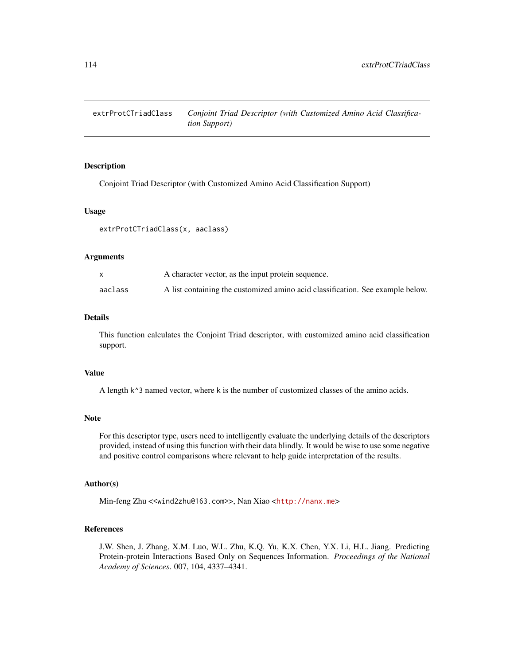extrProtCTriadClass *Conjoint Triad Descriptor (with Customized Amino Acid Classification Support)*

# Description

Conjoint Triad Descriptor (with Customized Amino Acid Classification Support)

#### Usage

extrProtCTriadClass(x, aaclass)

## Arguments

|         | A character vector, as the input protein sequence.                             |
|---------|--------------------------------------------------------------------------------|
| aaclass | A list containing the customized amino acid classification. See example below. |

# Details

This function calculates the Conjoint Triad descriptor, with customized amino acid classification support.

# Value

A length k^3 named vector, where k is the number of customized classes of the amino acids.

#### Note

For this descriptor type, users need to intelligently evaluate the underlying details of the descriptors provided, instead of using this function with their data blindly. It would be wise to use some negative and positive control comparisons where relevant to help guide interpretation of the results.

# Author(s)

Min-feng Zhu <<wind2zhu@163.com>>, Nan Xiao <<http://nanx.me>>

## References

J.W. Shen, J. Zhang, X.M. Luo, W.L. Zhu, K.Q. Yu, K.X. Chen, Y.X. Li, H.L. Jiang. Predicting Protein-protein Interactions Based Only on Sequences Information. *Proceedings of the National Academy of Sciences*. 007, 104, 4337–4341.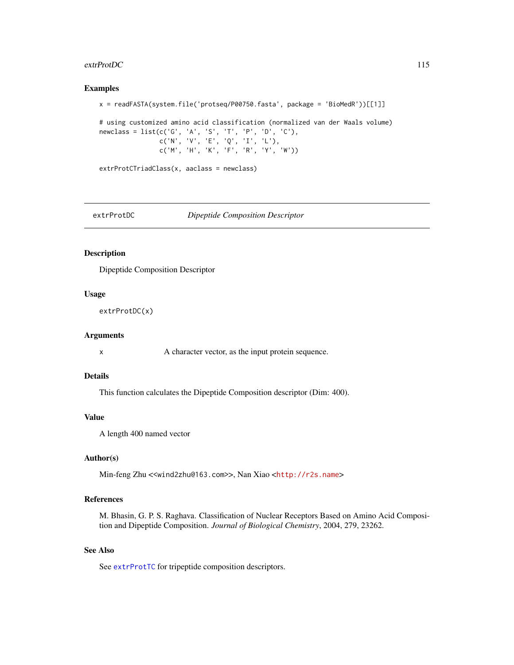#### $ext{ProtDC}$  115

## Examples

```
x = readFASTA(system.file('protseq/P00750.fasta', package = 'BioMedR'))[[1]]
# using customized amino acid classification (normalized van der Waals volume)
newclass = list(c('G', 'A', 'S', 'T', 'P', 'D', 'C'),
                c('N', 'V', 'E', 'Q', 'I', 'L'),
                c('M', 'H', 'K', 'F', 'R', 'Y', 'W'))
extrProtCTriadClass(x, aaclass = newclass)
```
<span id="page-114-0"></span>

extrProtDC *Dipeptide Composition Descriptor*

# Description

Dipeptide Composition Descriptor

## Usage

extrProtDC(x)

#### Arguments

x A character vector, as the input protein sequence.

#### Details

This function calculates the Dipeptide Composition descriptor (Dim: 400).

## Value

A length 400 named vector

## Author(s)

Min-feng Zhu <<wind2zhu@163.com>>, Nan Xiao <<http://r2s.name>>

# References

M. Bhasin, G. P. S. Raghava. Classification of Nuclear Receptors Based on Amino Acid Composition and Dipeptide Composition. *Journal of Biological Chemistry*, 2004, 279, 23262.

# See Also

See [extrProtTC](#page-131-0) for tripeptide composition descriptors.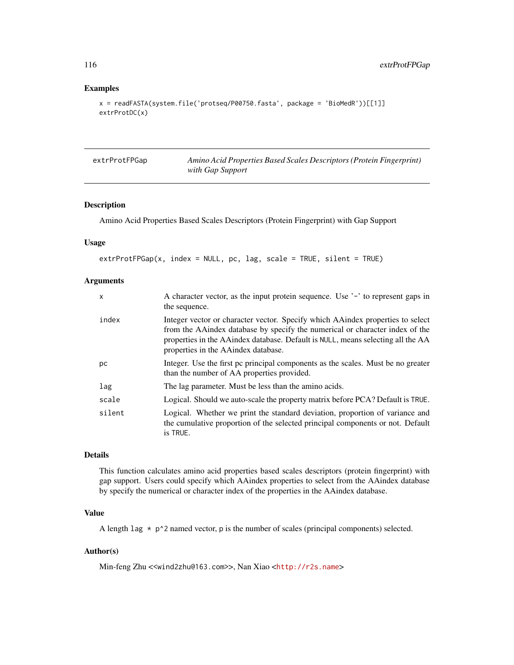# Examples

```
x = readFASTA(system.file('protseq/P00750.fasta', package = 'BioMedR'))[[1]]
extrProtDC(x)
```

| extrProtFPGap | Amino Acid Properties Based Scales Descriptors (Protein Fingerprint) |
|---------------|----------------------------------------------------------------------|
|               | with Gap Support                                                     |

# Description

Amino Acid Properties Based Scales Descriptors (Protein Fingerprint) with Gap Support

## Usage

```
extrProtFPGap(x, index = NULL, pc, lag, scale = TRUE, silent = TRUE)
```
## Arguments

| $\mathsf{x}$ | A character vector, as the input protein sequence. Use '-' to represent gaps in<br>the sequence.                                                                                                                                                                                            |
|--------------|---------------------------------------------------------------------------------------------------------------------------------------------------------------------------------------------------------------------------------------------------------------------------------------------|
| index        | Integer vector or character vector. Specify which AA index properties to select<br>from the AA index database by specify the numerical or character index of the<br>properties in the AAindex database. Default is NULL, means selecting all the AA<br>properties in the AA index database. |
| рc           | Integer. Use the first pc principal components as the scales. Must be no greater<br>than the number of AA properties provided.                                                                                                                                                              |
| lag          | The lag parameter. Must be less than the amino acids.                                                                                                                                                                                                                                       |
| scale        | Logical. Should we auto-scale the property matrix before PCA? Default is TRUE.                                                                                                                                                                                                              |
| silent       | Logical. Whether we print the standard deviation, proportion of variance and<br>the cumulative proportion of the selected principal components or not. Default<br>is TRUE.                                                                                                                  |
|              |                                                                                                                                                                                                                                                                                             |

# Details

This function calculates amino acid properties based scales descriptors (protein fingerprint) with gap support. Users could specify which AAindex properties to select from the AAindex database by specify the numerical or character index of the properties in the AAindex database.

# Value

A length lag  $*$  p^2 named vector, p is the number of scales (principal components) selected.

# Author(s)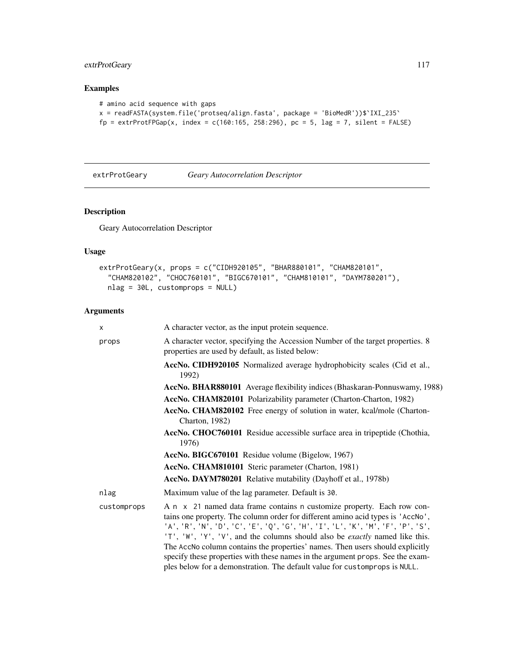# extrProtGeary 117

# Examples

```
# amino acid sequence with gaps
x = readFASTA(system.file('protseq/align.fasta', package = 'BioMedR'))$`IXI_235`
fp = extrProtFPGap(x, index = c(160:165, 258:296), pc = 5, lag = 7, silent = FALSE)
```
<span id="page-116-0"></span>

extrProtGeary *Geary Autocorrelation Descriptor*

# Description

Geary Autocorrelation Descriptor

# Usage

```
extrProtGeary(x, props = c("CIDH920105", "BHAR880101", "CHAM820101",
  "CHAM820102", "CHOC760101", "BIGC670101", "CHAM810101", "DAYM780201"),
 nlag = 30L, customprops = NULL)
```
## Arguments

| X           | A character vector, as the input protein sequence.                                                                                                                                                                                                                                                                                                                                                                                                                                                                                                                                  |
|-------------|-------------------------------------------------------------------------------------------------------------------------------------------------------------------------------------------------------------------------------------------------------------------------------------------------------------------------------------------------------------------------------------------------------------------------------------------------------------------------------------------------------------------------------------------------------------------------------------|
| props       | A character vector, specifying the Accession Number of the target properties. 8<br>properties are used by default, as listed below:                                                                                                                                                                                                                                                                                                                                                                                                                                                 |
|             | AccNo. CIDH920105 Normalized average hydrophobicity scales (Cid et al.,<br>1992)                                                                                                                                                                                                                                                                                                                                                                                                                                                                                                    |
|             | AccNo. BHAR880101 Average flexibility indices (Bhaskaran-Ponnuswamy, 1988)                                                                                                                                                                                                                                                                                                                                                                                                                                                                                                          |
|             | AccNo. CHAM820101 Polarizability parameter (Charton-Charton, 1982)                                                                                                                                                                                                                                                                                                                                                                                                                                                                                                                  |
|             | AccNo. CHAM820102 Free energy of solution in water, kcal/mole (Charton-<br>Charton, 1982)                                                                                                                                                                                                                                                                                                                                                                                                                                                                                           |
|             | AccNo. CHOC760101 Residue accessible surface area in tripeptide (Chothia,<br>1976)                                                                                                                                                                                                                                                                                                                                                                                                                                                                                                  |
|             | AccNo. BIGC670101 Residue volume (Bigelow, 1967)                                                                                                                                                                                                                                                                                                                                                                                                                                                                                                                                    |
|             | AccNo. CHAM810101 Steric parameter (Charton, 1981)                                                                                                                                                                                                                                                                                                                                                                                                                                                                                                                                  |
|             | AccNo. DAYM780201 Relative mutability (Dayhoff et al., 1978b)                                                                                                                                                                                                                                                                                                                                                                                                                                                                                                                       |
| nlag        | Maximum value of the lag parameter. Default is 30.                                                                                                                                                                                                                                                                                                                                                                                                                                                                                                                                  |
| customprops | A n x 21 named data frame contains n customize property. Each row con-<br>tains one property. The column order for different amino acid types is 'AccNo',<br>'A', 'R', 'N', 'D', 'C', 'E', 'Q', 'G', 'H', 'I', 'L', 'K', 'M', 'F', 'P', 'S',<br>'T', 'W', 'Y', 'V', and the columns should also be <i>exactly</i> named like this.<br>The AccNo column contains the properties' names. Then users should explicitly<br>specify these properties with these names in the argument props. See the exam-<br>ples below for a demonstration. The default value for customprops is NULL. |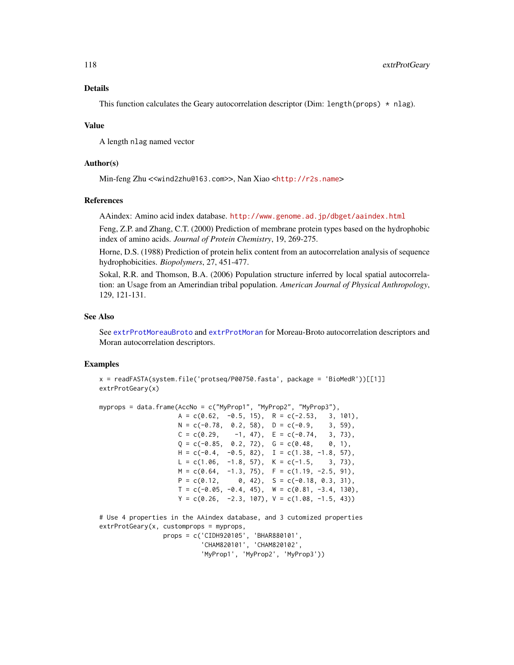## Details

This function calculates the Geary autocorrelation descriptor (Dim: length(props)  $\star$  nlag).

#### Value

A length nlag named vector

## Author(s)

Min-feng Zhu <<wind2zhu@163.com>>, Nan Xiao <<http://r2s.name>>

#### References

AAindex: Amino acid index database. <http://www.genome.ad.jp/dbget/aaindex.html>

Feng, Z.P. and Zhang, C.T. (2000) Prediction of membrane protein types based on the hydrophobic index of amino acids. *Journal of Protein Chemistry*, 19, 269-275.

Horne, D.S. (1988) Prediction of protein helix content from an autocorrelation analysis of sequence hydrophobicities. *Biopolymers*, 27, 451-477.

Sokal, R.R. and Thomson, B.A. (2006) Population structure inferred by local spatial autocorrelation: an Usage from an Amerindian tribal population. *American Journal of Physical Anthropology*, 129, 121-131.

## See Also

See [extrProtMoreauBroto](#page-120-0) and [extrProtMoran](#page-118-0) for Moreau-Broto autocorrelation descriptors and Moran autocorrelation descriptors.

# Examples

```
x = readFASTA(system.file('protseq/P00750.fasta', package = 'BioMedR'))[[1]]
extrProtGeary(x)
```

```
myprops = data.frame(AccNo = c("MyProp1", "MyProp2", "MyProp3"),
                   A = c(0.62, -0.5, 15), R = c(-2.53, 3, 101),N = c(-0.78, 0.2, 58), D = c(-0.9, 3, 59),C = c(0.29, -1, 47), E = c(-0.74, 3, 73),Q = c(-0.85, 0.2, 72), G = c(0.48, 0, 1),H = c(-0.4, -0.5, 82), I = c(1.38, -1.8, 57),L = c(1.06, -1.8, 57), K = c(-1.5, 3, 73),M = c(0.64, -1.3, 75), F = c(1.19, -2.5, 91),P = c(0.12, 0, 42), S = c(-0.18, 0.3, 31),T = c(-0.05, -0.4, 45), W = c(0.81, -3.4, 130),Y = c(0.26, -2.3, 107), V = c(1.08, -1.5, 43))# Use 4 properties in the AAindex database, and 3 cutomized properties
```
extrProtGeary(x, customprops = myprops, props = c('CIDH920105', 'BHAR880101', 'CHAM820101', 'CHAM820102', 'MyProp1', 'MyProp2', 'MyProp3'))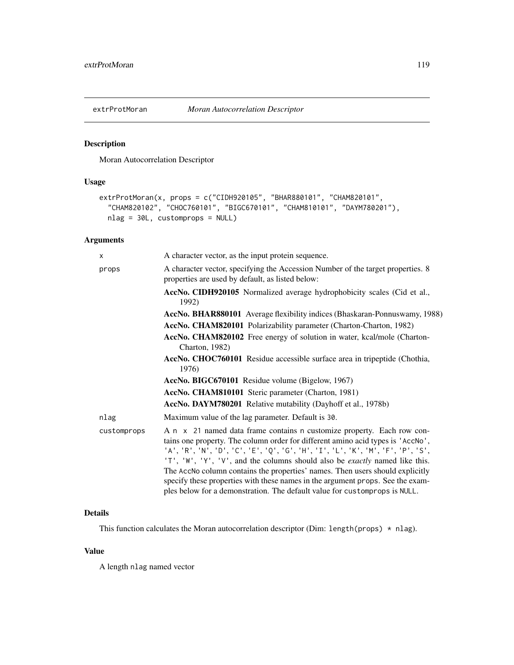<span id="page-118-0"></span>

# Description

Moran Autocorrelation Descriptor

# Usage

```
extrProtMoran(x, props = c("CIDH920105", "BHAR880101", "CHAM820101",
  "CHAM820102", "CHOC760101", "BIGC670101", "CHAM810101", "DAYM780201"),
 nlag = 30L, customprops = NULL)
```
# Arguments

| X           | A character vector, as the input protein sequence.                                                                                                                                                                                                                                                                                                                                                                                                                                                                                                                                  |
|-------------|-------------------------------------------------------------------------------------------------------------------------------------------------------------------------------------------------------------------------------------------------------------------------------------------------------------------------------------------------------------------------------------------------------------------------------------------------------------------------------------------------------------------------------------------------------------------------------------|
| props       | A character vector, specifying the Accession Number of the target properties. 8<br>properties are used by default, as listed below:                                                                                                                                                                                                                                                                                                                                                                                                                                                 |
|             | AccNo. CIDH920105 Normalized average hydrophobicity scales (Cid et al.,<br>1992)                                                                                                                                                                                                                                                                                                                                                                                                                                                                                                    |
|             | AccNo. BHAR880101 Average flexibility indices (Bhaskaran-Ponnuswamy, 1988)                                                                                                                                                                                                                                                                                                                                                                                                                                                                                                          |
|             | AccNo. CHAM820101 Polarizability parameter (Charton-Charton, 1982)                                                                                                                                                                                                                                                                                                                                                                                                                                                                                                                  |
|             | AccNo. CHAM820102 Free energy of solution in water, kcal/mole (Charton-<br>Charton, 1982)                                                                                                                                                                                                                                                                                                                                                                                                                                                                                           |
|             | AccNo. CHOC760101 Residue accessible surface area in tripeptide (Chothia,<br>1976)                                                                                                                                                                                                                                                                                                                                                                                                                                                                                                  |
|             | AccNo. BIGC670101 Residue volume (Bigelow, 1967)                                                                                                                                                                                                                                                                                                                                                                                                                                                                                                                                    |
|             | <b>AccNo. CHAM810101</b> Steric parameter (Charton, 1981)                                                                                                                                                                                                                                                                                                                                                                                                                                                                                                                           |
|             | AccNo. DAYM780201 Relative mutability (Dayhoff et al., 1978b)                                                                                                                                                                                                                                                                                                                                                                                                                                                                                                                       |
| nlag        | Maximum value of the lag parameter. Default is 30.                                                                                                                                                                                                                                                                                                                                                                                                                                                                                                                                  |
| customprops | A n x 21 named data frame contains n customize property. Each row con-<br>tains one property. The column order for different amino acid types is 'AccNo',<br>'A', 'R', 'N', 'D', 'C', 'E', 'Q', 'G', 'H', 'I', 'L', 'K', 'M', 'F', 'P', 'S',<br>'T', 'W', 'Y', 'V', and the columns should also be <i>exactly</i> named like this.<br>The AccNo column contains the properties' names. Then users should explicitly<br>specify these properties with these names in the argument props. See the exam-<br>ples below for a demonstration. The default value for customprops is NULL. |

# Details

This function calculates the Moran autocorrelation descriptor (Dim: length(props) \* nlag).

# Value

A length nlag named vector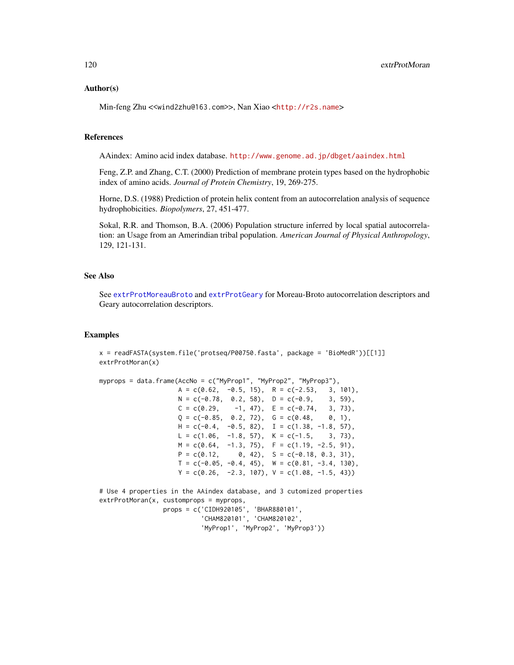#### Author(s)

Min-feng Zhu <<wind2zhu@163.com>>, Nan Xiao <<http://r2s.name>>

### References

AAindex: Amino acid index database. <http://www.genome.ad.jp/dbget/aaindex.html>

Feng, Z.P. and Zhang, C.T. (2000) Prediction of membrane protein types based on the hydrophobic index of amino acids. *Journal of Protein Chemistry*, 19, 269-275.

Horne, D.S. (1988) Prediction of protein helix content from an autocorrelation analysis of sequence hydrophobicities. *Biopolymers*, 27, 451-477.

Sokal, R.R. and Thomson, B.A. (2006) Population structure inferred by local spatial autocorrelation: an Usage from an Amerindian tribal population. *American Journal of Physical Anthropology*, 129, 121-131.

## See Also

See [extrProtMoreauBroto](#page-120-0) and [extrProtGeary](#page-116-0) for Moreau-Broto autocorrelation descriptors and Geary autocorrelation descriptors.

## Examples

```
x = readFASTA(system.file('protseq/P00750.fasta', package = 'BiOMedR'))[[1]]extrProtMoran(x)
```

```
myprops = data.frame(AccNo = c("MyProp1", "MyProp2", "MyProp3"),
                   A = c(0.62, -0.5, 15), R = c(-2.53, 3, 101),N = c(-0.78, 0.2, 58), D = c(-0.9, 3, 59),
```

```
C = c(0.29, -1, 47), E = c(-0.74, 3, 73),Q = c(-0.85, 0.2, 72), G = c(0.48, 0, 1),H = c(-0.4, -0.5, 82), I = c(1.38, -1.8, 57),L = c(1.06, -1.8, 57), K = c(-1.5, 3, 73),M = c(0.64, -1.3, 75), F = c(1.19, -2.5, 91),P = c(0.12, 0, 42), S = c(-0.18, 0.3, 31),T = c(-0.05, -0.4, 45), W = c(0.81, -3.4, 130),Y = c(0.26, -2.3, 107), V = c(1.08, -1.5, 43)
```
# Use 4 properties in the AAindex database, and 3 cutomized properties extrProtMoran(x, customprops = myprops, props = c('CIDH920105', 'BHAR880101', 'CHAM820101', 'CHAM820102',

'MyProp1', 'MyProp2', 'MyProp3'))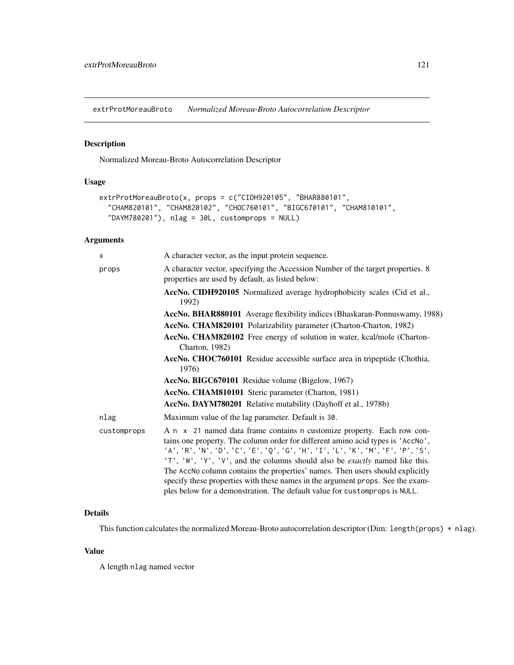<span id="page-120-0"></span>extrProtMoreauBroto *Normalized Moreau-Broto Autocorrelation Descriptor*

# Description

Normalized Moreau-Broto Autocorrelation Descriptor

# Usage

```
extrProtMoreauBroto(x, props = c("CIDH920105", "BHAR880101",
  "CHAM820101", "CHAM820102", "CHOC760101", "BIGC670101", "CHAM810101",
  "DAYM780201"), nlag = 30L, customprops = NULL)
```
# Arguments

| $\times$    | A character vector, as the input protein sequence.                                                                                                                                                                                                                                                                                                                                                                                                                                                                                                                                  |
|-------------|-------------------------------------------------------------------------------------------------------------------------------------------------------------------------------------------------------------------------------------------------------------------------------------------------------------------------------------------------------------------------------------------------------------------------------------------------------------------------------------------------------------------------------------------------------------------------------------|
| props       | A character vector, specifying the Accession Number of the target properties. 8<br>properties are used by default, as listed below:                                                                                                                                                                                                                                                                                                                                                                                                                                                 |
|             | AccNo. CIDH920105 Normalized average hydrophobicity scales (Cid et al.,<br>1992)                                                                                                                                                                                                                                                                                                                                                                                                                                                                                                    |
|             | AccNo. BHAR880101 Average flexibility indices (Bhaskaran-Ponnuswamy, 1988)                                                                                                                                                                                                                                                                                                                                                                                                                                                                                                          |
|             | AccNo. CHAM820101 Polarizability parameter (Charton-Charton, 1982)                                                                                                                                                                                                                                                                                                                                                                                                                                                                                                                  |
|             | AccNo. CHAM820102 Free energy of solution in water, kcal/mole (Charton-<br>Charton, 1982)                                                                                                                                                                                                                                                                                                                                                                                                                                                                                           |
|             | AccNo. CHOC760101 Residue accessible surface area in tripeptide (Chothia,<br>1976)                                                                                                                                                                                                                                                                                                                                                                                                                                                                                                  |
|             | AccNo. BIGC670101 Residue volume (Bigelow, 1967)                                                                                                                                                                                                                                                                                                                                                                                                                                                                                                                                    |
|             | AccNo. CHAM810101 Steric parameter (Charton, 1981)                                                                                                                                                                                                                                                                                                                                                                                                                                                                                                                                  |
|             | AccNo. DAYM780201 Relative mutability (Dayhoff et al., 1978b)                                                                                                                                                                                                                                                                                                                                                                                                                                                                                                                       |
| nlag        | Maximum value of the lag parameter. Default is 30.                                                                                                                                                                                                                                                                                                                                                                                                                                                                                                                                  |
| customprops | A n x 21 named data frame contains n customize property. Each row con-<br>tains one property. The column order for different amino acid types is 'AccNo',<br>'A', 'R', 'N', 'D', 'C', 'E', 'Q', 'G', 'H', 'I', 'L', 'K', 'M', 'F', 'P', 'S',<br>'T', 'W', 'Y', 'V', and the columns should also be <i>exactly</i> named like this.<br>The AccNo column contains the properties' names. Then users should explicitly<br>specify these properties with these names in the argument props. See the exam-<br>ples below for a demonstration. The default value for customprops is NULL. |

# Details

This function calculates the normalized Moreau-Broto autocorrelation descriptor (Dim: length(props) \* nlag).

# Value

A length nlag named vector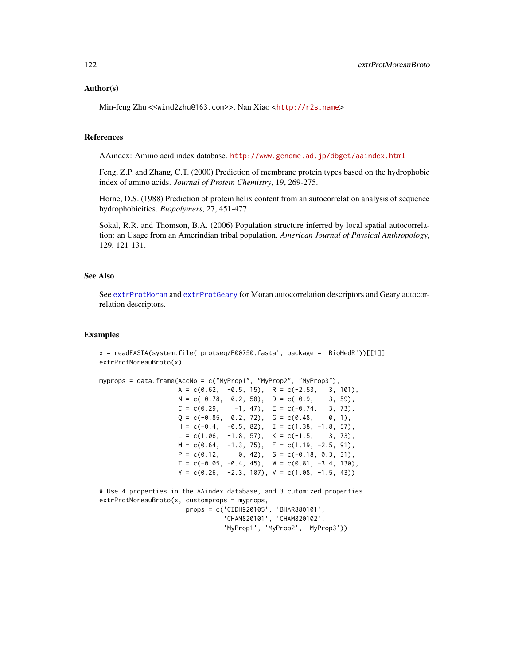## Author(s)

Min-feng Zhu <<wind2zhu@163.com>>, Nan Xiao <<http://r2s.name>>

#### References

AAindex: Amino acid index database. <http://www.genome.ad.jp/dbget/aaindex.html>

Feng, Z.P. and Zhang, C.T. (2000) Prediction of membrane protein types based on the hydrophobic index of amino acids. *Journal of Protein Chemistry*, 19, 269-275.

Horne, D.S. (1988) Prediction of protein helix content from an autocorrelation analysis of sequence hydrophobicities. *Biopolymers*, 27, 451-477.

Sokal, R.R. and Thomson, B.A. (2006) Population structure inferred by local spatial autocorrelation: an Usage from an Amerindian tribal population. *American Journal of Physical Anthropology*, 129, 121-131.

## See Also

See [extrProtMoran](#page-118-0) and [extrProtGeary](#page-116-0) for Moran autocorrelation descriptors and Geary autocorrelation descriptors.

## Examples

```
x = readFASTA(system.file('protseq/P00750.fasta', package = 'BiOMedR'))[[1]]extrProtMoreauBroto(x)
```

```
myprops = data.frame(AccNo = c("MyProp1", "MyProp2", "MyProp3"),
```

```
A = c(0.62, -0.5, 15), R = c(-2.53, 3, 101),N = c(-0.78, 0.2, 58), D = c(-0.9, 3, 59),C = c(0.29, -1, 47), E = c(-0.74, 3, 73),Q = c(-0.85, 0.2, 72), G = c(0.48, 0, 1),H = c(-0.4, -0.5, 82), I = c(1.38, -1.8, 57),L = c(1.06, -1.8, 57), K = c(-1.5, 3, 73),M = c(0.64, -1.3, 75), F = c(1.19, -2.5, 91),P = c(0.12, 0, 42), S = c(-0.18, 0.3, 31),T = c(-0.05, -0.4, 45), W = c(0.81, -3.4, 130),Y = c(0.26, -2.3, 107), V = c(1.08, -1.5, 43)
```
# Use 4 properties in the AAindex database, and 3 cutomized properties extrProtMoreauBroto(x, customprops = myprops, props = c('CIDH920105', 'BHAR880101',

'CHAM820101', 'CHAM820102', 'MyProp1', 'MyProp2', 'MyProp3'))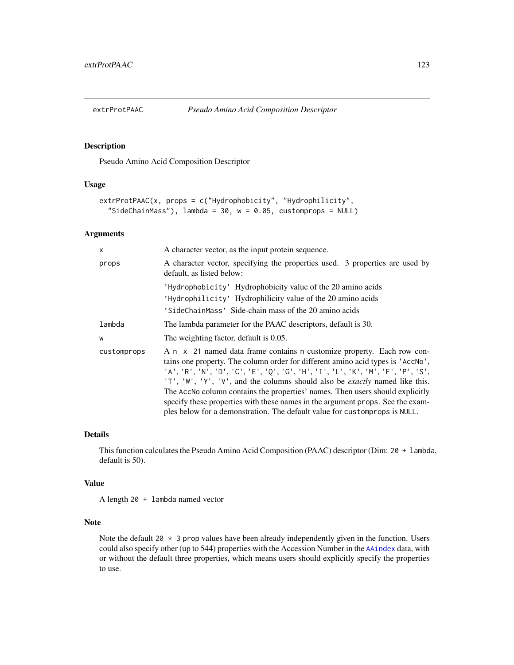## Description

Pseudo Amino Acid Composition Descriptor

# Usage

```
extrProtPAAC(x, props = c("Hydrophobicity", "Hydrophilicity",
  "SideChainMass"), lambda = 30, w = 0.05, customprops = NULL)
```
## Arguments

| X           | A character vector, as the input protein sequence.                                                                                                                                                                                                                                                                                                                                                                                                                                                                                                                                   |
|-------------|--------------------------------------------------------------------------------------------------------------------------------------------------------------------------------------------------------------------------------------------------------------------------------------------------------------------------------------------------------------------------------------------------------------------------------------------------------------------------------------------------------------------------------------------------------------------------------------|
| props       | A character vector, specifying the properties used. 3 properties are used by<br>default, as listed below:                                                                                                                                                                                                                                                                                                                                                                                                                                                                            |
|             | 'Hydrophobicity' Hydrophobicity value of the 20 amino acids                                                                                                                                                                                                                                                                                                                                                                                                                                                                                                                          |
|             | 'Hydrophilicity' Hydrophilicity value of the 20 amino acids                                                                                                                                                                                                                                                                                                                                                                                                                                                                                                                          |
|             | 'SideChainMass' Side-chain mass of the 20 amino acids                                                                                                                                                                                                                                                                                                                                                                                                                                                                                                                                |
| lambda      | The lambda parameter for the PAAC descriptors, default is 30.                                                                                                                                                                                                                                                                                                                                                                                                                                                                                                                        |
| W           | The weighting factor, default is 0.05.                                                                                                                                                                                                                                                                                                                                                                                                                                                                                                                                               |
| customprops | A n x 21 named data frame contains n customize property. Each row con-<br>tains one property. The column order for different amino acid types is 'AccNo',<br>'A', 'R', 'N', 'D', 'C', 'E', 'Q', 'G', 'H', 'I', 'L', 'K', 'M', 'F', 'P', 'S',<br>'T', 'W', 'Y', 'V', and the columns should also be <i>exactly</i> named like this.<br>The AccNo column contains the properties' names. Then users should explicitly<br>specify these properties with these names in the argument props. See the exam-<br>ples below for a demonstration. The default value for custom props is NULL. |

## Details

This function calculates the Pseudo Amino Acid Composition (PAAC) descriptor (Dim: 20 + lambda, default is 50).

#### Value

A length 20 + lambda named vector

## Note

Note the default 20  $*$  3 prop values have been already independently given in the function. Users could also specify other (up to 544) properties with the Accession Number in the [AAindex](#page-14-0) data, with or without the default three properties, which means users should explicitly specify the properties to use.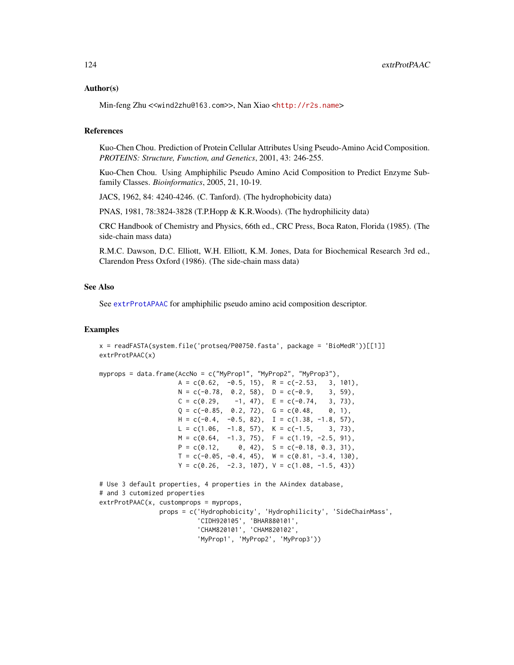## Author(s)

Min-feng Zhu <<wind2zhu@163.com>>, Nan Xiao <<http://r2s.name>>

## References

Kuo-Chen Chou. Prediction of Protein Cellular Attributes Using Pseudo-Amino Acid Composition. *PROTEINS: Structure, Function, and Genetics*, 2001, 43: 246-255.

Kuo-Chen Chou. Using Amphiphilic Pseudo Amino Acid Composition to Predict Enzyme Subfamily Classes. *Bioinformatics*, 2005, 21, 10-19.

JACS, 1962, 84: 4240-4246. (C. Tanford). (The hydrophobicity data)

PNAS, 1981, 78:3824-3828 (T.P.Hopp & K.R.Woods). (The hydrophilicity data)

CRC Handbook of Chemistry and Physics, 66th ed., CRC Press, Boca Raton, Florida (1985). (The side-chain mass data)

R.M.C. Dawson, D.C. Elliott, W.H. Elliott, K.M. Jones, Data for Biochemical Research 3rd ed., Clarendon Press Oxford (1986). (The side-chain mass data)

# See Also

See [extrProtAPAAC](#page-102-0) for amphiphilic pseudo amino acid composition descriptor.

#### Examples

```
x = readFASTA(system.file('protseq/P00750.fasta', package = 'BioMedR'))[[1]]
extrProtPAAC(x)
```

```
myprops = data.frame(AccNo = c("MyProp1", "MyProp2", "MyProp3"),
```

```
A = c(0.62, -0.5, 15), R = c(-2.53, 3, 101),N = c(-0.78, 0.2, 58), D = c(-0.9, 3, 59),C = c(0.29, -1, 47), E = c(-0.74, 3, 73),Q = c(-0.85, 0.2, 72), G = c(0.48, 0, 1),H = c(-0.4, -0.5, 82), I = c(1.38, -1.8, 57),L = c(1.06, -1.8, 57), K = c(-1.5, 3, 73),M = c(0.64, -1.3, 75), F = c(1.19, -2.5, 91),P = c(0.12, 0, 42), S = c(-0.18, 0.3, 31),T = c(-0.05, -0.4, 45), W = c(0.81, -3.4, 130),Y = c(0.26, -2.3, 107), V = c(1.08, -1.5, 43))
```

```
# Use 3 default properties, 4 properties in the AAindex database,
# and 3 cutomized properties
extrProtPAAC(x, customprops = myprops,
                props = c('Hydrophobicity', 'Hydrophilicity', 'SideChainMass',
                          'CIDH920105', 'BHAR880101',
                          'CHAM820101', 'CHAM820102',
                          'MyProp1', 'MyProp2', 'MyProp3'))
```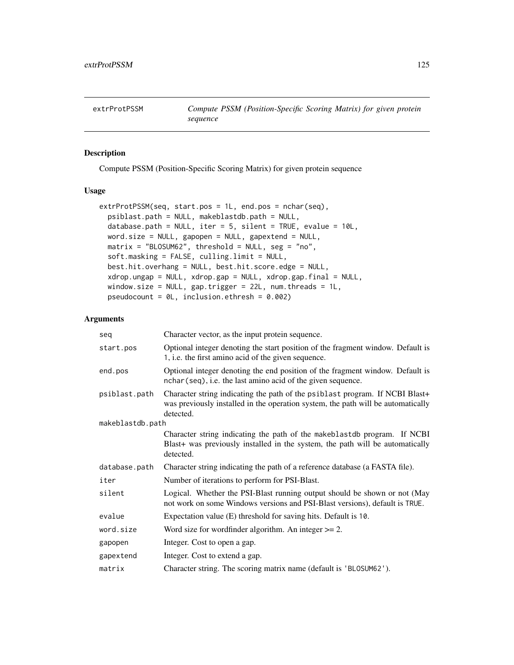<span id="page-124-0"></span>extrProtPSSM *Compute PSSM (Position-Specific Scoring Matrix) for given protein sequence*

# Description

Compute PSSM (Position-Specific Scoring Matrix) for given protein sequence

## Usage

```
extrProtPSSM(seq, start.pos = 1L, end.pos = nchar(seq),
 psiblast.path = NULL, makeblastdb.path = NULL,
 database.path = NULL, iter = 5, silent = TRUE, evalue = 10L,
 word.size = NULL, gapopen = NULL, gapextend = NULL,
 matrix = "BLOSUM62", threshold = NULL, seg = "no",soft.masking = FALSE, culling.limit = NULL,
 best.hit.overhang = NULL, best.hit.score.edge = NULL,
 xdrop.ungap = NULL, xdrop.gap = NULL, xdrop.gap.final = NULL,
 window.size = NULL, gap.trigger = 22L, num.threads = 1L,
 pseudocount = 0L, inclusion.ethresh = 0.002)
```
# Arguments

| seq              | Character vector, as the input protein sequence.                                                                                                                              |
|------------------|-------------------------------------------------------------------------------------------------------------------------------------------------------------------------------|
| start.pos        | Optional integer denoting the start position of the fragment window. Default is<br>1, i.e. the first amino acid of the given sequence.                                        |
| end.pos          | Optional integer denoting the end position of the fragment window. Default is<br>nchar (seq), i.e. the last amino acid of the given sequence.                                 |
| psiblast.path    | Character string indicating the path of the psiblast program. If NCBI Blast+<br>was previously installed in the operation system, the path will be automatically<br>detected. |
| makeblastdb.path |                                                                                                                                                                               |
|                  | Character string indicating the path of the makeblastdb program. If NCBI<br>Blast+ was previously installed in the system, the path will be automatically<br>detected.        |
| database.path    | Character string indicating the path of a reference database (a FASTA file).                                                                                                  |
| iter             | Number of iterations to perform for PSI-Blast.                                                                                                                                |
| silent           | Logical. Whether the PSI-Blast running output should be shown or not (May<br>not work on some Windows versions and PSI-Blast versions), default is TRUE.                      |
| evalue           | Expectation value (E) threshold for saving hits. Default is 10.                                                                                                               |
| word.size        | Word size for wordfinder algorithm. An integer $\geq$ 2.                                                                                                                      |
| gapopen          | Integer. Cost to open a gap.                                                                                                                                                  |
| gapextend        | Integer. Cost to extend a gap.                                                                                                                                                |
| matrix           | Character string. The scoring matrix name (default is 'BLOSUM62').                                                                                                            |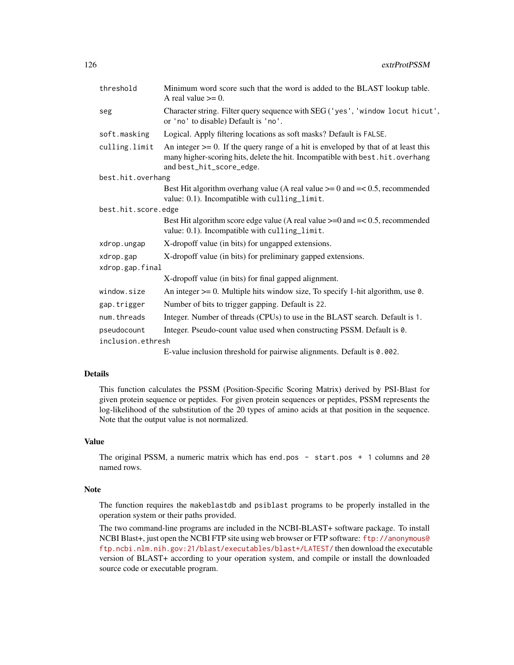| threshold                        | Minimum word score such that the word is added to the BLAST lookup table.<br>A real value $\geq 0$ .                                                                                                 |
|----------------------------------|------------------------------------------------------------------------------------------------------------------------------------------------------------------------------------------------------|
| seg                              | Character string. Filter query sequence with SEG ('yes', 'window locut hicut',<br>or 'no' to disable) Default is 'no'.                                                                               |
| soft.masking                     | Logical. Apply filtering locations as soft masks? Default is FALSE.                                                                                                                                  |
| culling.limit                    | An integer $\ge$ = 0. If the query range of a hit is enveloped by that of at least this<br>many higher-scoring hits, delete the hit. Incompatible with best.hit.overhang<br>and best_hit_score_edge. |
| best.hit.overhang                |                                                                                                                                                                                                      |
|                                  | Best Hit algorithm overhang value (A real value $\ge$ = 0 and $=\lt$ 0.5, recommended<br>value: 0.1). Incompatible with culling_limit.                                                               |
| best.hit.score.edge              |                                                                                                                                                                                                      |
|                                  | Best Hit algorithm score edge value (A real value $>= 0$ and $=< 0.5$ , recommended<br>value: 0.1). Incompatible with culling_limit.                                                                 |
| xdrop.ungap                      | X-dropoff value (in bits) for ungapped extensions.                                                                                                                                                   |
| xdrop.gap                        | X-dropoff value (in bits) for preliminary gapped extensions.                                                                                                                                         |
| xdrop.gap.final                  |                                                                                                                                                                                                      |
|                                  | X-dropoff value (in bits) for final gapped alignment.                                                                                                                                                |
| window.size                      | An integer $\geq 0$ . Multiple hits window size, To specify 1-hit algorithm, use 0.                                                                                                                  |
| gap.trigger                      | Number of bits to trigger gapping. Default is 22.                                                                                                                                                    |
| num.threads                      | Integer. Number of threads (CPUs) to use in the BLAST search. Default is 1.                                                                                                                          |
| pseudocount<br>inclusion.ethresh | Integer. Pseudo-count value used when constructing PSSM. Default is 0.                                                                                                                               |
|                                  | $\mathbf{r}$ , and $\mathbf{r}$ , and $\mathbf{r}$ , and $\mathbf{r}$ , and $\mathbf{r}$ , and $\mathbf{r}$                                                                                          |

E-value inclusion threshold for pairwise alignments. Default is 0.002.

# Details

This function calculates the PSSM (Position-Specific Scoring Matrix) derived by PSI-Blast for given protein sequence or peptides. For given protein sequences or peptides, PSSM represents the log-likelihood of the substitution of the 20 types of amino acids at that position in the sequence. Note that the output value is not normalized.

## Value

The original PSSM, a numeric matrix which has end.pos - start.pos + 1 columns and 20 named rows.

#### Note

The function requires the makeblastdb and psiblast programs to be properly installed in the operation system or their paths provided.

The two command-line programs are included in the NCBI-BLAST+ software package. To install NCBI Blast+, just open the NCBI FTP site using web browser or FTP software: [ftp://anonymous@](ftp://anonymous@ftp.ncbi.nlm.nih.gov:21/blast/executables/blast+/LATEST/) [ftp.ncbi.nlm.nih.gov:21/blast/executables/blast+/LATEST/](ftp://anonymous@ftp.ncbi.nlm.nih.gov:21/blast/executables/blast+/LATEST/) then download the executable version of BLAST+ according to your operation system, and compile or install the downloaded source code or executable program.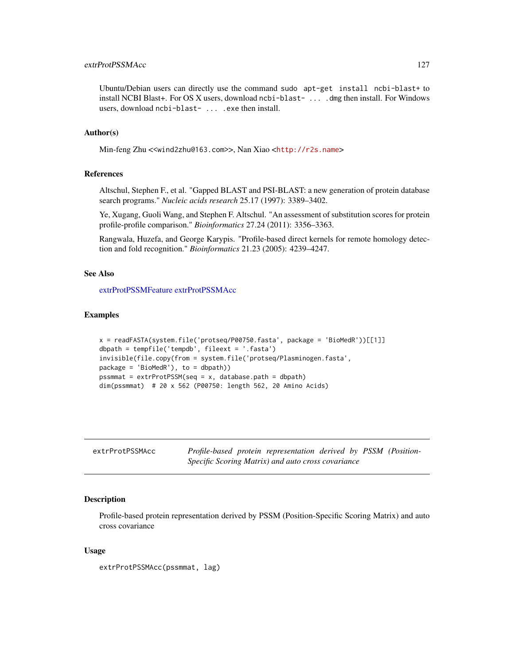# extrProtPSSMAcc 127

Ubuntu/Debian users can directly use the command sudo apt-get install ncbi-blast+ to install NCBI Blast+. For OS X users, download ncbi-blast- ... . dmg then install. For Windows users, download ncbi-blast- ... .exe then install.

## Author(s)

Min-feng Zhu <<wind2zhu@163.com>>, Nan Xiao <<http://r2s.name>>

## References

Altschul, Stephen F., et al. "Gapped BLAST and PSI-BLAST: a new generation of protein database search programs." *Nucleic acids research* 25.17 (1997): 3389–3402.

Ye, Xugang, Guoli Wang, and Stephen F. Altschul. "An assessment of substitution scores for protein profile-profile comparison." *Bioinformatics* 27.24 (2011): 3356–3363.

Rangwala, Huzefa, and George Karypis. "Profile-based direct kernels for remote homology detection and fold recognition." *Bioinformatics* 21.23 (2005): 4239–4247.

# See Also

[extrProtPSSMFeature](#page-128-0) [extrProtPSSMAcc](#page-126-0)

#### Examples

```
x = readFASTA(system.file('protseq/P00750.fasta', package = 'BioMedR'))[[1]]
dbpath = tempfile('tempdb', fileext = '.fasta')
invisible(file.copy(from = system.file('protseq/Plasminogen.fasta',
package = 'BiOMedR'), to = dbpath))
pssmmat = extrProtPSSM(seq = x, database.path = dbpath)dim(pssmmat) # 20 x 562 (P00750: length 562, 20 Amino Acids)
```
<span id="page-126-0"></span>

| extrProtPSSMAcc |  | Profile-based protein representation derived by PSSM (Position- |  |  |
|-----------------|--|-----------------------------------------------------------------|--|--|
|                 |  | Specific Scoring Matrix) and auto cross covariance              |  |  |

# **Description**

Profile-based protein representation derived by PSSM (Position-Specific Scoring Matrix) and auto cross covariance

## Usage

extrProtPSSMAcc(pssmmat, lag)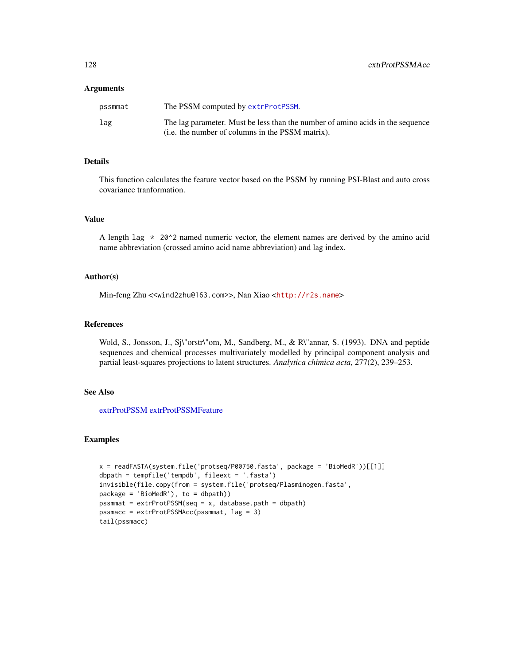#### **Arguments**

| pssmmat | The PSSM computed by extrProtPSSM.                                                                                                 |
|---------|------------------------------------------------------------------------------------------------------------------------------------|
| lag     | The lag parameter. Must be less than the number of amino acids in the sequence<br>(i.e. the number of columns in the PSSM matrix). |

## Details

This function calculates the feature vector based on the PSSM by running PSI-Blast and auto cross covariance tranformation.

# Value

A length  $\log * 20$ <sup>\*</sup> 2 named numeric vector, the element names are derived by the amino acid name abbreviation (crossed amino acid name abbreviation) and lag index.

## Author(s)

Min-feng Zhu <<wind2zhu@163.com>>, Nan Xiao <<http://r2s.name>>

# References

Wold, S., Jonsson, J., Sj\"orstr\"om, M., Sandberg, M., & R\"annar, S. (1993). DNA and peptide sequences and chemical processes multivariately modelled by principal component analysis and partial least-squares projections to latent structures. *Analytica chimica acta*, 277(2), 239–253.

## See Also

[extrProtPSSM](#page-124-0) [extrProtPSSMFeature](#page-128-0)

## Examples

```
x = readFASTA(system.file('protseq/P00750.fasta', package = 'BioMedR'))[[1]]
dbpath = tempfile('tempdb', fileext = '.fasta')
invisible(file.copy(from = system.file('protseq/Plasminogen.fasta',
package = 'BioMedR'), to = dbpath))
pssmmat = extrProtPSSM(seq = x, database.path = dbpath)
pssmacc = extrProtPSSMAcc(pssmmat, lag = 3)
tail(pssmacc)
```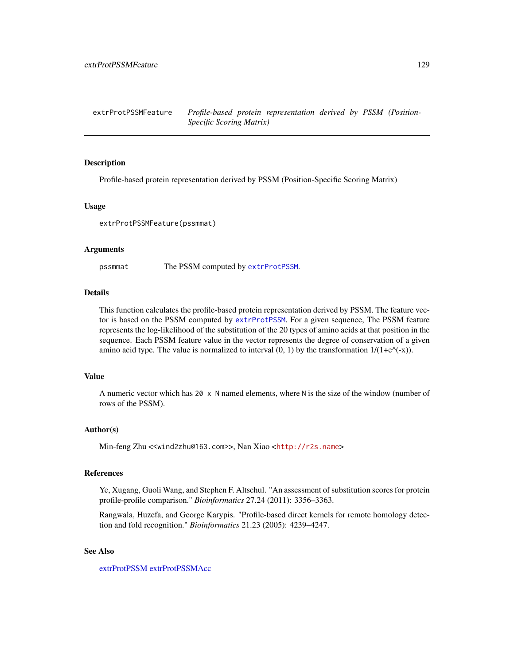<span id="page-128-0"></span>extrProtPSSMFeature *Profile-based protein representation derived by PSSM (Position-Specific Scoring Matrix)*

#### **Description**

Profile-based protein representation derived by PSSM (Position-Specific Scoring Matrix)

## Usage

extrProtPSSMFeature(pssmmat)

#### Arguments

pssmmat The PSSM computed by [extrProtPSSM](#page-124-0).

#### Details

This function calculates the profile-based protein representation derived by PSSM. The feature vector is based on the PSSM computed by [extrProtPSSM](#page-124-0). For a given sequence, The PSSM feature represents the log-likelihood of the substitution of the 20 types of amino acids at that position in the sequence. Each PSSM feature value in the vector represents the degree of conservation of a given amino acid type. The value is normalized to interval  $(0, 1)$  by the transformation  $1/(1+e^{\lambda}(-x))$ .

## Value

A numeric vector which has  $20 \times N$  named elements, where N is the size of the window (number of rows of the PSSM).

#### Author(s)

Min-feng Zhu <<wind2zhu@163.com>>, Nan Xiao <<http://r2s.name>>

#### References

Ye, Xugang, Guoli Wang, and Stephen F. Altschul. "An assessment of substitution scores for protein profile-profile comparison." *Bioinformatics* 27.24 (2011): 3356–3363.

Rangwala, Huzefa, and George Karypis. "Profile-based direct kernels for remote homology detection and fold recognition." *Bioinformatics* 21.23 (2005): 4239–4247.

## See Also

[extrProtPSSM](#page-124-0) [extrProtPSSMAcc](#page-126-0)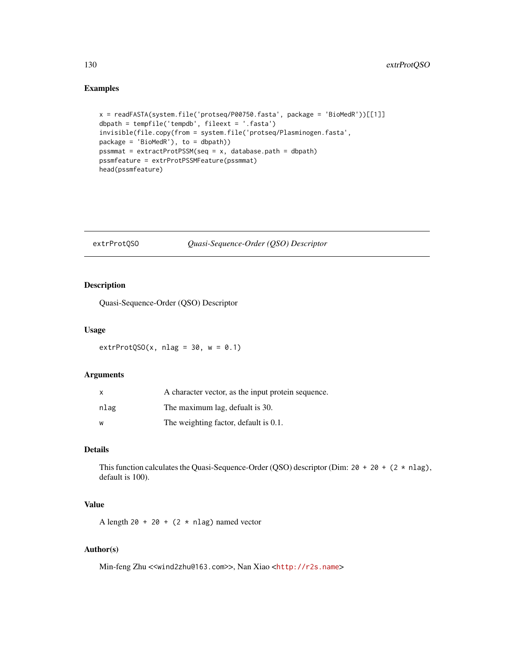# Examples

```
x = readFASTA(system.file('protseq/P00750.fasta', package = 'BioMedR'))[[1]]
dbpath = tempfile('tempdb', fileext = '.fasta')
invisible(file.copy(from = system.file('protseq/Plasminogen.fasta',
package = 'BioMedR'), to = dbpath))
pssmmat = extractProtPSSM(seq = x, database.path = dbpath)
pssmfeature = extrProtPSSMFeature(pssmmat)
head(pssmfeature)
```
### <span id="page-129-0"></span>extrProtQSO *Quasi-Sequence-Order (QSO) Descriptor*

## Description

Quasi-Sequence-Order (QSO) Descriptor

#### Usage

extrProtQSO(x, nlag =  $30$ , w = 0.1)

# Arguments

| $\mathsf{x}$ | A character vector, as the input protein sequence. |
|--------------|----------------------------------------------------|
| nlag         | The maximum lag, defualt is 30.                    |
| W            | The weighting factor, default is 0.1.              |

# Details

This function calculates the Quasi-Sequence-Order (QSO) descriptor (Dim:  $20 + 20 + (2 \times n \text{ lag})$ , default is 100).

# Value

A length 20 + 20 + (2  $\star$  nlag) named vector

# Author(s)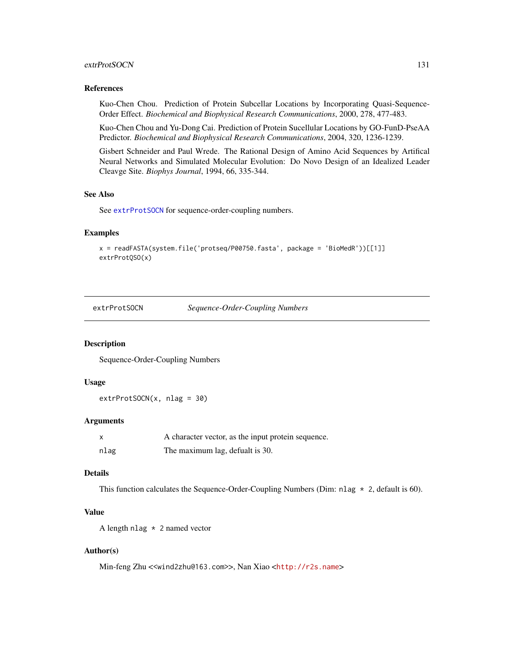## extrProtSOCN 131

## References

Kuo-Chen Chou. Prediction of Protein Subcellar Locations by Incorporating Quasi-Sequence-Order Effect. *Biochemical and Biophysical Research Communications*, 2000, 278, 477-483.

Kuo-Chen Chou and Yu-Dong Cai. Prediction of Protein Sucellular Locations by GO-FunD-PseAA Predictor. *Biochemical and Biophysical Research Communications*, 2004, 320, 1236-1239.

Gisbert Schneider and Paul Wrede. The Rational Design of Amino Acid Sequences by Artifical Neural Networks and Simulated Molecular Evolution: Do Novo Design of an Idealized Leader Cleavge Site. *Biophys Journal*, 1994, 66, 335-344.

#### See Also

See [extrProtSOCN](#page-130-0) for sequence-order-coupling numbers.

#### Examples

```
x = readFASTA(system.file('protseq/P00750.fasta', package = 'BioMedR'))[[1]]
extrProtQSO(x)
```
<span id="page-130-0"></span>extrProtSOCN *Sequence-Order-Coupling Numbers*

#### Description

Sequence-Order-Coupling Numbers

#### Usage

```
extrProtSOCN(x, nlag = 30)
```
## Arguments

|      | A character vector, as the input protein sequence. |
|------|----------------------------------------------------|
| nlag | The maximum lag, defualt is 30.                    |

#### Details

This function calculates the Sequence-Order-Coupling Numbers (Dim: nlag  $\star$  2, default is 60).

# Value

A length nlag \* 2 named vector

## Author(s)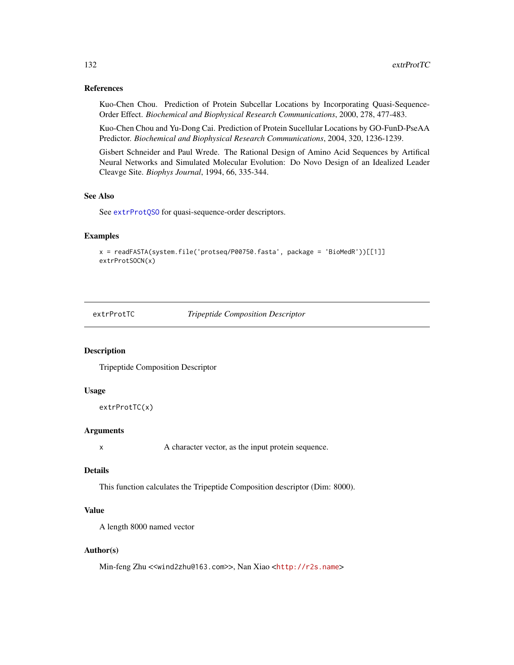## References

Kuo-Chen Chou. Prediction of Protein Subcellar Locations by Incorporating Quasi-Sequence-Order Effect. *Biochemical and Biophysical Research Communications*, 2000, 278, 477-483.

Kuo-Chen Chou and Yu-Dong Cai. Prediction of Protein Sucellular Locations by GO-FunD-PseAA Predictor. *Biochemical and Biophysical Research Communications*, 2004, 320, 1236-1239.

Gisbert Schneider and Paul Wrede. The Rational Design of Amino Acid Sequences by Artifical Neural Networks and Simulated Molecular Evolution: Do Novo Design of an Idealized Leader Cleavge Site. *Biophys Journal*, 1994, 66, 335-344.

## See Also

See [extrProtQSO](#page-129-0) for quasi-sequence-order descriptors.

# Examples

```
x = readFASTA(system.file('protseq/P00750.fasta', package = 'BioMedR'))[[1]]
extrProtSOCN(x)
```
<span id="page-131-0"></span>

extrProtTC *Tripeptide Composition Descriptor*

# Description

Tripeptide Composition Descriptor

## Usage

```
extrProtTC(x)
```
# Arguments

x A character vector, as the input protein sequence.

## Details

This function calculates the Tripeptide Composition descriptor (Dim: 8000).

## Value

A length 8000 named vector

#### Author(s)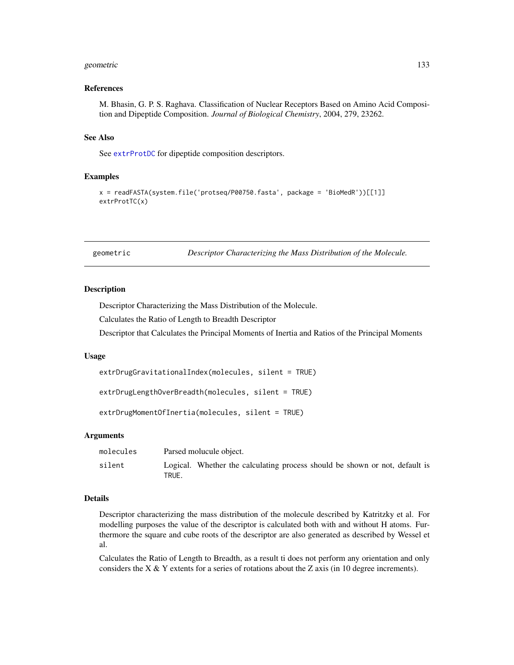#### geometric 133

## References

M. Bhasin, G. P. S. Raghava. Classification of Nuclear Receptors Based on Amino Acid Composition and Dipeptide Composition. *Journal of Biological Chemistry*, 2004, 279, 23262.

## See Also

See [extrProtDC](#page-114-0) for dipeptide composition descriptors.

#### Examples

```
x = readFASTA(system.file('protseq/P00750.fasta', package = 'BioMedR'))[[1]]
extrProtTC(x)
```
geometric *Descriptor Characterizing the Mass Distribution of the Molecule.*

#### **Description**

Descriptor Characterizing the Mass Distribution of the Molecule.

Calculates the Ratio of Length to Breadth Descriptor

Descriptor that Calculates the Principal Moments of Inertia and Ratios of the Principal Moments

#### Usage

```
extrDrugGravitationalIndex(molecules, silent = TRUE)
```
extrDrugLengthOverBreadth(molecules, silent = TRUE)

```
extrDrugMomentOfInertia(molecules, silent = TRUE)
```
### Arguments

| molecules | Parsed molucule object.                                                              |
|-----------|--------------------------------------------------------------------------------------|
| silent    | Logical. Whether the calculating process should be shown or not, default is<br>TRUE. |

#### Details

Descriptor characterizing the mass distribution of the molecule described by Katritzky et al. For modelling purposes the value of the descriptor is calculated both with and without H atoms. Furthermore the square and cube roots of the descriptor are also generated as described by Wessel et al.

Calculates the Ratio of Length to Breadth, as a result ti does not perform any orientation and only considers the X  $&$  Y extents for a series of rotations about the Z axis (in 10 degree increments).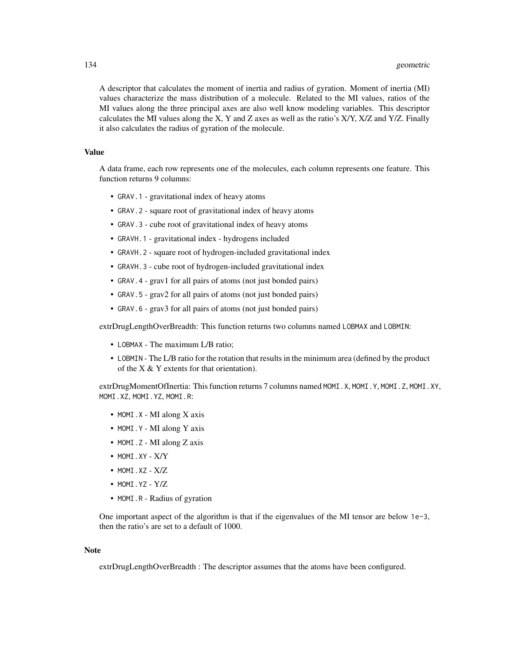A descriptor that calculates the moment of inertia and radius of gyration. Moment of inertia (MI) values characterize the mass distribution of a molecule. Related to the MI values, ratios of the MI values along the three principal axes are also well know modeling variables. This descriptor calculates the MI values along the X, Y and Z axes as well as the ratio's X/Y, X/Z and Y/Z. Finally it also calculates the radius of gyration of the molecule.

## Value

A data frame, each row represents one of the molecules, each column represents one feature. This function returns 9 columns:

- GRAV.1 gravitational index of heavy atoms
- GRAV.2 square root of gravitational index of heavy atoms
- GRAV.3 cube root of gravitational index of heavy atoms
- GRAVH.1 gravitational index hydrogens included
- GRAVH.2 square root of hydrogen-included gravitational index
- GRAVH.3 cube root of hydrogen-included gravitational index
- GRAV.4 grav1 for all pairs of atoms (not just bonded pairs)
- GRAV.5 grav2 for all pairs of atoms (not just bonded pairs)
- GRAV.6 grav3 for all pairs of atoms (not just bonded pairs)

extrDrugLengthOverBreadth: This function returns two columns named LOBMAX and LOBMIN:

- LOBMAX The maximum L/B ratio;
- LOBMIN The L/B ratio for the rotation that results in the minimum area (defined by the product of the  $X & Y$  extents for that orientation).

extrDrugMomentOfInertia: This function returns 7 columns named MOMI.X, MOMI.Y, MOMI.Z, MOMI.XY, MOMI.XZ, MOMI.YZ, MOMI.R:

- MOMI.X MI along X axis
- MOMI.Y MI along Y axis
- MOMI.Z MI along Z axis
- MOMI.XY X/Y
- $\bullet$  MOMI.XZ  $X/Z$
- MOMI.YZ Y/Z
- MOMI.R Radius of gyration

One important aspect of the algorithm is that if the eigenvalues of the MI tensor are below 1e-3, then the ratio's are set to a default of 1000.

# Note

extrDrugLengthOverBreadth : The descriptor assumes that the atoms have been configured.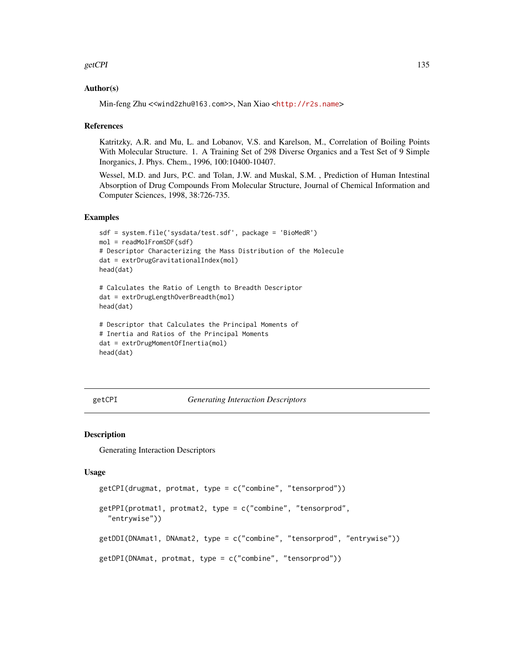#### getCPI 135

## Author(s)

Min-feng Zhu <<wind2zhu@163.com>>, Nan Xiao <<http://r2s.name>>

## References

Katritzky, A.R. and Mu, L. and Lobanov, V.S. and Karelson, M., Correlation of Boiling Points With Molecular Structure. 1. A Training Set of 298 Diverse Organics and a Test Set of 9 Simple Inorganics, J. Phys. Chem., 1996, 100:10400-10407.

Wessel, M.D. and Jurs, P.C. and Tolan, J.W. and Muskal, S.M. , Prediction of Human Intestinal Absorption of Drug Compounds From Molecular Structure, Journal of Chemical Information and Computer Sciences, 1998, 38:726-735.

## Examples

```
sdf = system.file('sysdata/test.sdf', package = 'BioMedR')
mol = readMolFromSDF(sdf)
# Descriptor Characterizing the Mass Distribution of the Molecule
dat = extrDrugGravitationalIndex(mol)
head(dat)
```

```
# Calculates the Ratio of Length to Breadth Descriptor
dat = extrDrugLengthOverBreadth(mol)
head(dat)
```

```
# Descriptor that Calculates the Principal Moments of
# Inertia and Ratios of the Principal Moments
dat = extrDrugMomentOfInertia(mol)
head(dat)
```
## getCPI *Generating Interaction Descriptors*

#### Description

Generating Interaction Descriptors

#### Usage

```
getCPI(drugmat, protmat, type = c("combine", "tensorprod"))
getPPI(protmat1, protmat2, type = c("combine", "tensorprod",
  "entrywise"))
getDDI(DNAmat1, DNAmat2, type = c("combine", "tensorprod", "entrywise"))
getDPI(DNAmat, protmat, type = c("combine", "tensorprod"))
```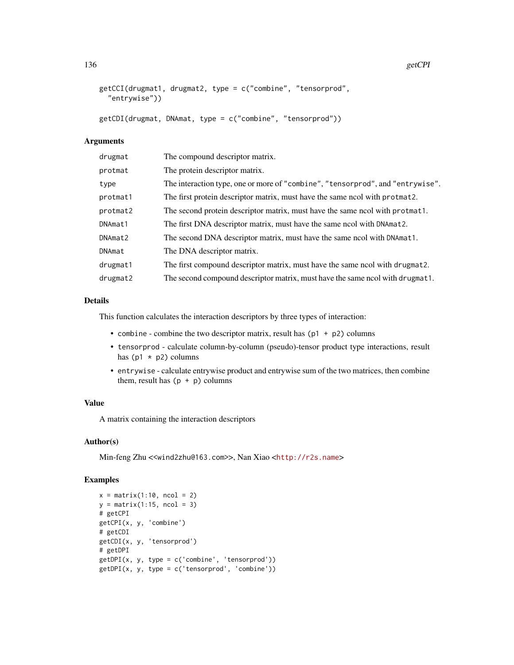```
getCCI(drugmat1, drugmat2, type = c("combine", "tensorprod",
  "entrywise"))
getCDI(drugmat, DNAmat, type = c("combine", "tensorprod"))
```
## Arguments

| drugmat  | The compound descriptor matrix.                                                |
|----------|--------------------------------------------------------------------------------|
| protmat  | The protein descriptor matrix.                                                 |
| type     | The interaction type, one or more of "combine", "tensorprod", and "entrywise". |
| protmat1 | The first protein descriptor matrix, must have the same nool with protmat2.    |
| protmat2 | The second protein descriptor matrix, must have the same ncol with protmat1.   |
| DNAmat1  | The first DNA descriptor matrix, must have the same ncol with DNAmat2.         |
| DNAmat2  | The second DNA descriptor matrix, must have the same ncol with DNAmat1.        |
| DNAmat   | The DNA descriptor matrix.                                                     |
| drugmat1 | The first compound descriptor matrix, must have the same nool with drugmat2.   |
| drugmat2 | The second compound descriptor matrix, must have the same nool with drugmat1.  |

## Details

This function calculates the interaction descriptors by three types of interaction:

- combine combine the two descriptor matrix, result has  $(p1 + p2)$  columns
- tensorprod calculate column-by-column (pseudo)-tensor product type interactions, result has ( $p1 \star p2$ ) columns
- entrywise calculate entrywise product and entrywise sum of the two matrices, then combine them, result has  $(p + p)$  columns

#### Value

A matrix containing the interaction descriptors

## Author(s)

Min-feng Zhu <<wind2zhu@163.com>>, Nan Xiao <<http://r2s.name>>

# Examples

```
x = matrix(1:10, ncol = 2)y = matrix(1:15, ncol = 3)# getCPI
getCPI(x, y, 'combine')
# getCDI
getCDI(x, y, 'tensorprod')
# getDPI
getDPI(x, y, type = c('combine', 'tensorprod'))
getDPI(x, y, type = c('tensorprod', 'combine'))
```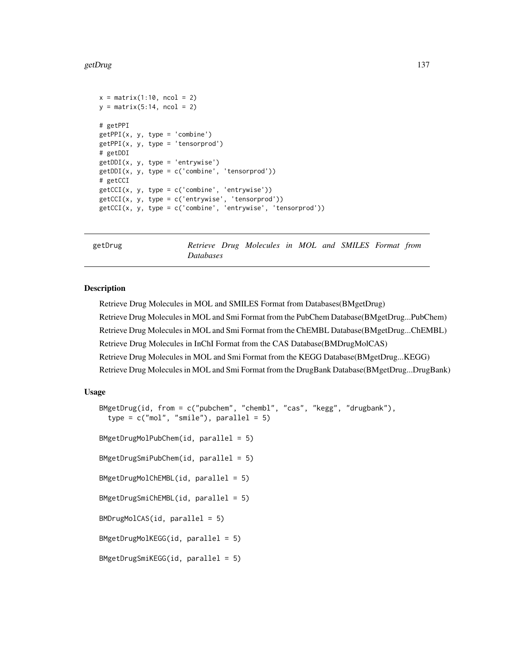```
x = matrix(1:10, ncol = 2)y = matrix(5:14, ncol = 2)# getPPI
getPPI(x, y, type = 'combine')
getPPI(x, y, type = 'tensorprod')# getDDI
getDDI(x, y, type = 'entrywise')
getDDI(x, y, type = c('combine', 'tensorprod')# getCCI
getCCI(x, y, type = c('combine', 'entrywise'))
getCCI(x, y, type = c('entrywise', 'tensorprod'))
getCCI(x, y, type = c('combine', 'entrywise', 'tensorprod'))
```
getDrug *Retrieve Drug Molecules in MOL and SMILES Format from Databases*

#### <span id="page-136-0"></span>**Description**

Retrieve Drug Molecules in MOL and SMILES Format from Databases(BMgetDrug) Retrieve Drug Molecules in MOL and Smi Format from the PubChem Database(BMgetDrug...PubChem) Retrieve Drug Molecules in MOL and Smi Format from the ChEMBL Database(BMgetDrug...ChEMBL) Retrieve Drug Molecules in InChI Format from the CAS Database(BMDrugMolCAS) Retrieve Drug Molecules in MOL and Smi Format from the KEGG Database(BMgetDrug...KEGG) Retrieve Drug Molecules in MOL and Smi Format from the DrugBank Database(BMgetDrug...DrugBank)

## Usage

```
BMgetDrug(id, from = c("pubchem", "chembl", "cas", "kegg", "drugbank"),
  type = c("mol", "smile"), parallel = 5)BMgetDrugMolPubChem(id, parallel = 5)
BMgetDrugSmiPubChem(id, parallel = 5)
BMgetDrugMolChEMBL(id, parallel = 5)
BMgetDrugSmiChEMBL(id, parallel = 5)
BMDrugMolCAS(id, parallel = 5)
BMgetDrugMolKEGG(id, parallel = 5)
BMgetDrugSmiKEGG(id, parallel = 5)
```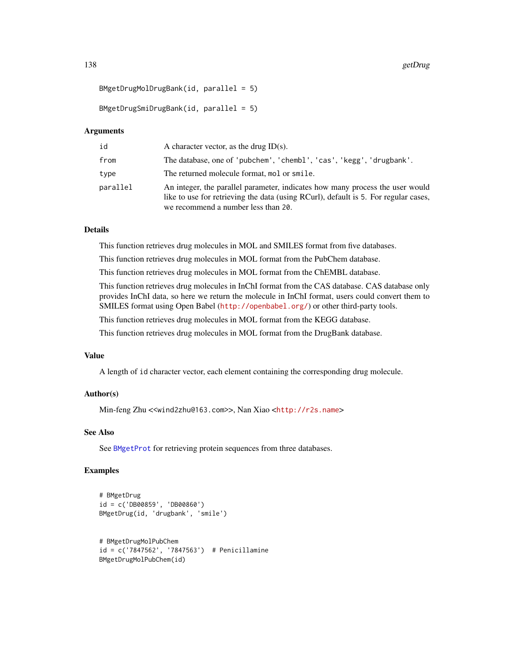```
BMgetDrugMolDrugBank(id, parallel = 5)
```
 $BMgetDrugSmiDrugBank(id, parallel = 5)$ 

## Arguments

| id       | A character vector, as the drug $ID(s)$ .                                                                                                                                                                   |
|----------|-------------------------------------------------------------------------------------------------------------------------------------------------------------------------------------------------------------|
| from     | The database, one of 'pubchem', 'chembl', 'cas', 'kegg', 'drugbank'.                                                                                                                                        |
| type     | The returned molecule format, mol or smile.                                                                                                                                                                 |
| parallel | An integer, the parallel parameter, indicates how many process the user would<br>like to use for retrieving the data (using RCurl), default is 5. For regular cases,<br>we recommend a number less than 20. |

## Details

This function retrieves drug molecules in MOL and SMILES format from five databases.

This function retrieves drug molecules in MOL format from the PubChem database.

This function retrieves drug molecules in MOL format from the ChEMBL database.

This function retrieves drug molecules in InChI format from the CAS database. CAS database only provides InChI data, so here we return the molecule in InChI format, users could convert them to SMILES format using Open Babel (<http://openbabel.org/>) or other third-party tools.

This function retrieves drug molecules in MOL format from the KEGG database.

This function retrieves drug molecules in MOL format from the DrugBank database.

# Value

A length of id character vector, each element containing the corresponding drug molecule.

#### Author(s)

Min-feng Zhu <<wind2zhu@163.com>>, Nan Xiao <<http://r2s.name>>

## See Also

See [BMgetProt](#page-138-0) for retrieving protein sequences from three databases.

## Examples

```
# BMgetDrug
id = c('DB00859', 'DB00860')
BMgetDrug(id, 'drugbank', 'smile')
# BMgetDrugMolPubChem
id = c('7847562', '7847563') # Penicillamine
BMgetDrugMolPubChem(id)
```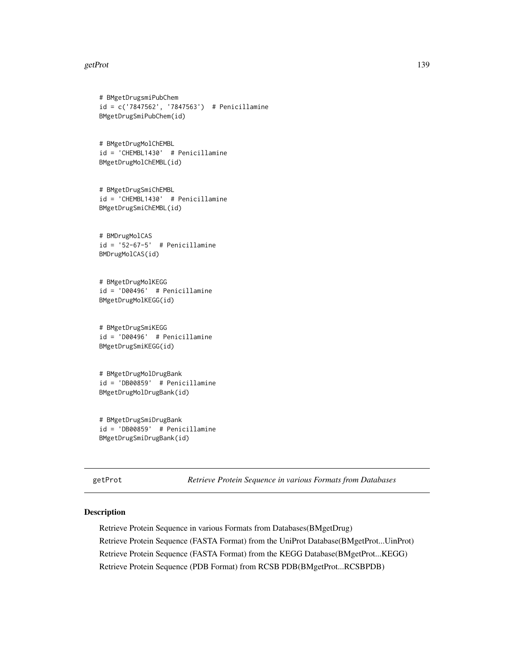#### getProt the state of the state of the state of the state of the state of the state of the state of the state of the state of the state of the state of the state of the state of the state of the state of the state of the st

```
# BMgetDrugsmiPubChem
id = c('7847562', '7847563') # Penicillamine
BMgetDrugSmiPubChem(id)
# BMgetDrugMolChEMBL
id = 'CHEMBL1430' # Penicillamine
BMgetDrugMolChEMBL(id)
# BMgetDrugSmiChEMBL
id = 'CHEMBL1430' # Penicillamine
BMgetDrugSmiChEMBL(id)
# BMDrugMolCAS
id = '52-67-5' # Penicillamine
BMDrugMolCAS(id)
# BMgetDrugMolKEGG
id = 'D00496' # Penicillamine
BMgetDrugMolKEGG(id)
# BMgetDrugSmiKEGG
id = 'D00496' # Penicillamine
BMgetDrugSmiKEGG(id)
# BMgetDrugMolDrugBank
id = 'DB00859' # Penicillamine
BMgetDrugMolDrugBank(id)
# BMgetDrugSmiDrugBank
id = 'DB00859' # Penicillamine
```
BMgetDrugSmiDrugBank(id)

getProt *Retrieve Protein Sequence in various Formats from Databases*

# <span id="page-138-0"></span>Description

Retrieve Protein Sequence in various Formats from Databases(BMgetDrug) Retrieve Protein Sequence (FASTA Format) from the UniProt Database(BMgetProt...UinProt) Retrieve Protein Sequence (FASTA Format) from the KEGG Database(BMgetProt...KEGG) Retrieve Protein Sequence (PDB Format) from RCSB PDB(BMgetProt...RCSBPDB)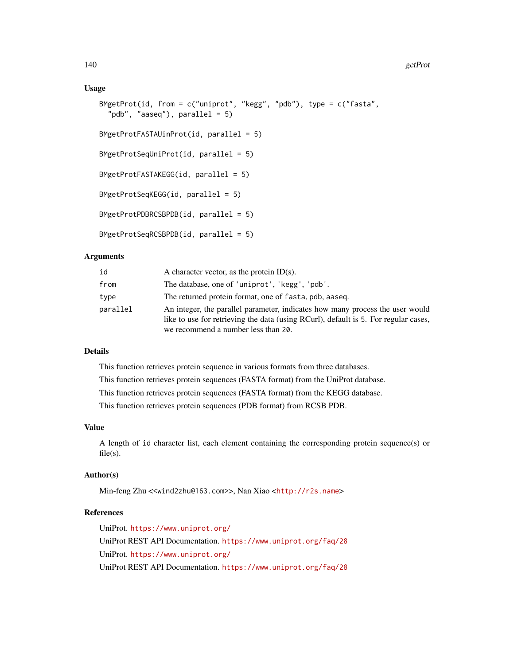### Usage

```
BMgetProt(id, from = c("uniprot", "kegg", "pdb"), type = <math>c("fasta",</math>"pdb", "aaseq"), parallel = 5)
BMgetProtFASTAUinProt(id, parallel = 5)
BMgetProtSeqUniProt(id, parallel = 5)
BMgetProtFASTAKEGG(id, parallel = 5)
BMgetProtSeqKEGG(id, parallel = 5)
BMgetProtPDBRCSBPDB(id, parallel = 5)
BMgetProtSeqRCSBPDB(id, parallel = 5)
```
## **Arguments**

| id       | A character vector, as the protein $ID(s)$ .                                                                                                                                                                |
|----------|-------------------------------------------------------------------------------------------------------------------------------------------------------------------------------------------------------------|
| from     | The database, one of 'uniprot', 'kegg', 'pdb'.                                                                                                                                                              |
| type     | The returned protein format, one of fasta, pdb, aaseg.                                                                                                                                                      |
| parallel | An integer, the parallel parameter, indicates how many process the user would<br>like to use for retrieving the data (using RCurl), default is 5. For regular cases,<br>we recommend a number less than 20. |

# Details

This function retrieves protein sequence in various formats from three databases. This function retrieves protein sequences (FASTA format) from the UniProt database. This function retrieves protein sequences (FASTA format) from the KEGG database. This function retrieves protein sequences (PDB format) from RCSB PDB.

## Value

A length of id character list, each element containing the corresponding protein sequence(s) or  $file(s)$ .

# Author(s)

Min-feng Zhu <<wind2zhu@163.com>>, Nan Xiao <<http://r2s.name>>

# References

UniProt. <https://www.uniprot.org/> UniProt REST API Documentation. <https://www.uniprot.org/faq/28> UniProt. <https://www.uniprot.org/> UniProt REST API Documentation. <https://www.uniprot.org/faq/28>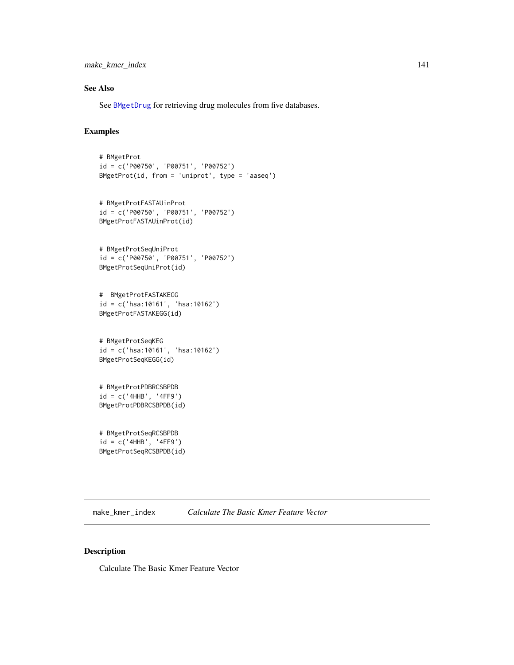make\_kmer\_index 141

# See Also

See [BMgetDrug](#page-136-0) for retrieving drug molecules from five databases.

# Examples

```
# BMgetProt
id = c('P00750', 'P00751', 'P00752')
BMgetProt(id, from = 'uniprot', type = 'aaseq')
# BMgetProtFASTAUinProt
id = c('P00750', 'P00751', 'P00752')
BMgetProtFASTAUinProt(id)
# BMgetProtSeqUniProt
id = c('P00750', 'P00751', 'P00752')
BMgetProtSeqUniProt(id)
# BMgetProtFASTAKEGG
id = c('hsa:10161', 'hsa:10162')
BMgetProtFASTAKEGG(id)
# BMgetProtSeqKEG
id = c('hsa:10161', 'hsa:10162')
BMgetProtSeqKEGG(id)
# BMgetProtPDBRCSBPDB
id = c('4HHB', '4FF9')
BMgetProtPDBRCSBPDB(id)
# BMgetProtSeqRCSBPDB
id = c('4HHB', '4FF9')
BMgetProtSeqRCSBPDB(id)
```
make\_kmer\_index *Calculate The Basic Kmer Feature Vector*

# Description

Calculate The Basic Kmer Feature Vector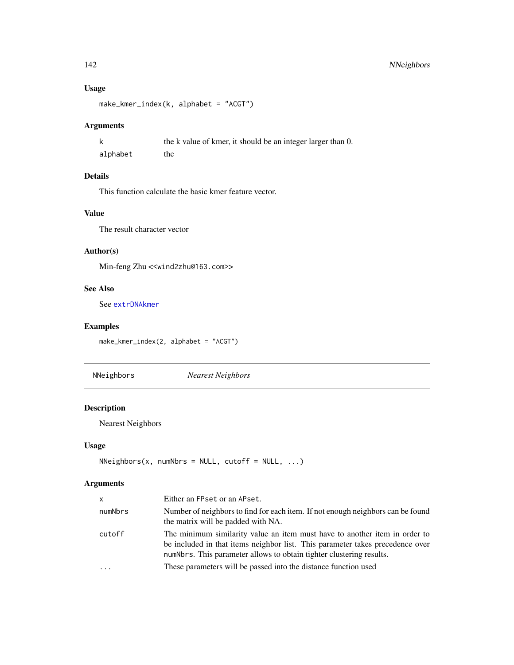# 142 NNeighbors

# Usage

```
make_kmer_index(k, alphabet = "ACGT")
```
# Arguments

|          | the k value of kmer, it should be an integer larger than 0. |
|----------|-------------------------------------------------------------|
| alphabet | the                                                         |

# Details

This function calculate the basic kmer feature vector.

# Value

The result character vector

# Author(s)

Min-feng Zhu <<wind2zhu@163.com>>

# See Also

See [extrDNAkmer](#page-54-0)

# Examples

make\_kmer\_index(2, alphabet = "ACGT")

NNeighbors *Nearest Neighbors*

# Description

Nearest Neighbors

# Usage

```
NNeighbors(x, numNbrs = NULL, cutoff = NULL, ...)
```
# Arguments

| x       | Either an FPset or an APset.                                                                                                                                                                                                        |
|---------|-------------------------------------------------------------------------------------------------------------------------------------------------------------------------------------------------------------------------------------|
| numNbrs | Number of neighbors to find for each item. If not enough neighbors can be found<br>the matrix will be padded with NA.                                                                                                               |
| cutoff  | The minimum similarity value an item must have to another item in order to<br>be included in that items neighbor list. This parameter takes precedence over<br>numNbrs. This parameter allows to obtain tighter clustering results. |
| .       | These parameters will be passed into the distance function used                                                                                                                                                                     |
|         |                                                                                                                                                                                                                                     |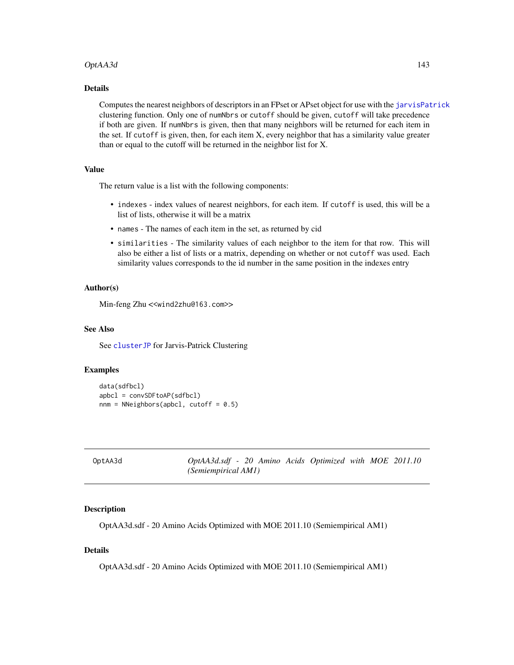## OptAA3d 143

# Details

Computes the nearest neighbors of descriptors in an FPset or APset object for use with the [jarvisPatrick](#page-0-0) clustering function. Only one of numNbrs or cutoff should be given, cutoff will take precedence if both are given. If numNbrs is given, then that many neighbors will be returned for each item in the set. If cutoff is given, then, for each item X, every neighbor that has a similarity value greater than or equal to the cutoff will be returned in the neighbor list for X.

## Value

The return value is a list with the following components:

- indexes index values of nearest neighbors, for each item. If cutoff is used, this will be a list of lists, otherwise it will be a matrix
- names The names of each item in the set, as returned by cid
- similarities The similarity values of each neighbor to the item for that row. This will also be either a list of lists or a matrix, depending on whether or not cutoff was used. Each similarity values corresponds to the id number in the same position in the indexes entry

#### Author(s)

Min-feng Zhu <<wind2zhu@163.com>>

#### See Also

See [clusterJP](#page-36-0) for Jarvis-Patrick Clustering

## Examples

```
data(sdfbcl)
apbcl = convSDFtoAP(sdfbcl)
nnm = NNeighbors(apbc1, cutoff = 0.5)
```

| OptAA3d | OptAA3d.sdf - 20 Amino Acids Optimized with MOE 2011.10 |  |  |  |
|---------|---------------------------------------------------------|--|--|--|
|         | (Semiempirical AM1)                                     |  |  |  |

#### Description

OptAA3d.sdf - 20 Amino Acids Optimized with MOE 2011.10 (Semiempirical AM1)

# Details

OptAA3d.sdf - 20 Amino Acids Optimized with MOE 2011.10 (Semiempirical AM1)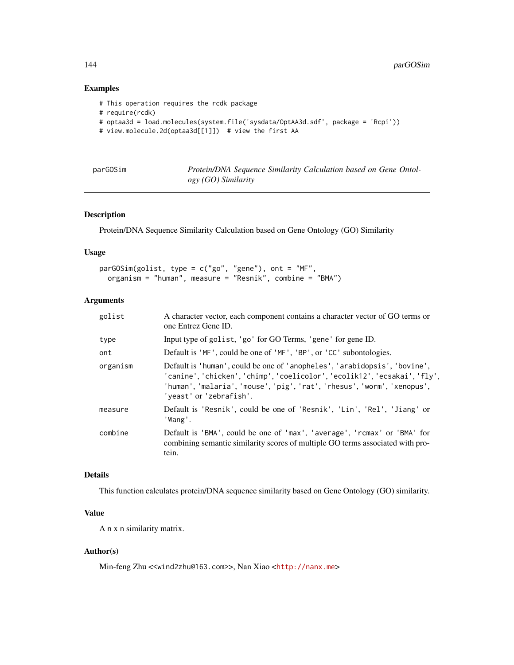# Examples

```
# This operation requires the rcdk package
# require(rcdk)
# optaa3d = load.molecules(system.file('sysdata/OptAA3d.sdf', package = 'Rcpi'))
# view.molecule.2d(optaa3d[[1]]) # view the first AA
```

| parGOSim | Protein/DNA Sequence Similarity Calculation based on Gene Ontol- |
|----------|------------------------------------------------------------------|
|          | $ogy (GO)$ Similarity                                            |

#### Description

Protein/DNA Sequence Similarity Calculation based on Gene Ontology (GO) Similarity

## Usage

```
parGOSim(golist, type = c("go", "gene"), ont = "MF",
 organism = "human", measure = "Resnik", combine = "BMA")
```
# Arguments

| golist   | A character vector, each component contains a character vector of GO terms or<br>one Entrez Gene ID.                                                                                                                                                         |
|----------|--------------------------------------------------------------------------------------------------------------------------------------------------------------------------------------------------------------------------------------------------------------|
| type     | Input type of golist, 'go' for GO Terms, 'gene' for gene ID.                                                                                                                                                                                                 |
| ont      | Default is 'MF', could be one of 'MF', 'BP', or 'CC' subontologies.                                                                                                                                                                                          |
| organism | Default is 'human', could be one of 'anopheles', 'arabidopsis', 'bovine',<br>'canine', 'chicken', 'chimp', 'coelicolor', 'ecolik12', 'ecsakai', 'fly',<br>'human', 'malaria', 'mouse', 'pig', 'rat', 'rhesus', 'worm', 'xenopus',<br>'yeast' or 'zebrafish'. |
| measure  | Default is 'Resnik', could be one of 'Resnik', 'Lin', 'Rel', 'Jiang' or<br>'Wang'.                                                                                                                                                                           |
| combine  | Default is 'BMA', could be one of 'max', 'average', 'rcmax' or 'BMA' for<br>combining semantic similarity scores of multiple GO terms associated with pro-<br>tein.                                                                                          |

# Details

This function calculates protein/DNA sequence similarity based on Gene Ontology (GO) similarity.

# Value

A n x n similarity matrix.

# Author(s)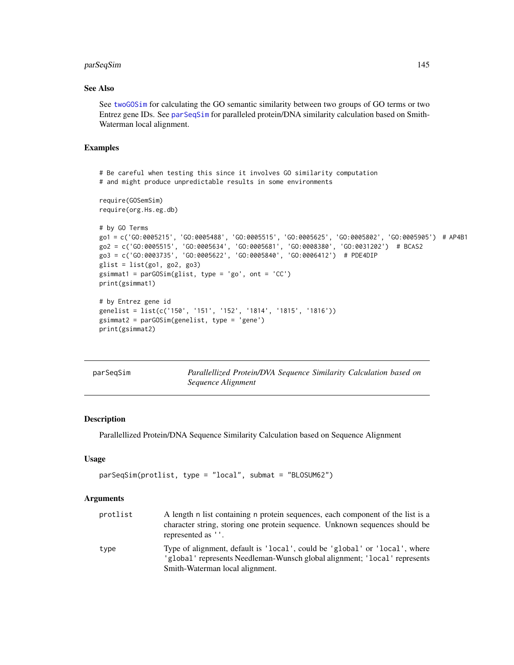# <span id="page-144-1"></span>parSeqSim 145

# See Also

See [twoGOSim](#page-167-0) for calculating the GO semantic similarity between two groups of GO terms or two Entrez gene IDs. See [parSeqSim](#page-144-0) for paralleled protein/DNA similarity calculation based on Smith-Waterman local alignment.

## Examples

```
# Be careful when testing this since it involves GO similarity computation
# and might produce unpredictable results in some environments
require(GOSemSim)
require(org.Hs.eg.db)
# by GO Terms
go1 = c('GO:0005215', 'GO:0005488', 'GO:0005515', 'GO:0005625', 'GO:0005802', 'GO:0005905') # AP4B1
go2 = c('GO:0005515', 'GO:0005634', 'GO:0005681', 'GO:0008380', 'GO:0031202') # BCAS2
go3 = c('GO:0003735', 'GO:0005622', 'GO:0005840', 'GO:0006412') # PDE4DIP
glist = list(go1, go2, go3)gsimmat1 = parGOSim(glist, type = 'go', ont = 'CC')
print(gsimmat1)
# by Entrez gene id
genelist = list(c('150', '151', '152', '1814', '1815', '1816'))
gsimmat2 = parGOSim(genelist, type = 'gene')
print(gsimmat2)
```
<span id="page-144-0"></span>

| parSeqSim | Parallellized Protein/DVA Sequence Similarity Calculation based on |  |  |  |
|-----------|--------------------------------------------------------------------|--|--|--|
|           | Sequence Alignment                                                 |  |  |  |

# Description

Parallellized Protein/DNA Sequence Similarity Calculation based on Sequence Alignment

#### Usage

```
parSeqSim(protlist, type = "local", submat = "BLOSUM62")
```
#### Arguments

| protlist | A length n list containing n protein sequences, each component of the list is a<br>character string, storing one protein sequence. Unknown sequences should be<br>represented as ''.       |
|----------|--------------------------------------------------------------------------------------------------------------------------------------------------------------------------------------------|
| type     | Type of alignment, default is 'local', could be 'global' or 'local', where<br>'global' represents Needleman-Wunsch global alignment; 'local' represents<br>Smith-Waterman local alignment. |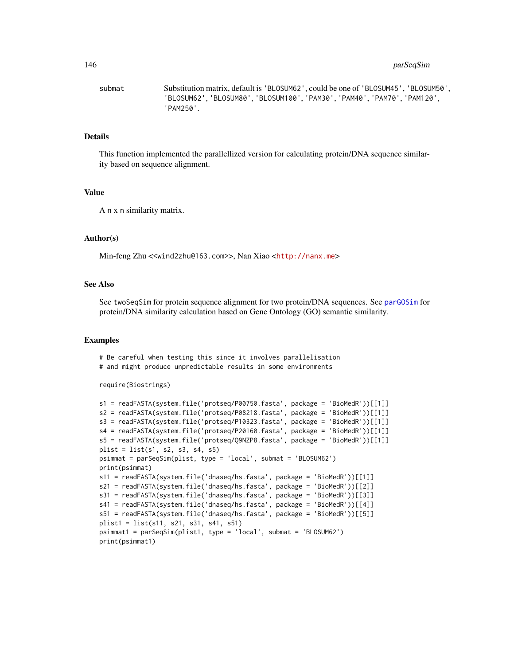#### 146 **parseqSim**

submat Substitution matrix, default is 'BLOSUM62', could be one of 'BLOSUM45', 'BLOSUM50', 'BLOSUM62', 'BLOSUM80', 'BLOSUM100', 'PAM30', 'PAM40', 'PAM70', 'PAM120', 'PAM250'.

#### Details

This function implemented the parallellized version for calculating protein/DNA sequence similarity based on sequence alignment.

#### Value

A n x n similarity matrix.

#### Author(s)

Min-feng Zhu <<wind2zhu@163.com>>, Nan Xiao <<http://nanx.me>>

#### See Also

See twoSeqSim for protein sequence alignment for two protein/DNA sequences. See [parGOSim](#page-143-0) for protein/DNA similarity calculation based on Gene Ontology (GO) semantic similarity.

#### Examples

# Be careful when testing this since it involves parallelisation # and might produce unpredictable results in some environments

```
require(Biostrings)
```

```
s1 = readFASTA(system.file('protseq/P00750.fasta', package = 'BioMedR'))[[1]]
s2 = readFASTA(system.file('protseq/P08218.fasta', package = 'BioMedR'))[[1]]
s3 = readFASTA(system.file('protseq/P10323.fasta', package = 'BioMedR'))[[1]]
s4 = readFASTA(system.file('protseq/P20160.fasta', package = 'BioMedR'))[[1]]
s5 = readFASTA(system.file('protseq/Q9NZP8.fasta', package = 'BioMedR'))[[1]]
plist = list(s1, s2, s3, s4, s5)psimmat = parSeqSim(plist, type = 'local', submat = 'BLOSUM62')
print(psimmat)
s11 = readFASTA(system.file('dnaseq/hs.fasta', package = 'BioMedR'))[[1]]
s21 = readFASTA(system.file('dnaseq/hs.fasta', package = 'BioMedR'))[[2]]
s31 = readFASTA(system.file('dnaseq/hs.fasta', package = 'BioMedR'))[[3]]
s41 = readFASTA(system.file('dnaseq/hs.fasta', package = 'BioMedR'))[[4]]
s51 = readFASTA(system.file('dnaseq/hs.fasta', package = 'BioMedR'))[[5]]
plist1 = list(s11, s21, s31, s41, s51)
psimmat1 = parSeqSim(plist1, type = 'local', submat = 'BLOSUM62')
print(psimmat1)
```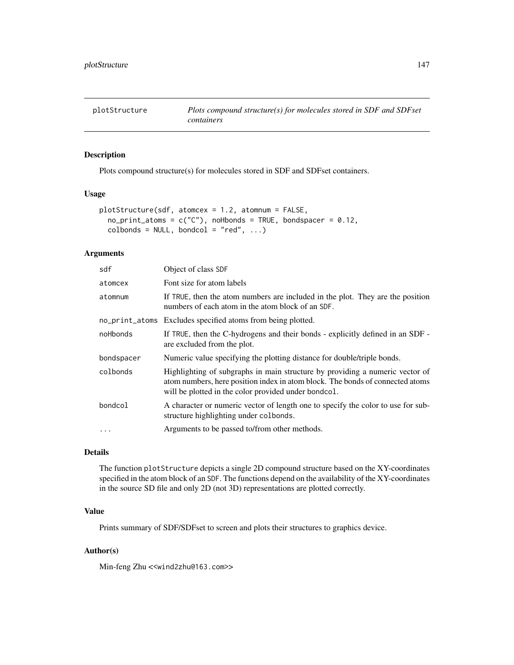<span id="page-146-0"></span>

Plots compound structure(s) for molecules stored in SDF and SDFset containers.

# Usage

```
plotStructure(sdf, atomcex = 1.2, atomnum = FALSE,
  no\_print\_atoms = c("C"), noHbonds = TRUE, bondspacer = 0.12,
  \text{colbonds} = \text{NULL}, \text{bondcol} = \text{"red", ...}
```
#### Arguments

| sdf        | Object of class SDF                                                                                                                                                                                                   |
|------------|-----------------------------------------------------------------------------------------------------------------------------------------------------------------------------------------------------------------------|
| atomcex    | Font size for atom labels                                                                                                                                                                                             |
| atomnum    | If TRUE, then the atom numbers are included in the plot. They are the position<br>numbers of each atom in the atom block of an SDF.                                                                                   |
|            | no_print_atoms Excludes specified atoms from being plotted.                                                                                                                                                           |
| noHbonds   | If TRUE, then the C-hydrogens and their bonds - explicitly defined in an SDF -<br>are excluded from the plot.                                                                                                         |
| bondspacer | Numeric value specifying the plotting distance for double/triple bonds.                                                                                                                                               |
| colbonds   | Highlighting of subgraphs in main structure by providing a numeric vector of<br>atom numbers, here position index in atom block. The bonds of connected atoms<br>will be plotted in the color provided under bondcol. |
| bondcol    | A character or numeric vector of length one to specify the color to use for sub-<br>structure highlighting under colbonds.                                                                                            |
| $\ddotsc$  | Arguments to be passed to/from other methods.                                                                                                                                                                         |
|            |                                                                                                                                                                                                                       |

# Details

The function plotStructure depicts a single 2D compound structure based on the XY-coordinates specified in the atom block of an SDF. The functions depend on the availability of the XY-coordinates in the source SD file and only 2D (not 3D) representations are plotted correctly.

# Value

Prints summary of SDF/SDFset to screen and plots their structures to graphics device.

# Author(s)

Min-feng Zhu <<wind2zhu@163.com>>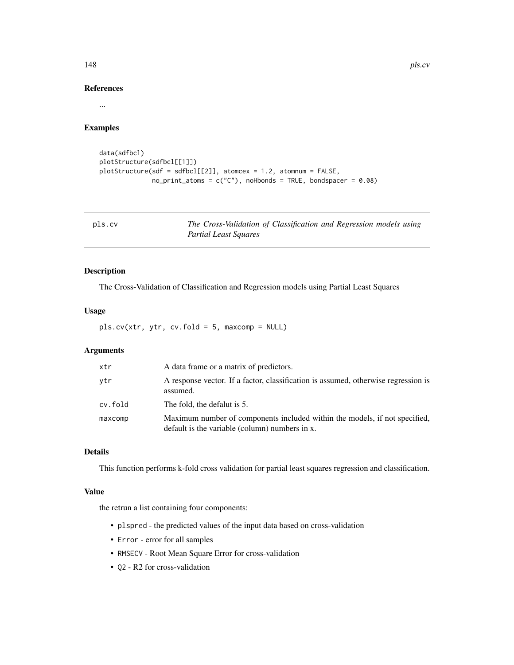148 pls.cv

# References

...

# Examples

```
data(sdfbcl)
plotStructure(sdfbcl[[1]])
plotStructure(sdf = sdfbcl[[2]], atomcex = 1.2, atomnum = FALSE,
              no\_print\_atoms = c("C"), noHbonds = TRUE, bondspacer = 0.08)
```
<span id="page-147-0"></span>

| pls.cv | The Cross-Validation of Classification and Regression models using |
|--------|--------------------------------------------------------------------|
|        | Partial Least Squares                                              |

# Description

The Cross-Validation of Classification and Regression models using Partial Least Squares

# Usage

pls.cv(xtr, ytr, cv.fold = 5, maxcomp = NULL)

# Arguments

| xtr     | A data frame or a matrix of predictors.                                                                                      |
|---------|------------------------------------------------------------------------------------------------------------------------------|
| ytr     | A response vector. If a factor, classification is assumed, otherwise regression is<br>assumed.                               |
| cv.fold | The fold, the defalut is 5.                                                                                                  |
| maxcomp | Maximum number of components included within the models, if not specified,<br>default is the variable (column) numbers in x. |

# Details

This function performs k-fold cross validation for partial least squares regression and classification.

#### Value

the retrun a list containing four components:

- plspred the predicted values of the input data based on cross-validation
- Error error for all samples
- RMSECV Root Mean Square Error for cross-validation
- Q2 R2 for cross-validation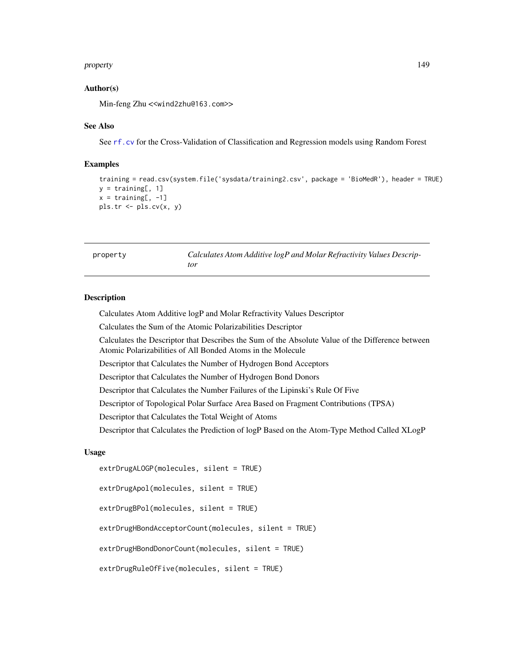#### <span id="page-148-0"></span>property that the contract of the contract of the contract of the contract of the contract of the contract of the contract of the contract of the contract of the contract of the contract of the contract of the contract of

# Author(s)

Min-feng Zhu <<wind2zhu@163.com>>

#### See Also

See [rf.cv](#page-157-0) for the Cross-Validation of Classification and Regression models using Random Forest

#### Examples

```
training = read.csv(system.file('sysdata/training2.csv', package = 'BioMedR'), header = TRUE)
y = training[, 1]x = training[, -1]pls.tr <- pls.cv(x, y)
```
property *Calculates Atom Additive logP and Molar Refractivity Values Descriptor*

#### **Description**

Calculates Atom Additive logP and Molar Refractivity Values Descriptor

Calculates the Sum of the Atomic Polarizabilities Descriptor

Calculates the Descriptor that Describes the Sum of the Absolute Value of the Difference between Atomic Polarizabilities of All Bonded Atoms in the Molecule

Descriptor that Calculates the Number of Hydrogen Bond Acceptors

Descriptor that Calculates the Number of Hydrogen Bond Donors

Descriptor that Calculates the Number Failures of the Lipinski's Rule Of Five

Descriptor of Topological Polar Surface Area Based on Fragment Contributions (TPSA)

Descriptor that Calculates the Total Weight of Atoms

Descriptor that Calculates the Prediction of logP Based on the Atom-Type Method Called XLogP

# Usage

extrDrugALOGP(molecules, silent = TRUE)

extrDrugApol(molecules, silent = TRUE)

extrDrugBPol(molecules, silent = TRUE)

extrDrugHBondAcceptorCount(molecules, silent = TRUE)

extrDrugHBondDonorCount(molecules, silent = TRUE)

```
extrDrugRuleOfFive(molecules, silent = TRUE)
```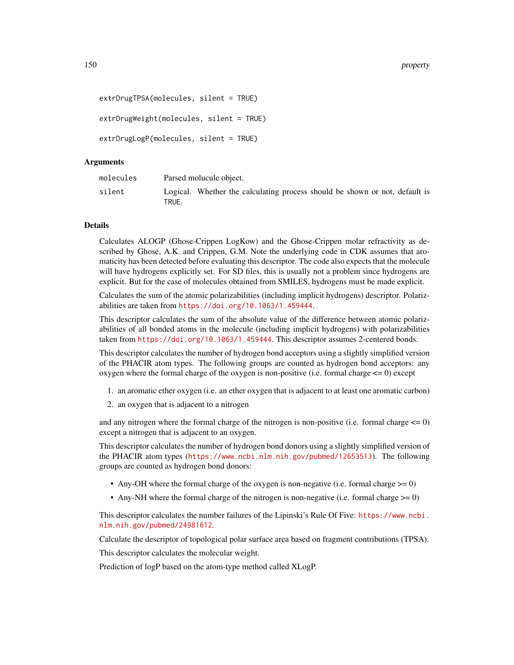```
extrDrugTPSA(molecules, silent = TRUE)
extrDrugWeight(molecules, silent = TRUE)
extrDrugLogP(molecules, silent = TRUE)
```
#### Arguments

| molecules |       | Parsed molucule object.                                                     |  |  |  |  |
|-----------|-------|-----------------------------------------------------------------------------|--|--|--|--|
| silent    | TRUE. | Logical. Whether the calculating process should be shown or not, default is |  |  |  |  |

# Details

Calculates ALOGP (Ghose-Crippen LogKow) and the Ghose-Crippen molar refractivity as described by Ghose, A.K. and Crippen, G.M. Note the underlying code in CDK assumes that aromaticity has been detected before evaluating this descriptor. The code also expects that the molecule will have hydrogens explicitly set. For SD files, this is usually not a problem since hydrogens are explicit. But for the case of molecules obtained from SMILES, hydrogens must be made explicit.

Calculates the sum of the atomic polarizabilities (including implicit hydrogens) descriptor. Polarizabilities are taken from <https://doi.org/10.1063/1.459444>.

This descriptor calculates the sum of the absolute value of the difference between atomic polarizabilities of all bonded atoms in the molecule (including implicit hydrogens) with polarizabilities taken from <https://doi.org/10.1063/1.459444>. This descriptor assumes 2-centered bonds.

This descriptor calculates the number of hydrogen bond acceptors using a slightly simplified version of the PHACIR atom types. The following groups are counted as hydrogen bond acceptors: any oxygen where the formal charge of the oxygen is non-positive (i.e. formal charge  $\leq$  = 0) except

- 1. an aromatic ether oxygen (i.e. an ether oxygen that is adjacent to at least one aromatic carbon)
- 2. an oxygen that is adjacent to a nitrogen

and any nitrogen where the formal charge of the nitrogen is non-positive (i.e. formal charge  $\leq 0$ ) except a nitrogen that is adjacent to an oxygen.

This descriptor calculates the number of hydrogen bond donors using a slightly simplified version of the PHACIR atom types (<https://www.ncbi.nlm.nih.gov/pubmed/12653513>). The following groups are counted as hydrogen bond donors:

- Any-OH where the formal charge of the oxygen is non-negative (i.e. formal charge  $\geq=0$ )
- Any-NH where the formal charge of the nitrogen is non-negative (i.e. formal charge  $\geq= 0$ )

This descriptor calculates the number failures of the Lipinski's Rule Of Five: [https://www.ncbi.](https://www.ncbi.nlm.nih.gov/pubmed/24981612) [nlm.nih.gov/pubmed/24981612](https://www.ncbi.nlm.nih.gov/pubmed/24981612).

Calculate the descriptor of topological polar surface area based on fragment contributions (TPSA).

This descriptor calculates the molecular weight.

Prediction of logP based on the atom-type method called XLogP.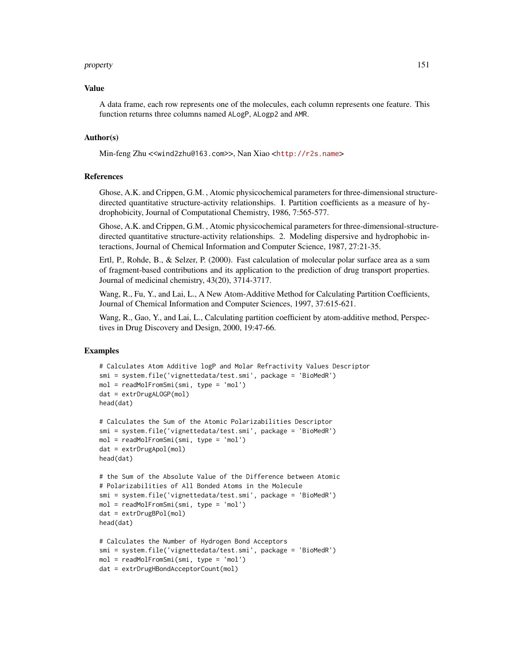#### property and the state of the state of the state of the state of the state of the state of the state of the state of the state of the state of the state of the state of the state of the state of the state of the state of t

#### Value

A data frame, each row represents one of the molecules, each column represents one feature. This function returns three columns named ALogP, ALogp2 and AMR.

#### Author(s)

Min-feng Zhu <<wind2zhu@163.com>>, Nan Xiao <<http://r2s.name>>

#### References

Ghose, A.K. and Crippen, G.M. , Atomic physicochemical parameters for three-dimensional structuredirected quantitative structure-activity relationships. I. Partition coefficients as a measure of hydrophobicity, Journal of Computational Chemistry, 1986, 7:565-577.

Ghose, A.K. and Crippen, G.M. , Atomic physicochemical parameters for three-dimensional-structuredirected quantitative structure-activity relationships. 2. Modeling dispersive and hydrophobic interactions, Journal of Chemical Information and Computer Science, 1987, 27:21-35.

Ertl, P., Rohde, B., & Selzer, P. (2000). Fast calculation of molecular polar surface area as a sum of fragment-based contributions and its application to the prediction of drug transport properties. Journal of medicinal chemistry, 43(20), 3714-3717.

Wang, R., Fu, Y., and Lai, L., A New Atom-Additive Method for Calculating Partition Coefficients, Journal of Chemical Information and Computer Sciences, 1997, 37:615-621.

Wang, R., Gao, Y., and Lai, L., Calculating partition coefficient by atom-additive method, Perspectives in Drug Discovery and Design, 2000, 19:47-66.

```
# Calculates Atom Additive logP and Molar Refractivity Values Descriptor
smi = system.file('vignettedata/test.smi', package = 'BioMedR')
mol = readMolFromSmi(smi, type = 'mol')
dat = extrDrugALOGP(mol)
head(dat)
# Calculates the Sum of the Atomic Polarizabilities Descriptor
smi = system.file('vignettedata/test.smi', package = 'BioMedR')
mol = readMolFromSmi(smi, type = 'mol')
dat = extrDrugApol(mol)
head(dat)
# the Sum of the Absolute Value of the Difference between Atomic
# Polarizabilities of All Bonded Atoms in the Molecule
smi = system.file('vignettedata/test.smi', package = 'BioMedR')
mol = readMolFromSmi(smi, type = 'mol')
dat = extrDrugBPol(mol)
head(dat)
# Calculates the Number of Hydrogen Bond Acceptors
smi = system.file('vignettedata/test.smi', package = 'BioMedR')
mol = readMolFromSmi(smi, type = 'mol')
dat = extrDrugHBondAcceptorCount(mol)
```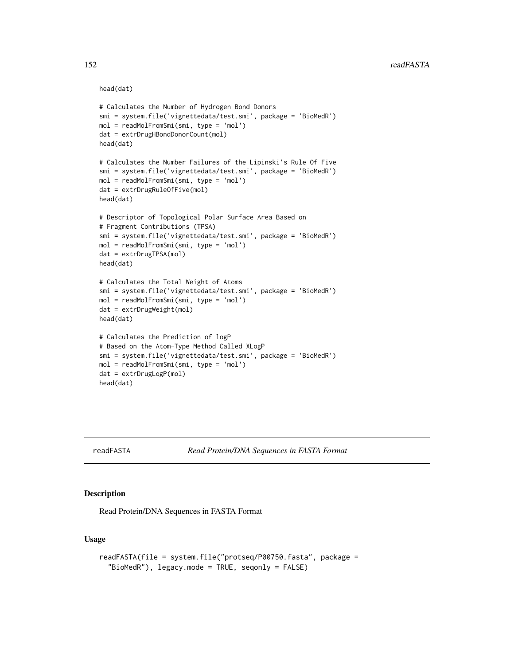#### head(dat)

```
# Calculates the Number of Hydrogen Bond Donors
smi = system.file('vignettedata/test.smi', package = 'BioMedR')
mol = readMolFromSmi(smi, type = 'mol')
dat = extrDrugHBondDonorCount(mol)
head(dat)
# Calculates the Number Failures of the Lipinski's Rule Of Five
smi = system.file('vignettedata/test.smi', package = 'BioMedR')
mol = readMolFromSmi(smi, type = 'mol')
dat = extrDrugRuleOfFive(mol)
head(dat)
# Descriptor of Topological Polar Surface Area Based on
# Fragment Contributions (TPSA)
smi = system.file('vignettedata/test.smi', package = 'BioMedR')
mol = readMolFromSmi(smi, type = 'mol')
dat = extrDrugTPSA(mol)
head(dat)
# Calculates the Total Weight of Atoms
smi = system.file('vignettedata/test.smi', package = 'BioMedR')
mol = readMolFromSmi(smi, type = 'mol')
dat = extrDrugWeight(mol)
head(dat)
# Calculates the Prediction of logP
# Based on the Atom-Type Method Called XLogP
smi = system.file('vignettedata/test.smi', package = 'BioMedR')
mol = readMolFromSmi(smi, type = 'mol')
dat = extrDrugLogP(mol)
head(dat)
```

```
readFASTA Read Protein/DNA Sequences in FASTA Format
```
# Description

Read Protein/DNA Sequences in FASTA Format

# Usage

```
readFASTA(file = system.file("protseq/P00750.fasta", package =
  "BioMedR"), legacy.mode = TRUE, seqonly = FALSE)
```
<span id="page-151-1"></span>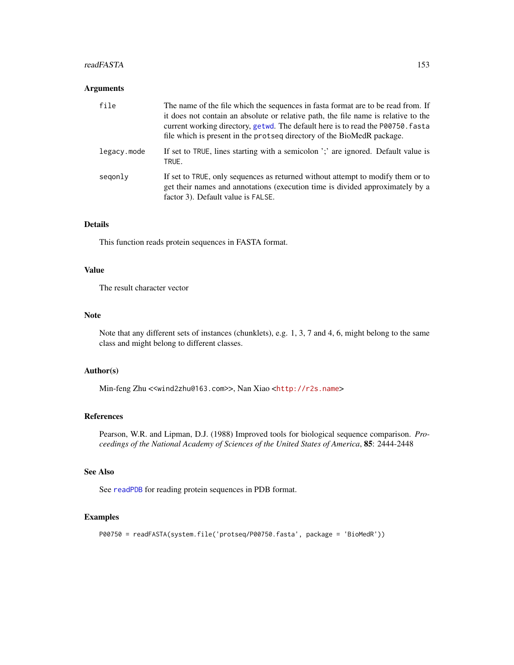#### readFASTA 153

#### Arguments

| file        | The name of the file which the sequences in fasta format are to be read from. If<br>it does not contain an absolute or relative path, the file name is relative to the<br>current working directory, getwd. The default here is to read the P00750. fasta<br>file which is present in the protseq directory of the BioMedR package. |
|-------------|-------------------------------------------------------------------------------------------------------------------------------------------------------------------------------------------------------------------------------------------------------------------------------------------------------------------------------------|
| legacy.mode | If set to TRUE, lines starting with a semicolon ';' are ignored. Default value is<br>TRUE.                                                                                                                                                                                                                                          |
| segonly     | If set to TRUE, only sequences as returned without attempt to modify them or to<br>get their names and annotations (execution time is divided approximately by a<br>factor 3). Default value is FALSE.                                                                                                                              |

# Details

This function reads protein sequences in FASTA format.

# Value

The result character vector

#### Note

Note that any different sets of instances (chunklets), e.g. 1, 3, 7 and 4, 6, might belong to the same class and might belong to different classes.

# Author(s)

Min-feng Zhu <<wind2zhu@163.com>>, Nan Xiao <<http://r2s.name>>

#### References

Pearson, W.R. and Lipman, D.J. (1988) Improved tools for biological sequence comparison. *Proceedings of the National Academy of Sciences of the United States of America*, 85: 2444-2448

#### See Also

See [readPDB](#page-155-0) for reading protein sequences in PDB format.

```
P00750 = readFASTA(system.file('protseq/P00750.fasta', package = 'BioMedR'))
```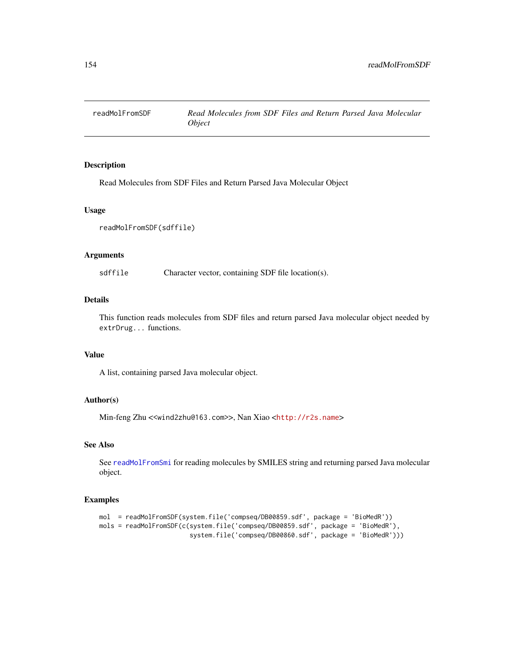<span id="page-153-1"></span><span id="page-153-0"></span>

Read Molecules from SDF Files and Return Parsed Java Molecular Object

#### Usage

```
readMolFromSDF(sdffile)
```
# Arguments

sdffile Character vector, containing SDF file location(s).

# Details

This function reads molecules from SDF files and return parsed Java molecular object needed by extrDrug... functions.

# Value

A list, containing parsed Java molecular object.

# Author(s)

Min-feng Zhu <<wind2zhu@163.com>>, Nan Xiao <<http://r2s.name>>

# See Also

See [readMolFromSmi](#page-154-0) for reading molecules by SMILES string and returning parsed Java molecular object.

```
mol = readMolFromSDF(system.file('compseq/DB00859.sdf', package = 'BioMedR'))
mols = readMolFromSDF(c(system.file('compseq/DB00859.sdf', package = 'BioMedR'),
                        system.file('compseq/DB00860.sdf', package = 'BioMedR')))
```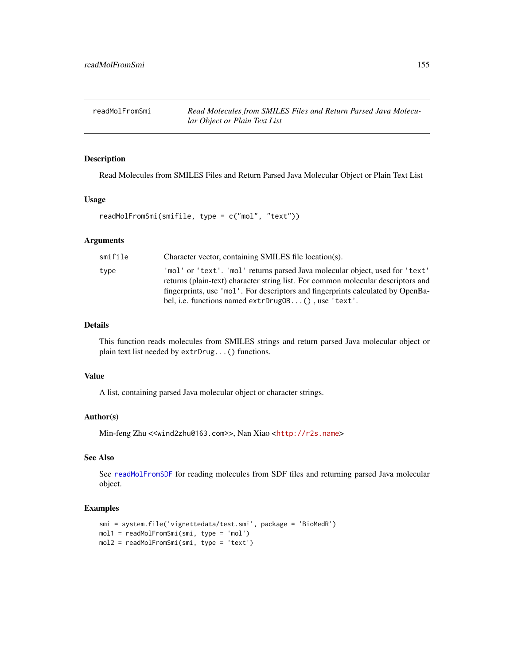<span id="page-154-1"></span><span id="page-154-0"></span>readMolFromSmi *Read Molecules from SMILES Files and Return Parsed Java Molecular Object or Plain Text List*

#### Description

Read Molecules from SMILES Files and Return Parsed Java Molecular Object or Plain Text List

#### Usage

```
readMolFromSmi(smifile, type = c("mol", "text"))
```
# Arguments

| smifile | Character vector, containing SMILES file location(s).                                                                                                                                                                                                                                                      |
|---------|------------------------------------------------------------------------------------------------------------------------------------------------------------------------------------------------------------------------------------------------------------------------------------------------------------|
| type    | 'mol' or 'text'. 'mol' returns parsed Java molecular object, used for 'text'<br>returns (plain-text) character string list. For common molecular descriptors and<br>fingerprints, use 'mol'. For descriptors and fingerprints calculated by OpenBa-<br>bel, i.e. functions named extrDrug0B(), use 'text'. |
|         |                                                                                                                                                                                                                                                                                                            |

#### Details

This function reads molecules from SMILES strings and return parsed Java molecular object or plain text list needed by extrDrug...() functions.

#### Value

A list, containing parsed Java molecular object or character strings.

#### Author(s)

Min-feng Zhu <<wind2zhu@163.com>>, Nan Xiao <<http://r2s.name>>

# See Also

See [readMolFromSDF](#page-153-0) for reading molecules from SDF files and returning parsed Java molecular object.

```
smi = system.file('vignettedata/test.smi', package = 'BioMedR')
mol1 = readMolFromSmi(smi, type = 'mol')
mol2 = readMolFromSmi(smi, type = 'text')
```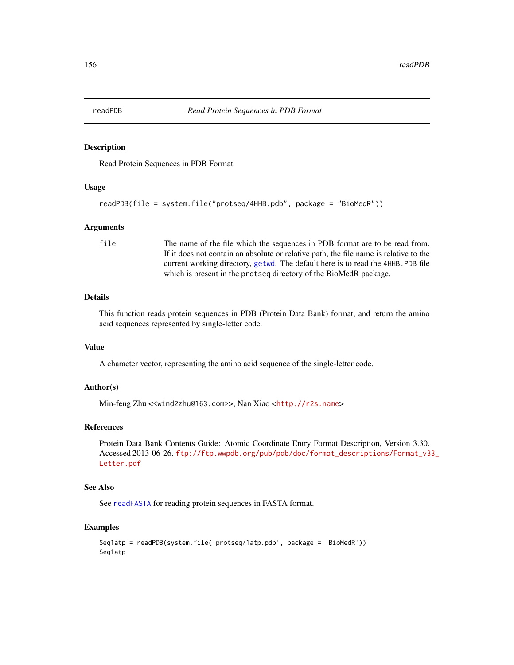<span id="page-155-1"></span><span id="page-155-0"></span>

Read Protein Sequences in PDB Format

#### Usage

```
readPDB(file = system.file("protseq/4HHB.pdb", package = "BioMedR"))
```
#### Arguments

file The name of the file which the sequences in PDB format are to be read from. If it does not contain an absolute or relative path, the file name is relative to the current working directory, [getwd](#page-0-0). The default here is to read the 4HHB.PDB file which is present in the protseq directory of the BioMedR package.

# Details

This function reads protein sequences in PDB (Protein Data Bank) format, and return the amino acid sequences represented by single-letter code.

#### Value

A character vector, representing the amino acid sequence of the single-letter code.

#### Author(s)

Min-feng Zhu <<wind2zhu@163.com>>, Nan Xiao <<http://r2s.name>>

# References

Protein Data Bank Contents Guide: Atomic Coordinate Entry Format Description, Version 3.30. Accessed 2013-06-26. [ftp://ftp.wwpdb.org/pub/pdb/doc/format\\_descriptions/Format\\_v3](ftp://ftp.wwpdb.org/pub/pdb/doc/format_descriptions/Format_v33_Letter.pdf)3\_ [Letter.pdf](ftp://ftp.wwpdb.org/pub/pdb/doc/format_descriptions/Format_v33_Letter.pdf)

#### See Also

See [readFASTA](#page-151-0) for reading protein sequences in FASTA format.

```
Seq1atp = readPDB(system.file('protseq/1atp.pdb', package = 'BioMedR'))
Seq1atp
```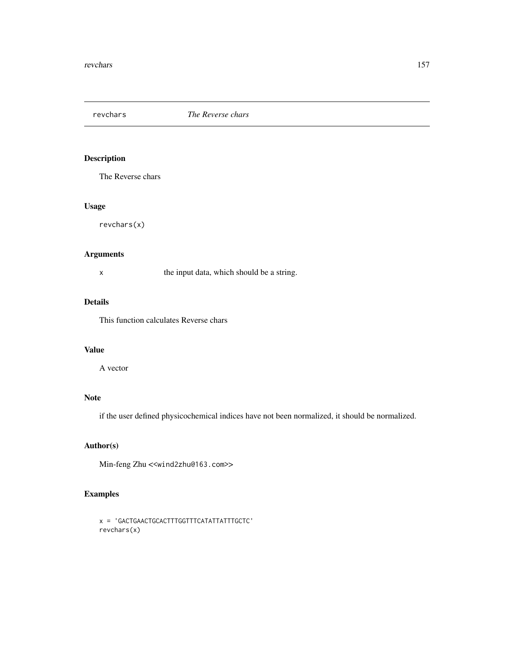<span id="page-156-0"></span>

The Reverse chars

# Usage

revchars(x)

# Arguments

|  | the input data, which should be a string. |  |  |
|--|-------------------------------------------|--|--|
|--|-------------------------------------------|--|--|

# Details

This function calculates Reverse chars

#### Value

A vector

# Note

if the user defined physicochemical indices have not been normalized, it should be normalized.

# Author(s)

Min-feng Zhu <<wind2zhu@163.com>>

```
x = 'GACTGAACTGCACTTTGGTTTCATATTATTTGCTC'
revchars(x)
```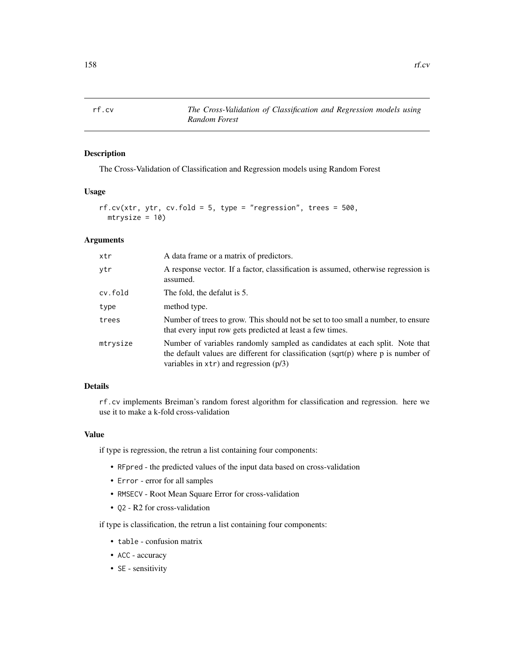<span id="page-157-0"></span>

The Cross-Validation of Classification and Regression models using Random Forest

#### Usage

```
rf.cv(xtr, ytr, cv.fold = 5, type = "regression", trees = 500,mtrysize = 10)
```
# Arguments

| xtr      | A data frame or a matrix of predictors.                                                                                                                                                                             |
|----------|---------------------------------------------------------------------------------------------------------------------------------------------------------------------------------------------------------------------|
| ytr      | A response vector. If a factor, classification is assumed, otherwise regression is<br>assumed.                                                                                                                      |
| cv.fold  | The fold, the defalut is 5.                                                                                                                                                                                         |
| type     | method type.                                                                                                                                                                                                        |
| trees    | Number of trees to grow. This should not be set to too small a number, to ensure<br>that every input row gets predicted at least a few times.                                                                       |
| mtrysize | Number of variables randomly sampled as candidates at each split. Note that<br>the default values are different for classification (sqrt(p) where $p$ is number of<br>variables in $xtr$ ) and regression ( $p/3$ ) |

#### Details

rf.cv implements Breiman's random forest algorithm for classification and regression. here we use it to make a k-fold cross-validation

# Value

if type is regression, the retrun a list containing four components:

- RFpred the predicted values of the input data based on cross-validation
- Error error for all samples
- RMSECV Root Mean Square Error for cross-validation
- Q2 R2 for cross-validation

if type is classification, the retrun a list containing four components:

- table confusion matrix
- ACC accuracy
- SE sensitivity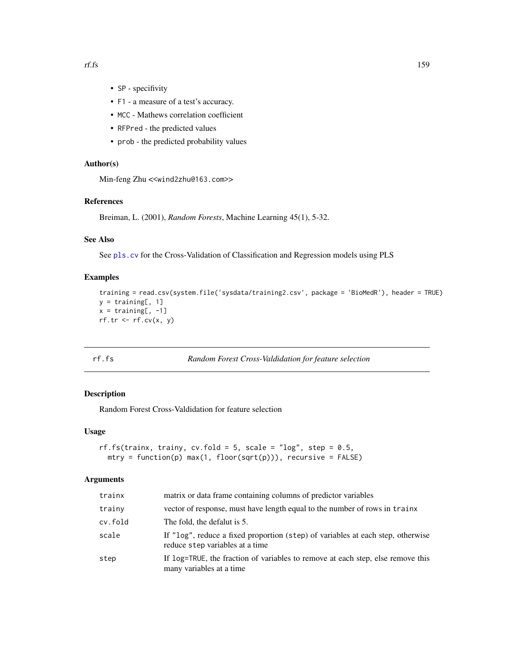- SP specifivity
- F1 a measure of a test's accuracy.
- MCC Mathews correlation coefficient
- RFPred the predicted values
- prob the predicted probability values

# Author(s)

Min-feng Zhu <<wind2zhu@163.com>>

#### References

Breiman, L. (2001), *Random Forests*, Machine Learning 45(1), 5-32.

# See Also

See [pls.cv](#page-147-0) for the Cross-Validation of Classification and Regression models using PLS

# Examples

```
training = read.csv(system.file('sysdata/training2.csv', package = 'BioMedR'), header = TRUE)
y = training[, 1]x = training[, -1]rf.tr \leq rf.cv(x, y)
```
rf.fs *Random Forest Cross-Valdidation for feature selection*

# Description

Random Forest Cross-Valdidation for feature selection

#### Usage

```
rf.fs(trainx, trainy, cv.fold = 5, scale = "log", step = 0.5,
 mtry = function(p) max(1, floor(sqrt(p))), recursive = FALSE)
```
# Arguments

| matrix or data frame containing columns of predictor variables                                                     |
|--------------------------------------------------------------------------------------------------------------------|
| vector of response, must have length equal to the number of rows in trainx                                         |
| The fold, the defalut is 5.                                                                                        |
| If "log", reduce a fixed proportion (step) of variables at each step, otherwise<br>reduce step variables at a time |
| If log=TRUE, the fraction of variables to remove at each step, else remove this<br>many variables at a time        |
|                                                                                                                    |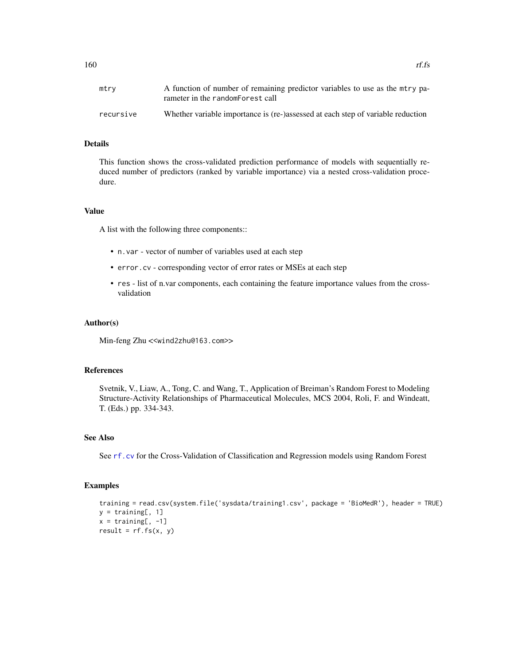| mtry      | A function of number of remaining predictor variables to use as the mtry pa-<br>rameter in the randomForest call |
|-----------|------------------------------------------------------------------------------------------------------------------|
| recursive | Whether variable importance is (re-)assessed at each step of variable reduction                                  |

# Details

This function shows the cross-validated prediction performance of models with sequentially reduced number of predictors (ranked by variable importance) via a nested cross-validation procedure.

#### Value

A list with the following three components::

- n.var vector of number of variables used at each step
- error.cv corresponding vector of error rates or MSEs at each step
- res list of n.var components, each containing the feature importance values from the crossvalidation

#### Author(s)

Min-feng Zhu <<wind2zhu@163.com>>

#### References

Svetnik, V., Liaw, A., Tong, C. and Wang, T., Application of Breiman's Random Forest to Modeling Structure-Activity Relationships of Pharmaceutical Molecules, MCS 2004, Roli, F. and Windeatt, T. (Eds.) pp. 334-343.

# See Also

See [rf.cv](#page-157-0) for the Cross-Validation of Classification and Regression models using Random Forest

```
training = read.csv(system.file('sysdata/training1.csv', package = 'BioMedR'), header = TRUE)
y = training[, 1]x = training[, -1]result = rf.fs(x, y)
```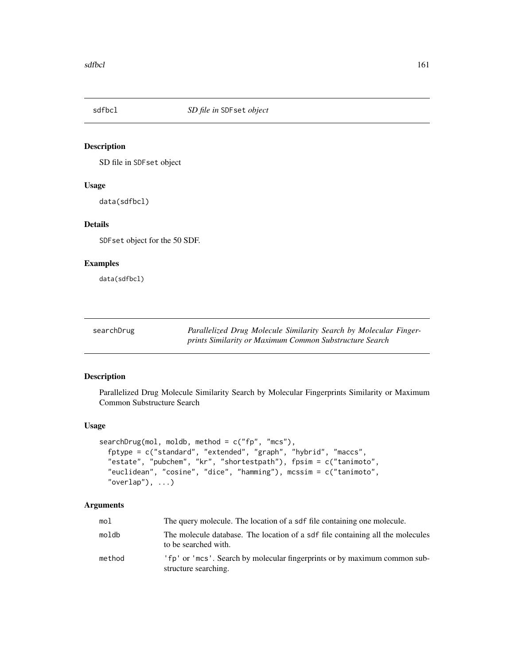<span id="page-160-0"></span>

SD file in SDFset object

# Usage

data(sdfbcl)

# Details

SDFset object for the 50 SDF.

# Examples

data(sdfbcl)

searchDrug *Parallelized Drug Molecule Similarity Search by Molecular Fingerprints Similarity or Maximum Common Substructure Search*

#### Description

Parallelized Drug Molecule Similarity Search by Molecular Fingerprints Similarity or Maximum Common Substructure Search

# Usage

```
searchDrug(mol, moldb, method = c("fp", "mcs"),
  fptype = c("standard", "extended", "graph", "hybrid", "maccs",
  "estate", "pubchem", "kr", "shortestpath"), fpsim = c("tanimoto",
  "euclidean", "cosine", "dice", "hamming"), mcssim = c("tanimoto",
  "overlap"), \ldots)
```
# Arguments

| mol    | The query molecule. The location of a sdf file containing one molecule.                                |
|--------|--------------------------------------------------------------------------------------------------------|
| moldb  | The molecule database. The location of a sdf file containing all the molecules<br>to be searched with. |
| method | 'fp' or 'mcs'. Search by molecular fingerprints or by maximum common sub-<br>structure searching.      |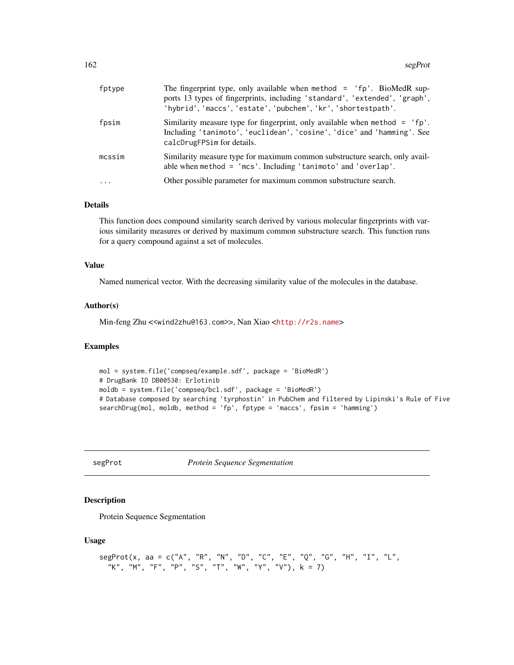<span id="page-161-0"></span>

| fptype     | The fingerprint type, only available when method $=$ 'fp'. BioMedR sup-<br>ports 13 types of fingerprints, including 'standard', 'extended', 'graph',<br>'hybrid', 'maccs', 'estate', 'pubchem', 'kr', 'shortestpath'. |
|------------|------------------------------------------------------------------------------------------------------------------------------------------------------------------------------------------------------------------------|
| fpsim      | Similarity measure type for fingerprint, only available when method = $'$ fp'.<br>Including 'tanimoto', 'euclidean', 'cosine', 'dice' and 'hamming'. See<br>calcDrugFPSim for details.                                 |
| mcssim     | Similarity measure type for maximum common substructure search, only avail-<br>able when method $=$ 'mcs'. Including 'tanimoto' and 'overlap'.                                                                         |
| $\ddots$ . | Other possible parameter for maximum common substructure search.                                                                                                                                                       |

# Details

This function does compound similarity search derived by various molecular fingerprints with various similarity measures or derived by maximum common substructure search. This function runs for a query compound against a set of molecules.

#### Value

Named numerical vector. With the decreasing similarity value of the molecules in the database.

#### Author(s)

Min-feng Zhu <<wind2zhu@163.com>>, Nan Xiao <<http://r2s.name>>

# Examples

```
mol = system.file('compseq/example.sdf', package = 'BioMedR')
# DrugBank ID DB00530: Erlotinib
moldb = system.file('compseq/bcl.sdf', package = 'BioMedR')
# Database composed by searching 'tyrphostin' in PubChem and filtered by Lipinski's Rule of Five
searchDrug(mol, moldb, method = 'fp', fptype = 'maccs', fpsim = 'hamming')
```
segProt *Protein Sequence Segmentation*

#### Description

Protein Sequence Segmentation

#### Usage

```
segProt(x, aa = c("A", "R", "N", "D", "C", "E", "Q", "G", "H", "I", "L",
  "K", "M", "F", "P", "S", "T", "W", "Y", "V"), k = 7)
```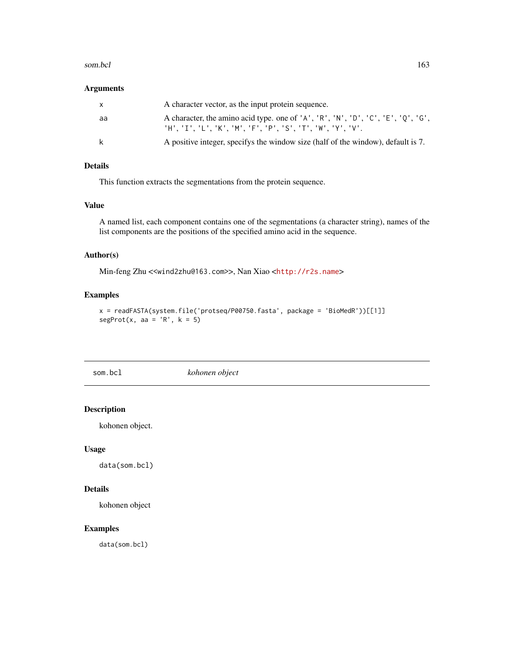#### <span id="page-162-0"></span>som.bcl 163

# Arguments

| x  | A character vector, as the input protein sequence.                                                                                   |
|----|--------------------------------------------------------------------------------------------------------------------------------------|
| aa | A character, the amino acid type. one of 'A', 'R', 'N', 'D', 'C', 'E', 'Q', 'G',<br>'H'.'I'.'L'.'K'.'M'.'F'.'P'.'S'.'T'.'W'.'Y'.'V'. |
| k  | A positive integer, specifys the window size (half of the window), default is 7.                                                     |

# Details

This function extracts the segmentations from the protein sequence.

# Value

A named list, each component contains one of the segmentations (a character string), names of the list components are the positions of the specified amino acid in the sequence.

# Author(s)

Min-feng Zhu <<wind2zhu@163.com>>, Nan Xiao <<http://r2s.name>>

# Examples

```
x = readFASTA(system.file('protseq/P00750.fasta', package = 'BioMedR'))[[1]]
segProt(x, aa = 'R', k = 5)
```
som.bcl *kohonen object*

# Description

kohonen object.

# Usage

data(som.bcl)

# Details

kohonen object

# Examples

data(som.bcl)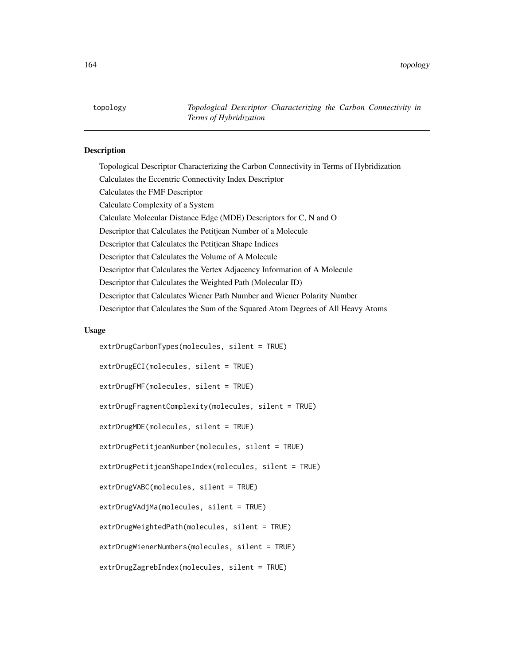<span id="page-163-0"></span>topology *Topological Descriptor Characterizing the Carbon Connectivity in Terms of Hybridization*

#### Description

Topological Descriptor Characterizing the Carbon Connectivity in Terms of Hybridization Calculates the Eccentric Connectivity Index Descriptor Calculates the FMF Descriptor Calculate Complexity of a System Calculate Molecular Distance Edge (MDE) Descriptors for C, N and O Descriptor that Calculates the Petitjean Number of a Molecule Descriptor that Calculates the Petitjean Shape Indices Descriptor that Calculates the Volume of A Molecule Descriptor that Calculates the Vertex Adjacency Information of A Molecule Descriptor that Calculates the Weighted Path (Molecular ID) Descriptor that Calculates Wiener Path Number and Wiener Polarity Number Descriptor that Calculates the Sum of the Squared Atom Degrees of All Heavy Atoms

#### Usage

extrDrugCarbonTypes(molecules, silent = TRUE) extrDrugECI(molecules, silent = TRUE) extrDrugFMF(molecules, silent = TRUE) extrDrugFragmentComplexity(molecules, silent = TRUE) extrDrugMDE(molecules, silent = TRUE) extrDrugPetitjeanNumber(molecules, silent = TRUE) extrDrugPetitjeanShapeIndex(molecules, silent = TRUE) extrDrugVABC(molecules, silent = TRUE) extrDrugVAdjMa(molecules, silent = TRUE) extrDrugWeightedPath(molecules, silent = TRUE) extrDrugWienerNumbers(molecules, silent = TRUE) extrDrugZagrebIndex(molecules, silent = TRUE)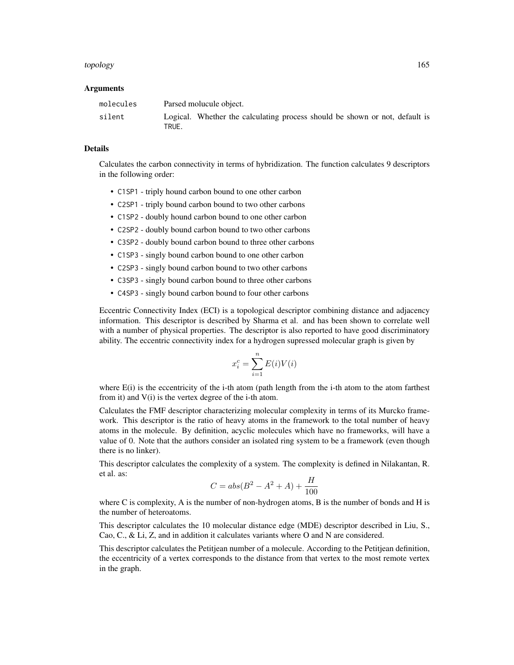#### topology 165

#### Arguments

| molecules | Parsed molucule object.                                                              |
|-----------|--------------------------------------------------------------------------------------|
| silent    | Logical. Whether the calculating process should be shown or not, default is<br>TRUE. |

#### Details

Calculates the carbon connectivity in terms of hybridization. The function calculates 9 descriptors in the following order:

- C1SP1 triply hound carbon bound to one other carbon
- C2SP1 triply bound carbon bound to two other carbons
- C1SP2 doubly hound carbon bound to one other carbon
- C2SP2 doubly bound carbon bound to two other carbons
- C3SP2 doubly bound carbon bound to three other carbons
- C1SP3 singly bound carbon bound to one other carbon
- C2SP3 singly bound carbon bound to two other carbons
- C3SP3 singly bound carbon bound to three other carbons
- C4SP3 singly bound carbon bound to four other carbons

Eccentric Connectivity Index (ECI) is a topological descriptor combining distance and adjacency information. This descriptor is described by Sharma et al. and has been shown to correlate well with a number of physical properties. The descriptor is also reported to have good discriminatory ability. The eccentric connectivity index for a hydrogen supressed molecular graph is given by

$$
x_i^c = \sum_{i=1}^n E(i)V(i)
$$

where  $E(i)$  is the eccentricity of the i-th atom (path length from the i-th atom to the atom farthest from it) and V(i) is the vertex degree of the i-th atom.

Calculates the FMF descriptor characterizing molecular complexity in terms of its Murcko framework. This descriptor is the ratio of heavy atoms in the framework to the total number of heavy atoms in the molecule. By definition, acyclic molecules which have no frameworks, will have a value of 0. Note that the authors consider an isolated ring system to be a framework (even though there is no linker).

This descriptor calculates the complexity of a system. The complexity is defined in Nilakantan, R. et al. as:

$$
C = abs(B^2 - A^2 + A) + \frac{H}{100}
$$

where C is complexity, A is the number of non-hydrogen atoms, B is the number of bonds and H is the number of heteroatoms.

This descriptor calculates the 10 molecular distance edge (MDE) descriptor described in Liu, S., Cao, C., & Li, Z, and in addition it calculates variants where O and N are considered.

This descriptor calculates the Petitjean number of a molecule. According to the Petitjean definition, the eccentricity of a vertex corresponds to the distance from that vertex to the most remote vertex in the graph.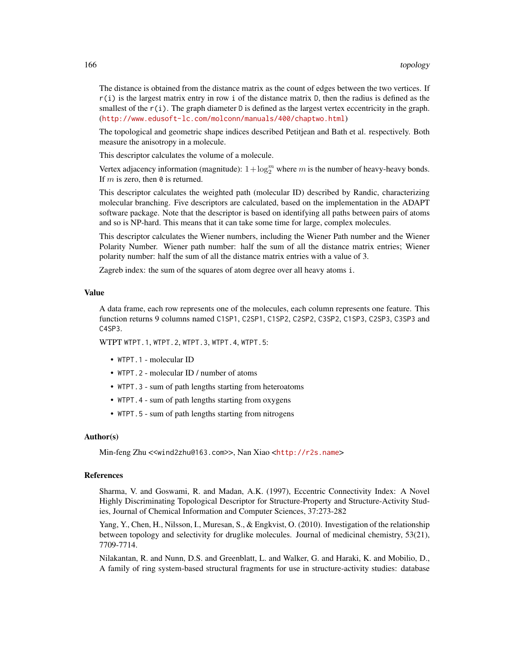The distance is obtained from the distance matrix as the count of edges between the two vertices. If  $r(i)$  is the largest matrix entry in row i of the distance matrix D, then the radius is defined as the smallest of the  $r(i)$ . The graph diameter D is defined as the largest vertex eccentricity in the graph. (<http://www.edusoft-lc.com/molconn/manuals/400/chaptwo.html>)

The topological and geometric shape indices described Petitjean and Bath et al. respectively. Both measure the anisotropy in a molecule.

This descriptor calculates the volume of a molecule.

Vertex adjacency information (magnitude):  $1 + \log_2^m$  where m is the number of heavy-heavy bonds. If  $m$  is zero, then  $\theta$  is returned.

This descriptor calculates the weighted path (molecular ID) described by Randic, characterizing molecular branching. Five descriptors are calculated, based on the implementation in the ADAPT software package. Note that the descriptor is based on identifying all paths between pairs of atoms and so is NP-hard. This means that it can take some time for large, complex molecules.

This descriptor calculates the Wiener numbers, including the Wiener Path number and the Wiener Polarity Number. Wiener path number: half the sum of all the distance matrix entries; Wiener polarity number: half the sum of all the distance matrix entries with a value of 3.

Zagreb index: the sum of the squares of atom degree over all heavy atoms i.

#### Value

A data frame, each row represents one of the molecules, each column represents one feature. This function returns 9 columns named C1SP1, C2SP1, C1SP2, C2SP2, C3SP2, C1SP3, C2SP3, C3SP3 and C4SP3.

WTPT WTPT.1, WTPT.2, WTPT.3, WTPT.4, WTPT.5:

- WTPT.1 molecular ID
- WTPT.2 molecular ID / number of atoms
- WTPT.3 sum of path lengths starting from heteroatoms
- WTPT.4 sum of path lengths starting from oxygens
- WTPT.5 sum of path lengths starting from nitrogens

#### Author(s)

Min-feng Zhu <<wind2zhu@163.com>>, Nan Xiao <<http://r2s.name>>

#### References

Sharma, V. and Goswami, R. and Madan, A.K. (1997), Eccentric Connectivity Index: A Novel Highly Discriminating Topological Descriptor for Structure-Property and Structure-Activity Studies, Journal of Chemical Information and Computer Sciences, 37:273-282

Yang, Y., Chen, H., Nilsson, I., Muresan, S., & Engkvist, O. (2010). Investigation of the relationship between topology and selectivity for druglike molecules. Journal of medicinal chemistry, 53(21), 7709-7714.

Nilakantan, R. and Nunn, D.S. and Greenblatt, L. and Walker, G. and Haraki, K. and Mobilio, D., A family of ring system-based structural fragments for use in structure-activity studies: database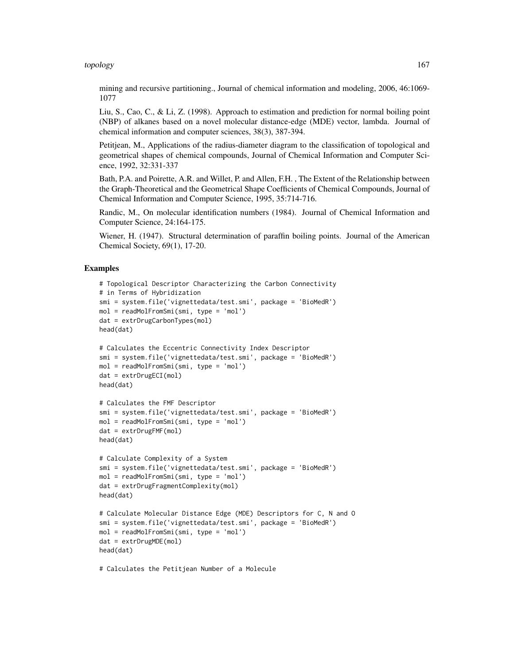#### topology 167

mining and recursive partitioning., Journal of chemical information and modeling, 2006, 46:1069- 1077

Liu, S., Cao, C., & Li, Z. (1998). Approach to estimation and prediction for normal boiling point (NBP) of alkanes based on a novel molecular distance-edge (MDE) vector, lambda. Journal of chemical information and computer sciences, 38(3), 387-394.

Petitjean, M., Applications of the radius-diameter diagram to the classification of topological and geometrical shapes of chemical compounds, Journal of Chemical Information and Computer Science, 1992, 32:331-337

Bath, P.A. and Poirette, A.R. and Willet, P. and Allen, F.H. , The Extent of the Relationship between the Graph-Theoretical and the Geometrical Shape Coefficients of Chemical Compounds, Journal of Chemical Information and Computer Science, 1995, 35:714-716.

Randic, M., On molecular identification numbers (1984). Journal of Chemical Information and Computer Science, 24:164-175.

Wiener, H. (1947). Structural determination of paraffin boiling points. Journal of the American Chemical Society, 69(1), 17-20.

# Examples

```
# Topological Descriptor Characterizing the Carbon Connectivity
# in Terms of Hybridization
smi = system.file('vignettedata/test.smi', package = 'BioMedR')
mol = readMolFromSmi(smi, type = 'mol')
dat = extrDrugCarbonTypes(mol)
head(dat)
# Calculates the Eccentric Connectivity Index Descriptor
smi = system.file('vignettedata/test.smi', package = 'BioMedR')
mol = readMolFromSmi(smi, type = 'mol')
dat = extrDrugECI(mol)
head(dat)
# Calculates the FMF Descriptor
smi = system.file('vignettedata/test.smi', package = 'BioMedR')
mol = readMolFromSmi(smi, type = 'mol')
dat = extrDrugFMF(mol)
head(dat)
# Calculate Complexity of a System
smi = system.file('vignettedata/test.smi', package = 'BioMedR')
mol = readMolFromSmi(smi, type = 'mol')
dat = extrDrugFragmentComplexity(mol)
head(dat)
# Calculate Molecular Distance Edge (MDE) Descriptors for C, N and O
smi = system.file('vignettedata/test.smi', package = 'BioMedR')
mol = readMolFromSmi(smi, type = 'mol')
dat = extrDrugMDE(mol)
head(dat)
```
# Calculates the Petitjean Number of a Molecule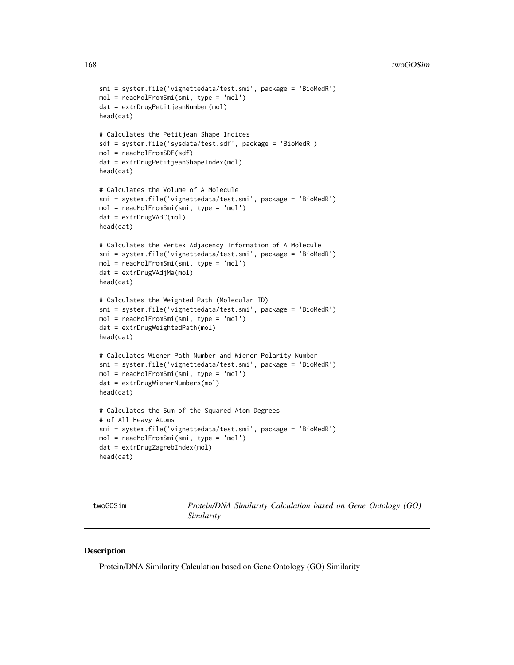```
smi = system.file('vignettedata/test.smi', package = 'BioMedR')
mol = readMolFromSmi(smi, type = 'mol')
dat = extrDrugPetitjeanNumber(mol)
head(dat)
# Calculates the Petitjean Shape Indices
sdf = system.file('sysdata/test.sdf', package = 'BioMedR')
mol = readMolFromSDF(sdf)
dat = extrDrugPetitjeanShapeIndex(mol)
head(dat)
# Calculates the Volume of A Molecule
smi = system.file('vignettedata/test.smi', package = 'BioMedR')
mol = readMolFromSmi(smi, type = 'mol')
dat = extrDrugVABC(mol)
head(dat)
# Calculates the Vertex Adjacency Information of A Molecule
smi = system.file('vignettedata/test.smi', package = 'BioMedR')
mol = readMolFromSmi(smi, type = 'mol')
dat = extrDrugVAdjMa(mol)
head(dat)
# Calculates the Weighted Path (Molecular ID)
smi = system.file('vignettedata/test.smi', package = 'BioMedR')
mol = readMolFromSmi(smi, type = 'mol')
dat = extrDrugWeightedPath(mol)
head(dat)
# Calculates Wiener Path Number and Wiener Polarity Number
smi = system.file('vignettedata/test.smi', package = 'BioMedR')
mol = readMolFromSmi(smi, type = 'mol')
dat = extrDrugWienerNumbers(mol)
head(dat)
# Calculates the Sum of the Squared Atom Degrees
# of All Heavy Atoms
smi = system.file('vignettedata/test.smi', package = 'BioMedR')
mol = readMolFromSmi(smi, type = 'mol')
dat = extrDrugZagrebIndex(mol)
head(dat)
```
<span id="page-167-0"></span>twoGOSim *Protein/DNA Similarity Calculation based on Gene Ontology (GO) Similarity*

## **Description**

Protein/DNA Similarity Calculation based on Gene Ontology (GO) Similarity

<span id="page-167-1"></span>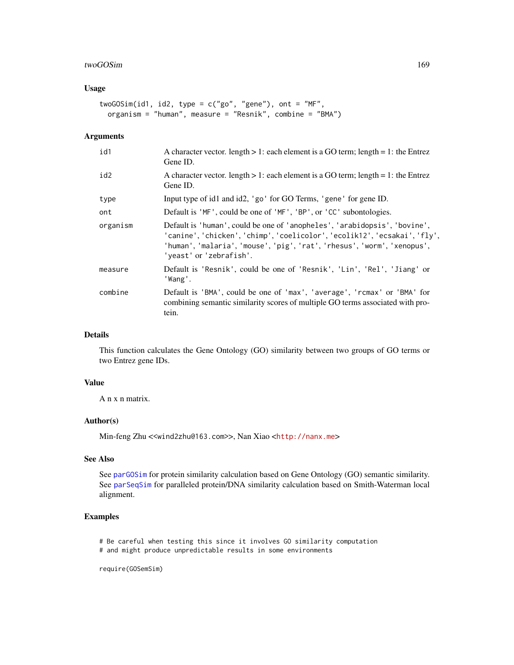#### twoGOSim 169

# Usage

```
twoGOSim(id1, id2, type = c("go", "gene"), ont = "MF",
 organism = "human", measure = "Resnik", combine = "BMA")
```
#### Arguments

| id1      | A character vector. length $> 1$ : each element is a GO term; length $= 1$ : the Entrez<br>Gene ID.                                                                                                                                                          |
|----------|--------------------------------------------------------------------------------------------------------------------------------------------------------------------------------------------------------------------------------------------------------------|
| id2      | A character vector. length $> 1$ : each element is a GO term; length = 1: the Entrez<br>Gene ID.                                                                                                                                                             |
| type     | Input type of id1 and id2, 'go' for GO Terms, 'gene' for gene ID.                                                                                                                                                                                            |
| ont      | Default is 'MF', could be one of 'MF', 'BP', or 'CC' subontologies.                                                                                                                                                                                          |
| organism | Default is 'human', could be one of 'anopheles', 'arabidopsis', 'bovine',<br>'canine', 'chicken', 'chimp', 'coelicolor', 'ecolik12', 'ecsakai', 'fly',<br>'human', 'malaria', 'mouse', 'pig', 'rat', 'rhesus', 'worm', 'xenopus',<br>'yeast' or 'zebrafish'. |
| measure  | Default is 'Resnik', could be one of 'Resnik', 'Lin', 'Rel', 'Jiang' or<br>'Wang'.                                                                                                                                                                           |
| combine  | Default is 'BMA', could be one of 'max', 'average', 'rcmax' or 'BMA' for<br>combining semantic similarity scores of multiple GO terms associated with pro-<br>tein.                                                                                          |

#### Details

This function calculates the Gene Ontology (GO) similarity between two groups of GO terms or two Entrez gene IDs.

# Value

A n x n matrix.

#### Author(s)

Min-feng Zhu <<wind2zhu@163.com>>, Nan Xiao <<http://nanx.me>>

# See Also

See [parGOSim](#page-143-0) for protein similarity calculation based on Gene Ontology (GO) semantic similarity. See [parSeqSim](#page-144-0) for paralleled protein/DNA similarity calculation based on Smith-Waterman local alignment.

# Examples

# Be careful when testing this since it involves GO similarity computation

# and might produce unpredictable results in some environments

require(GOSemSim)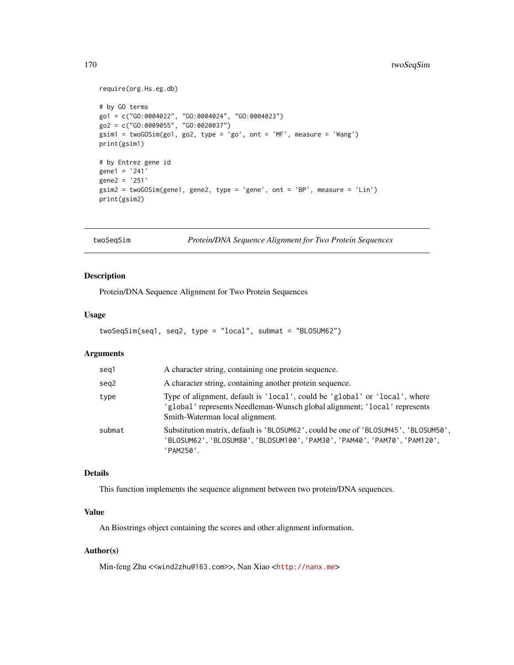# <span id="page-169-0"></span>170 twoSeqSim

```
require(org.Hs.eg.db)
# by GO terms
go1 = c("GO:0004022", "GO:0004024", "GO:0004023")
go2 = c("GO:0009055", "GO:0020037")
gsim1 = twoGOSim(go1, go2, type = 'go', ont = 'MF', measure = 'Wang')
print(gsim1)
# by Entrez gene id
gene1 = '241'
gene2 = '251'
gsim2 = twoGOSim(gene1, gene2, type = 'gene', ont = 'BP', measure = 'Lin')
print(gsim2)
```
twoSeqSim *Protein/DNA Sequence Alignment for Two Protein Sequences*

# Description

Protein/DNA Sequence Alignment for Two Protein Sequences

#### Usage

```
twoSeqSim(seq1, seq2, type = "local", submat = "BLOSUM62")
```
## Arguments

| seg1   | A character string, containing one protein sequence.                                                                                                                                       |
|--------|--------------------------------------------------------------------------------------------------------------------------------------------------------------------------------------------|
| seg2   | A character string, containing another protein sequence.                                                                                                                                   |
| type   | Type of alignment, default is 'local', could be 'global' or 'local', where<br>'global' represents Needleman-Wunsch global alignment; 'local' represents<br>Smith-Waterman local alignment. |
| submat | Substitution matrix, default is 'BLOSUM62', could be one of 'BLOSUM45', 'BLOSUM50',<br>'BLOSUM62', 'BLOSUM80', 'BLOSUM100', 'PAM30', 'PAM40', 'PAM70', 'PAM120',<br>'PAM250'.              |

#### Details

This function implements the sequence alignment between two protein/DNA sequences.

# Value

An Biostrings object containing the scores and other alignment information.

# Author(s)

Min-feng Zhu <<wind2zhu@163.com>>, Nan Xiao <<http://nanx.me>>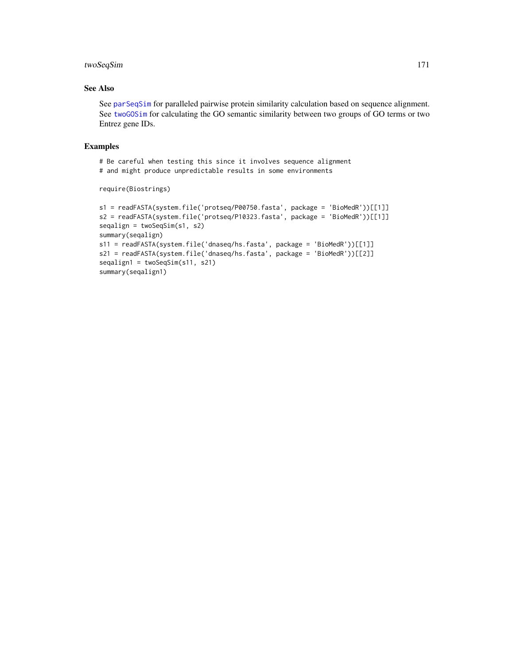# twoSeqSim 171

# See Also

See [parSeqSim](#page-144-0) for paralleled pairwise protein similarity calculation based on sequence alignment. See [twoGOSim](#page-167-0) for calculating the GO semantic similarity between two groups of GO terms or two Entrez gene IDs.

#### Examples

# Be careful when testing this since it involves sequence alignment # and might produce unpredictable results in some environments

```
require(Biostrings)
```

```
s1 = readFASTA(system.file('protseq/P00750.fasta', package = 'BioMedR'))[[1]]
s2 = readFASTA(system.file('protseq/P10323.fasta', package = 'BioMedR'))[[1]]
seqalign = twoSeqSim(s1, s2)
summary(seqalign)
s11 = readFASTA(system.file('dnaseq/hs.fasta', package = 'BioMedR'))[[1]]
s21 = readFASTA(system.file('dnaseq/hs.fasta', package = 'BioMedR'))[[2]]
seqalign1 = twoSeqSim(s11, s21)
summary(seqalign1)
```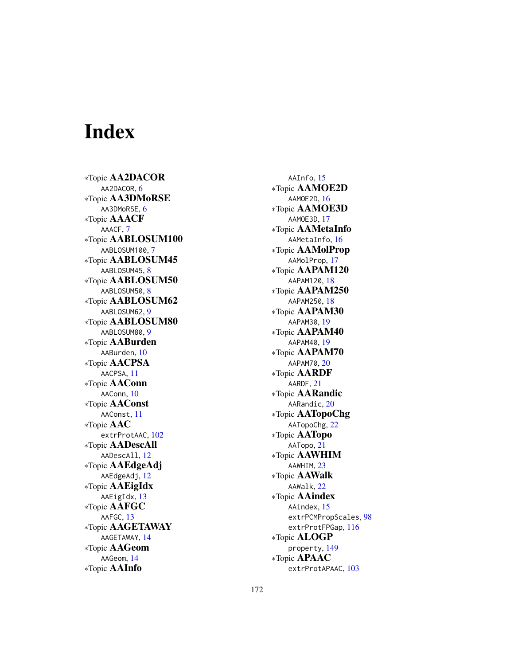# Index

∗Topic AA2DACOR AA2DACOR, [6](#page-5-0) ∗Topic AA3DMoRSE AA3DMoRSE, [6](#page-5-0) ∗Topic AAACF AAACF, [7](#page-6-0) ∗Topic AABLOSUM100 AABLOSUM100,[7](#page-6-0) ∗Topic AABLOSUM45 AABLOSUM45, [8](#page-7-0) ∗Topic AABLOSUM50 AABLOSUM50, [8](#page-7-0) ∗Topic AABLOSUM62 AABLOSUM62 , [9](#page-8-0) ∗Topic AABLOSUM80 AABLOSUM80, [9](#page-8-0) ∗Topic AABurden AABurden , [10](#page-9-0) ∗Topic AACPSA AACPSA , [11](#page-10-0) ∗Topic AAConn AAConn, [10](#page-9-0) ∗Topic AAConst AAConst , [11](#page-10-0) ∗Topic AAC extrProtAAC,  $102$ ∗Topic AADescAll AADescAll , [12](#page-11-0) ∗Topic AAEdgeAdj AAEdgeAdj , [12](#page-11-0) ∗Topic AAEigIdx AAEigIdx , [13](#page-12-0) ∗Topic AAFGC AAFGC, [13](#page-12-0) ∗Topic AAGETAWAY AAGETAWAY , [14](#page-13-0) ∗Topic AAGeom AAGeom , [14](#page-13-0) ∗Topic AAInfo

AAInfo, [15](#page-14-0) ∗Topic AAMOE2D AAMOE2D , [16](#page-15-0) ∗Topic AAMOE3D AAMOE3D , [17](#page-16-0) ∗Topic AAMetaInfo AAMetaInfo, <mark>[16](#page-15-0)</mark> ∗Topic AAMolProp AAMolProp , [17](#page-16-0) ∗Topic AAPAM120 AAPAM120 , [18](#page-17-0) ∗Topic AAPAM250 AAPAM250 , [18](#page-17-0) ∗Topic AAPAM30 AAPAM30 , [19](#page-18-0) ∗Topic AAPAM40 AAPAM40 , [19](#page-18-0) ∗Topic AAPAM70 AAPAM70 , [20](#page-19-0) ∗Topic AARDF AARDF , [21](#page-20-0) ∗Topic AARandic AARandic, $20$ ∗Topic AATopoChg AATopoChg, [22](#page-21-0) ∗Topic AATopo AATopo, [21](#page-20-0) ∗Topic AAWHIM AAWHIM, [23](#page-22-0) ∗Topic AAWalk AAWalk , [22](#page-21-0) ∗Topic AAindex AAindex, [15](#page-14-0) extrPCMPropScales , [98](#page-97-0) extrProtFPGap , [116](#page-115-0) ∗Topic ALOGP property , [149](#page-148-0) ∗Topic APAAC extrProtAPAAC, [103](#page-102-0)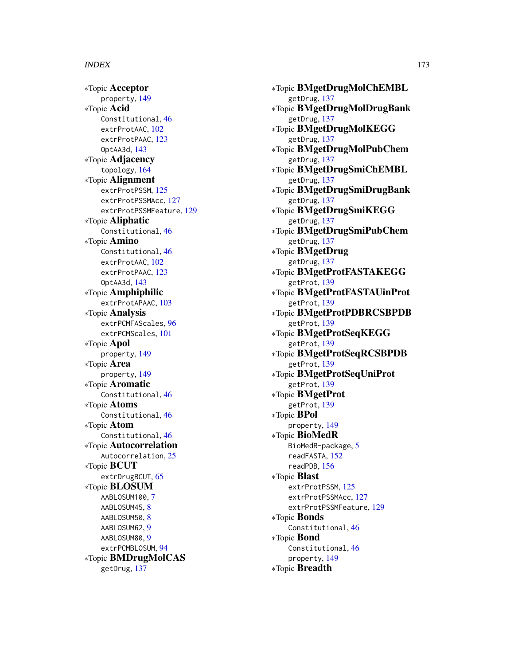∗Topic Acceptor property , [149](#page-148-0) ∗Topic Acid Constitutional , [46](#page-45-0) extrProtAAC, [102](#page-101-0) extrProtPAAC, [123](#page-122-0) OptAA3d , [143](#page-142-0) ∗Topic Adjacency topology , [164](#page-163-0) ∗Topic Alignment extrProtPSSM , [125](#page-124-0) extrProtPSSMAcc , [127](#page-126-0) extrProtPSSMFeature , [129](#page-128-0) ∗Topic Aliphatic Constitutional , [46](#page-45-0) ∗Topic Amino Constitutional , [46](#page-45-0) extrProtAAC, [102](#page-101-0) extrProtPAAC, [123](#page-122-0) OptAA3d , [143](#page-142-0) ∗Topic Amphiphilic extrProtAPAAC, [103](#page-102-0) ∗Topic Analysis extrPCMFAScales , [96](#page-95-0) extrPCMScales , [101](#page-100-0) ∗Topic Apol property , [149](#page-148-0) ∗Topic Area property , [149](#page-148-0) ∗Topic Aromatic Constitutional , [46](#page-45-0) ∗Topic Atoms Constitutional , [46](#page-45-0) ∗Topic Atom Constitutional , [46](#page-45-0) ∗Topic Autocorrelation Autocorrelation, [25](#page-24-0) ∗Topic BCUT extrDrugBCUT, [65](#page-64-0) ∗Topic BLOSUM AABLOSUM100,[7](#page-6-0) AABLOSUM45, [8](#page-7-0) AABLOSUM50, [8](#page-7-0) AABLOSUM62 , [9](#page-8-0) AABLOSUM80, [9](#page-8-0) extrPCMBLOSUM, [94](#page-93-0) ∗Topic BMDrugMolCAS getDrug , [137](#page-136-0)

∗Topic BMgetDrugMolChEMBL getDrug , [137](#page-136-0) ∗Topic BMgetDrugMolDrugBank getDrug , [137](#page-136-0) ∗Topic BMgetDrugMolKEGG getDrug , [137](#page-136-0) ∗Topic BMgetDrugMolPubChem getDrug , [137](#page-136-0) ∗Topic BMgetDrugSmiChEMBL getDrug , [137](#page-136-0) ∗Topic BMgetDrugSmiDrugBank getDrug , [137](#page-136-0) ∗Topic BMgetDrugSmiKEGG getDrug , [137](#page-136-0) ∗Topic BMgetDrugSmiPubChem getDrug , [137](#page-136-0) ∗Topic BMgetDrug getDrug , [137](#page-136-0) ∗Topic BMgetProtFASTAKEGG getProt , [139](#page-138-0) ∗Topic BMgetProtFASTAUinProt getProt , [139](#page-138-0) ∗Topic BMgetProtPDBRCSBPDB getProt , [139](#page-138-0) ∗Topic BMgetProtSeqKEGG getProt , [139](#page-138-0) ∗Topic BMgetProtSeqRCSBPDB getProt , [139](#page-138-0) ∗Topic BMgetProtSeqUniProt getProt , [139](#page-138-0) ∗Topic BMgetProt getProt , [139](#page-138-0) ∗Topic BPol property , [149](#page-148-0) ∗Topic BioMedR BioMedR-package, [5](#page-4-0) readFASTA , [152](#page-151-1) readPDB , [156](#page-155-1) ∗Topic Blast extrProtPSSM, [125](#page-124-0) extrProtPSSMAcc , [127](#page-126-0) extrProtPSSMFeature , [129](#page-128-0) ∗Topic Bonds Constitutional , [46](#page-45-0) ∗Topic Bond Constitutional , [46](#page-45-0) property , [149](#page-148-0) ∗Topic Breadth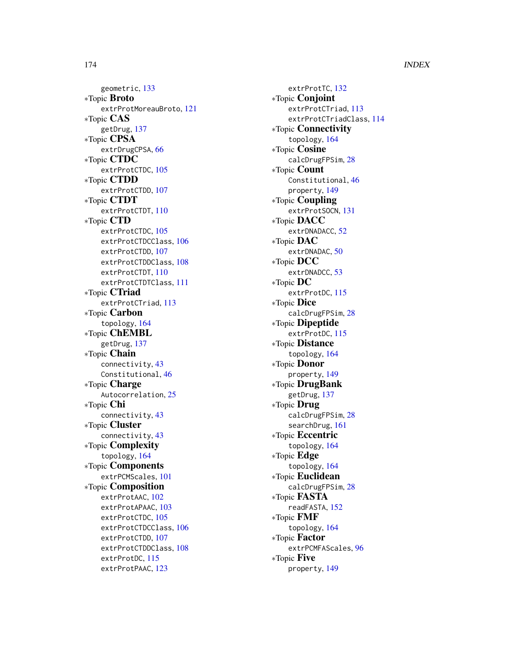geometric , [133](#page-132-0) ∗Topic Broto extrProtMoreauBroto , [121](#page-120-0) ∗Topic CAS getDrug , [137](#page-136-0) ∗Topic CPSA extrDrugCPSA, [66](#page-65-0) ∗Topic CTDC extrProtCTDC, [105](#page-104-0) ∗Topic CTDD extrProtCTDD , [107](#page-106-0) ∗Topic CTDT extrProtCTDT , [110](#page-109-0) ∗Topic CTD extrProtCTDC, [105](#page-104-0) extrProtCTDCClass , [106](#page-105-0) extrProtCTDD , [107](#page-106-0) extrProtCTDDClass , [108](#page-107-0) extrProtCTDT , [110](#page-109-0) extrProtCTDTClass , [111](#page-110-0) ∗Topic CTriad extrProtCTriad , [113](#page-112-0) ∗Topic Carbon topology , [164](#page-163-0) ∗Topic ChEMBL getDrug , [137](#page-136-0) ∗Topic Chain connectivity , [43](#page-42-0) Constitutional, [46](#page-45-0) ∗Topic Charge Autocorrelation, [25](#page-24-0) ∗Topic Chi connectivity , [43](#page-42-0) ∗Topic Cluster connectivity , [43](#page-42-0) ∗Topic Complexity topology , [164](#page-163-0) ∗Topic Components extrPCMScales , [101](#page-100-0) ∗Topic Composition extrProtAAC,  $102$ extrProtAPAAC, [103](#page-102-0) extrProtCTDC, [105](#page-104-0) extrProtCTDCClass , [106](#page-105-0) extrProtCTDD, [107](#page-106-0) extrProtCTDDClass , [108](#page-107-0) extrProtDC , [115](#page-114-0) extrProtPAAC, [123](#page-122-0)

extrProtTC, [132](#page-131-0) ∗Topic Conjoint extrProtCTriad, [113](#page-112-0) extrProtCTriadClass , [114](#page-113-0) ∗Topic Connectivity topology , [164](#page-163-0) ∗Topic Cosine calcDrugFPSim , [28](#page-27-0) ∗Topic Count Constitutional , [46](#page-45-0) property , [149](#page-148-0) ∗Topic Coupling extrProtSOCN , [131](#page-130-0) ∗Topic DACC extrDNADACC, [52](#page-51-0) ∗Topic DAC extrDNADAC, <mark>[50](#page-49-0)</mark> ∗Topic DCC extrDNADCC, [53](#page-52-0) ∗Topic DC extrProtDC , [115](#page-114-0) ∗Topic Dice calcDrugFPSim, [28](#page-27-0) ∗Topic Dipeptide extrProtDC , [115](#page-114-0) ∗Topic Distance topology , [164](#page-163-0) ∗Topic Donor property , [149](#page-148-0) ∗Topic DrugBank getDrug , [137](#page-136-0) ∗Topic Drug calcDrugFPSim , [28](#page-27-0) searchDrug , [161](#page-160-0) ∗Topic Eccentric topology , [164](#page-163-0) ∗Topic Edge topology , [164](#page-163-0) ∗Topic Euclidean calcDrugFPSim, [28](#page-27-0) ∗Topic FASTA readFASTA , [152](#page-151-1) ∗Topic FMF topology , [164](#page-163-0) ∗Topic Factor extrPCMFAScales , [96](#page-95-0) ∗Topic Five property , [149](#page-148-0)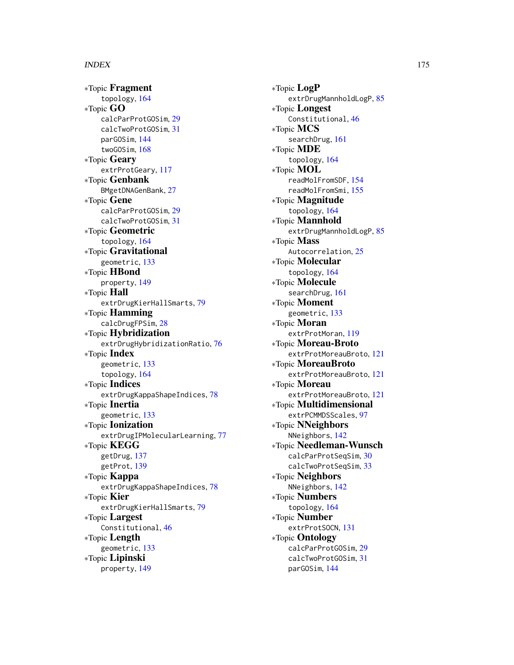∗Topic Fragment topology , [164](#page-163-0) ∗Topic GO calcParProtGOSim , [29](#page-28-0) calcTwoProtGOSim , [31](#page-30-0) parGOSim , [144](#page-143-1) twoGOSim , [168](#page-167-1) ∗Topic Geary extrProtGeary , [117](#page-116-0) ∗Topic Genbank BMgetDNAGenBank , [27](#page-26-0) ∗Topic Gene calcParProtGOSim , [29](#page-28-0) calcTwoProtGOSim , [31](#page-30-0) ∗Topic Geometric topology , [164](#page-163-0) ∗Topic Gravitational geometric , [133](#page-132-0) ∗Topic HBond property , [149](#page-148-0) ∗Topic Hall extrDrugKierHallSmarts , [79](#page-78-0) ∗Topic Hamming calcDrugFPSim , [28](#page-27-0) ∗Topic Hybridization extrDrugHybridizationRatio , [76](#page-75-0) ∗Topic Index geometric , [133](#page-132-0) topology , [164](#page-163-0) ∗Topic Indices extrDrugKappaShapeIndices , [78](#page-77-0) ∗Topic Inertia geometric , [133](#page-132-0) ∗Topic Ionization extrDrugIPMolecularLearning, [77](#page-76-0) ∗Topic KEGG getDrug , [137](#page-136-0) getProt , [139](#page-138-0) ∗Topic Kappa extrDrugKappaShapeIndices , [78](#page-77-0) ∗Topic Kier extrDrugKierHallSmarts , [79](#page-78-0) ∗Topic Largest Constitutional , [46](#page-45-0) ∗Topic Length geometric , [133](#page-132-0) ∗Topic Lipinski property , [149](#page-148-0)

∗Topic LogP extrDrugMannholdLogP, [85](#page-84-0) ∗Topic Longest Constitutional , [46](#page-45-0) ∗Topic MCS searchDrug , [161](#page-160-0) ∗Topic MDE topology , [164](#page-163-0) ∗Topic MOL readMolFromSDF , [154](#page-153-1) readMolFromSmi , [155](#page-154-1) ∗Topic Magnitude topology , [164](#page-163-0) ∗Topic Mannhold extrDrugMannholdLogP, [85](#page-84-0) ∗Topic Mass Autocorrelation, [25](#page-24-0) ∗Topic Molecular topology , [164](#page-163-0) ∗Topic Molecule searchDrug , [161](#page-160-0) ∗Topic Moment geometric , [133](#page-132-0) ∗Topic Moran extrProtMoran , [119](#page-118-0) ∗Topic Moreau-Broto extrProtMoreauBroto , [121](#page-120-0) ∗Topic MoreauBroto extrProtMoreauBroto , [121](#page-120-0) ∗Topic Moreau extrProtMoreauBroto , [121](#page-120-0) ∗Topic Multidimensional extrPCMMDSScales , [97](#page-96-0) ∗Topic NNeighbors NNeighbors , [142](#page-141-0) ∗Topic Needleman-Wunsch calcParProtSeqSim , [30](#page-29-0) calcTwoProtSeqSim , [33](#page-32-0) ∗Topic Neighbors NNeighbors , [142](#page-141-0) ∗Topic Numbers topology , [164](#page-163-0) ∗Topic Number extrProtSOCN , [131](#page-130-0) ∗Topic Ontology calcParProtGOSim , [29](#page-28-0) calcTwoProtGOSim , [31](#page-30-0) parGOSim , [144](#page-143-1)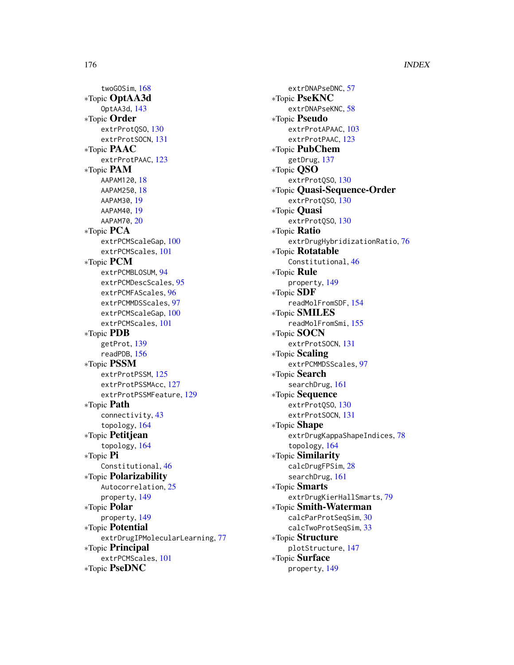twoGOSim, [168](#page-167-1) ∗Topic OptAA3d OptAA3d, [143](#page-142-0) ∗Topic Order extrProtQSO, [130](#page-129-0) extrProtSOCN, [131](#page-130-0) ∗Topic PAAC extrProtPAAC, [123](#page-122-0) ∗Topic PAM AAPAM120, [18](#page-17-0) AAPAM250, [18](#page-17-0) AAPAM30, [19](#page-18-0) AAPAM40, [19](#page-18-0) AAPAM70, [20](#page-19-0) ∗Topic PCA extrPCMScaleGap, [100](#page-99-0) extrPCMScales, [101](#page-100-0) ∗Topic PCM extrPCMBLOSUM, [94](#page-93-0) extrPCMDescScales, [95](#page-94-0) extrPCMFAScales, [96](#page-95-0) extrPCMMDSScales, [97](#page-96-0) extrPCMScaleGap, [100](#page-99-0) extrPCMScales, [101](#page-100-0) ∗Topic PDB getProt, [139](#page-138-0) readPDB, [156](#page-155-1) ∗Topic PSSM extrProtPSSM, [125](#page-124-0) extrProtPSSMAcc, [127](#page-126-0) extrProtPSSMFeature, [129](#page-128-0) ∗Topic Path connectivity, [43](#page-42-0) topology, [164](#page-163-0) ∗Topic Petitjean topology, [164](#page-163-0) ∗Topic Pi Constitutional, [46](#page-45-0) ∗Topic Polarizability Autocorrelation, [25](#page-24-0) property, [149](#page-148-0) ∗Topic Polar property, [149](#page-148-0) ∗Topic Potential extrDrugIPMolecularLearning, [77](#page-76-0) ∗Topic Principal extrPCMScales, [101](#page-100-0) ∗Topic PseDNC

extrDNAPseDNC, [57](#page-56-0) ∗Topic PseKNC extrDNAPseKNC, [58](#page-57-0) ∗Topic Pseudo extrProtAPAAC, [103](#page-102-0) extrProtPAAC, [123](#page-122-0) ∗Topic PubChem getDrug, [137](#page-136-0) ∗Topic QSO extrProtQSO, [130](#page-129-0) ∗Topic Quasi-Sequence-Order extrProtQSO, [130](#page-129-0) ∗Topic Quasi extrProtQSO, [130](#page-129-0) ∗Topic Ratio extrDrugHybridizationRatio, [76](#page-75-0) ∗Topic Rotatable Constitutional, [46](#page-45-0) ∗Topic Rule property, [149](#page-148-0) ∗Topic SDF readMolFromSDF, [154](#page-153-1) ∗Topic SMILES readMolFromSmi, [155](#page-154-1) ∗Topic SOCN extrProtSOCN, [131](#page-130-0) ∗Topic Scaling extrPCMMDSScales, [97](#page-96-0) ∗Topic Search searchDrug, [161](#page-160-0) ∗Topic Sequence extrProtQSO, [130](#page-129-0) extrProtSOCN, [131](#page-130-0) ∗Topic Shape extrDrugKappaShapeIndices, [78](#page-77-0) topology, [164](#page-163-0) ∗Topic Similarity calcDrugFPSim, [28](#page-27-0) searchDrug, [161](#page-160-0) ∗Topic Smarts extrDrugKierHallSmarts, [79](#page-78-0) ∗Topic Smith-Waterman calcParProtSeqSim, [30](#page-29-0) calcTwoProtSeqSim, [33](#page-32-0) ∗Topic Structure plotStructure, [147](#page-146-0) ∗Topic Surface property, [149](#page-148-0)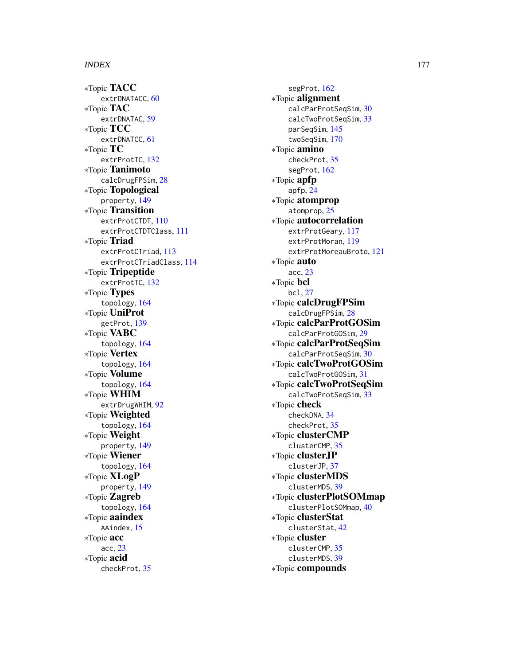∗Topic TACC extrDNATACC, [60](#page-59-0) ∗Topic TAC extrDNATAC, [59](#page-58-0) ∗Topic TCC extrDNATCC, [61](#page-60-0) ∗Topic TC extrProtTC , [132](#page-131-0) ∗Topic Tanimoto calcDrugFPSim , [28](#page-27-0) ∗Topic Topological property , [149](#page-148-0) ∗Topic Transition extrProtCTDT , [110](#page-109-0) extrProtCTDTClass , [111](#page-110-0) ∗Topic Triad extrProtCTriad , [113](#page-112-0) extrProtCTriadClass , [114](#page-113-0) ∗Topic Tripeptide extrProtTC , [132](#page-131-0) ∗Topic Types topology , [164](#page-163-0) ∗Topic UniProt getProt , [139](#page-138-0) ∗Topic VABC topology , [164](#page-163-0) ∗Topic Vertex topology , [164](#page-163-0) ∗Topic Volume topology , [164](#page-163-0) ∗Topic WHIM extrDrugWHIM, [92](#page-91-0) ∗Topic Weighted topology , [164](#page-163-0) ∗Topic Weight property , [149](#page-148-0) ∗Topic Wiener topology , [164](#page-163-0) ∗Topic XLogP property , [149](#page-148-0) ∗Topic Zagreb topology , [164](#page-163-0) ∗Topic aaindex AAindex, [15](#page-14-0) ∗Topic acc acc , [23](#page-22-0) ∗Topic acid checkProt , [35](#page-34-0)

segProt, [162](#page-161-0) ∗Topic alignment calcParProtSeqSim , [30](#page-29-0) calcTwoProtSeqSim , [33](#page-32-0) parSeqSim , [145](#page-144-1) twoSeqSim , [170](#page-169-0) ∗Topic amino checkProt , [35](#page-34-0) segProt , [162](#page-161-0) ∗Topic apfp apfp , [24](#page-23-0) ∗Topic atomprop atomprop , [25](#page-24-0) ∗Topic autocorrelation extrProtGeary , [117](#page-116-0) extrProtMoran , [119](#page-118-0) extrProtMoreauBroto , [121](#page-120-0) ∗Topic auto acc , [23](#page-22-0) ∗Topic bcl bcl , [27](#page-26-0) ∗Topic calcDrugFPSim calcDrugFPSim, [28](#page-27-0) ∗Topic calcParProtGOSim calcParProtGOSim , [29](#page-28-0) ∗Topic calcParProtSeqSim calcParProtSeqSim , [30](#page-29-0) ∗Topic calcTwoProtGOSim calcTwoProtGOSim , [31](#page-30-0) ∗Topic calcTwoProtSeqSim calcTwoProtSeqSim , [33](#page-32-0) ∗Topic check checkDNA , [34](#page-33-0) checkProt , [35](#page-34-0) ∗Topic clusterCMP clusterCMP , [35](#page-34-0) ∗Topic clusterJP clusterJP , [37](#page-36-0) ∗Topic clusterMDS clusterMDS , [39](#page-38-0) ∗Topic clusterPlotSOMmap clusterPlotSOMmap , [40](#page-39-0) ∗Topic clusterStat clusterStat , [42](#page-41-0) ∗Topic cluster clusterCMP , [35](#page-34-0) clusterMDS , [39](#page-38-0) ∗Topic compounds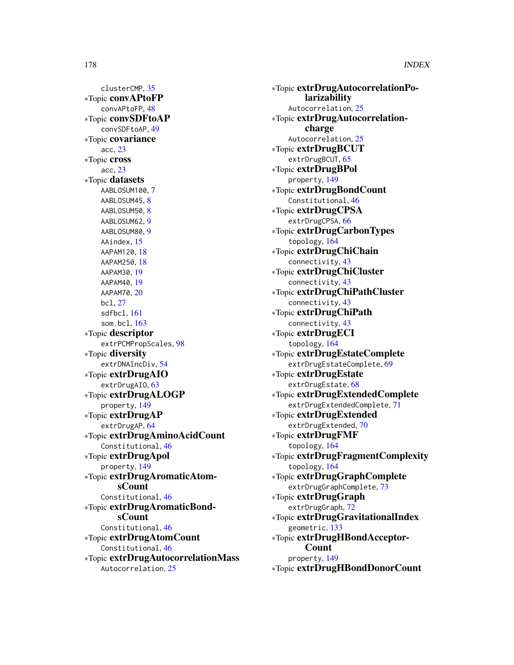clusterCMP, [35](#page-34-0) ∗Topic convAPtoFP convAPtoFP, [48](#page-47-0) ∗Topic convSDFtoAP convSDFtoAP, [49](#page-48-0) ∗Topic covariance acc, [23](#page-22-0) ∗Topic cross acc, [23](#page-22-0) ∗Topic datasets AABLOSUM100, [7](#page-6-0) AABLOSUM45, [8](#page-7-0) AABLOSUM50, [8](#page-7-0) AABLOSUM62, [9](#page-8-0) AABLOSUM80, [9](#page-8-0) AAindex, [15](#page-14-0) AAPAM120, [18](#page-17-0) AAPAM250, [18](#page-17-0) AAPAM30, [19](#page-18-0) AAPAM40, [19](#page-18-0) AAPAM70, [20](#page-19-0) bcl, [27](#page-26-0) sdfbcl, [161](#page-160-0) som.bcl, [163](#page-162-0) ∗Topic descriptor extrPCMPropScales, [98](#page-97-0) ∗Topic diversity extrDNAIncDiv, [54](#page-53-0) ∗Topic extrDrugAIO extrDrugAIO, [63](#page-62-0) ∗Topic extrDrugALOGP property, [149](#page-148-0) ∗Topic extrDrugAP extrDrugAP, [64](#page-63-0) ∗Topic extrDrugAminoAcidCount Constitutional, [46](#page-45-0) ∗Topic extrDrugApol property, [149](#page-148-0) ∗Topic extrDrugAromaticAtomsCount Constitutional, [46](#page-45-0) ∗Topic extrDrugAromaticBondsCount Constitutional, [46](#page-45-0) ∗Topic extrDrugAtomCount Constitutional, [46](#page-45-0) ∗Topic extrDrugAutocorrelationMass Autocorrelation, [25](#page-24-0)

∗Topic extrDrugAutocorrelationPolarizability Autocorrelation, [25](#page-24-0) ∗Topic extrDrugAutocorrelationcharge Autocorrelation, [25](#page-24-0) ∗Topic extrDrugBCUT extrDrugBCUT, [65](#page-64-0) ∗Topic extrDrugBPol property, [149](#page-148-0) ∗Topic extrDrugBondCount Constitutional, [46](#page-45-0) ∗Topic extrDrugCPSA extrDrugCPSA, [66](#page-65-0) ∗Topic extrDrugCarbonTypes topology, [164](#page-163-0) ∗Topic extrDrugChiChain connectivity, [43](#page-42-0) ∗Topic extrDrugChiCluster connectivity, [43](#page-42-0) ∗Topic extrDrugChiPathCluster connectivity, [43](#page-42-0) ∗Topic extrDrugChiPath connectivity, [43](#page-42-0) ∗Topic extrDrugECI topology, [164](#page-163-0) ∗Topic extrDrugEstateComplete extrDrugEstateComplete, [69](#page-68-0) ∗Topic extrDrugEstate extrDrugEstate, [68](#page-67-0) ∗Topic extrDrugExtendedComplete extrDrugExtendedComplete, [71](#page-70-0) ∗Topic extrDrugExtended extrDrugExtended, [70](#page-69-0) ∗Topic extrDrugFMF topology, [164](#page-163-0) ∗Topic extrDrugFragmentComplexity topology, [164](#page-163-0) ∗Topic extrDrugGraphComplete extrDrugGraphComplete, [73](#page-72-0) ∗Topic extrDrugGraph extrDrugGraph, [72](#page-71-0) ∗Topic extrDrugGravitationalIndex geometric, [133](#page-132-0) ∗Topic extrDrugHBondAcceptor-Count property, [149](#page-148-0) ∗Topic extrDrugHBondDonorCount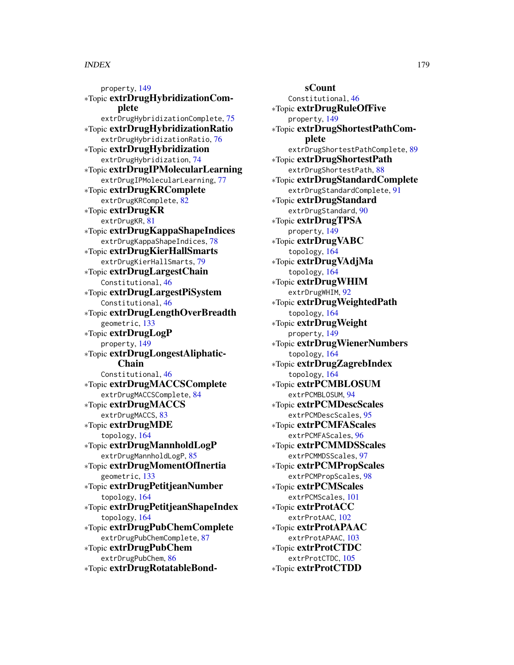property, [149](#page-148-0) ∗Topic extrDrugHybridizationComplete extrDrugHybridizationComplete, [75](#page-74-0) ∗Topic extrDrugHybridizationRatio extrDrugHybridizationRatio, [76](#page-75-0) ∗Topic extrDrugHybridization extrDrugHybridization, [74](#page-73-0) ∗Topic extrDrugIPMolecularLearning extrDrugIPMolecularLearning, [77](#page-76-0) ∗Topic extrDrugKRComplete extrDrugKRComplete, [82](#page-81-0) ∗Topic extrDrugKR extrDrugKR, [81](#page-80-0) ∗Topic extrDrugKappaShapeIndices extrDrugKappaShapeIndices, [78](#page-77-0) ∗Topic extrDrugKierHallSmarts extrDrugKierHallSmarts, [79](#page-78-0) ∗Topic extrDrugLargestChain Constitutional, [46](#page-45-0) ∗Topic extrDrugLargestPiSystem Constitutional, [46](#page-45-0) ∗Topic extrDrugLengthOverBreadth geometric, [133](#page-132-0) ∗Topic extrDrugLogP property, [149](#page-148-0) ∗Topic extrDrugLongestAliphatic-Chain Constitutional, [46](#page-45-0) ∗Topic extrDrugMACCSComplete extrDrugMACCSComplete, [84](#page-83-0) ∗Topic extrDrugMACCS extrDrugMACCS, [83](#page-82-0) ∗Topic extrDrugMDE topology, [164](#page-163-0) ∗Topic extrDrugMannholdLogP extrDrugMannholdLogP, [85](#page-84-0) ∗Topic extrDrugMomentOfInertia geometric, [133](#page-132-0) ∗Topic extrDrugPetitjeanNumber topology, [164](#page-163-0) ∗Topic extrDrugPetitjeanShapeIndex topology, [164](#page-163-0) ∗Topic extrDrugPubChemComplete extrDrugPubChemComplete, [87](#page-86-0) ∗Topic extrDrugPubChem extrDrugPubChem, [86](#page-85-0) ∗Topic extrDrugRotatableBond-

sCount Constitutional, [46](#page-45-0) ∗Topic extrDrugRuleOfFive property, [149](#page-148-0) ∗Topic extrDrugShortestPathComplete extrDrugShortestPathComplete, [89](#page-88-0) ∗Topic extrDrugShortestPath extrDrugShortestPath, [88](#page-87-0) ∗Topic extrDrugStandardComplete extrDrugStandardComplete, [91](#page-90-0) ∗Topic extrDrugStandard extrDrugStandard, [90](#page-89-0) ∗Topic extrDrugTPSA property, [149](#page-148-0) ∗Topic extrDrugVABC topology, [164](#page-163-0) ∗Topic extrDrugVAdjMa topology, [164](#page-163-0) ∗Topic extrDrugWHIM extrDrugWHIM, [92](#page-91-0) ∗Topic extrDrugWeightedPath topology, [164](#page-163-0) ∗Topic extrDrugWeight property, [149](#page-148-0) ∗Topic extrDrugWienerNumbers topology, [164](#page-163-0) ∗Topic extrDrugZagrebIndex topology, [164](#page-163-0) ∗Topic extrPCMBLOSUM extrPCMBLOSUM, [94](#page-93-0) ∗Topic extrPCMDescScales extrPCMDescScales, [95](#page-94-0) ∗Topic extrPCMFAScales extrPCMFAScales, [96](#page-95-0) ∗Topic extrPCMMDSScales extrPCMMDSScales, [97](#page-96-0) ∗Topic extrPCMPropScales extrPCMPropScales, [98](#page-97-0) ∗Topic extrPCMScales extrPCMScales, [101](#page-100-0) ∗Topic extrProtACC extrProtAAC, [102](#page-101-0) ∗Topic extrProtAPAAC extrProtAPAAC, [103](#page-102-0) ∗Topic extrProtCTDC extrProtCTDC, [105](#page-104-0) ∗Topic extrProtCTDD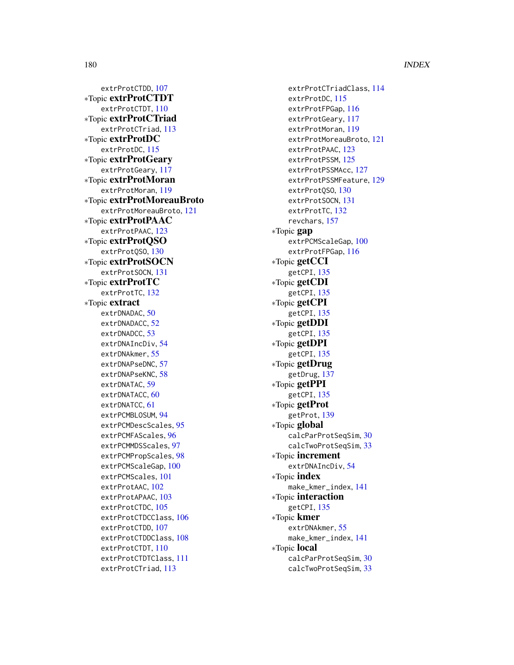extrProtCTDD, [107](#page-106-0) ∗Topic extrProtCTDT extrProtCTDT , [110](#page-109-0) ∗Topic extrProtCTriad extrProtCTriad, [113](#page-112-0) ∗Topic extrProtDC extrProtDC , [115](#page-114-0) ∗Topic extrProtGeary extrProtGeary , [117](#page-116-0) ∗Topic extrProtMoran extrProtMoran , [119](#page-118-0) ∗Topic extrProtMoreauBroto extrProtMoreauBroto , [121](#page-120-0) ∗Topic extrProtPAAC extrProtPAAC, [123](#page-122-0) ∗Topic extrProtQSO extrProtQSO , [130](#page-129-0) ∗Topic extrProtSOCN extrProtSOCN , [131](#page-130-0) ∗Topic extrProtTC extrProtTC , [132](#page-131-0) ∗Topic extract extrDNADAC, [50](#page-49-0) extrDNADACC, [52](#page-51-0) extrDNADCC, [53](#page-52-0) extrDNAIncDiv, [54](#page-53-0) extrDNAkmer , [55](#page-54-0) extrDNAPseDNC, [57](#page-56-0) extrDNAPseKNC, [58](#page-57-0) extrDNATAC, [59](#page-58-0) extrDNATACC, [60](#page-59-0) extrDNATCC, [61](#page-60-0) extrPCMBLOSUM, [94](#page-93-0) extrPCMDescScales , [95](#page-94-0) extrPCMFAScales , [96](#page-95-0) extrPCMMDSScales , [97](#page-96-0) extrPCMPropScales , [98](#page-97-0) extrPCMScaleGap , [100](#page-99-0) extrPCMScales , [101](#page-100-0) extrProtAAC, [102](#page-101-0) extrProtAPAAC, [103](#page-102-0) extrProtCTDC, [105](#page-104-0) extrProtCTDCClass , [106](#page-105-0) extrProtCTDD , [107](#page-106-0) extrProtCTDDClass , [108](#page-107-0) extrProtCTDT , [110](#page-109-0) extrProtCTDTClass , [111](#page-110-0) extrProtCTriad , [113](#page-112-0)

extrProtCTriadClass , [114](#page-113-0) extrProtDC , [115](#page-114-0) extrProtFPGap , [116](#page-115-0) extrProtGeary , [117](#page-116-0) extrProtMoran , [119](#page-118-0) extrProtMoreauBroto , [121](#page-120-0) extrProtPAAC, [123](#page-122-0) extrProtPSSM , [125](#page-124-0) extrProtPSSMAcc , [127](#page-126-0) extrProtPSSMFeature , [129](#page-128-0) extrProtQSO , [130](#page-129-0) extrProtSOCN, [131](#page-130-0) extrProtTC , [132](#page-131-0) revchars , [157](#page-156-0) ∗Topic gap extrPCMScaleGap, [100](#page-99-0) extrProtFPGap , [116](#page-115-0) ∗Topic getCCI getCPI , [135](#page-134-0) ∗Topic getCDI getCPI , [135](#page-134-0) ∗Topic getCPI getCPI, [135](#page-134-0) ∗Topic getDDI getCPI, [135](#page-134-0) ∗Topic getDPI getCPI, [135](#page-134-0) ∗Topic getDrug getDrug , [137](#page-136-0) ∗Topic getPPI getCPI , [135](#page-134-0) ∗Topic getProt getProt , [139](#page-138-0) ∗Topic global calcParProtSeqSim , [30](#page-29-0) calcTwoProtSeqSim , [33](#page-32-0) ∗Topic increment extrDNAIncDiv, [54](#page-53-0) ∗Topic index make\_kmer\_index , [141](#page-140-0) ∗Topic interaction getCPI , [135](#page-134-0) ∗Topic kmer extrDNAkmer , [55](#page-54-0) make\_kmer\_index , [141](#page-140-0) ∗Topic local calcParProtSeqSim , [30](#page-29-0) calcTwoProtSeqSim , [33](#page-32-0)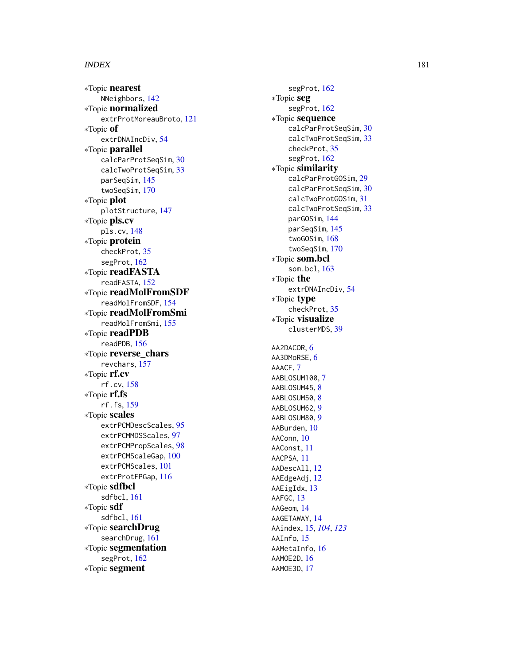# $INDEX$  and the set of the set of the set of the set of the set of the set of the set of the set of the set of the set of the set of the set of the set of the set of the set of the set of the set of the set of the set of th

∗Topic nearest NNeighbors , [142](#page-141-0) ∗Topic normalized extrProtMoreauBroto , [121](#page-120-0) ∗Topic of extrDNAIncDiv, [54](#page-53-0) ∗Topic parallel calcParProtSeqSim , [30](#page-29-0) calcTwoProtSeqSim , [33](#page-32-0) parSeqSim , [145](#page-144-0) twoSeqSim , [170](#page-169-0) ∗Topic plot plotStructure , [147](#page-146-0) ∗Topic pls.cv pls.cv , [148](#page-147-0) ∗Topic protein checkProt , [35](#page-34-0) segProt , [162](#page-161-0) ∗Topic readFASTA readFASTA , [152](#page-151-0) ∗Topic readMolFromSDF readMolFromSDF , [154](#page-153-0) ∗Topic readMolFromSmi readMolFromSmi , [155](#page-154-0) ∗Topic readPDB readPDB , [156](#page-155-0) ∗Topic reverse\_chars revchars , [157](#page-156-0) ∗Topic rf.cv rf.cv , [158](#page-157-0) ∗Topic rf.fs rf.fs , [159](#page-158-0) ∗Topic scales extrPCMDescScales , [95](#page-94-0) extrPCMMDSScales , [97](#page-96-0) extrPCMPropScales , [98](#page-97-0) extrPCMScaleGap , [100](#page-99-0) extrPCMScales , [101](#page-100-0) extrProtFPGap , [116](#page-115-0) ∗Topic sdfbcl sdfbcl , [161](#page-160-0) ∗Topic sdf sdfbcl , [161](#page-160-0) ∗Topic searchDrug searchDrug , [161](#page-160-0) ∗Topic segmentation segProt , [162](#page-161-0) ∗Topic segment

segProt, [162](#page-161-0) ∗Topic seg segProt, [162](#page-161-0) ∗Topic sequence calcParProtSeqSim , [30](#page-29-0) calcTwoProtSeqSim , [33](#page-32-0) checkProt , [35](#page-34-0) segProt , [162](#page-161-0) ∗Topic similarity calcParProtGOSim , [29](#page-28-0) calcParProtSeqSim , [30](#page-29-0) calcTwoProtGOSim , [31](#page-30-0) calcTwoProtSeqSim , [33](#page-32-0) parGOSim , [144](#page-143-0) parSeqSim , [145](#page-144-0) twoGOSim , [168](#page-167-0) twoSeqSim , [170](#page-169-0) ∗Topic som.bcl som.bcl , [163](#page-162-0) ∗Topic the extrDNAIncDiv, [54](#page-53-0) ∗Topic type checkProt , [35](#page-34-0) ∗Topic visualize clusterMDS , [39](#page-38-0) AA2DACOR, [6](#page-5-0) AA3DMoRSE, [6](#page-5-0) AAACF , [7](#page-6-0) AABLOSUM100, [7](#page-6-0) AABLOSUM45, <mark>[8](#page-7-0)</mark> AABLOSUM50, <mark>[8](#page-7-0)</mark> AABLOSUM62 , [9](#page-8-0) AABLOSUM80, [9](#page-8-0) AABurden , [10](#page-9-0) AAConn, [10](#page-9-0) AAConst , [11](#page-10-0) AACPSA , [11](#page-10-0) AADescAll , [12](#page-11-0) AAEdgeAdj , [12](#page-11-0) AAEigIdx , [13](#page-12-0) AAFGC, [13](#page-12-0) AAGeom , [14](#page-13-0) AAGETAWAY , [14](#page-13-0) AAindex , [15](#page-14-0) , *[104](#page-103-0)* , *[123](#page-122-0)* AAInfo, [15](#page-14-0) AAMetaInfo, 1<mark>6</mark> AAMOE2D , [16](#page-15-0) AAMOE3D , [17](#page-16-0)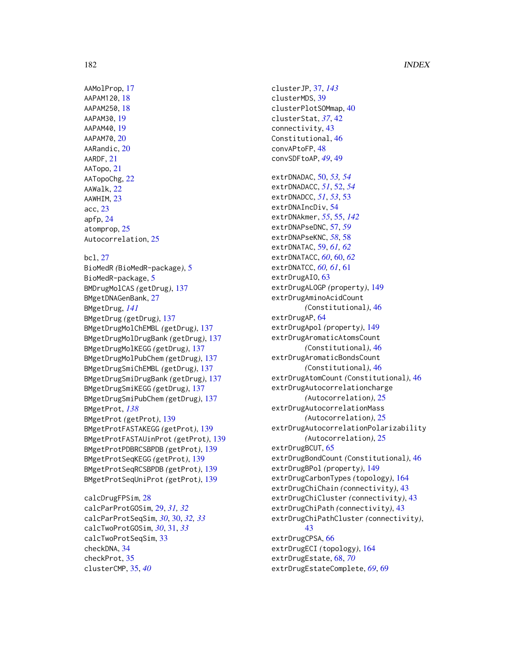## 182 INDEX

AAMolProp, [17](#page-16-0) AAPAM120, [18](#page-17-0) AAPAM250, [18](#page-17-0) AAPAM30, [19](#page-18-0) AAPAM40, [19](#page-18-0) AAPAM70, [20](#page-19-0) AARandic, [20](#page-19-0) AARDF, [21](#page-20-0) AATopo, [21](#page-20-0) AATopoChg, [22](#page-21-0) AAWalk, [22](#page-21-0) AAWHIM, [23](#page-22-0) acc, [23](#page-22-0) apfp, [24](#page-23-0) atomprop, [25](#page-24-0) Autocorrelation, [25](#page-24-0)

## bcl, [27](#page-26-0)

BioMedR *(*BioMedR-package*)*, [5](#page-4-0) BioMedR-package, [5](#page-4-0) BMDrugMolCAS *(*getDrug*)*, [137](#page-136-0) BMgetDNAGenBank, [27](#page-26-0) BMgetDrug, *[141](#page-140-0)* BMgetDrug *(*getDrug*)*, [137](#page-136-0) BMgetDrugMolChEMBL *(*getDrug*)*, [137](#page-136-0) BMgetDrugMolDrugBank *(*getDrug*)*, [137](#page-136-0) BMgetDrugMolKEGG *(*getDrug*)*, [137](#page-136-0) BMgetDrugMolPubChem *(*getDrug*)*, [137](#page-136-0) BMgetDrugSmiChEMBL *(*getDrug*)*, [137](#page-136-0) BMgetDrugSmiDrugBank *(*getDrug*)*, [137](#page-136-0) BMgetDrugSmiKEGG *(*getDrug*)*, [137](#page-136-0) BMgetDrugSmiPubChem *(*getDrug*)*, [137](#page-136-0) BMgetProt, *[138](#page-137-0)* BMgetProt *(*getProt*)*, [139](#page-138-0) BMgetProtFASTAKEGG *(*getProt*)*, [139](#page-138-0) BMgetProtFASTAUinProt *(*getProt*)*, [139](#page-138-0) BMgetProtPDBRCSBPDB *(*getProt*)*, [139](#page-138-0) BMgetProtSeqKEGG *(*getProt*)*, [139](#page-138-0) BMgetProtSeqRCSBPDB *(*getProt*)*, [139](#page-138-0) BMgetProtSeqUniProt *(*getProt*)*, [139](#page-138-0)

calcDrugFPSim, [28](#page-27-0) calcParProtGOSim, [29,](#page-28-0) *[31,](#page-30-0) [32](#page-31-0)* calcParProtSeqSim, *[30](#page-29-0)*, [30,](#page-29-0) *[32,](#page-31-0) [33](#page-32-0)* calcTwoProtGOSim, *[30](#page-29-0)*, [31,](#page-30-0) *[33](#page-32-0)* calcTwoProtSeqSim, [33](#page-32-0) checkDNA, [34](#page-33-0) checkProt, [35](#page-34-0) clusterCMP, [35,](#page-34-0) *[40](#page-39-0)*

clusterJP, [37,](#page-36-0) *[143](#page-142-0)* clusterMDS, [39](#page-38-0) clusterPlotSOMmap, [40](#page-39-0) clusterStat, *[37](#page-36-0)*, [42](#page-41-0) connectivity, [43](#page-42-0) Constitutional, [46](#page-45-0) convAPtoFP, [48](#page-47-0) convSDFtoAP, *[49](#page-48-0)*, [49](#page-48-0) extrDNADAC, [50,](#page-49-0) *[53,](#page-52-0) [54](#page-53-0)* extrDNADACC, *[51](#page-50-0)*, [52,](#page-51-0) *[54](#page-53-0)* extrDNADCC, *[51](#page-50-0)*, *[53](#page-52-0)*, [53](#page-52-0) extrDNAIncDiv, [54](#page-53-0) extrDNAkmer, *[55](#page-54-0)*, [55,](#page-54-0) *[142](#page-141-0)* extrDNAPseDNC, [57,](#page-56-0) *[59](#page-58-0)* extrDNAPseKNC, *[58](#page-57-0)*, [58](#page-57-0) extrDNATAC, [59,](#page-58-0) *[61,](#page-60-0) [62](#page-61-0)* extrDNATACC, *[60](#page-59-0)*, [60,](#page-59-0) *[62](#page-61-0)* extrDNATCC, *[60,](#page-59-0) [61](#page-60-0)*, [61](#page-60-0) extrDrugAIO, [63](#page-62-0) extrDrugALOGP *(*property*)*, [149](#page-148-0) extrDrugAminoAcidCount *(*Constitutional*)*, [46](#page-45-0) extrDrugAP, [64](#page-63-0) extrDrugApol *(*property*)*, [149](#page-148-0) extrDrugAromaticAtomsCount *(*Constitutional*)*, [46](#page-45-0) extrDrugAromaticBondsCount *(*Constitutional*)*, [46](#page-45-0) extrDrugAtomCount *(*Constitutional*)*, [46](#page-45-0) extrDrugAutocorrelationcharge *(*Autocorrelation*)*, [25](#page-24-0) extrDrugAutocorrelationMass *(*Autocorrelation*)*, [25](#page-24-0) extrDrugAutocorrelationPolarizability *(*Autocorrelation*)*, [25](#page-24-0) extrDrugBCUT, [65](#page-64-0) extrDrugBondCount *(*Constitutional*)*, [46](#page-45-0) extrDrugBPol *(*property*)*, [149](#page-148-0) extrDrugCarbonTypes *(*topology*)*, [164](#page-163-0) extrDrugChiChain *(*connectivity*)*, [43](#page-42-0) extrDrugChiCluster *(*connectivity*)*, [43](#page-42-0) extrDrugChiPath *(*connectivity*)*, [43](#page-42-0) extrDrugChiPathCluster *(*connectivity*)*, [43](#page-42-0) extrDrugCPSA, [66](#page-65-0) extrDrugECI *(*topology*)*, [164](#page-163-0) extrDrugEstate, [68,](#page-67-0) *[70](#page-69-0)* extrDrugEstateComplete, *[69](#page-68-0)*, [69](#page-68-0)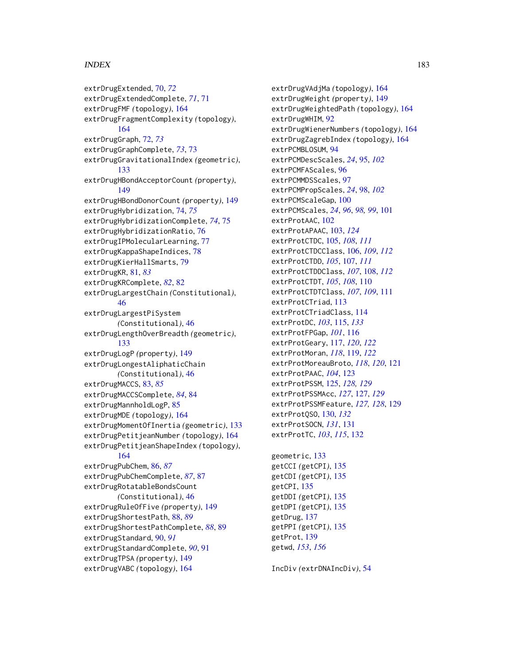# $I\ N$ DEX 183

extrDrugExtended, [70,](#page-69-0) *[72](#page-71-0)* extrDrugExtendedComplete, *[71](#page-70-0)*, [71](#page-70-0) extrDrugFMF *(*topology*)*, [164](#page-163-0) extrDrugFragmentComplexity *(*topology*)*, [164](#page-163-0) extrDrugGraph, [72,](#page-71-0) *[73](#page-72-0)* extrDrugGraphComplete, *[73](#page-72-0)*, [73](#page-72-0) extrDrugGravitationalIndex *(*geometric*)*, [133](#page-132-0) extrDrugHBondAcceptorCount *(*property*)*, [149](#page-148-0) extrDrugHBondDonorCount *(*property*)*, [149](#page-148-0) extrDrugHybridization, [74,](#page-73-0) *[75](#page-74-0)* extrDrugHybridizationComplete, *[74](#page-73-0)*, [75](#page-74-0) extrDrugHybridizationRatio, [76](#page-75-0) extrDrugIPMolecularLearning, [77](#page-76-0) extrDrugKappaShapeIndices, [78](#page-77-0) extrDrugKierHallSmarts, [79](#page-78-0) extrDrugKR, [81,](#page-80-0) *[83](#page-82-0)* extrDrugKRComplete, *[82](#page-81-0)*, [82](#page-81-0) extrDrugLargestChain *(*Constitutional*)*, [46](#page-45-0) extrDrugLargestPiSystem *(*Constitutional*)*, [46](#page-45-0) extrDrugLengthOverBreadth *(*geometric*)*, [133](#page-132-0) extrDrugLogP *(*property*)*, [149](#page-148-0) extrDrugLongestAliphaticChain *(*Constitutional*)*, [46](#page-45-0) extrDrugMACCS, [83,](#page-82-0) *[85](#page-84-0)* extrDrugMACCSComplete, *[84](#page-83-0)*, [84](#page-83-0) extrDrugMannholdLogP, [85](#page-84-0) extrDrugMDE *(*topology*)*, [164](#page-163-0) extrDrugMomentOfInertia *(*geometric*)*, [133](#page-132-0) extrDrugPetitjeanNumber *(*topology*)*, [164](#page-163-0) extrDrugPetitjeanShapeIndex *(*topology*)*, [164](#page-163-0) extrDrugPubChem, [86,](#page-85-0) *[87](#page-86-0)* extrDrugPubChemComplete, *[87](#page-86-0)*, [87](#page-86-0) extrDrugRotatableBondsCount *(*Constitutional*)*, [46](#page-45-0) extrDrugRuleOfFive *(*property*)*, [149](#page-148-0) extrDrugShortestPath, [88,](#page-87-0) *[89](#page-88-0)* extrDrugShortestPathComplete, *[88](#page-87-0)*, [89](#page-88-0) extrDrugStandard, [90,](#page-89-0) *[91](#page-90-0)* extrDrugStandardComplete, *[90](#page-89-0)*, [91](#page-90-0) extrDrugTPSA *(*property*)*, [149](#page-148-0) extrDrugVABC *(*topology*)*, [164](#page-163-0)

extrDrugVAdjMa *(*topology*)*, [164](#page-163-0) extrDrugWeight *(*property*)*, [149](#page-148-0) extrDrugWeightedPath *(*topology*)*, [164](#page-163-0) extrDrugWHIM, [92](#page-91-0) extrDrugWienerNumbers *(*topology*)*, [164](#page-163-0) extrDrugZagrebIndex *(*topology*)*, [164](#page-163-0) extrPCMBLOSUM, [94](#page-93-0) extrPCMDescScales, *[24](#page-23-0)*, [95,](#page-94-0) *[102](#page-101-0)* extrPCMFAScales, [96](#page-95-0) extrPCMMDSScales, [97](#page-96-0) extrPCMPropScales, *[24](#page-23-0)*, [98,](#page-97-0) *[102](#page-101-0)* extrPCMScaleGap, [100](#page-99-0) extrPCMScales, *[24](#page-23-0)*, *[96](#page-95-0)*, *[98,](#page-97-0) [99](#page-98-0)*, [101](#page-100-0) extrProtAAC, [102](#page-101-0) extrProtAPAAC, [103,](#page-102-0) *[124](#page-123-0)* extrProtCTDC, [105,](#page-104-0) *[108](#page-107-0)*, *[111](#page-110-0)* extrProtCTDCClass, [106,](#page-105-0) *[109](#page-108-0)*, *[112](#page-111-0)* extrProtCTDD, *[105](#page-104-0)*, [107,](#page-106-0) *[111](#page-110-0)* extrProtCTDDClass, *[107](#page-106-0)*, [108,](#page-107-0) *[112](#page-111-0)* extrProtCTDT, *[105](#page-104-0)*, *[108](#page-107-0)*, [110](#page-109-0) extrProtCTDTClass, *[107](#page-106-0)*, *[109](#page-108-0)*, [111](#page-110-0) extrProtCTriad, [113](#page-112-0) extrProtCTriadClass, [114](#page-113-0) extrProtDC, *[103](#page-102-0)*, [115,](#page-114-0) *[133](#page-132-0)* extrProtFPGap, *[101](#page-100-0)*, [116](#page-115-0) extrProtGeary, [117,](#page-116-0) *[120](#page-119-0)*, *[122](#page-121-0)* extrProtMoran, *[118](#page-117-0)*, [119,](#page-118-0) *[122](#page-121-0)* extrProtMoreauBroto, *[118](#page-117-0)*, *[120](#page-119-0)*, [121](#page-120-0) extrProtPAAC, *[104](#page-103-0)*, [123](#page-122-0) extrProtPSSM, [125,](#page-124-0) *[128,](#page-127-0) [129](#page-128-0)* extrProtPSSMAcc, *[127](#page-126-0)*, [127,](#page-126-0) *[129](#page-128-0)* extrProtPSSMFeature, *[127,](#page-126-0) [128](#page-127-0)*, [129](#page-128-0) extrProtQSO, [130,](#page-129-0) *[132](#page-131-0)* extrProtSOCN, *[131](#page-130-0)*, [131](#page-130-0) extrProtTC, *[103](#page-102-0)*, *[115](#page-114-0)*, [132](#page-131-0)

geometric, [133](#page-132-0) getCCI *(*getCPI*)*, [135](#page-134-0) getCDI *(*getCPI*)*, [135](#page-134-0) getCPI, [135](#page-134-0) getDDI *(*getCPI*)*, [135](#page-134-0) getDPI *(*getCPI*)*, [135](#page-134-0) getDrug, [137](#page-136-0) getPPI *(*getCPI*)*, [135](#page-134-0) getProt, [139](#page-138-0) getwd, *[153](#page-152-0)*, *[156](#page-155-0)*

IncDiv *(*extrDNAIncDiv*)*, [54](#page-53-0)